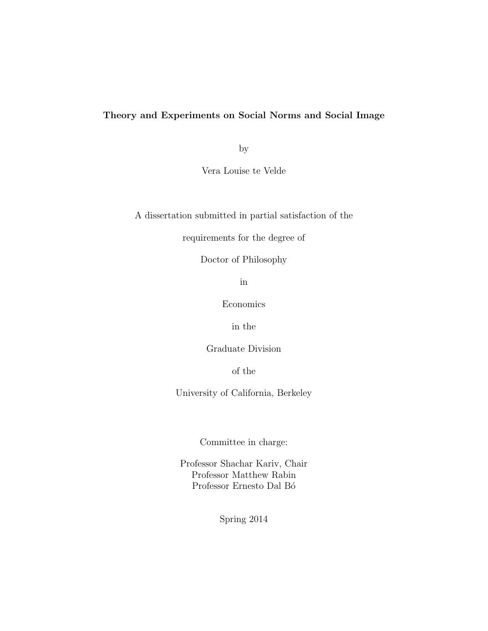## Theory and Experiments on Social Norms and Social Image

by

Vera Louise te Velde

A dissertation submitted in partial satisfaction of the

requirements for the degree of

Doctor of Philosophy

in

Economics

in the

Graduate Division

of the

University of California, Berkeley

Committee in charge:

Professor Shachar Kariv, Chair Professor Matthew Rabin Professor Ernesto Dal Bó

Spring 2014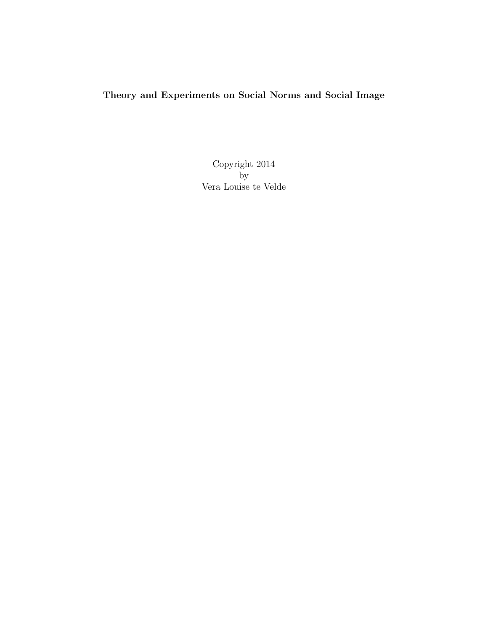# Theory and Experiments on Social Norms and Social Image

Copyright 2014 by Vera Louise te Velde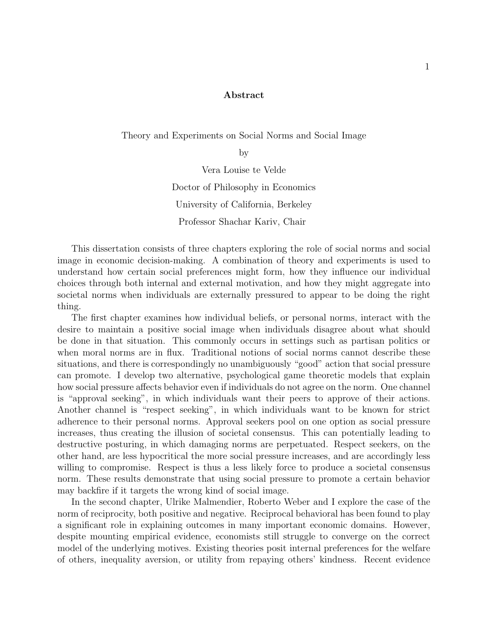#### Abstract

Theory and Experiments on Social Norms and Social Image

by

Vera Louise te Velde Doctor of Philosophy in Economics University of California, Berkeley Professor Shachar Kariv, Chair

This dissertation consists of three chapters exploring the role of social norms and social image in economic decision-making. A combination of theory and experiments is used to understand how certain social preferences might form, how they influence our individual choices through both internal and external motivation, and how they might aggregate into societal norms when individuals are externally pressured to appear to be doing the right thing.

The first chapter examines how individual beliefs, or personal norms, interact with the desire to maintain a positive social image when individuals disagree about what should be done in that situation. This commonly occurs in settings such as partisan politics or when moral norms are in flux. Traditional notions of social norms cannot describe these situations, and there is correspondingly no unambiguously "good" action that social pressure can promote. I develop two alternative, psychological game theoretic models that explain how social pressure affects behavior even if individuals do not agree on the norm. One channel is "approval seeking", in which individuals want their peers to approve of their actions. Another channel is "respect seeking", in which individuals want to be known for strict adherence to their personal norms. Approval seekers pool on one option as social pressure increases, thus creating the illusion of societal consensus. This can potentially leading to destructive posturing, in which damaging norms are perpetuated. Respect seekers, on the other hand, are less hypocritical the more social pressure increases, and are accordingly less willing to compromise. Respect is thus a less likely force to produce a societal consensus norm. These results demonstrate that using social pressure to promote a certain behavior may backfire if it targets the wrong kind of social image.

In the second chapter, Ulrike Malmendier, Roberto Weber and I explore the case of the norm of reciprocity, both positive and negative. Reciprocal behavioral has been found to play a significant role in explaining outcomes in many important economic domains. However, despite mounting empirical evidence, economists still struggle to converge on the correct model of the underlying motives. Existing theories posit internal preferences for the welfare of others, inequality aversion, or utility from repaying others' kindness. Recent evidence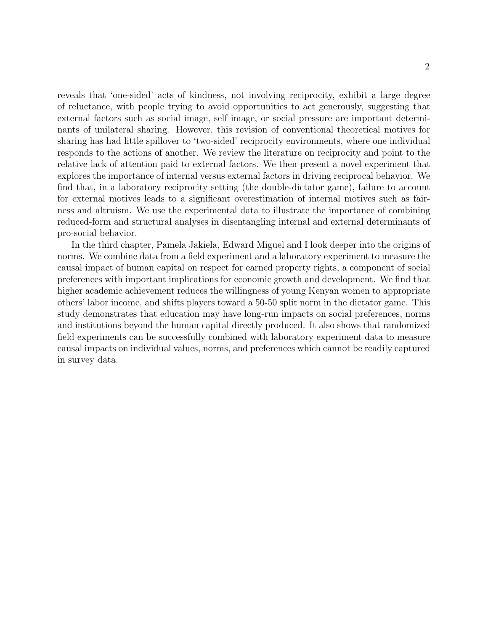reveals that 'one-sided' acts of kindness, not involving reciprocity, exhibit a large degree of reluctance, with people trying to avoid opportunities to act generously, suggesting that external factors such as social image, self image, or social pressure are important determinants of unilateral sharing. However, this revision of conventional theoretical motives for sharing has had little spillover to 'two-sided' reciprocity environments, where one individual responds to the actions of another. We review the literature on reciprocity and point to the relative lack of attention paid to external factors. We then present a novel experiment that explores the importance of internal versus external factors in driving reciprocal behavior. We find that, in a laboratory reciprocity setting (the double-dictator game), failure to account for external motives leads to a significant overestimation of internal motives such as fairness and altruism. We use the experimental data to illustrate the importance of combining reduced-form and structural analyses in disentangling internal and external determinants of pro-social behavior.

In the third chapter, Pamela Jakiela, Edward Miguel and I look deeper into the origins of norms. We combine data from a field experiment and a laboratory experiment to measure the causal impact of human capital on respect for earned property rights, a component of social preferences with important implications for economic growth and development. We find that higher academic achievement reduces the willingness of young Kenyan women to appropriate others' labor income, and shifts players toward a 50-50 split norm in the dictator game. This study demonstrates that education may have long-run impacts on social preferences, norms and institutions beyond the human capital directly produced. It also shows that randomized field experiments can be successfully combined with laboratory experiment data to measure causal impacts on individual values, norms, and preferences which cannot be readily captured in survey data.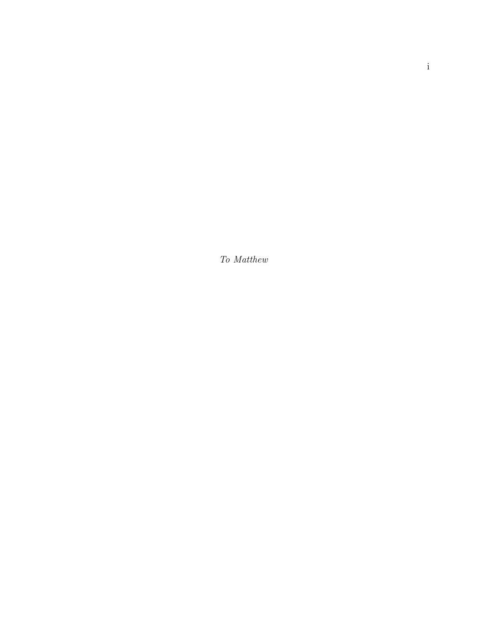To Matthew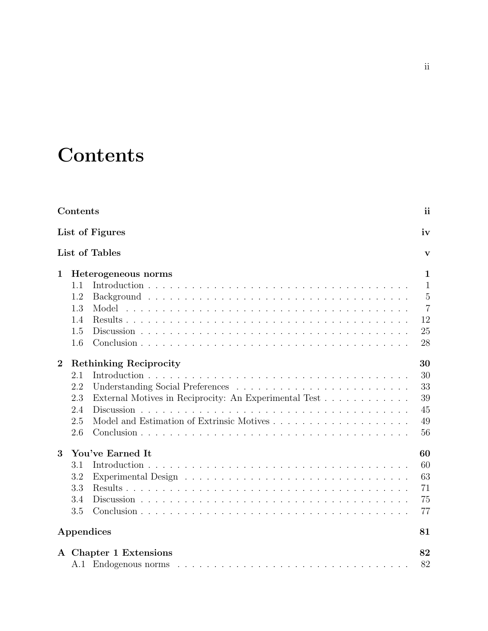# **Contents**

|                  | Contents<br>List of Figures |                                                       |                |  |  |  |
|------------------|-----------------------------|-------------------------------------------------------|----------------|--|--|--|
|                  |                             |                                                       |                |  |  |  |
|                  | List of Tables              |                                                       |                |  |  |  |
| 1                |                             | Heterogeneous norms                                   | $\mathbf{1}$   |  |  |  |
|                  | 1.1                         |                                                       | $\mathbf{1}$   |  |  |  |
|                  | 1.2                         |                                                       | $\overline{5}$ |  |  |  |
|                  | 1.3                         |                                                       | $\overline{7}$ |  |  |  |
|                  | 1.4                         |                                                       | 12             |  |  |  |
|                  | 1.5                         |                                                       | 25             |  |  |  |
|                  | 1.6                         |                                                       | 28             |  |  |  |
| $\boldsymbol{2}$ |                             | <b>Rethinking Reciprocity</b>                         | 30             |  |  |  |
|                  | 2.1                         |                                                       | 30             |  |  |  |
|                  | 2.2                         |                                                       | 33             |  |  |  |
|                  | 2.3                         | External Motives in Reciprocity: An Experimental Test | 39             |  |  |  |
|                  | 2.4                         |                                                       | 45             |  |  |  |
|                  | 2.5                         |                                                       | 49             |  |  |  |
|                  | 2.6                         |                                                       | 56             |  |  |  |
| 3                |                             | You've Earned It                                      | 60             |  |  |  |
|                  | 3.1                         |                                                       | 60             |  |  |  |
|                  | 3.2                         |                                                       | 63             |  |  |  |
|                  | 3.3                         |                                                       | 71             |  |  |  |
|                  | 3.4                         |                                                       | 75             |  |  |  |
|                  | 3.5                         |                                                       | 77             |  |  |  |
|                  |                             | Appendices                                            | 81             |  |  |  |
|                  |                             | A Chapter 1 Extensions                                | 82             |  |  |  |
|                  |                             |                                                       | 82             |  |  |  |
|                  |                             |                                                       |                |  |  |  |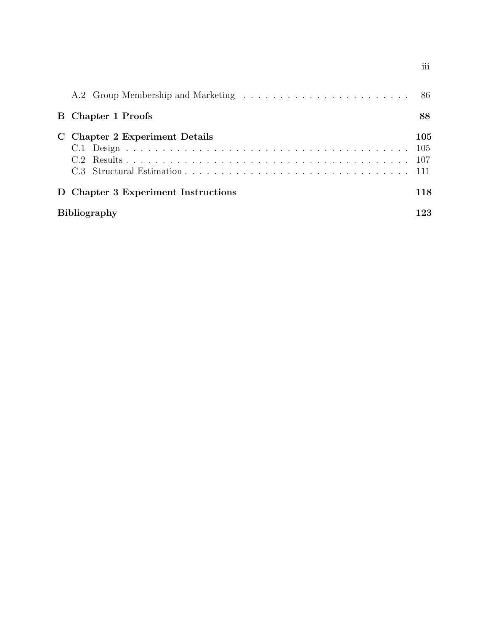| <b>B</b> Chapter 1 Proofs           | 88                |
|-------------------------------------|-------------------|
| C Chapter 2 Experiment Details      | 105<br>105<br>107 |
| D Chapter 3 Experiment Instructions | 118               |
| <b>Bibliography</b>                 |                   |

iii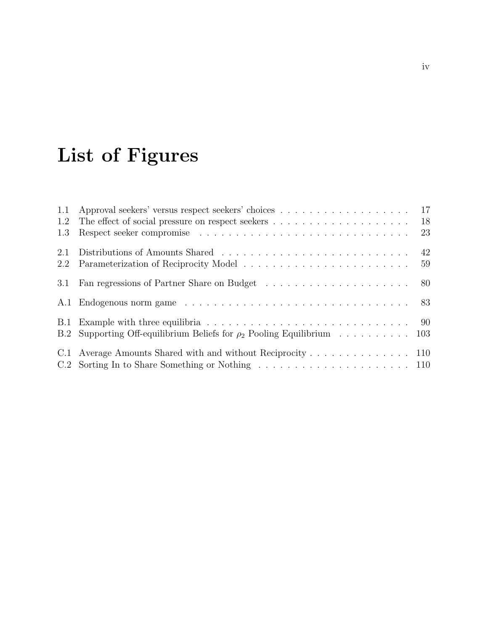# List of Figures

| 1.1 | Approval seekers' versus respect seekers' choices 17                                         |               |
|-----|----------------------------------------------------------------------------------------------|---------------|
| 1.2 | The effect of social pressure on respect seekers $\dots \dots \dots \dots \dots \dots \dots$ | <sup>18</sup> |
| 1.3 |                                                                                              | 23            |
| 2.1 |                                                                                              |               |
| 2.2 |                                                                                              | 59            |
| 3.1 |                                                                                              |               |
|     |                                                                                              |               |
|     |                                                                                              |               |
|     | B.2 Supporting Off-equilibrium Beliefs for $\rho_2$ Pooling Equilibrium 103                  |               |
|     | C.1 Average Amounts Shared with and without Reciprocity 110                                  |               |
|     |                                                                                              |               |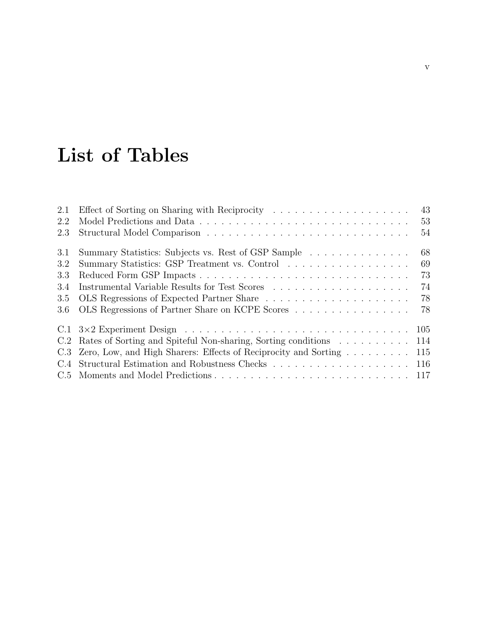# List of Tables

| 2.1 | 43                                                                      |
|-----|-------------------------------------------------------------------------|
| 2.2 | 53                                                                      |
| 2.3 | 54                                                                      |
| 3.1 | 68<br>Summary Statistics: Subjects vs. Rest of GSP Sample               |
| 3.2 | Summary Statistics: GSP Treatment vs. Control<br>69                     |
| 3.3 | 73                                                                      |
| 3.4 | 74                                                                      |
| 3.5 | 78<br>OLS Regressions of Expected Partner Share                         |
| 3.6 | OLS Regressions of Partner Share on KCPE Scores<br>78                   |
|     | 105                                                                     |
|     | C.2 Rates of Sorting and Spiteful Non-sharing, Sorting conditions 114   |
|     | C.3 Zero, Low, and High Sharers: Effects of Reciprocity and Sorting 115 |
|     |                                                                         |
|     |                                                                         |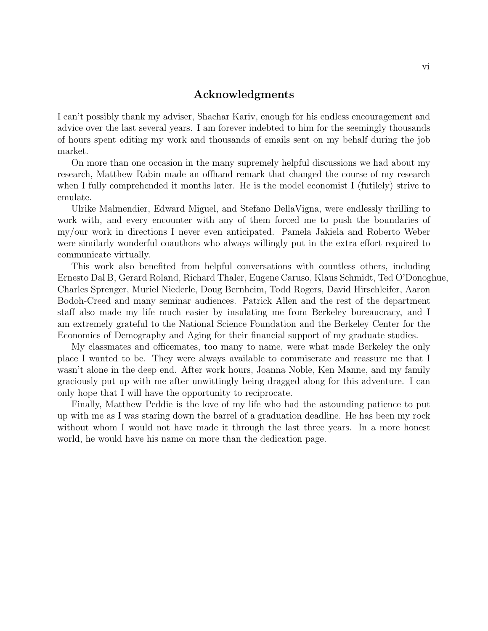### Acknowledgments

I can't possibly thank my adviser, Shachar Kariv, enough for his endless encouragement and advice over the last several years. I am forever indebted to him for the seemingly thousands of hours spent editing my work and thousands of emails sent on my behalf during the job market.

On more than one occasion in the many supremely helpful discussions we had about my research, Matthew Rabin made an offhand remark that changed the course of my research when I fully comprehended it months later. He is the model economist I (futilely) strive to emulate.

Ulrike Malmendier, Edward Miguel, and Stefano DellaVigna, were endlessly thrilling to work with, and every encounter with any of them forced me to push the boundaries of my/our work in directions I never even anticipated. Pamela Jakiela and Roberto Weber were similarly wonderful coauthors who always willingly put in the extra effort required to communicate virtually.

This work also benefited from helpful conversations with countless others, including Ernesto Dal B, Gerard Roland, Richard Thaler, Eugene Caruso, Klaus Schmidt, Ted O'Donoghue, Charles Sprenger, Muriel Niederle, Doug Bernheim, Todd Rogers, David Hirschleifer, Aaron Bodoh-Creed and many seminar audiences. Patrick Allen and the rest of the department staff also made my life much easier by insulating me from Berkeley bureaucracy, and I am extremely grateful to the National Science Foundation and the Berkeley Center for the Economics of Demography and Aging for their financial support of my graduate studies.

My classmates and officemates, too many to name, were what made Berkeley the only place I wanted to be. They were always available to commiserate and reassure me that I wasn't alone in the deep end. After work hours, Joanna Noble, Ken Manne, and my family graciously put up with me after unwittingly being dragged along for this adventure. I can only hope that I will have the opportunity to reciprocate.

Finally, Matthew Peddie is the love of my life who had the astounding patience to put up with me as I was staring down the barrel of a graduation deadline. He has been my rock without whom I would not have made it through the last three years. In a more honest world, he would have his name on more than the dedication page.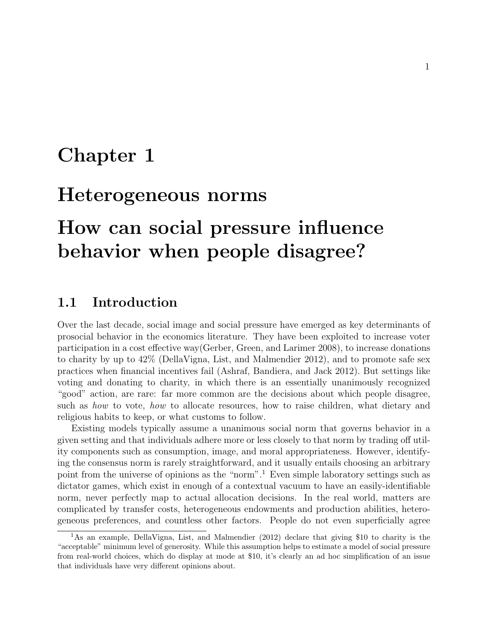# Chapter 1

# Heterogeneous norms

# How can social pressure influence behavior when people disagree?

# 1.1 Introduction

Over the last decade, social image and social pressure have emerged as key determinants of prosocial behavior in the economics literature. They have been exploited to increase voter participation in a cost effective way(Gerber, Green, and Larimer 2008), to increase donations to charity by up to 42% (DellaVigna, List, and Malmendier 2012), and to promote safe sex practices when financial incentives fail (Ashraf, Bandiera, and Jack 2012). But settings like voting and donating to charity, in which there is an essentially unanimously recognized "good" action, are rare: far more common are the decisions about which people disagree, such as how to vote, how to allocate resources, how to raise children, what dietary and religious habits to keep, or what customs to follow.

Existing models typically assume a unanimous social norm that governs behavior in a given setting and that individuals adhere more or less closely to that norm by trading off utility components such as consumption, image, and moral appropriateness. However, identifying the consensus norm is rarely straightforward, and it usually entails choosing an arbitrary point from the universe of opinions as the "norm".<sup>1</sup> Even simple laboratory settings such as dictator games, which exist in enough of a contextual vacuum to have an easily-identifiable norm, never perfectly map to actual allocation decisions. In the real world, matters are complicated by transfer costs, heterogeneous endowments and production abilities, heterogeneous preferences, and countless other factors. People do not even superficially agree

<sup>&</sup>lt;sup>1</sup>As an example, DellaVigna, List, and Malmendier (2012) declare that giving \$10 to charity is the "acceptable" minimum level of generosity. While this assumption helps to estimate a model of social pressure from real-world choices, which do display at mode at \$10, it's clearly an ad hoc simplification of an issue that individuals have very different opinions about.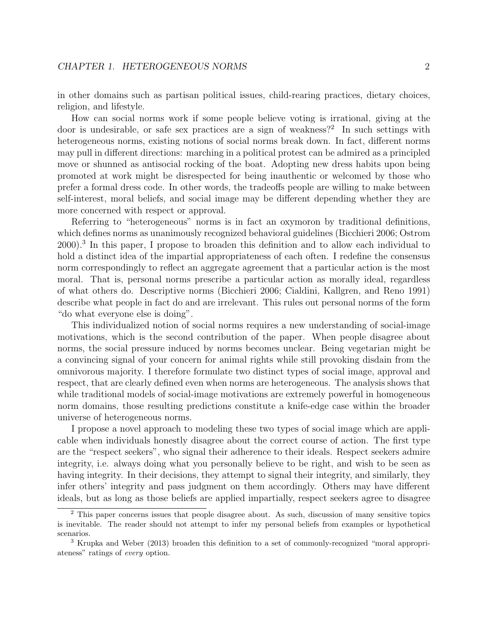in other domains such as partisan political issues, child-rearing practices, dietary choices, religion, and lifestyle.

How can social norms work if some people believe voting is irrational, giving at the door is undesirable, or safe sex practices are a sign of weakness?<sup>2</sup> In such settings with heterogeneous norms, existing notions of social norms break down. In fact, different norms may pull in different directions: marching in a political protest can be admired as a principled move or shunned as antisocial rocking of the boat. Adopting new dress habits upon being promoted at work might be disrespected for being inauthentic or welcomed by those who prefer a formal dress code. In other words, the tradeoffs people are willing to make between self-interest, moral beliefs, and social image may be different depending whether they are more concerned with respect or approval.

Referring to "heterogeneous" norms is in fact an oxymoron by traditional definitions, which defines norms as unanimously recognized behavioral guidelines (Bicchieri 2006; Ostrom 2000).<sup>3</sup> In this paper, I propose to broaden this definition and to allow each individual to hold a distinct idea of the impartial appropriateness of each often. I redefine the consensus norm correspondingly to reflect an aggregate agreement that a particular action is the most moral. That is, personal norms prescribe a particular action as morally ideal, regardless of what others do. Descriptive norms (Bicchieri 2006; Cialdini, Kallgren, and Reno 1991) describe what people in fact do and are irrelevant. This rules out personal norms of the form "do what everyone else is doing".

This individualized notion of social norms requires a new understanding of social-image motivations, which is the second contribution of the paper. When people disagree about norms, the social pressure induced by norms becomes unclear. Being vegetarian might be a convincing signal of your concern for animal rights while still provoking disdain from the omnivorous majority. I therefore formulate two distinct types of social image, approval and respect, that are clearly defined even when norms are heterogeneous. The analysis shows that while traditional models of social-image motivations are extremely powerful in homogeneous norm domains, those resulting predictions constitute a knife-edge case within the broader universe of heterogeneous norms.

I propose a novel approach to modeling these two types of social image which are applicable when individuals honestly disagree about the correct course of action. The first type are the "respect seekers", who signal their adherence to their ideals. Respect seekers admire integrity, i.e. always doing what you personally believe to be right, and wish to be seen as having integrity. In their decisions, they attempt to signal their integrity, and similarly, they infer others' integrity and pass judgment on them accordingly. Others may have different ideals, but as long as those beliefs are applied impartially, respect seekers agree to disagree

<sup>2</sup> This paper concerns issues that people disagree about. As such, discussion of many sensitive topics is inevitable. The reader should not attempt to infer my personal beliefs from examples or hypothetical scenarios.

<sup>3</sup> Krupka and Weber (2013) broaden this definition to a set of commonly-recognized "moral appropriateness" ratings of every option.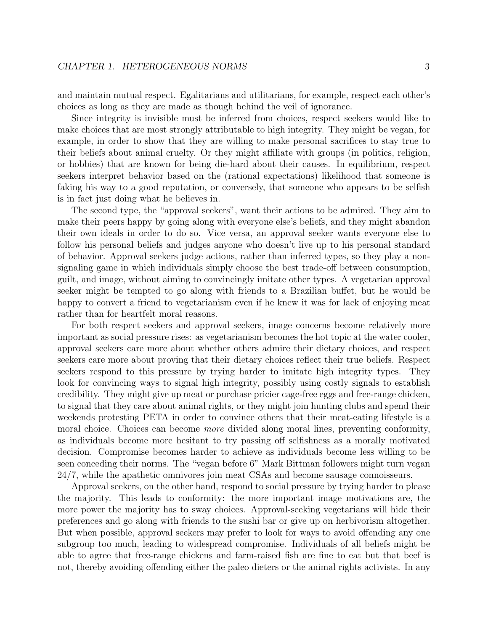and maintain mutual respect. Egalitarians and utilitarians, for example, respect each other's choices as long as they are made as though behind the veil of ignorance.

Since integrity is invisible must be inferred from choices, respect seekers would like to make choices that are most strongly attributable to high integrity. They might be vegan, for example, in order to show that they are willing to make personal sacrifices to stay true to their beliefs about animal cruelty. Or they might affiliate with groups (in politics, religion, or hobbies) that are known for being die-hard about their causes. In equilibrium, respect seekers interpret behavior based on the (rational expectations) likelihood that someone is faking his way to a good reputation, or conversely, that someone who appears to be selfish is in fact just doing what he believes in.

The second type, the "approval seekers", want their actions to be admired. They aim to make their peers happy by going along with everyone else's beliefs, and they might abandon their own ideals in order to do so. Vice versa, an approval seeker wants everyone else to follow his personal beliefs and judges anyone who doesn't live up to his personal standard of behavior. Approval seekers judge actions, rather than inferred types, so they play a nonsignaling game in which individuals simply choose the best trade-off between consumption, guilt, and image, without aiming to convincingly imitate other types. A vegetarian approval seeker might be tempted to go along with friends to a Brazilian buffet, but he would be happy to convert a friend to vegetarianism even if he knew it was for lack of enjoying meat rather than for heartfelt moral reasons.

For both respect seekers and approval seekers, image concerns become relatively more important as social pressure rises: as vegetarianism becomes the hot topic at the water cooler, approval seekers care more about whether others admire their dietary choices, and respect seekers care more about proving that their dietary choices reflect their true beliefs. Respect seekers respond to this pressure by trying harder to imitate high integrity types. They look for convincing ways to signal high integrity, possibly using costly signals to establish credibility. They might give up meat or purchase pricier cage-free eggs and free-range chicken, to signal that they care about animal rights, or they might join hunting clubs and spend their weekends protesting PETA in order to convince others that their meat-eating lifestyle is a moral choice. Choices can become *more* divided along moral lines, preventing conformity, as individuals become more hesitant to try passing off selfishness as a morally motivated decision. Compromise becomes harder to achieve as individuals become less willing to be seen conceding their norms. The "vegan before 6" Mark Bittman followers might turn vegan 24/7, while the apathetic omnivores join meat CSAs and become sausage connoisseurs.

Approval seekers, on the other hand, respond to social pressure by trying harder to please the majority. This leads to conformity: the more important image motivations are, the more power the majority has to sway choices. Approval-seeking vegetarians will hide their preferences and go along with friends to the sushi bar or give up on herbivorism altogether. But when possible, approval seekers may prefer to look for ways to avoid offending any one subgroup too much, leading to widespread compromise. Individuals of all beliefs might be able to agree that free-range chickens and farm-raised fish are fine to eat but that beef is not, thereby avoiding offending either the paleo dieters or the animal rights activists. In any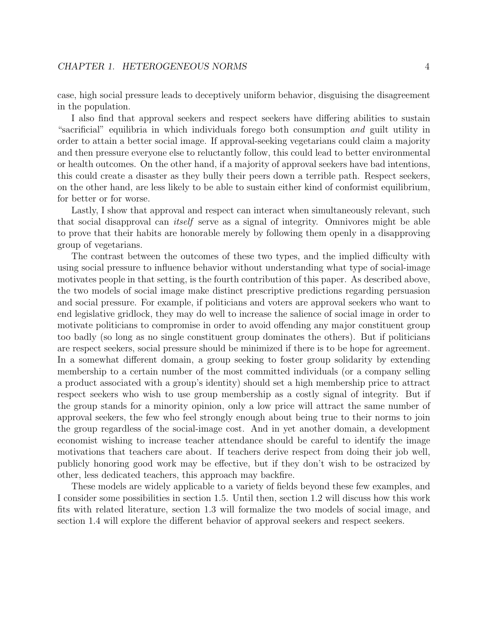case, high social pressure leads to deceptively uniform behavior, disguising the disagreement in the population.

I also find that approval seekers and respect seekers have differing abilities to sustain "sacrificial" equilibria in which individuals forego both consumption and guilt utility in order to attain a better social image. If approval-seeking vegetarians could claim a majority and then pressure everyone else to reluctantly follow, this could lead to better environmental or health outcomes. On the other hand, if a majority of approval seekers have bad intentions, this could create a disaster as they bully their peers down a terrible path. Respect seekers, on the other hand, are less likely to be able to sustain either kind of conformist equilibrium, for better or for worse.

Lastly, I show that approval and respect can interact when simultaneously relevant, such that social disapproval can itself serve as a signal of integrity. Omnivores might be able to prove that their habits are honorable merely by following them openly in a disapproving group of vegetarians.

The contrast between the outcomes of these two types, and the implied difficulty with using social pressure to influence behavior without understanding what type of social-image motivates people in that setting, is the fourth contribution of this paper. As described above, the two models of social image make distinct prescriptive predictions regarding persuasion and social pressure. For example, if politicians and voters are approval seekers who want to end legislative gridlock, they may do well to increase the salience of social image in order to motivate politicians to compromise in order to avoid offending any major constituent group too badly (so long as no single constituent group dominates the others). But if politicians are respect seekers, social pressure should be minimized if there is to be hope for agreement. In a somewhat different domain, a group seeking to foster group solidarity by extending membership to a certain number of the most committed individuals (or a company selling a product associated with a group's identity) should set a high membership price to attract respect seekers who wish to use group membership as a costly signal of integrity. But if the group stands for a minority opinion, only a low price will attract the same number of approval seekers, the few who feel strongly enough about being true to their norms to join the group regardless of the social-image cost. And in yet another domain, a development economist wishing to increase teacher attendance should be careful to identify the image motivations that teachers care about. If teachers derive respect from doing their job well, publicly honoring good work may be effective, but if they don't wish to be ostracized by other, less dedicated teachers, this approach may backfire.

These models are widely applicable to a variety of fields beyond these few examples, and I consider some possibilities in section 1.5. Until then, section 1.2 will discuss how this work fits with related literature, section 1.3 will formalize the two models of social image, and section 1.4 will explore the different behavior of approval seekers and respect seekers.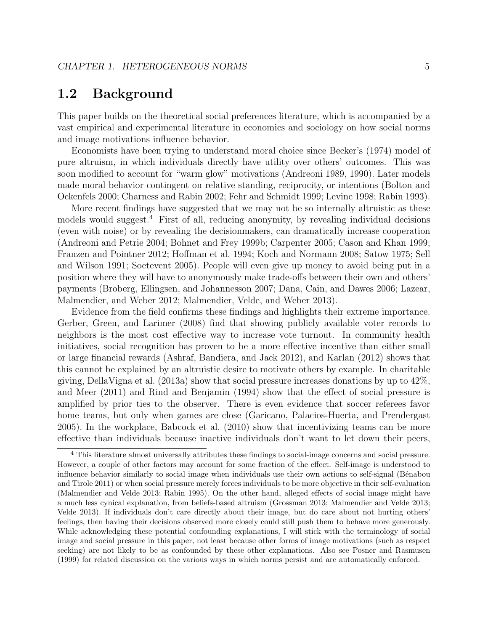# 1.2 Background

This paper builds on the theoretical social preferences literature, which is accompanied by a vast empirical and experimental literature in economics and sociology on how social norms and image motivations influence behavior.

Economists have been trying to understand moral choice since Becker's (1974) model of pure altruism, in which individuals directly have utility over others' outcomes. This was soon modified to account for "warm glow" motivations (Andreoni 1989, 1990). Later models made moral behavior contingent on relative standing, reciprocity, or intentions (Bolton and Ockenfels 2000; Charness and Rabin 2002; Fehr and Schmidt 1999; Levine 1998; Rabin 1993).

More recent findings have suggested that we may not be so internally altruistic as these models would suggest.<sup>4</sup> First of all, reducing anonymity, by revealing individual decisions (even with noise) or by revealing the decisionmakers, can dramatically increase cooperation (Andreoni and Petrie 2004; Bohnet and Frey 1999b; Carpenter 2005; Cason and Khan 1999; Franzen and Pointner 2012; Hoffman et al. 1994; Koch and Normann 2008; Satow 1975; Sell and Wilson 1991; Soetevent 2005). People will even give up money to avoid being put in a position where they will have to anonymously make trade-offs between their own and others' payments (Broberg, Ellingsen, and Johannesson 2007; Dana, Cain, and Dawes 2006; Lazear, Malmendier, and Weber 2012; Malmendier, Velde, and Weber 2013).

Evidence from the field confirms these findings and highlights their extreme importance. Gerber, Green, and Larimer (2008) find that showing publicly available voter records to neighbors is the most cost effective way to increase vote turnout. In community health initiatives, social recognition has proven to be a more effective incentive than either small or large financial rewards (Ashraf, Bandiera, and Jack 2012), and Karlan (2012) shows that this cannot be explained by an altruistic desire to motivate others by example. In charitable giving, DellaVigna et al. (2013a) show that social pressure increases donations by up to 42%, and Meer (2011) and Rind and Benjamin (1994) show that the effect of social pressure is amplified by prior ties to the observer. There is even evidence that soccer referees favor home teams, but only when games are close (Garicano, Palacios-Huerta, and Prendergast 2005). In the workplace, Babcock et al. (2010) show that incentivizing teams can be more effective than individuals because inactive individuals don't want to let down their peers,

<sup>4</sup> This literature almost universally attributes these findings to social-image concerns and social pressure. However, a couple of other factors may account for some fraction of the effect. Self-image is understood to influence behavior similarly to social image when individuals use their own actions to self-signal (Bénabou and Tirole 2011) or when social pressure merely forces individuals to be more objective in their self-evaluation (Malmendier and Velde 2013; Rabin 1995). On the other hand, alleged effects of social image might have a much less cynical explanation, from beliefs-based altruism (Grossman 2013; Malmendier and Velde 2013; Velde 2013). If individuals don't care directly about their image, but do care about not hurting others' feelings, then having their decisions observed more closely could still push them to behave more generously. While acknowledging these potential confounding explanations, I will stick with the terminology of social image and social pressure in this paper, not least because other forms of image motivations (such as respect seeking) are not likely to be as confounded by these other explanations. Also see Posner and Rasmusen (1999) for related discussion on the various ways in which norms persist and are automatically enforced.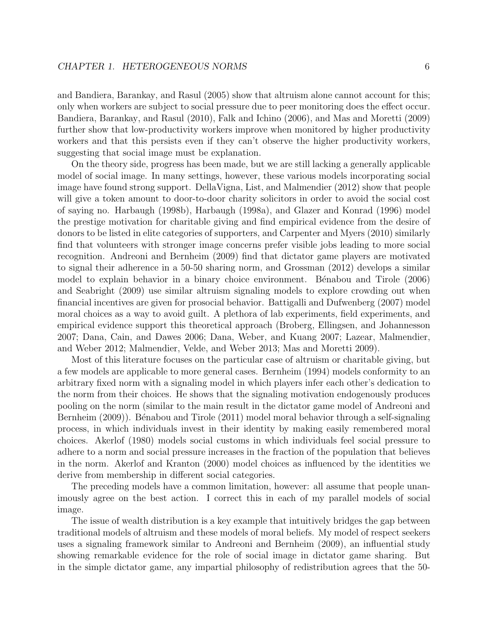and Bandiera, Barankay, and Rasul (2005) show that altruism alone cannot account for this; only when workers are subject to social pressure due to peer monitoring does the effect occur. Bandiera, Barankay, and Rasul (2010), Falk and Ichino (2006), and Mas and Moretti (2009) further show that low-productivity workers improve when monitored by higher productivity workers and that this persists even if they can't observe the higher productivity workers, suggesting that social image must be explanation.

On the theory side, progress has been made, but we are still lacking a generally applicable model of social image. In many settings, however, these various models incorporating social image have found strong support. DellaVigna, List, and Malmendier (2012) show that people will give a token amount to door-to-door charity solicitors in order to avoid the social cost of saying no. Harbaugh (1998b), Harbaugh (1998a), and Glazer and Konrad (1996) model the prestige motivation for charitable giving and find empirical evidence from the desire of donors to be listed in elite categories of supporters, and Carpenter and Myers (2010) similarly find that volunteers with stronger image concerns prefer visible jobs leading to more social recognition. Andreoni and Bernheim (2009) find that dictator game players are motivated to signal their adherence in a 50-50 sharing norm, and Grossman (2012) develops a similar model to explain behavior in a binary choice environment. Bénabou and Tirole (2006) and Seabright (2009) use similar altruism signaling models to explore crowding out when financial incentives are given for prosocial behavior. Battigalli and Dufwenberg (2007) model moral choices as a way to avoid guilt. A plethora of lab experiments, field experiments, and empirical evidence support this theoretical approach (Broberg, Ellingsen, and Johannesson 2007; Dana, Cain, and Dawes 2006; Dana, Weber, and Kuang 2007; Lazear, Malmendier, and Weber 2012; Malmendier, Velde, and Weber 2013; Mas and Moretti 2009).

Most of this literature focuses on the particular case of altruism or charitable giving, but a few models are applicable to more general cases. Bernheim (1994) models conformity to an arbitrary fixed norm with a signaling model in which players infer each other's dedication to the norm from their choices. He shows that the signaling motivation endogenously produces pooling on the norm (similar to the main result in the dictator game model of Andreoni and Bernheim (2009)). Bénabou and Tirole (2011) model moral behavior through a self-signaling process, in which individuals invest in their identity by making easily remembered moral choices. Akerlof (1980) models social customs in which individuals feel social pressure to adhere to a norm and social pressure increases in the fraction of the population that believes in the norm. Akerlof and Kranton (2000) model choices as influenced by the identities we derive from membership in different social categories.

The preceding models have a common limitation, however: all assume that people unanimously agree on the best action. I correct this in each of my parallel models of social image.

The issue of wealth distribution is a key example that intuitively bridges the gap between traditional models of altruism and these models of moral beliefs. My model of respect seekers uses a signaling framework similar to Andreoni and Bernheim (2009), an influential study showing remarkable evidence for the role of social image in dictator game sharing. But in the simple dictator game, any impartial philosophy of redistribution agrees that the 50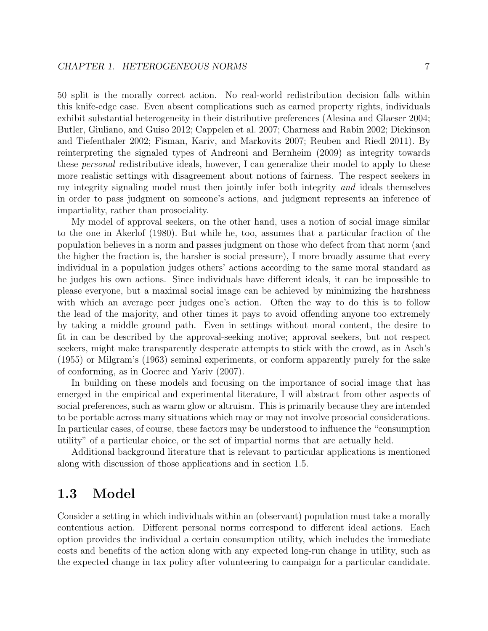50 split is the morally correct action. No real-world redistribution decision falls within this knife-edge case. Even absent complications such as earned property rights, individuals exhibit substantial heterogeneity in their distributive preferences (Alesina and Glaeser 2004; Butler, Giuliano, and Guiso 2012; Cappelen et al. 2007; Charness and Rabin 2002; Dickinson and Tiefenthaler 2002; Fisman, Kariv, and Markovits 2007; Reuben and Riedl 2011). By reinterpreting the signaled types of Andreoni and Bernheim (2009) as integrity towards these personal redistributive ideals, however, I can generalize their model to apply to these more realistic settings with disagreement about notions of fairness. The respect seekers in my integrity signaling model must then jointly infer both integrity and ideals themselves in order to pass judgment on someone's actions, and judgment represents an inference of impartiality, rather than prosociality.

My model of approval seekers, on the other hand, uses a notion of social image similar to the one in Akerlof (1980). But while he, too, assumes that a particular fraction of the population believes in a norm and passes judgment on those who defect from that norm (and the higher the fraction is, the harsher is social pressure), I more broadly assume that every individual in a population judges others' actions according to the same moral standard as he judges his own actions. Since individuals have different ideals, it can be impossible to please everyone, but a maximal social image can be achieved by minimizing the harshness with which an average peer judges one's action. Often the way to do this is to follow the lead of the majority, and other times it pays to avoid offending anyone too extremely by taking a middle ground path. Even in settings without moral content, the desire to fit in can be described by the approval-seeking motive; approval seekers, but not respect seekers, might make transparently desperate attempts to stick with the crowd, as in Asch's (1955) or Milgram's (1963) seminal experiments, or conform apparently purely for the sake of conforming, as in Goeree and Yariv (2007).

In building on these models and focusing on the importance of social image that has emerged in the empirical and experimental literature, I will abstract from other aspects of social preferences, such as warm glow or altruism. This is primarily because they are intended to be portable across many situations which may or may not involve prosocial considerations. In particular cases, of course, these factors may be understood to influence the "consumption utility" of a particular choice, or the set of impartial norms that are actually held.

Additional background literature that is relevant to particular applications is mentioned along with discussion of those applications and in section 1.5.

# 1.3 Model

Consider a setting in which individuals within an (observant) population must take a morally contentious action. Different personal norms correspond to different ideal actions. Each option provides the individual a certain consumption utility, which includes the immediate costs and benefits of the action along with any expected long-run change in utility, such as the expected change in tax policy after volunteering to campaign for a particular candidate.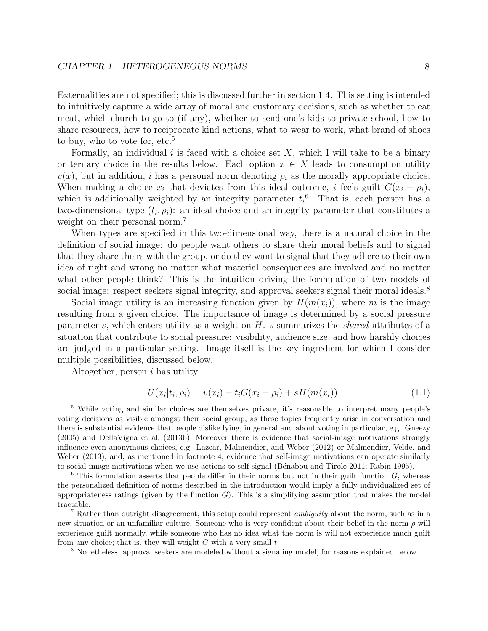Externalities are not specified; this is discussed further in section 1.4. This setting is intended to intuitively capture a wide array of moral and customary decisions, such as whether to eat meat, which church to go to (if any), whether to send one's kids to private school, how to share resources, how to reciprocate kind actions, what to wear to work, what brand of shoes to buy, who to vote for, etc.<sup>5</sup>

Formally, an individual i is faced with a choice set  $X$ , which I will take to be a binary or ternary choice in the results below. Each option  $x \in X$  leads to consumption utility  $v(x)$ , but in addition, i has a personal norm denoting  $\rho_i$  as the morally appropriate choice. When making a choice  $x_i$  that deviates from this ideal outcome, i feels guilt  $G(x_i - \rho_i)$ , which is additionally weighted by an integrity parameter  $t_i$ <sup>6</sup>. That is, each person has a two-dimensional type  $(t_i, \rho_i)$ : an ideal choice and an integrity parameter that constitutes a weight on their personal norm.<sup>7</sup>

When types are specified in this two-dimensional way, there is a natural choice in the definition of social image: do people want others to share their moral beliefs and to signal that they share theirs with the group, or do they want to signal that they adhere to their own idea of right and wrong no matter what material consequences are involved and no matter what other people think? This is the intuition driving the formulation of two models of social image: respect seekers signal integrity, and approval seekers signal their moral ideals.<sup>8</sup>

Social image utility is an increasing function given by  $H(m(x_i))$ , where m is the image resulting from a given choice. The importance of image is determined by a social pressure parameter s, which enters utility as a weight on  $H$ . s summarizes the shared attributes of a situation that contribute to social pressure: visibility, audience size, and how harshly choices are judged in a particular setting. Image itself is the key ingredient for which I consider multiple possibilities, discussed below.

Altogether, person  $i$  has utility

$$
U(x_i|t_i, \rho_i) = v(x_i) - t_i G(x_i - \rho_i) + sH(m(x_i)).
$$
\n(1.1)

<sup>8</sup> Nonetheless, approval seekers are modeled without a signaling model, for reasons explained below.

<sup>5</sup> While voting and similar choices are themselves private, it's reasonable to interpret many people's voting decisions as visible amongst their social group, as these topics frequently arise in conversation and there is substantial evidence that people dislike lying, in general and about voting in particular, e.g. Gneezy (2005) and DellaVigna et al. (2013b). Moreover there is evidence that social-image motivations strongly influence even anonymous choices, e.g. Lazear, Malmendier, and Weber (2012) or Malmendier, Velde, and Weber (2013), and, as mentioned in footnote 4, evidence that self-image motivations can operate similarly to social-image motivations when we use actions to self-signal (Bénabou and Tirole 2011; Rabin 1995).

 $6$  This formulation asserts that people differ in their norms but not in their guilt function  $G$ , whereas the personalized definition of norms described in the introduction would imply a fully individualized set of appropriateness ratings (given by the function  $G$ ). This is a simplifying assumption that makes the model tractable.

<sup>7</sup> Rather than outright disagreement, this setup could represent ambiguity about the norm, such as in a new situation or an unfamiliar culture. Someone who is very confident about their belief in the norm  $\rho$  will experience guilt normally, while someone who has no idea what the norm is will not experience much guilt from any choice; that is, they will weight  $G$  with a very small  $t$ .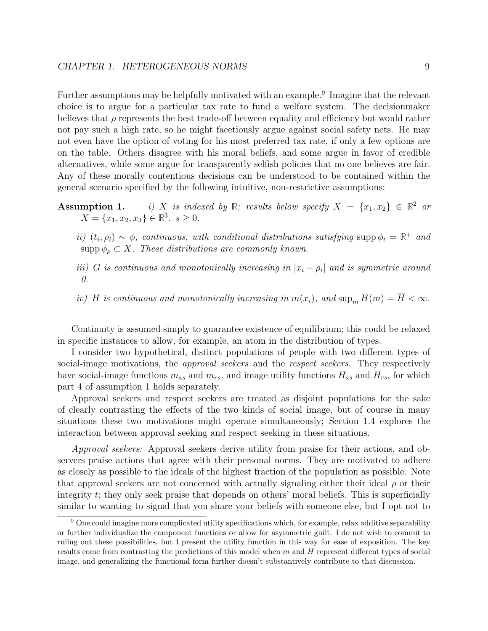Further assumptions may be helpfully motivated with an example.<sup>9</sup> Imagine that the relevant choice is to argue for a particular tax rate to fund a welfare system. The decisionmaker believes that  $\rho$  represents the best trade-off between equality and efficiency but would rather not pay such a high rate, so he might facetiously argue against social safety nets. He may not even have the option of voting for his most preferred tax rate, if only a few options are on the table. Others disagree with his moral beliefs, and some argue in favor of credible alternatives, while some argue for transparently selfish policies that no one believes are fair. Any of these morally contentious decisions can be understood to be contained within the general scenario specified by the following intuitive, non-restrictive assumptions:

## **Assumption 1.** i) X is indexed by R; results below specify  $X = \{x_1, x_2\} \in \mathbb{R}^2$  or  $X = \{x_1, x_2, x_3\} \in \mathbb{R}^3$ .  $s \ge 0$ .

- ii)  $(t_i, \rho_i) \sim \phi$ , continuous, with conditional distributions satisfying supp  $\phi_t = \mathbb{R}^+$  and  $\text{supp}\,\phi_{\rho}\subset X$ . These distributions are commonly known.
- iii) G is continuous and monotonically increasing in  $|x_i \rho_i|$  and is symmetric around 0.
- iv) H is continuous and monotonically increasing in  $m(x_i)$ , and  $\sup_m H(m) = \overline{H} < \infty$ .

Continuity is assumed simply to guarantee existence of equilibrium; this could be relaxed in specific instances to allow, for example, an atom in the distribution of types.

I consider two hypothetical, distinct populations of people with two different types of social-image motivations, the *approval seekers* and the *respect seekers*. They respectively have social-image functions  $m_{as}$  and  $m_{rs}$ , and image utility functions  $H_{as}$  and  $H_{rs}$ , for which part 4 of assumption 1 holds separately.

Approval seekers and respect seekers are treated as disjoint populations for the sake of clearly contrasting the effects of the two kinds of social image, but of course in many situations these two motivations might operate simultaneously; Section 1.4 explores the interaction between approval seeking and respect seeking in these situations.

Approval seekers: Approval seekers derive utility from praise for their actions, and observers praise actions that agree with their personal norms. They are motivated to adhere as closely as possible to the ideals of the highest fraction of the population as possible. Note that approval seekers are not concerned with actually signaling either their ideal  $\rho$  or their integrity t; they only seek praise that depends on others' moral beliefs. This is superficially similar to wanting to signal that you share your beliefs with someone else, but I opt not to

<sup>&</sup>lt;sup>9</sup> One could imagine more complicated utility specifications which, for example, relax additive separability or further individualize the component functions or allow for asymmetric guilt. I do not wish to commit to ruling out these possibilities, but I present the utility function in this way for ease of exposition. The key results come from contrasting the predictions of this model when  $m$  and  $H$  represent different types of social image, and generalizing the functional form further doesn't substantively contribute to that discussion.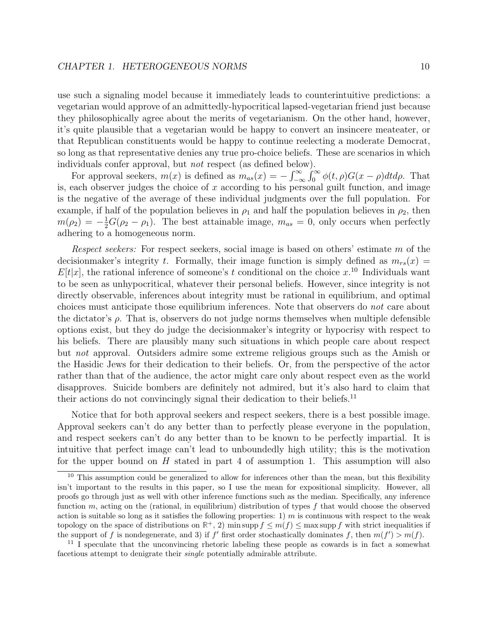use such a signaling model because it immediately leads to counterintuitive predictions: a vegetarian would approve of an admittedly-hypocritical lapsed-vegetarian friend just because they philosophically agree about the merits of vegetarianism. On the other hand, however, it's quite plausible that a vegetarian would be happy to convert an insincere meateater, or that Republican constituents would be happy to continue reelecting a moderate Democrat, so long as that representative denies any true pro-choice beliefs. These are scenarios in which individuals confer approval, but not respect (as defined below).

For approval seekers,  $m(x)$  is defined as  $m_{as}(x) = -\int_{-\infty}^{\infty} \int_{0}^{\infty} \phi(t,\rho)G(x-\rho)dtd\rho$ . That is, each observer judges the choice of  $x$  according to his personal guilt function, and image is the negative of the average of these individual judgments over the full population. For example, if half of the population believes in  $\rho_1$  and half the population believes in  $\rho_2$ , then  $m(\rho_2) = -\frac{1}{2}G(\rho_2 - \rho_1)$ . The best attainable image,  $m_{as} = 0$ , only occurs when perfectly adhering to a homogeneous norm.

Respect seekers: For respect seekers, social image is based on others' estimate m of the decisionmaker's integrity t. Formally, their image function is simply defined as  $m_{rs}(x)$  =  $E[t|x]$ , the rational inference of someone's t conditional on the choice  $x^{10}$  Individuals want to be seen as unhypocritical, whatever their personal beliefs. However, since integrity is not directly observable, inferences about integrity must be rational in equilibrium, and optimal choices must anticipate those equilibrium inferences. Note that observers do not care about the dictator's  $\rho$ . That is, observers do not judge norms themselves when multiple defensible options exist, but they do judge the decisionmaker's integrity or hypocrisy with respect to his beliefs. There are plausibly many such situations in which people care about respect but not approval. Outsiders admire some extreme religious groups such as the Amish or the Hasidic Jews for their dedication to their beliefs. Or, from the perspective of the actor rather than that of the audience, the actor might care only about respect even as the world disapproves. Suicide bombers are definitely not admired, but it's also hard to claim that their actions do not convincingly signal their dedication to their beliefs.<sup>11</sup>

Notice that for both approval seekers and respect seekers, there is a best possible image. Approval seekers can't do any better than to perfectly please everyone in the population, and respect seekers can't do any better than to be known to be perfectly impartial. It is intuitive that perfect image can't lead to unboundedly high utility; this is the motivation for the upper bound on  $H$  stated in part 4 of assumption 1. This assumption will also

 $10$  This assumption could be generalized to allow for inferences other than the mean, but this flexibility isn't important to the results in this paper, so I use the mean for expositional simplicity. However, all proofs go through just as well with other inference functions such as the median. Specifically, any inference function m, acting on the (rational, in equilibrium) distribution of types  $f$  that would choose the observed action is suitable so long as it satisfies the following properties: 1) m is continuous with respect to the weak topology on the space of distributions on  $\mathbb{R}^+$ , 2) min supp  $f \leq m(f) \leq \max \text{supp } f$  with strict inequalities if the support of f is nondegenerate, and 3) if f' first order stochastically dominates f, then  $m(f') > m(f)$ .

<sup>&</sup>lt;sup>11</sup> I speculate that the unconvincing rhetoric labeling these people as cowards is in fact a somewhat facetious attempt to denigrate their single potentially admirable attribute.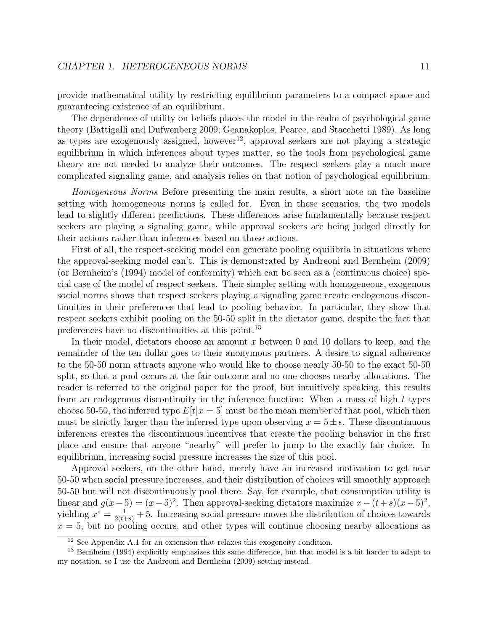### CHAPTER 1. HETEROGENEOUS NORMS 11

provide mathematical utility by restricting equilibrium parameters to a compact space and guaranteeing existence of an equilibrium.

The dependence of utility on beliefs places the model in the realm of psychological game theory (Battigalli and Dufwenberg 2009; Geanakoplos, Pearce, and Stacchetti 1989). As long as types are exogenously assigned, however<sup>12</sup>, approval seekers are not playing a strategic equilibrium in which inferences about types matter, so the tools from psychological game theory are not needed to analyze their outcomes. The respect seekers play a much more complicated signaling game, and analysis relies on that notion of psychological equilibrium.

Homogeneous Norms Before presenting the main results, a short note on the baseline setting with homogeneous norms is called for. Even in these scenarios, the two models lead to slightly different predictions. These differences arise fundamentally because respect seekers are playing a signaling game, while approval seekers are being judged directly for their actions rather than inferences based on those actions.

First of all, the respect-seeking model can generate pooling equilibria in situations where the approval-seeking model can't. This is demonstrated by Andreoni and Bernheim (2009) (or Bernheim's (1994) model of conformity) which can be seen as a (continuous choice) special case of the model of respect seekers. Their simpler setting with homogeneous, exogenous social norms shows that respect seekers playing a signaling game create endogenous discontinuities in their preferences that lead to pooling behavior. In particular, they show that respect seekers exhibit pooling on the 50-50 split in the dictator game, despite the fact that preferences have no discontinuities at this point.<sup>13</sup>

In their model, dictators choose an amount  $x$  between 0 and 10 dollars to keep, and the remainder of the ten dollar goes to their anonymous partners. A desire to signal adherence to the 50-50 norm attracts anyone who would like to choose nearly 50-50 to the exact 50-50 split, so that a pool occurs at the fair outcome and no one chooses nearby allocations. The reader is referred to the original paper for the proof, but intuitively speaking, this results from an endogenous discontinuity in the inference function: When a mass of high  $t$  types choose 50-50, the inferred type  $E[t|x=5]$  must be the mean member of that pool, which then must be strictly larger than the inferred type upon observing  $x = 5 \pm \epsilon$ . These discontinuous inferences creates the discontinuous incentives that create the pooling behavior in the first place and ensure that anyone "nearby" will prefer to jump to the exactly fair choice. In equilibrium, increasing social pressure increases the size of this pool.

Approval seekers, on the other hand, merely have an increased motivation to get near 50-50 when social pressure increases, and their distribution of choices will smoothly approach 50-50 but will not discontinuously pool there. Say, for example, that consumption utility is linear and  $g(x-5) = (x-5)^2$ . Then approval-seeking dictators maximize  $x - (t+s)(x-5)^2$ , yielding  $x^* = \frac{1}{2(t+s)} + 5$ . Increasing social pressure moves the distribution of choices towards  $x = 5$ , but no pooling occurs, and other types will continue choosing nearby allocations as

<sup>&</sup>lt;sup>12</sup> See Appendix A.1 for an extension that relaxes this exogeneity condition.

<sup>13</sup> Bernheim (1994) explicitly emphasizes this same difference, but that model is a bit harder to adapt to my notation, so I use the Andreoni and Bernheim (2009) setting instead.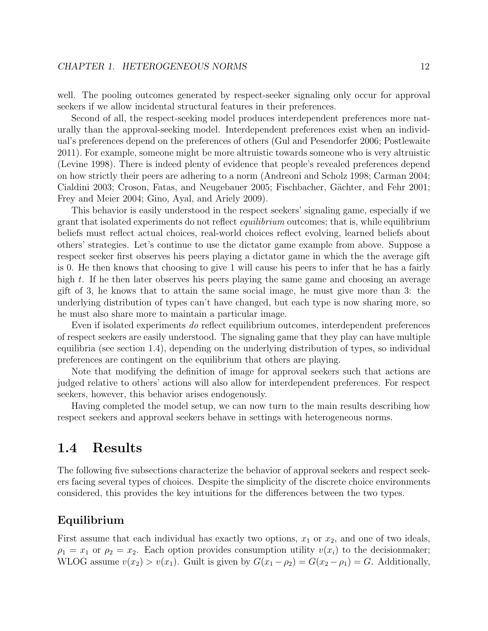### CHAPTER 1. HETEROGENEOUS NORMS 12

well. The pooling outcomes generated by respect-seeker signaling only occur for approval seekers if we allow incidental structural features in their preferences.

Second of all, the respect-seeking model produces interdependent preferences more naturally than the approval-seeking model. Interdependent preferences exist when an individual's preferences depend on the preferences of others (Gul and Pesendorfer 2006; Postlewaite 2011). For example, someone might be more altruistic towards someone who is very altruistic (Levine 1998). There is indeed plenty of evidence that people's revealed preferences depend on how strictly their peers are adhering to a norm (Andreoni and Scholz 1998; Carman 2004; Cialdini 2003; Croson, Fatas, and Neugebauer 2005; Fischbacher, Gächter, and Fehr 2001; Frey and Meier 2004; Gino, Ayal, and Ariely 2009).

This behavior is easily understood in the respect seekers' signaling game, especially if we grant that isolated experiments do not reflect equilibrium outcomes; that is, while equilibrium beliefs must reflect actual choices, real-world choices reflect evolving, learned beliefs about others' strategies. Let's continue to use the dictator game example from above. Suppose a respect seeker first observes his peers playing a dictator game in which the the average gift is 0. He then knows that choosing to give 1 will cause his peers to infer that he has a fairly high t. If he then later observes his peers playing the same game and choosing an average gift of 3, he knows that to attain the same social image, he must give more than 3: the underlying distribution of types can't have changed, but each type is now sharing more, so he must also share more to maintain a particular image.

Even if isolated experiments do reflect equilibrium outcomes, interdependent preferences of respect seekers are easily understood. The signaling game that they play can have multiple equilibria (see section 1.4), depending on the underlying distribution of types, so individual preferences are contingent on the equilibrium that others are playing.

Note that modifying the definition of image for approval seekers such that actions are judged relative to others' actions will also allow for interdependent preferences. For respect seekers, however, this behavior arises endogenously.

Having completed the model setup, we can now turn to the main results describing how respect seekers and approval seekers behave in settings with heterogeneous norms.

## 1.4 Results

The following five subsections characterize the behavior of approval seekers and respect seekers facing several types of choices. Despite the simplicity of the discrete choice environments considered, this provides the key intuitions for the differences between the two types.

## Equilibrium

First assume that each individual has exactly two options,  $x_1$  or  $x_2$ , and one of two ideals,  $\rho_1 = x_1$  or  $\rho_2 = x_2$ . Each option provides consumption utility  $v(x_i)$  to the decision maker; WLOG assume  $v(x_2) > v(x_1)$ . Guilt is given by  $G(x_1 - \rho_2) = G(x_2 - \rho_1) = G$ . Additionally,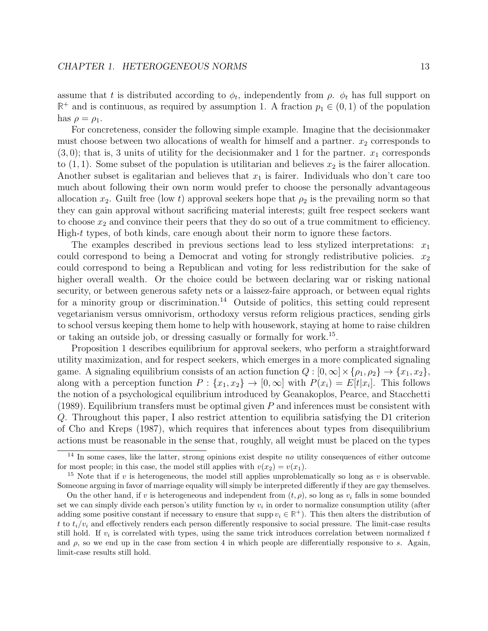assume that t is distributed according to  $\phi_t$ , independently from  $\rho$ .  $\phi_t$  has full support on  $\mathbb{R}^+$  and is continuous, as required by assumption 1. A fraction  $p_1 \in (0,1)$  of the population has  $\rho = \rho_1$ .

For concreteness, consider the following simple example. Imagine that the decisionmaker must choose between two allocations of wealth for himself and a partner.  $x_2$  corresponds to  $(3, 0)$ ; that is, 3 units of utility for the decision maker and 1 for the partner.  $x_1$  corresponds to  $(1, 1)$ . Some subset of the population is utilitarian and believes  $x_2$  is the fairer allocation. Another subset is egalitarian and believes that  $x_1$  is fairer. Individuals who don't care too much about following their own norm would prefer to choose the personally advantageous allocation  $x_2$ . Guilt free (low t) approval seekers hope that  $\rho_2$  is the prevailing norm so that they can gain approval without sacrificing material interests; guilt free respect seekers want to choose  $x_2$  and convince their peers that they do so out of a true commitment to efficiency. High-t types, of both kinds, care enough about their norm to ignore these factors.

The examples described in previous sections lead to less stylized interpretations:  $x_1$ could correspond to being a Democrat and voting for strongly redistributive policies.  $x_2$ could correspond to being a Republican and voting for less redistribution for the sake of higher overall wealth. Or the choice could be between declaring war or risking national security, or between generous safety nets or a laissez-faire approach, or between equal rights for a minority group or discrimination.<sup>14</sup> Outside of politics, this setting could represent vegetarianism versus omnivorism, orthodoxy versus reform religious practices, sending girls to school versus keeping them home to help with housework, staying at home to raise children or taking an outside job, or dressing casually or formally for work.<sup>15</sup>.

Proposition 1 describes equilibrium for approval seekers, who perform a straightforward utility maximization, and for respect seekers, which emerges in a more complicated signaling game. A signaling equilibrium consists of an action function  $Q : [0, \infty] \times {\rho_1, \rho_2} \rightarrow {\{x_1, x_2\}},$ along with a perception function  $P: \{x_1, x_2\} \to [0, \infty]$  with  $P(x_i) = E[t|x_i]$ . This follows the notion of a psychological equilibrium introduced by Geanakoplos, Pearce, and Stacchetti (1989). Equilibrium transfers must be optimal given  $P$  and inferences must be consistent with Q. Throughout this paper, I also restrict attention to equilibria satisfying the D1 criterion of Cho and Kreps (1987), which requires that inferences about types from disequilibrium actions must be reasonable in the sense that, roughly, all weight must be placed on the types

 $14$  In some cases, like the latter, strong opinions exist despite no utility consequences of either outcome for most people; in this case, the model still applies with  $v(x_2) = v(x_1)$ .

<sup>&</sup>lt;sup>15</sup> Note that if v is heterogeneous, the model still applies unproblematically so long as v is observable. Someone arguing in favor of marriage equality will simply be interpreted differently if they are gay themselves.

On the other hand, if v is heterogeneous and independent from  $(t, \rho)$ , so long as  $v_i$  falls in some bounded set we can simply divide each person's utility function by  $v_i$  in order to normalize consumption utility (after adding some positive constant if necessary to ensure that supp  $v_i \in \mathbb{R}^+$ ). This then alters the distribution of t to  $t_i/v_i$  and effectively renders each person differently responsive to social pressure. The limit-case results still hold. If  $v_i$  is correlated with types, using the same trick introduces correlation between normalized  $t$ and  $\rho$ , so we end up in the case from section 4 in which people are differentially responsive to s. Again, limit-case results still hold.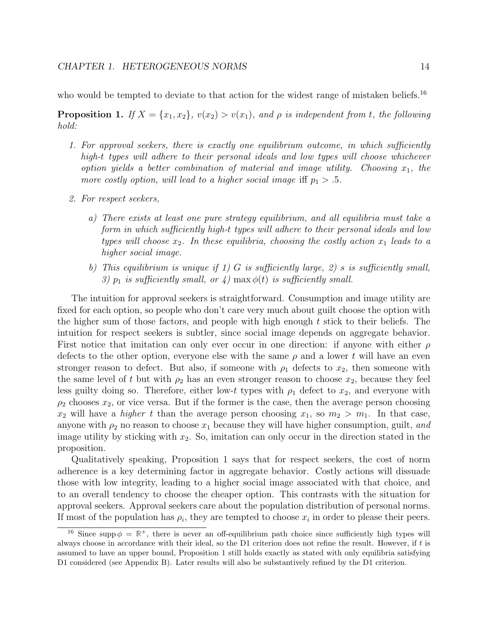who would be tempted to deviate to that action for the widest range of mistaken beliefs.<sup>16</sup>

**Proposition 1.** If  $X = \{x_1, x_2\}$ ,  $v(x_2) > v(x_1)$ , and  $\rho$  is independent from t, the following hold:

- 1. For approval seekers, there is exactly one equilibrium outcome, in which sufficiently high-t types will adhere to their personal ideals and low types will choose whichever option yields a better combination of material and image utility. Choosing  $x_1$ , the more costly option, will lead to a higher social image iff  $p_1 > .5$ .
- 2. For respect seekers,
	- a) There exists at least one pure strategy equilibrium, and all equilibria must take a form in which sufficiently high-t types will adhere to their personal ideals and low types will choose  $x_2$ . In these equilibria, choosing the costly action  $x_1$  leads to a higher social image.
	- b) This equilibrium is unique if 1) G is sufficiently large, 2) s is sufficiently small, 3)  $p_1$  is sufficiently small, or 4) max  $\phi(t)$  is sufficiently small.

The intuition for approval seekers is straightforward. Consumption and image utility are fixed for each option, so people who don't care very much about guilt choose the option with the higher sum of those factors, and people with high enough  $t$  stick to their beliefs. The intuition for respect seekers is subtler, since social image depends on aggregate behavior. First notice that imitation can only ever occur in one direction: if anyone with either  $\rho$ defects to the other option, everyone else with the same  $\rho$  and a lower t will have an even stronger reason to defect. But also, if someone with  $\rho_1$  defects to  $x_2$ , then someone with the same level of t but with  $\rho_2$  has an even stronger reason to choose  $x_2$ , because they feel less guilty doing so. Therefore, either low-t types with  $\rho_1$  defect to  $x_2$ , and everyone with  $\rho_2$  chooses  $x_2$ , or vice versa. But if the former is the case, then the average person choosing  $x_2$  will have a *higher t* than the average person choosing  $x_1$ , so  $m_2 > m_1$ . In that case, anyone with  $\rho_2$  no reason to choose  $x_1$  because they will have higher consumption, guilt, and image utility by sticking with  $x_2$ . So, imitation can only occur in the direction stated in the proposition.

Qualitatively speaking, Proposition 1 says that for respect seekers, the cost of norm adherence is a key determining factor in aggregate behavior. Costly actions will dissuade those with low integrity, leading to a higher social image associated with that choice, and to an overall tendency to choose the cheaper option. This contrasts with the situation for approval seekers. Approval seekers care about the population distribution of personal norms. If most of the population has  $\rho_i$ , they are tempted to choose  $x_i$  in order to please their peers.

<sup>&</sup>lt;sup>16</sup> Since supp  $\phi = \mathbb{R}^+$ , there is never an off-equilibrium path choice since sufficiently high types will always choose in accordance with their ideal, so the D1 criterion does not refine the result. However, if t is assumed to have an upper bound, Proposition 1 still holds exactly as stated with only equilibria satisfying D1 considered (see Appendix B). Later results will also be substantively refined by the D1 criterion.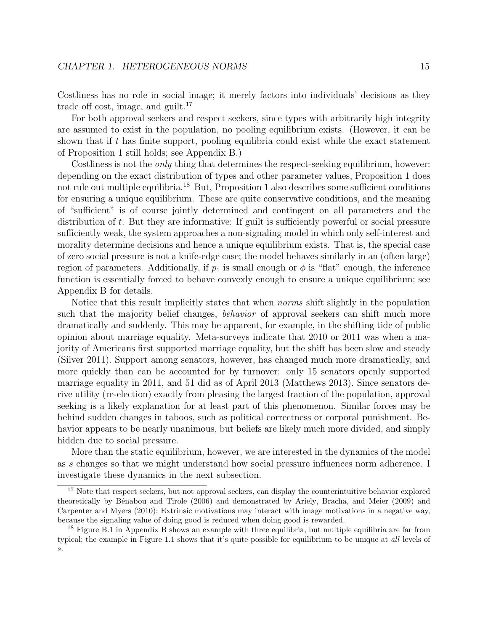Costliness has no role in social image; it merely factors into individuals' decisions as they trade off cost, image, and guilt.<sup>17</sup>

For both approval seekers and respect seekers, since types with arbitrarily high integrity are assumed to exist in the population, no pooling equilibrium exists. (However, it can be shown that if t has finite support, pooling equilibria could exist while the exact statement of Proposition 1 still holds; see Appendix B.)

Costliness is not the *only* thing that determines the respect-seeking equilibrium, however: depending on the exact distribution of types and other parameter values, Proposition 1 does not rule out multiple equilibria.<sup>18</sup> But, Proposition 1 also describes some sufficient conditions for ensuring a unique equilibrium. These are quite conservative conditions, and the meaning of "sufficient" is of course jointly determined and contingent on all parameters and the distribution of t. But they are informative: If guilt is sufficiently powerful or social pressure sufficiently weak, the system approaches a non-signaling model in which only self-interest and morality determine decisions and hence a unique equilibrium exists. That is, the special case of zero social pressure is not a knife-edge case; the model behaves similarly in an (often large) region of parameters. Additionally, if  $p_1$  is small enough or  $\phi$  is "flat" enough, the inference function is essentially forced to behave convexly enough to ensure a unique equilibrium; see Appendix B for details.

Notice that this result implicitly states that when *norms* shift slightly in the population such that the majority belief changes, *behavior* of approval seekers can shift much more dramatically and suddenly. This may be apparent, for example, in the shifting tide of public opinion about marriage equality. Meta-surveys indicate that 2010 or 2011 was when a majority of Americans first supported marriage equality, but the shift has been slow and steady (Silver 2011). Support among senators, however, has changed much more dramatically, and more quickly than can be accounted for by turnover: only 15 senators openly supported marriage equality in 2011, and 51 did as of April 2013 (Matthews 2013). Since senators derive utility (re-election) exactly from pleasing the largest fraction of the population, approval seeking is a likely explanation for at least part of this phenomenon. Similar forces may be behind sudden changes in taboos, such as political correctness or corporal punishment. Behavior appears to be nearly unanimous, but beliefs are likely much more divided, and simply hidden due to social pressure.

More than the static equilibrium, however, we are interested in the dynamics of the model as s changes so that we might understand how social pressure influences norm adherence. I investigate these dynamics in the next subsection.

<sup>&</sup>lt;sup>17</sup> Note that respect seekers, but not approval seekers, can display the counterintuitive behavior explored theoretically by B´enabou and Tirole (2006) and demonstrated by Ariely, Bracha, and Meier (2009) and Carpenter and Myers (2010): Extrinsic motivations may interact with image motivations in a negative way, because the signaling value of doing good is reduced when doing good is rewarded.

<sup>&</sup>lt;sup>18</sup> Figure B.1 in Appendix B shows an example with three equilibria, but multiple equilibria are far from typical; the example in Figure 1.1 shows that it's quite possible for equilibrium to be unique at all levels of s.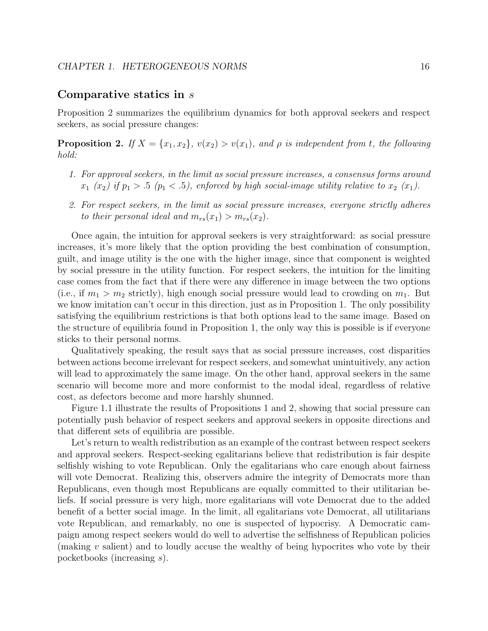### Comparative statics in s

Proposition 2 summarizes the equilibrium dynamics for both approval seekers and respect seekers, as social pressure changes:

**Proposition 2.** If  $X = \{x_1, x_2\}$ ,  $v(x_2) > v(x_1)$ , and  $\rho$  is independent from t, the following hold:

- 1. For approval seekers, in the limit as social pressure increases, a consensus forms around  $x_1$  ( $x_2$ ) if  $p_1 > .5$  ( $p_1 < .5$ ), enforced by high social-image utility relative to  $x_2$  ( $x_1$ ).
- 2. For respect seekers, in the limit as social pressure increases, everyone strictly adheres to their personal ideal and  $m_{rs}(x_1) > m_{rs}(x_2)$ .

Once again, the intuition for approval seekers is very straightforward: as social pressure increases, it's more likely that the option providing the best combination of consumption, guilt, and image utility is the one with the higher image, since that component is weighted by social pressure in the utility function. For respect seekers, the intuition for the limiting case comes from the fact that if there were any difference in image between the two options (i.e., if  $m_1 > m_2$  strictly), high enough social pressure would lead to crowding on  $m_1$ . But we know imitation can't occur in this direction, just as in Proposition 1. The only possibility satisfying the equilibrium restrictions is that both options lead to the same image. Based on the structure of equilibria found in Proposition 1, the only way this is possible is if everyone sticks to their personal norms.

Qualitatively speaking, the result says that as social pressure increases, cost disparities between actions become irrelevant for respect seekers, and somewhat unintuitively, any action will lead to approximately the same image. On the other hand, approval seekers in the same scenario will become more and more conformist to the modal ideal, regardless of relative cost, as defectors become and more harshly shunned.

Figure 1.1 illustrate the results of Propositions 1 and 2, showing that social pressure can potentially push behavior of respect seekers and approval seekers in opposite directions and that different sets of equilibria are possible.

Let's return to wealth redistribution as an example of the contrast between respect seekers and approval seekers. Respect-seeking egalitarians believe that redistribution is fair despite selfishly wishing to vote Republican. Only the egalitarians who care enough about fairness will vote Democrat. Realizing this, observers admire the integrity of Democrats more than Republicans, even though most Republicans are equally committed to their utilitarian beliefs. If social pressure is very high, more egalitarians will vote Democrat due to the added benefit of a better social image. In the limit, all egalitarians vote Democrat, all utilitarians vote Republican, and remarkably, no one is suspected of hypocrisy. A Democratic campaign among respect seekers would do well to advertise the selfishness of Republican policies (making v salient) and to loudly accuse the wealthy of being hypocrites who vote by their pocketbooks (increasing s).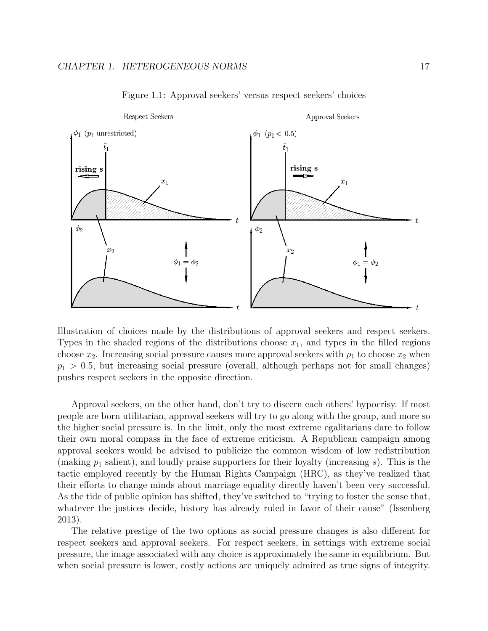

Figure 1.1: Approval seekers' versus respect seekers' choices

Illustration of choices made by the distributions of approval seekers and respect seekers. Types in the shaded regions of the distributions choose  $x_1$ , and types in the filled regions choose  $x_2$ . Increasing social pressure causes more approval seekers with  $\rho_1$  to choose  $x_2$  when  $p_1 > 0.5$ , but increasing social pressure (overall, although perhaps not for small changes) pushes respect seekers in the opposite direction.

Approval seekers, on the other hand, don't try to discern each others' hypocrisy. If most people are born utilitarian, approval seekers will try to go along with the group, and more so the higher social pressure is. In the limit, only the most extreme egalitarians dare to follow their own moral compass in the face of extreme criticism. A Republican campaign among approval seekers would be advised to publicize the common wisdom of low redistribution (making  $p_1$  salient), and loudly praise supporters for their loyalty (increasing s). This is the tactic employed recently by the Human Rights Campaign (HRC), as they've realized that their efforts to change minds about marriage equality directly haven't been very successful. As the tide of public opinion has shifted, they've switched to "trying to foster the sense that, whatever the justices decide, history has already ruled in favor of their cause" (Issenberg 2013).

The relative prestige of the two options as social pressure changes is also different for respect seekers and approval seekers. For respect seekers, in settings with extreme social pressure, the image associated with any choice is approximately the same in equilibrium. But when social pressure is lower, costly actions are uniquely admired as true signs of integrity.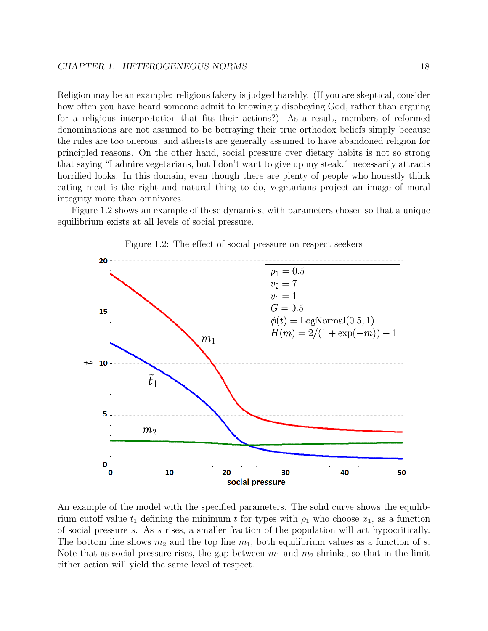Religion may be an example: religious fakery is judged harshly. (If you are skeptical, consider how often you have heard someone admit to knowingly disobeying God, rather than arguing for a religious interpretation that fits their actions?) As a result, members of reformed denominations are not assumed to be betraying their true orthodox beliefs simply because the rules are too onerous, and atheists are generally assumed to have abandoned religion for principled reasons. On the other hand, social pressure over dietary habits is not so strong that saying "I admire vegetarians, but I don't want to give up my steak." necessarily attracts horrified looks. In this domain, even though there are plenty of people who honestly think eating meat is the right and natural thing to do, vegetarians project an image of moral integrity more than omnivores.

Figure 1.2 shows an example of these dynamics, with parameters chosen so that a unique equilibrium exists at all levels of social pressure.



Figure 1.2: The effect of social pressure on respect seekers

An example of the model with the specified parameters. The solid curve shows the equilibrium cutoff value  $t_1$  defining the minimum t for types with  $\rho_1$  who choose  $x_1$ , as a function of social pressure s. As s rises, a smaller fraction of the population will act hypocritically. The bottom line shows  $m_2$  and the top line  $m_1$ , both equilibrium values as a function of s. Note that as social pressure rises, the gap between  $m_1$  and  $m_2$  shrinks, so that in the limit either action will yield the same level of respect.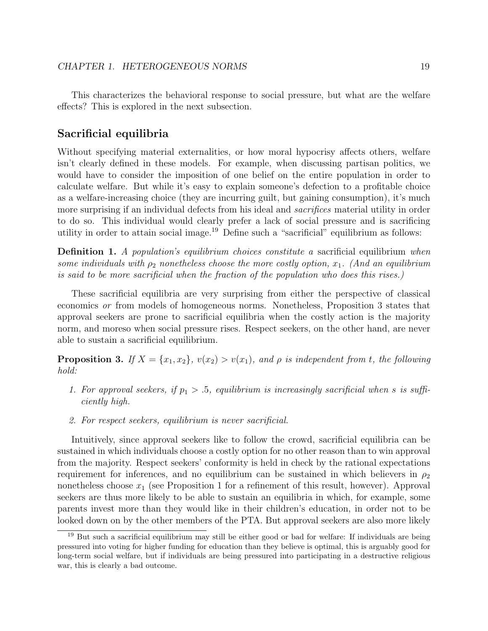This characterizes the behavioral response to social pressure, but what are the welfare effects? This is explored in the next subsection.

### Sacrificial equilibria

Without specifying material externalities, or how moral hypocrisy affects others, welfare isn't clearly defined in these models. For example, when discussing partisan politics, we would have to consider the imposition of one belief on the entire population in order to calculate welfare. But while it's easy to explain someone's defection to a profitable choice as a welfare-increasing choice (they are incurring guilt, but gaining consumption), it's much more surprising if an individual defects from his ideal and *sacrifices* material utility in order to do so. This individual would clearly prefer a lack of social pressure and is sacrificing utility in order to attain social image.<sup>19</sup> Define such a "sacrificial" equilibrium as follows:

Definition 1. A population's equilibrium choices constitute a sacrificial equilibrium when some individuals with  $\rho_2$  nonetheless choose the more costly option,  $x_1$ . (And an equilibrium is said to be more sacrificial when the fraction of the population who does this rises.)

These sacrificial equilibria are very surprising from either the perspective of classical economics or from models of homogeneous norms. Nonetheless, Proposition 3 states that approval seekers are prone to sacrificial equilibria when the costly action is the majority norm, and moreso when social pressure rises. Respect seekers, on the other hand, are never able to sustain a sacrificial equilibrium.

**Proposition 3.** If  $X = \{x_1, x_2\}$ ,  $v(x_2) > v(x_1)$ , and  $\rho$  is independent from t, the following hold:

- 1. For approval seekers, if  $p_1 > .5$ , equilibrium is increasingly sacrificial when s is sufficiently high.
- 2. For respect seekers, equilibrium is never sacrificial.

Intuitively, since approval seekers like to follow the crowd, sacrificial equilibria can be sustained in which individuals choose a costly option for no other reason than to win approval from the majority. Respect seekers' conformity is held in check by the rational expectations requirement for inferences, and no equilibrium can be sustained in which believers in  $\rho_2$ nonetheless choose  $x_1$  (see Proposition 1 for a refinement of this result, however). Approval seekers are thus more likely to be able to sustain an equilibria in which, for example, some parents invest more than they would like in their children's education, in order not to be looked down on by the other members of the PTA. But approval seekers are also more likely

<sup>&</sup>lt;sup>19</sup> But such a sacrificial equilibrium may still be either good or bad for welfare: If individuals are being pressured into voting for higher funding for education than they believe is optimal, this is arguably good for long-term social welfare, but if individuals are being pressured into participating in a destructive religious war, this is clearly a bad outcome.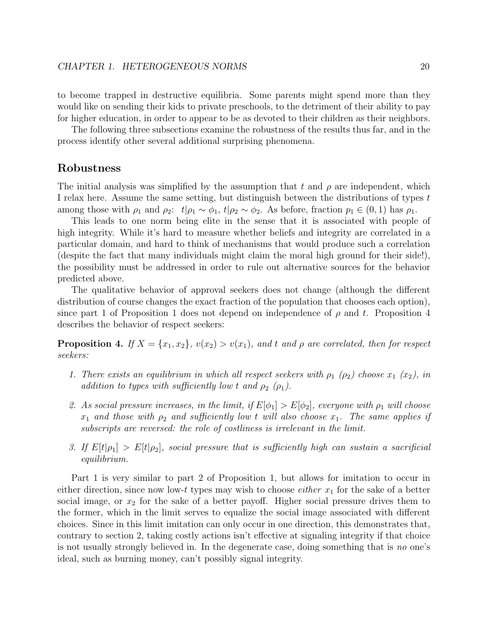to become trapped in destructive equilibria. Some parents might spend more than they would like on sending their kids to private preschools, to the detriment of their ability to pay for higher education, in order to appear to be as devoted to their children as their neighbors.

The following three subsections examine the robustness of the results thus far, and in the process identify other several additional surprising phenomena.

### Robustness

The initial analysis was simplified by the assumption that t and  $\rho$  are independent, which I relax here. Assume the same setting, but distinguish between the distributions of types t among those with  $\rho_1$  and  $\rho_2$ :  $t|\rho_1 \sim \phi_1$ ,  $t|\rho_2 \sim \phi_2$ . As before, fraction  $p_1 \in (0,1)$  has  $\rho_1$ .

This leads to one norm being elite in the sense that it is associated with people of high integrity. While it's hard to measure whether beliefs and integrity are correlated in a particular domain, and hard to think of mechanisms that would produce such a correlation (despite the fact that many individuals might claim the moral high ground for their side!), the possibility must be addressed in order to rule out alternative sources for the behavior predicted above.

The qualitative behavior of approval seekers does not change (although the different distribution of course changes the exact fraction of the population that chooses each option), since part 1 of Proposition 1 does not depend on independence of  $\rho$  and t. Proposition 4 describes the behavior of respect seekers:

**Proposition 4.** If  $X = \{x_1, x_2\}$ ,  $v(x_2) > v(x_1)$ , and t and  $\rho$  are correlated, then for respect seekers:

- 1. There exists an equilibrium in which all respect seekers with  $\rho_1$  ( $\rho_2$ ) choose  $x_1$  ( $x_2$ ), in addition to types with sufficiently low t and  $\rho_2$  ( $\rho_1$ ).
- 2. As social pressure increases, in the limit, if  $E[\phi_1] > E[\phi_2]$ , everyone with  $\rho_1$  will choose  $x_1$  and those with  $\rho_2$  and sufficiently low t will also choose  $x_1$ . The same applies if subscripts are reversed: the role of costliness is irrelevant in the limit.
- 3. If  $E[t|\rho_1] > E[t|\rho_2]$ , social pressure that is sufficiently high can sustain a sacrificial equilibrium.

Part 1 is very similar to part 2 of Proposition 1, but allows for imitation to occur in either direction, since now low-t types may wish to choose *either*  $x_1$  for the sake of a better social image, or  $x_2$  for the sake of a better payoff. Higher social pressure drives them to the former, which in the limit serves to equalize the social image associated with different choices. Since in this limit imitation can only occur in one direction, this demonstrates that, contrary to section 2, taking costly actions isn't effective at signaling integrity if that choice is not usually strongly believed in. In the degenerate case, doing something that is no one's ideal, such as burning money, can't possibly signal integrity.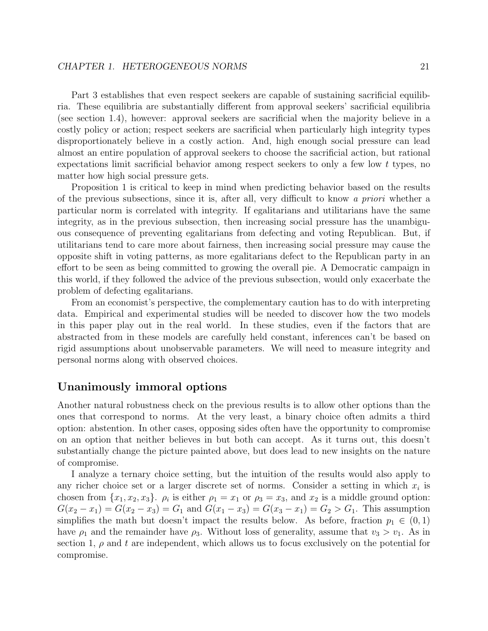Part 3 establishes that even respect seekers are capable of sustaining sacrificial equilibria. These equilibria are substantially different from approval seekers' sacrificial equilibria (see section 1.4), however: approval seekers are sacrificial when the majority believe in a costly policy or action; respect seekers are sacrificial when particularly high integrity types disproportionately believe in a costly action. And, high enough social pressure can lead almost an entire population of approval seekers to choose the sacrificial action, but rational expectations limit sacrificial behavior among respect seekers to only a few low t types, no matter how high social pressure gets.

Proposition 1 is critical to keep in mind when predicting behavior based on the results of the previous subsections, since it is, after all, very difficult to know a priori whether a particular norm is correlated with integrity. If egalitarians and utilitarians have the same integrity, as in the previous subsection, then increasing social pressure has the unambiguous consequence of preventing egalitarians from defecting and voting Republican. But, if utilitarians tend to care more about fairness, then increasing social pressure may cause the opposite shift in voting patterns, as more egalitarians defect to the Republican party in an effort to be seen as being committed to growing the overall pie. A Democratic campaign in this world, if they followed the advice of the previous subsection, would only exacerbate the problem of defecting egalitarians.

From an economist's perspective, the complementary caution has to do with interpreting data. Empirical and experimental studies will be needed to discover how the two models in this paper play out in the real world. In these studies, even if the factors that are abstracted from in these models are carefully held constant, inferences can't be based on rigid assumptions about unobservable parameters. We will need to measure integrity and personal norms along with observed choices.

## Unanimously immoral options

Another natural robustness check on the previous results is to allow other options than the ones that correspond to norms. At the very least, a binary choice often admits a third option: abstention. In other cases, opposing sides often have the opportunity to compromise on an option that neither believes in but both can accept. As it turns out, this doesn't substantially change the picture painted above, but does lead to new insights on the nature of compromise.

I analyze a ternary choice setting, but the intuition of the results would also apply to any richer choice set or a larger discrete set of norms. Consider a setting in which  $x_i$  is chosen from  $\{x_1, x_2, x_3\}$ .  $\rho_i$  is either  $\rho_1 = x_1$  or  $\rho_3 = x_3$ , and  $x_2$  is a middle ground option:  $G(x_2 - x_1) = G(x_2 - x_3) = G_1$  and  $G(x_1 - x_3) = G(x_3 - x_1) = G_2 > G_1$ . This assumption simplifies the math but doesn't impact the results below. As before, fraction  $p_1 \in (0,1)$ have  $\rho_1$  and the remainder have  $\rho_3$ . Without loss of generality, assume that  $v_3 > v_1$ . As in section 1,  $\rho$  and t are independent, which allows us to focus exclusively on the potential for compromise.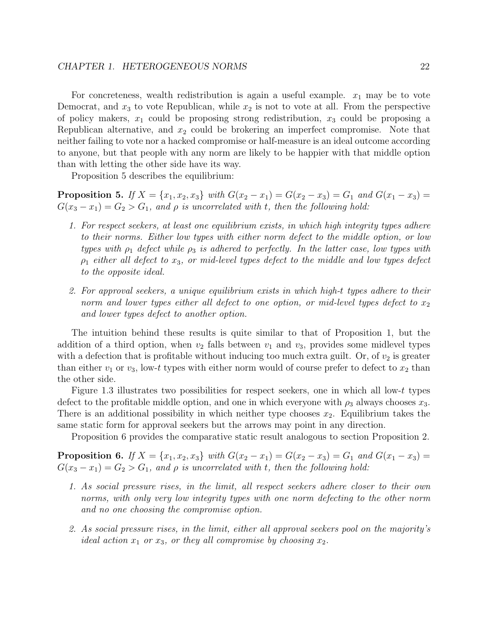For concreteness, wealth redistribution is again a useful example.  $x_1$  may be to vote Democrat, and  $x_3$  to vote Republican, while  $x_2$  is not to vote at all. From the perspective of policy makers,  $x_1$  could be proposing strong redistribution,  $x_3$  could be proposing a Republican alternative, and  $x_2$  could be brokering an imperfect compromise. Note that neither failing to vote nor a hacked compromise or half-measure is an ideal outcome according to anyone, but that people with any norm are likely to be happier with that middle option than with letting the other side have its way.

Proposition 5 describes the equilibrium:

**Proposition 5.** If  $X = \{x_1, x_2, x_3\}$  with  $G(x_2 - x_1) = G(x_2 - x_3) = G_1$  and  $G(x_1 - x_3) = G_1$  $G(x_3 - x_1) = G_2 > G_1$ , and  $\rho$  is uncorrelated with t, then the following hold:

- 1. For respect seekers, at least one equilibrium exists, in which high integrity types adhere to their norms. Either low types with either norm defect to the middle option, or low types with  $\rho_1$  defect while  $\rho_3$  is adhered to perfectly. In the latter case, low types with  $\rho_1$  either all defect to  $x_3$ , or mid-level types defect to the middle and low types defect to the opposite ideal.
- 2. For approval seekers, a unique equilibrium exists in which high-t types adhere to their norm and lower types either all defect to one option, or mid-level types defect to  $x_2$ and lower types defect to another option.

The intuition behind these results is quite similar to that of Proposition 1, but the addition of a third option, when  $v_2$  falls between  $v_1$  and  $v_3$ , provides some midlevel types with a defection that is profitable without inducing too much extra guilt. Or, of  $v_2$  is greater than either  $v_1$  or  $v_3$ , low-t types with either norm would of course prefer to defect to  $x_2$  than the other side.

Figure 1.3 illustrates two possibilities for respect seekers, one in which all low-t types defect to the profitable middle option, and one in which everyone with  $\rho_3$  always chooses  $x_3$ . There is an additional possibility in which neither type chooses  $x_2$ . Equilibrium takes the same static form for approval seekers but the arrows may point in any direction.

Proposition 6 provides the comparative static result analogous to section Proposition 2.

**Proposition 6.** If  $X = \{x_1, x_2, x_3\}$  with  $G(x_2 - x_1) = G(x_2 - x_3) = G_1$  and  $G(x_1 - x_3) = G_1$  $G(x_3 - x_1) = G_2 > G_1$ , and  $\rho$  is uncorrelated with t, then the following hold:

- 1. As social pressure rises, in the limit, all respect seekers adhere closer to their own norms, with only very low integrity types with one norm defecting to the other norm and no one choosing the compromise option.
- 2. As social pressure rises, in the limit, either all approval seekers pool on the majority's ideal action  $x_1$  or  $x_3$ , or they all compromise by choosing  $x_2$ .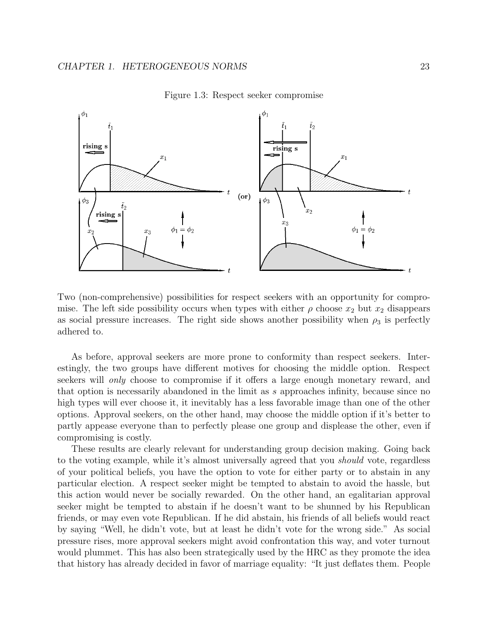

Figure 1.3: Respect seeker compromise

Two (non-comprehensive) possibilities for respect seekers with an opportunity for compromise. The left side possibility occurs when types with either  $\rho$  choose  $x_2$  but  $x_2$  disappears as social pressure increases. The right side shows another possibility when  $\rho_3$  is perfectly adhered to.

As before, approval seekers are more prone to conformity than respect seekers. Interestingly, the two groups have different motives for choosing the middle option. Respect seekers will *only* choose to compromise if it offers a large enough monetary reward, and that option is necessarily abandoned in the limit as s approaches infinity, because since no high types will ever choose it, it inevitably has a less favorable image than one of the other options. Approval seekers, on the other hand, may choose the middle option if it's better to partly appease everyone than to perfectly please one group and displease the other, even if compromising is costly.

These results are clearly relevant for understanding group decision making. Going back to the voting example, while it's almost universally agreed that you should vote, regardless of your political beliefs, you have the option to vote for either party or to abstain in any particular election. A respect seeker might be tempted to abstain to avoid the hassle, but this action would never be socially rewarded. On the other hand, an egalitarian approval seeker might be tempted to abstain if he doesn't want to be shunned by his Republican friends, or may even vote Republican. If he did abstain, his friends of all beliefs would react by saying "Well, he didn't vote, but at least he didn't vote for the wrong side." As social pressure rises, more approval seekers might avoid confrontation this way, and voter turnout would plummet. This has also been strategically used by the HRC as they promote the idea that history has already decided in favor of marriage equality: "It just deflates them. People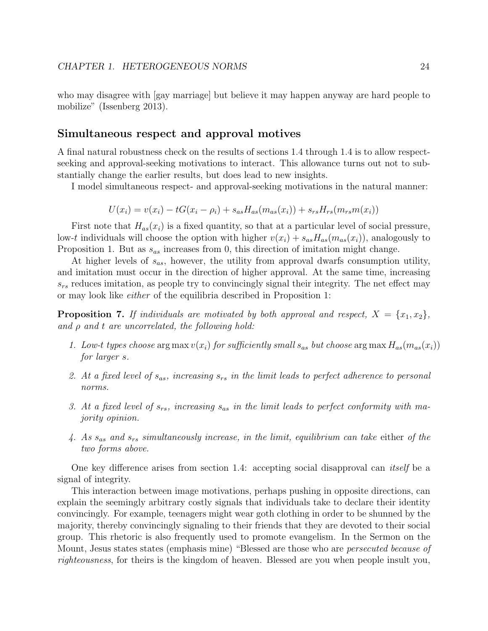who may disagree with [gay marriage] but believe it may happen anyway are hard people to mobilize" (Issenberg 2013).

### Simultaneous respect and approval motives

A final natural robustness check on the results of sections 1.4 through 1.4 is to allow respectseeking and approval-seeking motivations to interact. This allowance turns out not to substantially change the earlier results, but does lead to new insights.

I model simultaneous respect- and approval-seeking motivations in the natural manner:

$$
U(x_i) = v(x_i) - tG(x_i - \rho_i) + s_{as}H_{as}(m_{as}(x_i)) + s_{rs}H_{rs}(m_{rs}m(x_i))
$$

First note that  $H_{as}(x_i)$  is a fixed quantity, so that at a particular level of social pressure, low-t individuals will choose the option with higher  $v(x_i) + s_{as}H_{as}(m_{as}(x_i))$ , analogously to Proposition 1. But as  $s_{as}$  increases from 0, this direction of imitation might change.

At higher levels of  $s_{as}$ , however, the utility from approval dwarfs consumption utility, and imitation must occur in the direction of higher approval. At the same time, increasing  $s_{rs}$  reduces imitation, as people try to convincingly signal their integrity. The net effect may or may look like either of the equilibria described in Proposition 1:

**Proposition 7.** If individuals are motivated by both approval and respect,  $X = \{x_1, x_2\}$ , and  $\rho$  and  $t$  are uncorrelated, the following hold:

- 1. Low-t types choose arg max  $v(x_i)$  for sufficiently small  $s_{as}$  but choose arg max  $H_{as}(m_{as}(x_i))$ for larger s.
- 2. At a fixed level of  $s_{as}$ , increasing  $s_{rs}$  in the limit leads to perfect adherence to personal norms.
- 3. At a fixed level of  $s_{rs}$ , increasing  $s_{as}$  in the limit leads to perfect conformity with majority opinion.
- 4. As  $s_{as}$  and  $s_{rs}$  simultaneously increase, in the limit, equilibrium can take either of the two forms above.

One key difference arises from section 1.4: accepting social disapproval can *itself* be a signal of integrity.

This interaction between image motivations, perhaps pushing in opposite directions, can explain the seemingly arbitrary costly signals that individuals take to declare their identity convincingly. For example, teenagers might wear goth clothing in order to be shunned by the majority, thereby convincingly signaling to their friends that they are devoted to their social group. This rhetoric is also frequently used to promote evangelism. In the Sermon on the Mount, Jesus states states (emphasis mine) "Blessed are those who are persecuted because of righteousness, for theirs is the kingdom of heaven. Blessed are you when people insult you,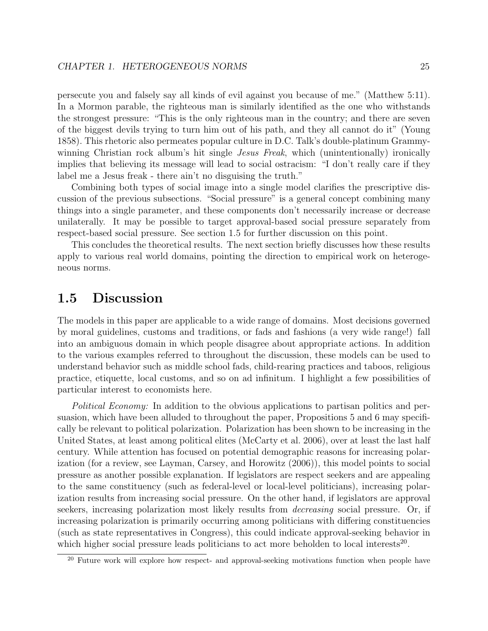persecute you and falsely say all kinds of evil against you because of me." (Matthew 5:11). In a Mormon parable, the righteous man is similarly identified as the one who withstands the strongest pressure: "This is the only righteous man in the country; and there are seven of the biggest devils trying to turn him out of his path, and they all cannot do it" (Young 1858). This rhetoric also permeates popular culture in D.C. Talk's double-platinum Grammywinning Christian rock album's hit single *Jesus Freak*, which (unintentionally) ironically implies that believing its message will lead to social ostracism: "I don't really care if they label me a Jesus freak - there ain't no disguising the truth."

Combining both types of social image into a single model clarifies the prescriptive discussion of the previous subsections. "Social pressure" is a general concept combining many things into a single parameter, and these components don't necessarily increase or decrease unilaterally. It may be possible to target approval-based social pressure separately from respect-based social pressure. See section 1.5 for further discussion on this point.

This concludes the theoretical results. The next section briefly discusses how these results apply to various real world domains, pointing the direction to empirical work on heterogeneous norms.

## 1.5 Discussion

The models in this paper are applicable to a wide range of domains. Most decisions governed by moral guidelines, customs and traditions, or fads and fashions (a very wide range!) fall into an ambiguous domain in which people disagree about appropriate actions. In addition to the various examples referred to throughout the discussion, these models can be used to understand behavior such as middle school fads, child-rearing practices and taboos, religious practice, etiquette, local customs, and so on ad infinitum. I highlight a few possibilities of particular interest to economists here.

Political Economy: In addition to the obvious applications to partisan politics and persuasion, which have been alluded to throughout the paper, Propositions 5 and 6 may specifically be relevant to political polarization. Polarization has been shown to be increasing in the United States, at least among political elites (McCarty et al. 2006), over at least the last half century. While attention has focused on potential demographic reasons for increasing polarization (for a review, see Layman, Carsey, and Horowitz (2006)), this model points to social pressure as another possible explanation. If legislators are respect seekers and are appealing to the same constituency (such as federal-level or local-level politicians), increasing polarization results from increasing social pressure. On the other hand, if legislators are approval seekers, increasing polarization most likely results from decreasing social pressure. Or, if increasing polarization is primarily occurring among politicians with differing constituencies (such as state representatives in Congress), this could indicate approval-seeking behavior in which higher social pressure leads politicians to act more beholden to local interests<sup>20</sup>.

<sup>&</sup>lt;sup>20</sup> Future work will explore how respect- and approval-seeking motivations function when people have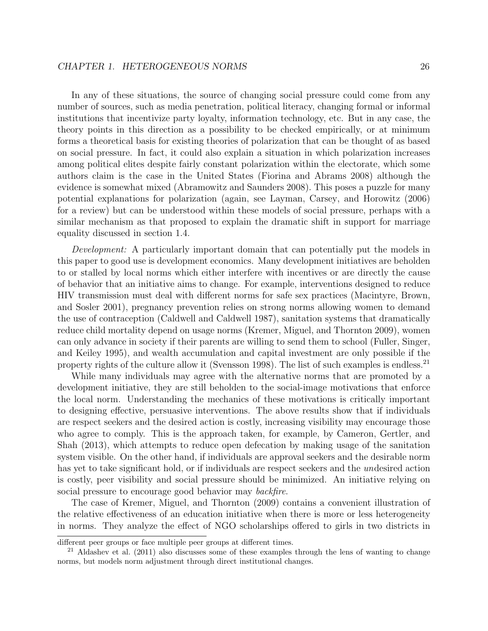In any of these situations, the source of changing social pressure could come from any number of sources, such as media penetration, political literacy, changing formal or informal institutions that incentivize party loyalty, information technology, etc. But in any case, the theory points in this direction as a possibility to be checked empirically, or at minimum forms a theoretical basis for existing theories of polarization that can be thought of as based on social pressure. In fact, it could also explain a situation in which polarization increases among political elites despite fairly constant polarization within the electorate, which some authors claim is the case in the United States (Fiorina and Abrams 2008) although the evidence is somewhat mixed (Abramowitz and Saunders 2008). This poses a puzzle for many potential explanations for polarization (again, see Layman, Carsey, and Horowitz (2006) for a review) but can be understood within these models of social pressure, perhaps with a similar mechanism as that proposed to explain the dramatic shift in support for marriage equality discussed in section 1.4.

Development: A particularly important domain that can potentially put the models in this paper to good use is development economics. Many development initiatives are beholden to or stalled by local norms which either interfere with incentives or are directly the cause of behavior that an initiative aims to change. For example, interventions designed to reduce HIV transmission must deal with different norms for safe sex practices (Macintyre, Brown, and Sosler 2001), pregnancy prevention relies on strong norms allowing women to demand the use of contraception (Caldwell and Caldwell 1987), sanitation systems that dramatically reduce child mortality depend on usage norms (Kremer, Miguel, and Thornton 2009), women can only advance in society if their parents are willing to send them to school (Fuller, Singer, and Keiley 1995), and wealth accumulation and capital investment are only possible if the property rights of the culture allow it (Svensson 1998). The list of such examples is endless.<sup>21</sup>

While many individuals may agree with the alternative norms that are promoted by a development initiative, they are still beholden to the social-image motivations that enforce the local norm. Understanding the mechanics of these motivations is critically important to designing effective, persuasive interventions. The above results show that if individuals are respect seekers and the desired action is costly, increasing visibility may encourage those who agree to comply. This is the approach taken, for example, by Cameron, Gertler, and Shah (2013), which attempts to reduce open defecation by making usage of the sanitation system visible. On the other hand, if individuals are approval seekers and the desirable norm has yet to take significant hold, or if individuals are respect seekers and the *undesired* action is costly, peer visibility and social pressure should be minimized. An initiative relying on social pressure to encourage good behavior may *backfire*.

The case of Kremer, Miguel, and Thornton (2009) contains a convenient illustration of the relative effectiveness of an education initiative when there is more or less heterogeneity in norms. They analyze the effect of NGO scholarships offered to girls in two districts in

different peer groups or face multiple peer groups at different times.

<sup>21</sup> Aldashev et al. (2011) also discusses some of these examples through the lens of wanting to change norms, but models norm adjustment through direct institutional changes.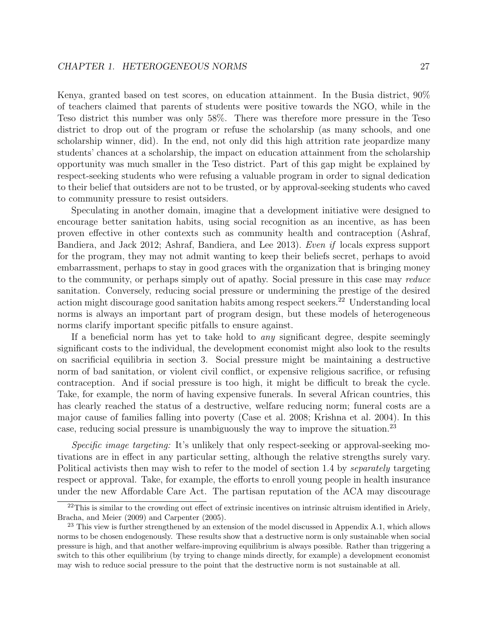Kenya, granted based on test scores, on education attainment. In the Busia district, 90% of teachers claimed that parents of students were positive towards the NGO, while in the Teso district this number was only 58%. There was therefore more pressure in the Teso district to drop out of the program or refuse the scholarship (as many schools, and one scholarship winner, did). In the end, not only did this high attrition rate jeopardize many students' chances at a scholarship, the impact on education attainment from the scholarship opportunity was much smaller in the Teso district. Part of this gap might be explained by respect-seeking students who were refusing a valuable program in order to signal dedication to their belief that outsiders are not to be trusted, or by approval-seeking students who caved to community pressure to resist outsiders.

Speculating in another domain, imagine that a development initiative were designed to encourage better sanitation habits, using social recognition as an incentive, as has been proven effective in other contexts such as community health and contraception (Ashraf, Bandiera, and Jack 2012; Ashraf, Bandiera, and Lee 2013). Even if locals express support for the program, they may not admit wanting to keep their beliefs secret, perhaps to avoid embarrassment, perhaps to stay in good graces with the organization that is bringing money to the community, or perhaps simply out of apathy. Social pressure in this case may reduce sanitation. Conversely, reducing social pressure or undermining the prestige of the desired action might discourage good sanitation habits among respect seekers.<sup>22</sup> Understanding local norms is always an important part of program design, but these models of heterogeneous norms clarify important specific pitfalls to ensure against.

If a beneficial norm has yet to take hold to *any* significant degree, despite seemingly significant costs to the individual, the development economist might also look to the results on sacrificial equilibria in section 3. Social pressure might be maintaining a destructive norm of bad sanitation, or violent civil conflict, or expensive religious sacrifice, or refusing contraception. And if social pressure is too high, it might be difficult to break the cycle. Take, for example, the norm of having expensive funerals. In several African countries, this has clearly reached the status of a destructive, welfare reducing norm; funeral costs are a major cause of families falling into poverty (Case et al. 2008; Krishna et al. 2004). In this case, reducing social pressure is unambiguously the way to improve the situation.<sup>23</sup>

Specific image targeting: It's unlikely that only respect-seeking or approval-seeking motivations are in effect in any particular setting, although the relative strengths surely vary. Political activists then may wish to refer to the model of section 1.4 by *separately* targeting respect or approval. Take, for example, the efforts to enroll young people in health insurance under the new Affordable Care Act. The partisan reputation of the ACA may discourage

 $^{22}$ This is similar to the crowding out effect of extrinsic incentives on intrinsic altruism identified in Ariely, Bracha, and Meier (2009) and Carpenter (2005).

<sup>&</sup>lt;sup>23</sup> This view is further strengthened by an extension of the model discussed in Appendix A.1, which allows norms to be chosen endogenously. These results show that a destructive norm is only sustainable when social pressure is high, and that another welfare-improving equilibrium is always possible. Rather than triggering a switch to this other equilibrium (by trying to change minds directly, for example) a development economist may wish to reduce social pressure to the point that the destructive norm is not sustainable at all.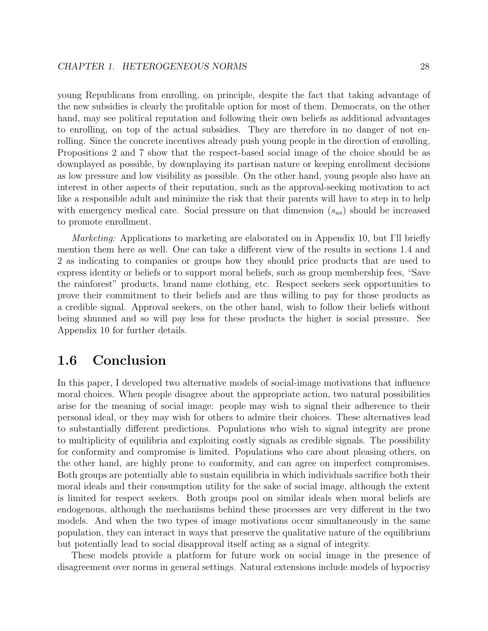young Republicans from enrolling, on principle, despite the fact that taking advantage of the new subsidies is clearly the profitable option for most of them. Democrats, on the other hand, may see political reputation and following their own beliefs as additional advantages to enrolling, on top of the actual subsidies. They are therefore in no danger of not enrolling. Since the concrete incentives already push young people in the direction of enrolling, Propositions 2 and 7 show that the respect-based social image of the choice should be as downplayed as possible, by downplaying its partisan nature or keeping enrollment decisions as low pressure and low visibility as possible. On the other hand, young people also have an interest in other aspects of their reputation, such as the approval-seeking motivation to act like a responsible adult and minimize the risk that their parents will have to step in to help with emergency medical care. Social pressure on that dimension  $(s_{as})$  should be increased to promote enrollment.

*Marketing:* Applications to marketing are elaborated on in Appendix 10, but I'll briefly mention them here as well. One can take a different view of the results in sections 1.4 and 2 as indicating to companies or groups how they should price products that are used to express identity or beliefs or to support moral beliefs, such as group membership fees, "Save the rainforest" products, brand name clothing, etc. Respect seekers seek opportunities to prove their commitment to their beliefs and are thus willing to pay for those products as a credible signal. Approval seekers, on the other hand, wish to follow their beliefs without being shunned and so will pay less for these products the higher is social pressure. See Appendix 10 for further details.

## 1.6 Conclusion

In this paper, I developed two alternative models of social-image motivations that influence moral choices. When people disagree about the appropriate action, two natural possibilities arise for the meaning of social image: people may wish to signal their adherence to their personal ideal, or they may wish for others to admire their choices. These alternatives lead to substantially different predictions. Populations who wish to signal integrity are prone to multiplicity of equilibria and exploiting costly signals as credible signals. The possibility for conformity and compromise is limited. Populations who care about pleasing others, on the other hand, are highly prone to conformity, and can agree on imperfect compromises. Both groups are potentially able to sustain equilibria in which individuals sacrifice both their moral ideals and their consumption utility for the sake of social image, although the extent is limited for respect seekers. Both groups pool on similar ideals when moral beliefs are endogenous, although the mechanisms behind these processes are very different in the two models. And when the two types of image motivations occur simultaneously in the same population, they can interact in ways that preserve the qualitative nature of the equilibrium but potentially lead to social disapproval itself acting as a signal of integrity.

These models provide a platform for future work on social image in the presence of disagreement over norms in general settings. Natural extensions include models of hypocrisy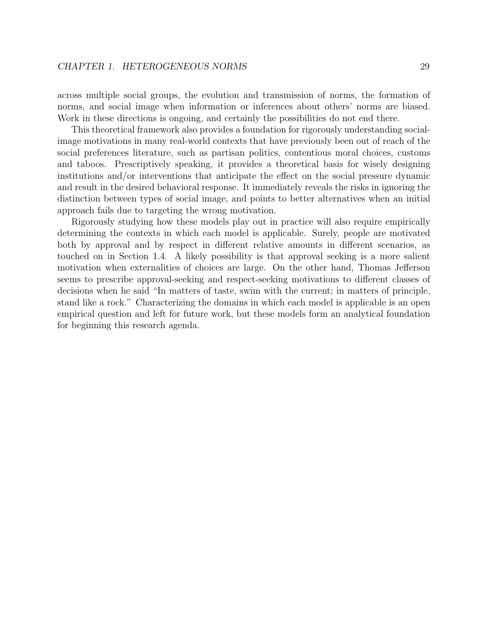across multiple social groups, the evolution and transmission of norms, the formation of norms, and social image when information or inferences about others' norms are biased. Work in these directions is ongoing, and certainly the possibilities do not end there.

This theoretical framework also provides a foundation for rigorously understanding socialimage motivations in many real-world contexts that have previously been out of reach of the social preferences literature, such as partisan politics, contentious moral choices, customs and taboos. Prescriptively speaking, it provides a theoretical basis for wisely designing institutions and/or interventions that anticipate the effect on the social pressure dynamic and result in the desired behavioral response. It immediately reveals the risks in ignoring the distinction between types of social image, and points to better alternatives when an initial approach fails due to targeting the wrong motivation.

Rigorously studying how these models play out in practice will also require empirically determining the contexts in which each model is applicable. Surely, people are motivated both by approval and by respect in different relative amounts in different scenarios, as touched on in Section 1.4. A likely possibility is that approval seeking is a more salient motivation when externalities of choices are large. On the other hand, Thomas Jefferson seems to prescribe approval-seeking and respect-seeking motivations to different classes of decisions when he said "In matters of taste, swim with the current; in matters of principle, stand like a rock." Characterizing the domains in which each model is applicable is an open empirical question and left for future work, but these models form an analytical foundation for beginning this research agenda.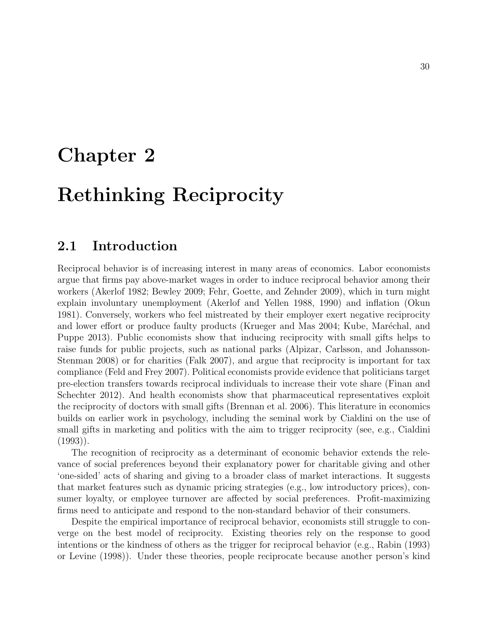## Chapter 2

## Rethinking Reciprocity

## 2.1 Introduction

Reciprocal behavior is of increasing interest in many areas of economics. Labor economists argue that firms pay above-market wages in order to induce reciprocal behavior among their workers (Akerlof 1982; Bewley 2009; Fehr, Goette, and Zehnder 2009), which in turn might explain involuntary unemployment (Akerlof and Yellen 1988, 1990) and inflation (Okun 1981). Conversely, workers who feel mistreated by their employer exert negative reciprocity and lower effort or produce faulty products (Krueger and Mas 2004; Kube, Maréchal, and Puppe 2013). Public economists show that inducing reciprocity with small gifts helps to raise funds for public projects, such as national parks (Alpizar, Carlsson, and Johansson-Stenman 2008) or for charities (Falk 2007), and argue that reciprocity is important for tax compliance (Feld and Frey 2007). Political economists provide evidence that politicians target pre-election transfers towards reciprocal individuals to increase their vote share (Finan and Schechter 2012). And health economists show that pharmaceutical representatives exploit the reciprocity of doctors with small gifts (Brennan et al. 2006). This literature in economics builds on earlier work in psychology, including the seminal work by Cialdini on the use of small gifts in marketing and politics with the aim to trigger reciprocity (see, e.g., Cialdini  $(1993)$ .

The recognition of reciprocity as a determinant of economic behavior extends the relevance of social preferences beyond their explanatory power for charitable giving and other 'one-sided' acts of sharing and giving to a broader class of market interactions. It suggests that market features such as dynamic pricing strategies (e.g., low introductory prices), consumer loyalty, or employee turnover are affected by social preferences. Profit-maximizing firms need to anticipate and respond to the non-standard behavior of their consumers.

Despite the empirical importance of reciprocal behavior, economists still struggle to converge on the best model of reciprocity. Existing theories rely on the response to good intentions or the kindness of others as the trigger for reciprocal behavior (e.g., Rabin (1993) or Levine (1998)). Under these theories, people reciprocate because another person's kind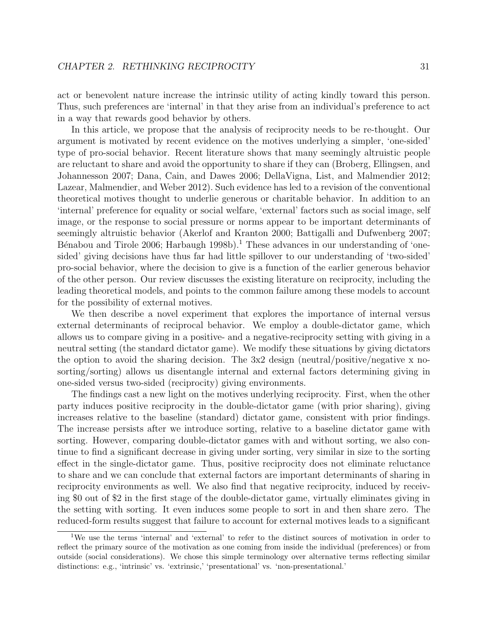act or benevolent nature increase the intrinsic utility of acting kindly toward this person. Thus, such preferences are 'internal' in that they arise from an individual's preference to act in a way that rewards good behavior by others.

In this article, we propose that the analysis of reciprocity needs to be re-thought. Our argument is motivated by recent evidence on the motives underlying a simpler, 'one-sided' type of pro-social behavior. Recent literature shows that many seemingly altruistic people are reluctant to share and avoid the opportunity to share if they can (Broberg, Ellingsen, and Johannesson 2007; Dana, Cain, and Dawes 2006; DellaVigna, List, and Malmendier 2012; Lazear, Malmendier, and Weber 2012). Such evidence has led to a revision of the conventional theoretical motives thought to underlie generous or charitable behavior. In addition to an 'internal' preference for equality or social welfare, 'external' factors such as social image, self image, or the response to social pressure or norms appear to be important determinants of seemingly altruistic behavior (Akerlof and Kranton 2000; Battigalli and Dufwenberg 2007; Bénabou and Tirole 2006; Harbaugh 1998b).<sup>1</sup> These advances in our understanding of 'onesided' giving decisions have thus far had little spillover to our understanding of 'two-sided' pro-social behavior, where the decision to give is a function of the earlier generous behavior of the other person. Our review discusses the existing literature on reciprocity, including the leading theoretical models, and points to the common failure among these models to account for the possibility of external motives.

We then describe a novel experiment that explores the importance of internal versus external determinants of reciprocal behavior. We employ a double-dictator game, which allows us to compare giving in a positive- and a negative-reciprocity setting with giving in a neutral setting (the standard dictator game). We modify these situations by giving dictators the option to avoid the sharing decision. The  $3x2$  design (neutral/positive/negative x nosorting/sorting) allows us disentangle internal and external factors determining giving in one-sided versus two-sided (reciprocity) giving environments.

The findings cast a new light on the motives underlying reciprocity. First, when the other party induces positive reciprocity in the double-dictator game (with prior sharing), giving increases relative to the baseline (standard) dictator game, consistent with prior findings. The increase persists after we introduce sorting, relative to a baseline dictator game with sorting. However, comparing double-dictator games with and without sorting, we also continue to find a significant decrease in giving under sorting, very similar in size to the sorting effect in the single-dictator game. Thus, positive reciprocity does not eliminate reluctance to share and we can conclude that external factors are important determinants of sharing in reciprocity environments as well. We also find that negative reciprocity, induced by receiving \$0 out of \$2 in the first stage of the double-dictator game, virtually eliminates giving in the setting with sorting. It even induces some people to sort in and then share zero. The reduced-form results suggest that failure to account for external motives leads to a significant

<sup>1</sup>We use the terms 'internal' and 'external' to refer to the distinct sources of motivation in order to reflect the primary source of the motivation as one coming from inside the individual (preferences) or from outside (social considerations). We chose this simple terminology over alternative terms reflecting similar distinctions: e.g., 'intrinsic' vs. 'extrinsic,' 'presentational' vs. 'non-presentational.'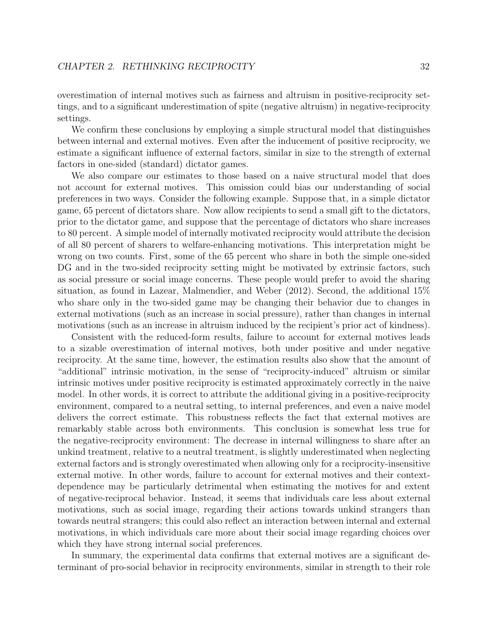overestimation of internal motives such as fairness and altruism in positive-reciprocity settings, and to a significant underestimation of spite (negative altruism) in negative-reciprocity settings.

We confirm these conclusions by employing a simple structural model that distinguishes between internal and external motives. Even after the inducement of positive reciprocity, we estimate a significant influence of external factors, similar in size to the strength of external factors in one-sided (standard) dictator games.

We also compare our estimates to those based on a naive structural model that does not account for external motives. This omission could bias our understanding of social preferences in two ways. Consider the following example. Suppose that, in a simple dictator game, 65 percent of dictators share. Now allow recipients to send a small gift to the dictators, prior to the dictator game, and suppose that the percentage of dictators who share increases to 80 percent. A simple model of internally motivated reciprocity would attribute the decision of all 80 percent of sharers to welfare-enhancing motivations. This interpretation might be wrong on two counts. First, some of the 65 percent who share in both the simple one-sided DG and in the two-sided reciprocity setting might be motivated by extrinsic factors, such as social pressure or social image concerns. These people would prefer to avoid the sharing situation, as found in Lazear, Malmendier, and Weber (2012). Second, the additional 15% who share only in the two-sided game may be changing their behavior due to changes in external motivations (such as an increase in social pressure), rather than changes in internal motivations (such as an increase in altruism induced by the recipient's prior act of kindness).

Consistent with the reduced-form results, failure to account for external motives leads to a sizable overestimation of internal motives, both under positive and under negative reciprocity. At the same time, however, the estimation results also show that the amount of "additional" intrinsic motivation, in the sense of "reciprocity-induced" altruism or similar intrinsic motives under positive reciprocity is estimated approximately correctly in the naive model. In other words, it is correct to attribute the additional giving in a positive-reciprocity environment, compared to a neutral setting, to internal preferences, and even a naive model delivers the correct estimate. This robustness reflects the fact that external motives are remarkably stable across both environments. This conclusion is somewhat less true for the negative-reciprocity environment: The decrease in internal willingness to share after an unkind treatment, relative to a neutral treatment, is slightly underestimated when neglecting external factors and is strongly overestimated when allowing only for a reciprocity-insensitive external motive. In other words, failure to account for external motives and their contextdependence may be particularly detrimental when estimating the motives for and extent of negative-reciprocal behavior. Instead, it seems that individuals care less about external motivations, such as social image, regarding their actions towards unkind strangers than towards neutral strangers; this could also reflect an interaction between internal and external motivations, in which individuals care more about their social image regarding choices over which they have strong internal social preferences.

In summary, the experimental data confirms that external motives are a significant determinant of pro-social behavior in reciprocity environments, similar in strength to their role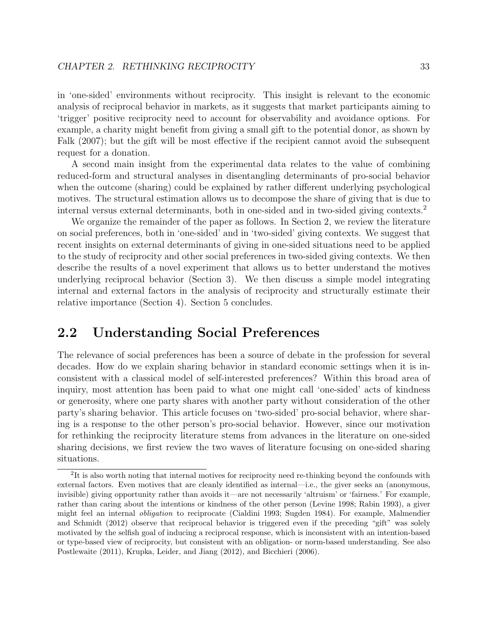in 'one-sided' environments without reciprocity. This insight is relevant to the economic analysis of reciprocal behavior in markets, as it suggests that market participants aiming to 'trigger' positive reciprocity need to account for observability and avoidance options. For example, a charity might benefit from giving a small gift to the potential donor, as shown by Falk (2007); but the gift will be most effective if the recipient cannot avoid the subsequent request for a donation.

A second main insight from the experimental data relates to the value of combining reduced-form and structural analyses in disentangling determinants of pro-social behavior when the outcome (sharing) could be explained by rather different underlying psychological motives. The structural estimation allows us to decompose the share of giving that is due to internal versus external determinants, both in one-sided and in two-sided giving contexts.<sup>2</sup>

We organize the remainder of the paper as follows. In Section 2, we review the literature on social preferences, both in 'one-sided' and in 'two-sided' giving contexts. We suggest that recent insights on external determinants of giving in one-sided situations need to be applied to the study of reciprocity and other social preferences in two-sided giving contexts. We then describe the results of a novel experiment that allows us to better understand the motives underlying reciprocal behavior (Section 3). We then discuss a simple model integrating internal and external factors in the analysis of reciprocity and structurally estimate their relative importance (Section 4). Section 5 concludes.

## 2.2 Understanding Social Preferences

The relevance of social preferences has been a source of debate in the profession for several decades. How do we explain sharing behavior in standard economic settings when it is inconsistent with a classical model of self-interested preferences? Within this broad area of inquiry, most attention has been paid to what one might call 'one-sided' acts of kindness or generosity, where one party shares with another party without consideration of the other party's sharing behavior. This article focuses on 'two-sided' pro-social behavior, where sharing is a response to the other person's pro-social behavior. However, since our motivation for rethinking the reciprocity literature stems from advances in the literature on one-sided sharing decisions, we first review the two waves of literature focusing on one-sided sharing situations.

<sup>&</sup>lt;sup>2</sup>It is also worth noting that internal motives for reciprocity need re-thinking beyond the confounds with external factors. Even motives that are cleanly identified as internal—i.e., the giver seeks an (anonymous, invisible) giving opportunity rather than avoids it—are not necessarily 'altruism' or 'fairness.' For example, rather than caring about the intentions or kindness of the other person (Levine 1998; Rabin 1993), a giver might feel an internal obligation to reciprocate (Cialdini 1993; Sugden 1984). For example, Malmendier and Schmidt (2012) observe that reciprocal behavior is triggered even if the preceding "gift" was solely motivated by the selfish goal of inducing a reciprocal response, which is inconsistent with an intention-based or type-based view of reciprocity, but consistent with an obligation- or norm-based understanding. See also Postlewaite (2011), Krupka, Leider, and Jiang (2012), and Bicchieri (2006).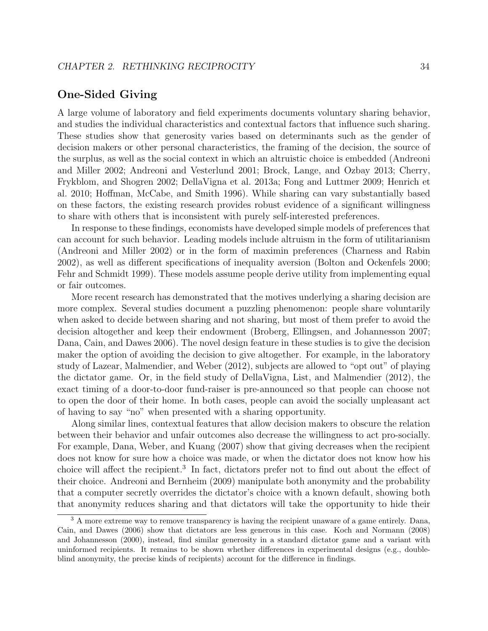#### One-Sided Giving

A large volume of laboratory and field experiments documents voluntary sharing behavior, and studies the individual characteristics and contextual factors that influence such sharing. These studies show that generosity varies based on determinants such as the gender of decision makers or other personal characteristics, the framing of the decision, the source of the surplus, as well as the social context in which an altruistic choice is embedded (Andreoni and Miller 2002; Andreoni and Vesterlund 2001; Brock, Lange, and Ozbay 2013; Cherry, Frykblom, and Shogren 2002; DellaVigna et al. 2013a; Fong and Luttmer 2009; Henrich et al. 2010; Hoffman, McCabe, and Smith 1996). While sharing can vary substantially based on these factors, the existing research provides robust evidence of a significant willingness to share with others that is inconsistent with purely self-interested preferences.

In response to these findings, economists have developed simple models of preferences that can account for such behavior. Leading models include altruism in the form of utilitarianism (Andreoni and Miller 2002) or in the form of maximin preferences (Charness and Rabin 2002), as well as different specifications of inequality aversion (Bolton and Ockenfels 2000; Fehr and Schmidt 1999). These models assume people derive utility from implementing equal or fair outcomes.

More recent research has demonstrated that the motives underlying a sharing decision are more complex. Several studies document a puzzling phenomenon: people share voluntarily when asked to decide between sharing and not sharing, but most of them prefer to avoid the decision altogether and keep their endowment (Broberg, Ellingsen, and Johannesson 2007; Dana, Cain, and Dawes 2006). The novel design feature in these studies is to give the decision maker the option of avoiding the decision to give altogether. For example, in the laboratory study of Lazear, Malmendier, and Weber (2012), subjects are allowed to "opt out" of playing the dictator game. Or, in the field study of DellaVigna, List, and Malmendier (2012), the exact timing of a door-to-door fund-raiser is pre-announced so that people can choose not to open the door of their home. In both cases, people can avoid the socially unpleasant act of having to say "no" when presented with a sharing opportunity.

Along similar lines, contextual features that allow decision makers to obscure the relation between their behavior and unfair outcomes also decrease the willingness to act pro-socially. For example, Dana, Weber, and Kuang (2007) show that giving decreases when the recipient does not know for sure how a choice was made, or when the dictator does not know how his choice will affect the recipient.<sup>3</sup> In fact, dictators prefer not to find out about the effect of their choice. Andreoni and Bernheim (2009) manipulate both anonymity and the probability that a computer secretly overrides the dictator's choice with a known default, showing both that anonymity reduces sharing and that dictators will take the opportunity to hide their

<sup>&</sup>lt;sup>3</sup> A more extreme way to remove transparency is having the recipient unaware of a game entirely. Dana, Cain, and Dawes (2006) show that dictators are less generous in this case. Koch and Normann (2008) and Johannesson (2000), instead, find similar generosity in a standard dictator game and a variant with uninformed recipients. It remains to be shown whether differences in experimental designs (e.g., doubleblind anonymity, the precise kinds of recipients) account for the difference in findings.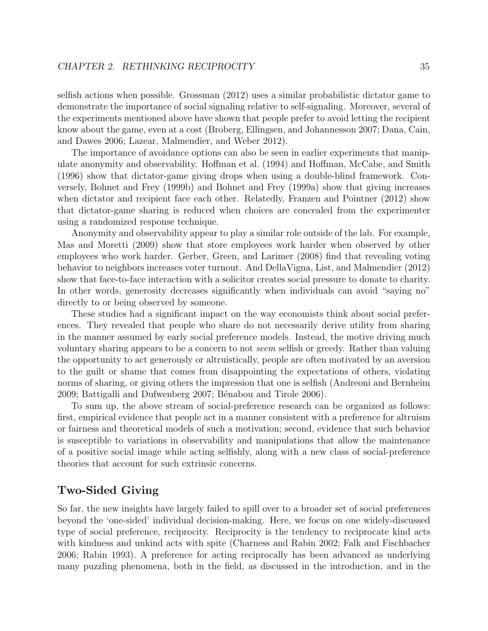selfish actions when possible. Grossman (2012) uses a similar probabilistic dictator game to demonstrate the importance of social signaling relative to self-signaling. Moreover, several of the experiments mentioned above have shown that people prefer to avoid letting the recipient know about the game, even at a cost (Broberg, Ellingsen, and Johannesson 2007; Dana, Cain, and Dawes 2006; Lazear, Malmendier, and Weber 2012).

The importance of avoidance options can also be seen in earlier experiments that manipulate anonymity and observability. Hoffman et al. (1994) and Hoffman, McCabe, and Smith (1996) show that dictator-game giving drops when using a double-blind framework. Conversely, Bohnet and Frey (1999b) and Bohnet and Frey (1999a) show that giving increases when dictator and recipient face each other. Relatedly, Franzen and Pointner (2012) show that dictator-game sharing is reduced when choices are concealed from the experimenter using a randomized response technique.

Anonymity and observability appear to play a similar role outside of the lab. For example, Mas and Moretti (2009) show that store employees work harder when observed by other employees who work harder. Gerber, Green, and Larimer (2008) find that revealing voting behavior to neighbors increases voter turnout. And DellaVigna, List, and Malmendier (2012) show that face-to-face interaction with a solicitor creates social pressure to donate to charity. In other words, generosity decreases significantly when individuals can avoid "saying no" directly to or being observed by someone.

These studies had a significant impact on the way economists think about social preferences. They revealed that people who share do not necessarily derive utility from sharing in the manner assumed by early social preference models. Instead, the motive driving much voluntary sharing appears to be a concern to not seem selfish or greedy. Rather than valuing the opportunity to act generously or altruistically, people are often motivated by an aversion to the guilt or shame that comes from disappointing the expectations of others, violating norms of sharing, or giving others the impression that one is selfish (Andreoni and Bernheim 2009; Battigalli and Dufwenberg 2007; Bénabou and Tirole 2006).

To sum up, the above stream of social-preference research can be organized as follows: first, empirical evidence that people act in a manner consistent with a preference for altruism or fairness and theoretical models of such a motivation; second, evidence that such behavior is susceptible to variations in observability and manipulations that allow the maintenance of a positive social image while acting selfishly, along with a new class of social-preference theories that account for such extrinsic concerns.

### Two-Sided Giving

So far, the new insights have largely failed to spill over to a broader set of social preferences beyond the 'one-sided' individual decision-making. Here, we focus on one widely-discussed type of social preference, reciprocity. Reciprocity is the tendency to reciprocate kind acts with kindness and unkind acts with spite (Charness and Rabin 2002; Falk and Fischbacher 2006; Rabin 1993). A preference for acting reciprocally has been advanced as underlying many puzzling phenomena, both in the field, as discussed in the introduction, and in the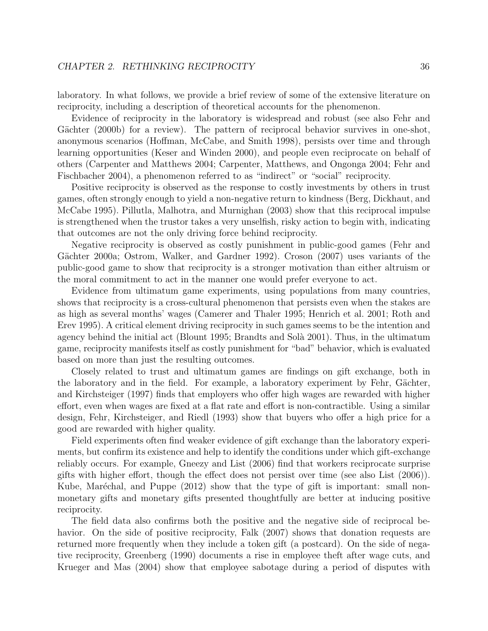laboratory. In what follows, we provide a brief review of some of the extensive literature on reciprocity, including a description of theoretical accounts for the phenomenon.

Evidence of reciprocity in the laboratory is widespread and robust (see also Fehr and Gächter (2000b) for a review). The pattern of reciprocal behavior survives in one-shot, anonymous scenarios (Hoffman, McCabe, and Smith 1998), persists over time and through learning opportunities (Keser and Winden 2000), and people even reciprocate on behalf of others (Carpenter and Matthews 2004; Carpenter, Matthews, and Ongonga 2004; Fehr and Fischbacher 2004), a phenomenon referred to as "indirect" or "social" reciprocity.

Positive reciprocity is observed as the response to costly investments by others in trust games, often strongly enough to yield a non-negative return to kindness (Berg, Dickhaut, and McCabe 1995). Pillutla, Malhotra, and Murnighan (2003) show that this reciprocal impulse is strengthened when the trustor takes a very unselfish, risky action to begin with, indicating that outcomes are not the only driving force behind reciprocity.

Negative reciprocity is observed as costly punishment in public-good games (Fehr and Gächter 2000a; Ostrom, Walker, and Gardner 1992). Croson (2007) uses variants of the public-good game to show that reciprocity is a stronger motivation than either altruism or the moral commitment to act in the manner one would prefer everyone to act.

Evidence from ultimatum game experiments, using populations from many countries, shows that reciprocity is a cross-cultural phenomenon that persists even when the stakes are as high as several months' wages (Camerer and Thaler 1995; Henrich et al. 2001; Roth and Erev 1995). A critical element driving reciprocity in such games seems to be the intention and agency behind the initial act (Blount 1995; Brandts and Solà 2001). Thus, in the ultimatum game, reciprocity manifests itself as costly punishment for "bad" behavior, which is evaluated based on more than just the resulting outcomes.

Closely related to trust and ultimatum games are findings on gift exchange, both in the laboratory and in the field. For example, a laboratory experiment by Fehr, Gächter, and Kirchsteiger (1997) finds that employers who offer high wages are rewarded with higher effort, even when wages are fixed at a flat rate and effort is non-contractible. Using a similar design, Fehr, Kirchsteiger, and Riedl (1993) show that buyers who offer a high price for a good are rewarded with higher quality.

Field experiments often find weaker evidence of gift exchange than the laboratory experiments, but confirm its existence and help to identify the conditions under which gift-exchange reliably occurs. For example, Gneezy and List (2006) find that workers reciprocate surprise gifts with higher effort, though the effect does not persist over time (see also List (2006)). Kube, Maréchal, and Puppe  $(2012)$  show that the type of gift is important: small nonmonetary gifts and monetary gifts presented thoughtfully are better at inducing positive reciprocity.

The field data also confirms both the positive and the negative side of reciprocal behavior. On the side of positive reciprocity, Falk (2007) shows that donation requests are returned more frequently when they include a token gift (a postcard). On the side of negative reciprocity, Greenberg (1990) documents a rise in employee theft after wage cuts, and Krueger and Mas (2004) show that employee sabotage during a period of disputes with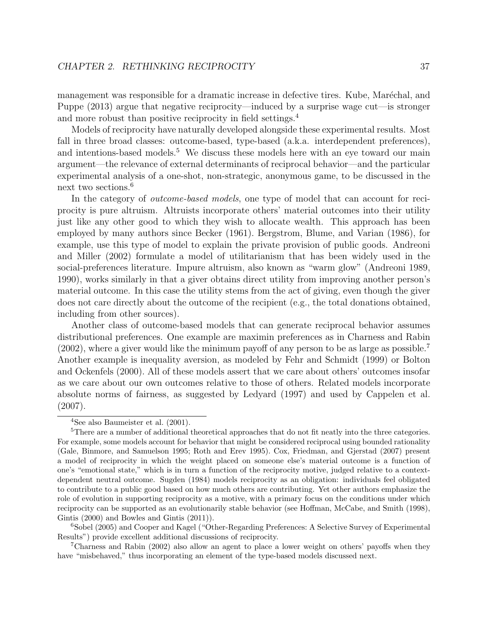management was responsible for a dramatic increase in defective tires. Kube, Maréchal, and Puppe (2013) argue that negative reciprocity—induced by a surprise wage cut—is stronger and more robust than positive reciprocity in field settings.<sup>4</sup>

Models of reciprocity have naturally developed alongside these experimental results. Most fall in three broad classes: outcome-based, type-based (a.k.a. interdependent preferences), and intentions-based models.<sup>5</sup> We discuss these models here with an eye toward our main argument—the relevance of external determinants of reciprocal behavior—and the particular experimental analysis of a one-shot, non-strategic, anonymous game, to be discussed in the next two sections.<sup>6</sup>

In the category of *outcome-based models*, one type of model that can account for reciprocity is pure altruism. Altruists incorporate others' material outcomes into their utility just like any other good to which they wish to allocate wealth. This approach has been employed by many authors since Becker (1961). Bergstrom, Blume, and Varian (1986), for example, use this type of model to explain the private provision of public goods. Andreoni and Miller (2002) formulate a model of utilitarianism that has been widely used in the social-preferences literature. Impure altruism, also known as "warm glow" (Andreoni 1989, 1990), works similarly in that a giver obtains direct utility from improving another person's material outcome. In this case the utility stems from the act of giving, even though the giver does not care directly about the outcome of the recipient (e.g., the total donations obtained, including from other sources).

Another class of outcome-based models that can generate reciprocal behavior assumes distributional preferences. One example are maximin preferences as in Charness and Rabin (2002), where a giver would like the minimum payoff of any person to be as large as possible.<sup>7</sup> Another example is inequality aversion, as modeled by Fehr and Schmidt (1999) or Bolton and Ockenfels (2000). All of these models assert that we care about others' outcomes insofar as we care about our own outcomes relative to those of others. Related models incorporate absolute norms of fairness, as suggested by Ledyard (1997) and used by Cappelen et al. (2007).

<sup>7</sup>Charness and Rabin (2002) also allow an agent to place a lower weight on others' payoffs when they have "misbehaved," thus incorporating an element of the type-based models discussed next.

<sup>4</sup>See also Baumeister et al. (2001).

<sup>&</sup>lt;sup>5</sup>There are a number of additional theoretical approaches that do not fit neatly into the three categories. For example, some models account for behavior that might be considered reciprocal using bounded rationality (Gale, Binmore, and Samuelson 1995; Roth and Erev 1995). Cox, Friedman, and Gjerstad (2007) present a model of reciprocity in which the weight placed on someone else's material outcome is a function of one's "emotional state," which is in turn a function of the reciprocity motive, judged relative to a contextdependent neutral outcome. Sugden (1984) models reciprocity as an obligation: individuals feel obligated to contribute to a public good based on how much others are contributing. Yet other authors emphasize the role of evolution in supporting reciprocity as a motive, with a primary focus on the conditions under which reciprocity can be supported as an evolutionarily stable behavior (see Hoffman, McCabe, and Smith (1998), Gintis (2000) and Bowles and Gintis (2011)).

<sup>&</sup>lt;sup>6</sup>Sobel (2005) and Cooper and Kagel ("Other-Regarding Preferences: A Selective Survey of Experimental Results") provide excellent additional discussions of reciprocity.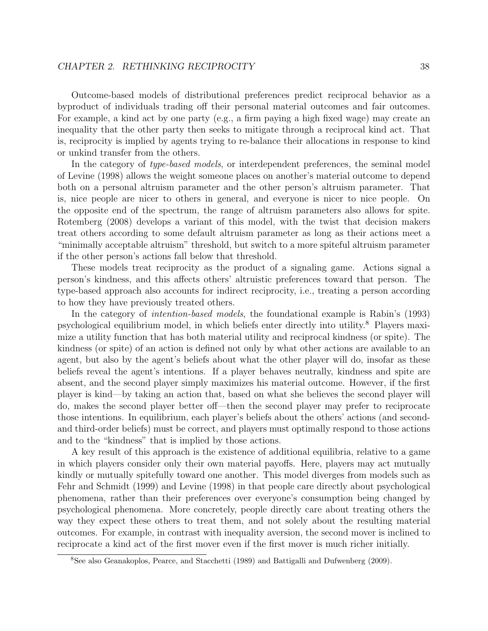Outcome-based models of distributional preferences predict reciprocal behavior as a byproduct of individuals trading off their personal material outcomes and fair outcomes. For example, a kind act by one party (e.g., a firm paying a high fixed wage) may create an inequality that the other party then seeks to mitigate through a reciprocal kind act. That is, reciprocity is implied by agents trying to re-balance their allocations in response to kind or unkind transfer from the others.

In the category of *type-based models*, or interdependent preferences, the seminal model of Levine (1998) allows the weight someone places on another's material outcome to depend both on a personal altruism parameter and the other person's altruism parameter. That is, nice people are nicer to others in general, and everyone is nicer to nice people. On the opposite end of the spectrum, the range of altruism parameters also allows for spite. Rotemberg (2008) develops a variant of this model, with the twist that decision makers treat others according to some default altruism parameter as long as their actions meet a "minimally acceptable altruism" threshold, but switch to a more spiteful altruism parameter if the other person's actions fall below that threshold.

These models treat reciprocity as the product of a signaling game. Actions signal a person's kindness, and this affects others' altruistic preferences toward that person. The type-based approach also accounts for indirect reciprocity, i.e., treating a person according to how they have previously treated others.

In the category of *intention-based models*, the foundational example is Rabin's (1993) psychological equilibrium model, in which beliefs enter directly into utility.<sup>8</sup> Players maximize a utility function that has both material utility and reciprocal kindness (or spite). The kindness (or spite) of an action is defined not only by what other actions are available to an agent, but also by the agent's beliefs about what the other player will do, insofar as these beliefs reveal the agent's intentions. If a player behaves neutrally, kindness and spite are absent, and the second player simply maximizes his material outcome. However, if the first player is kind—by taking an action that, based on what she believes the second player will do, makes the second player better off—then the second player may prefer to reciprocate those intentions. In equilibrium, each player's beliefs about the others' actions (and secondand third-order beliefs) must be correct, and players must optimally respond to those actions and to the "kindness" that is implied by those actions.

A key result of this approach is the existence of additional equilibria, relative to a game in which players consider only their own material payoffs. Here, players may act mutually kindly or mutually spitefully toward one another. This model diverges from models such as Fehr and Schmidt (1999) and Levine (1998) in that people care directly about psychological phenomena, rather than their preferences over everyone's consumption being changed by psychological phenomena. More concretely, people directly care about treating others the way they expect these others to treat them, and not solely about the resulting material outcomes. For example, in contrast with inequality aversion, the second mover is inclined to reciprocate a kind act of the first mover even if the first mover is much richer initially.

<sup>8</sup>See also Geanakoplos, Pearce, and Stacchetti (1989) and Battigalli and Dufwenberg (2009).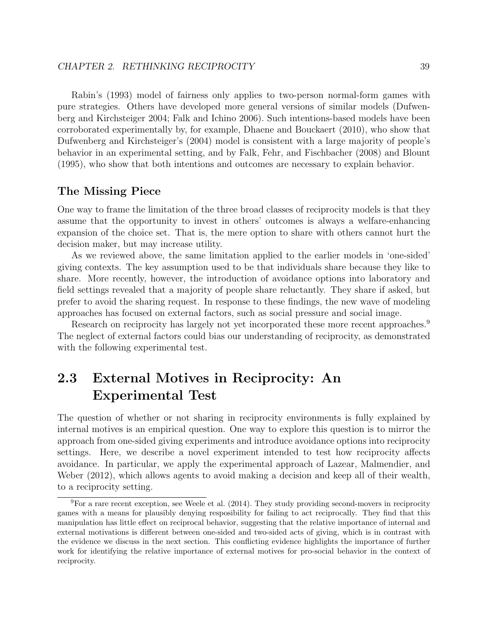Rabin's (1993) model of fairness only applies to two-person normal-form games with pure strategies. Others have developed more general versions of similar models (Dufwenberg and Kirchsteiger 2004; Falk and Ichino 2006). Such intentions-based models have been corroborated experimentally by, for example, Dhaene and Bouckaert (2010), who show that Dufwenberg and Kirchsteiger's (2004) model is consistent with a large majority of people's behavior in an experimental setting, and by Falk, Fehr, and Fischbacher (2008) and Blount (1995), who show that both intentions and outcomes are necessary to explain behavior.

#### The Missing Piece

One way to frame the limitation of the three broad classes of reciprocity models is that they assume that the opportunity to invest in others' outcomes is always a welfare-enhancing expansion of the choice set. That is, the mere option to share with others cannot hurt the decision maker, but may increase utility.

As we reviewed above, the same limitation applied to the earlier models in 'one-sided' giving contexts. The key assumption used to be that individuals share because they like to share. More recently, however, the introduction of avoidance options into laboratory and field settings revealed that a majority of people share reluctantly. They share if asked, but prefer to avoid the sharing request. In response to these findings, the new wave of modeling approaches has focused on external factors, such as social pressure and social image.

Research on reciprocity has largely not yet incorporated these more recent approaches.<sup>9</sup> The neglect of external factors could bias our understanding of reciprocity, as demonstrated with the following experimental test.

## 2.3 External Motives in Reciprocity: An Experimental Test

The question of whether or not sharing in reciprocity environments is fully explained by internal motives is an empirical question. One way to explore this question is to mirror the approach from one-sided giving experiments and introduce avoidance options into reciprocity settings. Here, we describe a novel experiment intended to test how reciprocity affects avoidance. In particular, we apply the experimental approach of Lazear, Malmendier, and Weber (2012), which allows agents to avoid making a decision and keep all of their wealth, to a reciprocity setting.

<sup>9</sup>For a rare recent exception, see Weele et al. (2014). They study providing second-movers in reciprocity games with a means for plausibly denying resposibility for failing to act reciprocally. They find that this manipulation has little effect on reciprocal behavior, suggesting that the relative importance of internal and external motivations is different between one-sided and two-sided acts of giving, which is in contrast with the evidence we discuss in the next section. This conflicting evidence highlights the importance of further work for identifying the relative importance of external motives for pro-social behavior in the context of reciprocity.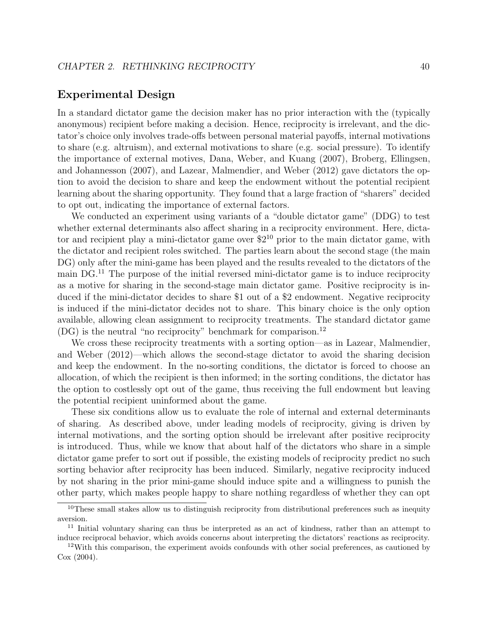#### Experimental Design

In a standard dictator game the decision maker has no prior interaction with the (typically anonymous) recipient before making a decision. Hence, reciprocity is irrelevant, and the dictator's choice only involves trade-offs between personal material payoffs, internal motivations to share (e.g. altruism), and external motivations to share (e.g. social pressure). To identify the importance of external motives, Dana, Weber, and Kuang (2007), Broberg, Ellingsen, and Johannesson (2007), and Lazear, Malmendier, and Weber (2012) gave dictators the option to avoid the decision to share and keep the endowment without the potential recipient learning about the sharing opportunity. They found that a large fraction of "sharers" decided to opt out, indicating the importance of external factors.

We conducted an experiment using variants of a "double dictator game" (DDG) to test whether external determinants also affect sharing in a reciprocity environment. Here, dictator and recipient play a mini-dictator game over  $2^{10}$  prior to the main dictator game, with the dictator and recipient roles switched. The parties learn about the second stage (the main DG) only after the mini-game has been played and the results revealed to the dictators of the main DG.<sup>11</sup> The purpose of the initial reversed mini-dictator game is to induce reciprocity as a motive for sharing in the second-stage main dictator game. Positive reciprocity is induced if the mini-dictator decides to share \$1 out of a \$2 endowment. Negative reciprocity is induced if the mini-dictator decides not to share. This binary choice is the only option available, allowing clean assignment to reciprocity treatments. The standard dictator game (DG) is the neutral "no reciprocity" benchmark for comparison.<sup>12</sup>

We cross these reciprocity treatments with a sorting option—as in Lazear, Malmendier, and Weber (2012)—which allows the second-stage dictator to avoid the sharing decision and keep the endowment. In the no-sorting conditions, the dictator is forced to choose an allocation, of which the recipient is then informed; in the sorting conditions, the dictator has the option to costlessly opt out of the game, thus receiving the full endowment but leaving the potential recipient uninformed about the game.

These six conditions allow us to evaluate the role of internal and external determinants of sharing. As described above, under leading models of reciprocity, giving is driven by internal motivations, and the sorting option should be irrelevant after positive reciprocity is introduced. Thus, while we know that about half of the dictators who share in a simple dictator game prefer to sort out if possible, the existing models of reciprocity predict no such sorting behavior after reciprocity has been induced. Similarly, negative reciprocity induced by not sharing in the prior mini-game should induce spite and a willingness to punish the other party, which makes people happy to share nothing regardless of whether they can opt

<sup>&</sup>lt;sup>10</sup>These small stakes allow us to distinguish reciprocity from distributional preferences such as inequity aversion.

<sup>11</sup> Initial voluntary sharing can thus be interpreted as an act of kindness, rather than an attempt to induce reciprocal behavior, which avoids concerns about interpreting the dictators' reactions as reciprocity.

<sup>&</sup>lt;sup>12</sup>With this comparison, the experiment avoids confounds with other social preferences, as cautioned by Cox (2004).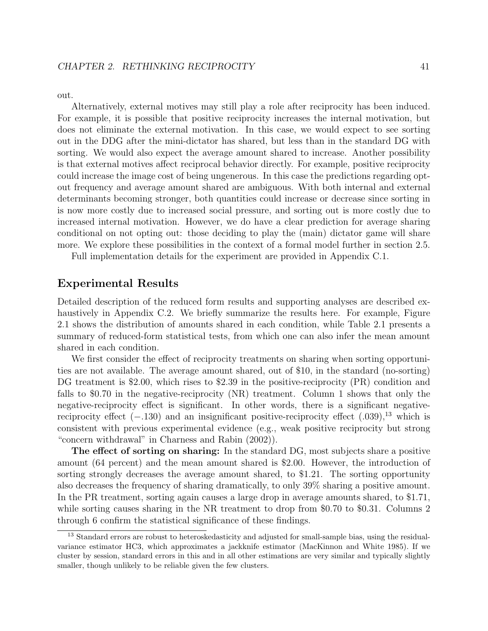out.

Alternatively, external motives may still play a role after reciprocity has been induced. For example, it is possible that positive reciprocity increases the internal motivation, but does not eliminate the external motivation. In this case, we would expect to see sorting out in the DDG after the mini-dictator has shared, but less than in the standard DG with sorting. We would also expect the average amount shared to increase. Another possibility is that external motives affect reciprocal behavior directly. For example, positive reciprocity could increase the image cost of being ungenerous. In this case the predictions regarding optout frequency and average amount shared are ambiguous. With both internal and external determinants becoming stronger, both quantities could increase or decrease since sorting in is now more costly due to increased social pressure, and sorting out is more costly due to increased internal motivation. However, we do have a clear prediction for average sharing conditional on not opting out: those deciding to play the (main) dictator game will share more. We explore these possibilities in the context of a formal model further in section 2.5.

Full implementation details for the experiment are provided in Appendix C.1.

#### Experimental Results

Detailed description of the reduced form results and supporting analyses are described exhaustively in Appendix C.2. We briefly summarize the results here. For example, Figure 2.1 shows the distribution of amounts shared in each condition, while Table 2.1 presents a summary of reduced-form statistical tests, from which one can also infer the mean amount shared in each condition.

We first consider the effect of reciprocity treatments on sharing when sorting opportunities are not available. The average amount shared, out of \$10, in the standard (no-sorting) DG treatment is \$2.00, which rises to \$2.39 in the positive-reciprocity (PR) condition and falls to \$0.70 in the negative-reciprocity (NR) treatment. Column 1 shows that only the negative-reciprocity effect is significant. In other words, there is a significant negativereciprocity effect  $(-.130)$  and an insignificant positive-reciprocity effect  $(.039),^{13}$  which is consistent with previous experimental evidence (e.g., weak positive reciprocity but strong "concern withdrawal" in Charness and Rabin (2002)).

The effect of sorting on sharing: In the standard DG, most subjects share a positive amount (64 percent) and the mean amount shared is \$2.00. However, the introduction of sorting strongly decreases the average amount shared, to \$1.21. The sorting opportunity also decreases the frequency of sharing dramatically, to only 39% sharing a positive amount. In the PR treatment, sorting again causes a large drop in average amounts shared, to \$1.71, while sorting causes sharing in the NR treatment to drop from \$0.70 to \$0.31. Columns 2 through 6 confirm the statistical significance of these findings.

<sup>&</sup>lt;sup>13</sup> Standard errors are robust to heteroskedasticity and adjusted for small-sample bias, using the residualvariance estimator HC3, which approximates a jackknife estimator (MacKinnon and White 1985). If we cluster by session, standard errors in this and in all other estimations are very similar and typically slightly smaller, though unlikely to be reliable given the few clusters.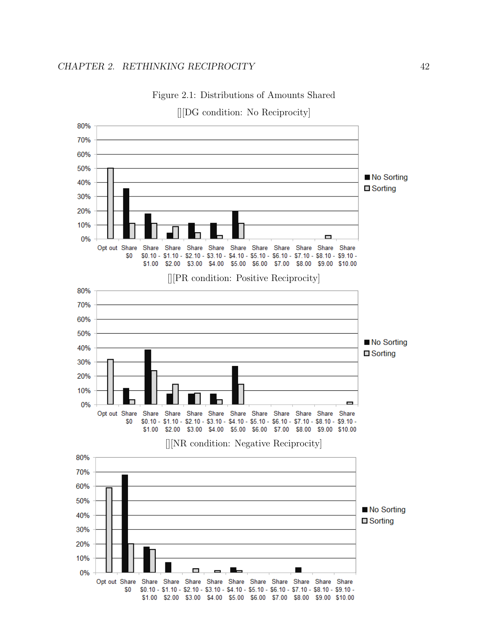

Figure 2.1: Distributions of Amounts Shared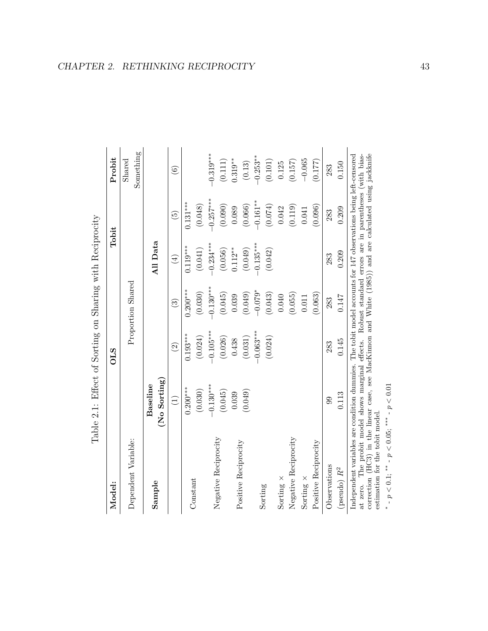| Model:                  |                                | <b>OLS</b>    |                        | $\rm Tobit$                |                 | Probit              |
|-------------------------|--------------------------------|---------------|------------------------|----------------------------|-----------------|---------------------|
| Dependent Variable:     |                                |               | Proportion Shared      |                            |                 | Something<br>Shared |
| Sample                  | $($ No Sorting $)$<br>Baseline |               |                        | All Data                   |                 |                     |
|                         | $\bigoplus$                    | $\widehat{c}$ | $\widehat{\mathbf{G}}$ | $\left(\frac{4}{2}\right)$ | $\widetilde{5}$ | $\widehat{6}$       |
| Constant                | $0.200***$                     | $0.193***$    | $0.200$ ***            | $0.119***$                 | $0.131***$      |                     |
|                         | (0.030)                        | (0.024)       | (0.030)                | (0.041)                    | (0.048)         |                     |
| Negative Reciprocity    | $-0.130***$                    | $-0.105***$   | $-0.130***$            | $-0.234***$                | $-0.257***$     | $-0.319$ ***        |
|                         | (0.045)                        | (0.026)       | (0.045)                | (0.056)                    | (0.090)         | (0.111)             |
| Positive Reciprocity    | 0.039                          | 0.438         | 0.039                  | $0.112**$                  | 0.089           | $0.319**$           |
|                         | (0.049)                        | (0.031)       | (0.049)                | (0.049)                    | (0.066)         | (0.13)              |
|                         |                                | $-0.063***$   | $-0.079*$              | $-0.135***$                | $-0.161***$     | $-0.253***$         |
| Sorting                 |                                | (0.024)       | (0.043)                | (0.042)                    | (0.074)         | (0.101)             |
| Sorting $\times$        |                                |               | 0.040                  |                            | 0.042           | 0.125               |
| Negative Reciprocity    |                                |               | (0.055)                |                            | (0.119)         | (0.157)             |
| Sorting $\times$        |                                |               | 0.011                  |                            | 0.041           | $-0.065$            |
| Positive Reciprocity    |                                |               | (0.063)                |                            | (0.096)         | (0.177)             |
| Observations            | 99                             | 283           | 283                    | 283                        | 283             | 283                 |
| (pseudo) $\mathbb{R}^2$ | 0.113                          | 0.145         | 0.147                  | 0.209                      | 0.209           | 0.150               |

Table 2.1: Effect of Sorting on Sharing with Reciprocity Table 2.1: Effect of Sorting on Sharing with Reciprocity correction (HC3) in the linear case, see MacKimon and White (1985)) and are calculated using jackknife estimation for the tobit model. correction (HC3) in the linear case, see MacKinnon and White (1985)) and are calculated using jackknife estimation for the tobit model.

∗  $-p < 0.1$ ; \*\*  $-p < 0.05$ ; \*\*\*  $-p < 0.01$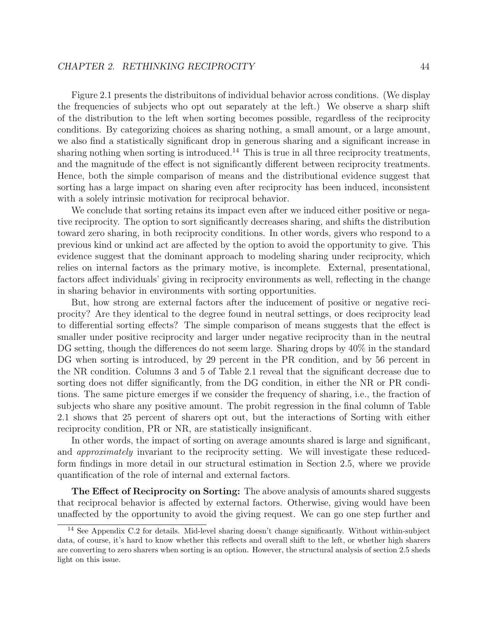#### CHAPTER 2. RETHINKING RECIPROCITY 44

Figure 2.1 presents the distribuitons of individual behavior across conditions. (We display the frequencies of subjects who opt out separately at the left.) We observe a sharp shift of the distribution to the left when sorting becomes possible, regardless of the reciprocity conditions. By categorizing choices as sharing nothing, a small amount, or a large amount, we also find a statistically significant drop in generous sharing and a significant increase in sharing nothing when sorting is introduced.<sup>14</sup> This is true in all three reciprocity treatments, and the magnitude of the effect is not significantly different between reciprocity treatments. Hence, both the simple comparison of means and the distributional evidence suggest that sorting has a large impact on sharing even after reciprocity has been induced, inconsistent with a solely intrinsic motivation for reciprocal behavior.

We conclude that sorting retains its impact even after we induced either positive or negative reciprocity. The option to sort significantly decreases sharing, and shifts the distribution toward zero sharing, in both reciprocity conditions. In other words, givers who respond to a previous kind or unkind act are affected by the option to avoid the opportunity to give. This evidence suggest that the dominant approach to modeling sharing under reciprocity, which relies on internal factors as the primary motive, is incomplete. External, presentational, factors affect individuals' giving in reciprocity environments as well, reflecting in the change in sharing behavior in environments with sorting opportunities.

But, how strong are external factors after the inducement of positive or negative reciprocity? Are they identical to the degree found in neutral settings, or does reciprocity lead to differential sorting effects? The simple comparison of means suggests that the effect is smaller under positive reciprocity and larger under negative reciprocity than in the neutral DG setting, though the differences do not seem large. Sharing drops by 40% in the standard DG when sorting is introduced, by 29 percent in the PR condition, and by 56 percent in the NR condition. Columns 3 and 5 of Table 2.1 reveal that the significant decrease due to sorting does not differ significantly, from the DG condition, in either the NR or PR conditions. The same picture emerges if we consider the frequency of sharing, i.e., the fraction of subjects who share any positive amount. The probit regression in the final column of Table 2.1 shows that 25 percent of sharers opt out, but the interactions of Sorting with either reciprocity condition, PR or NR, are statistically insignificant.

In other words, the impact of sorting on average amounts shared is large and significant, and approximately invariant to the reciprocity setting. We will investigate these reducedform findings in more detail in our structural estimation in Section 2.5, where we provide quantification of the role of internal and external factors.

The Effect of Reciprocity on Sorting: The above analysis of amounts shared suggests that reciprocal behavior is affected by external factors. Otherwise, giving would have been unaffected by the opportunity to avoid the giving request. We can go one step further and

<sup>14</sup> See Appendix C.2 for details. Mid-level sharing doesn't change significantly. Without within-subject data, of course, it's hard to know whether this reflects and overall shift to the left, or whether high sharers are converting to zero sharers when sorting is an option. However, the structural analysis of section 2.5 sheds light on this issue.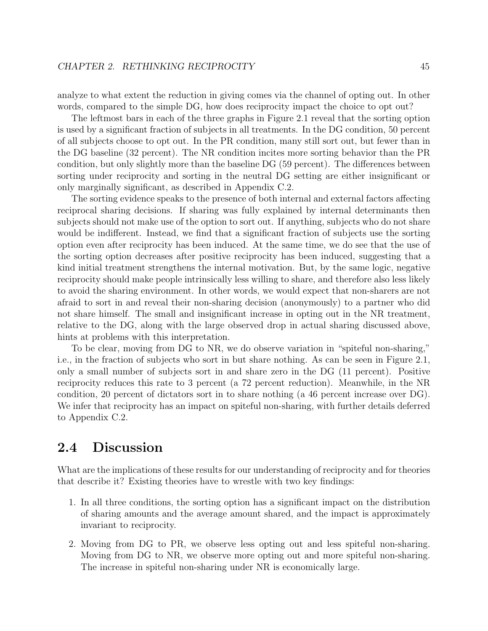analyze to what extent the reduction in giving comes via the channel of opting out. In other words, compared to the simple DG, how does reciprocity impact the choice to opt out?

The leftmost bars in each of the three graphs in Figure 2.1 reveal that the sorting option is used by a significant fraction of subjects in all treatments. In the DG condition, 50 percent of all subjects choose to opt out. In the PR condition, many still sort out, but fewer than in the DG baseline (32 percent). The NR condition incites more sorting behavior than the PR condition, but only slightly more than the baseline DG (59 percent). The differences between sorting under reciprocity and sorting in the neutral DG setting are either insignificant or only marginally significant, as described in Appendix C.2.

The sorting evidence speaks to the presence of both internal and external factors affecting reciprocal sharing decisions. If sharing was fully explained by internal determinants then subjects should not make use of the option to sort out. If anything, subjects who do not share would be indifferent. Instead, we find that a significant fraction of subjects use the sorting option even after reciprocity has been induced. At the same time, we do see that the use of the sorting option decreases after positive reciprocity has been induced, suggesting that a kind initial treatment strengthens the internal motivation. But, by the same logic, negative reciprocity should make people intrinsically less willing to share, and therefore also less likely to avoid the sharing environment. In other words, we would expect that non-sharers are not afraid to sort in and reveal their non-sharing decision (anonymously) to a partner who did not share himself. The small and insignificant increase in opting out in the NR treatment, relative to the DG, along with the large observed drop in actual sharing discussed above, hints at problems with this interpretation.

To be clear, moving from DG to NR, we do observe variation in "spiteful non-sharing," i.e., in the fraction of subjects who sort in but share nothing. As can be seen in Figure 2.1, only a small number of subjects sort in and share zero in the DG (11 percent). Positive reciprocity reduces this rate to 3 percent (a 72 percent reduction). Meanwhile, in the NR condition, 20 percent of dictators sort in to share nothing (a 46 percent increase over DG). We infer that reciprocity has an impact on spiteful non-sharing, with further details deferred to Appendix C.2.

## 2.4 Discussion

What are the implications of these results for our understanding of reciprocity and for theories that describe it? Existing theories have to wrestle with two key findings:

- 1. In all three conditions, the sorting option has a significant impact on the distribution of sharing amounts and the average amount shared, and the impact is approximately invariant to reciprocity.
- 2. Moving from DG to PR, we observe less opting out and less spiteful non-sharing. Moving from DG to NR, we observe more opting out and more spiteful non-sharing. The increase in spiteful non-sharing under NR is economically large.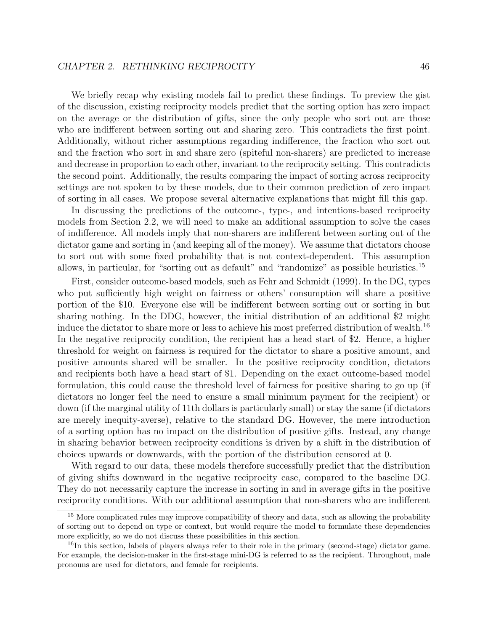#### CHAPTER 2. RETHINKING RECIPROCITY 46

We briefly recap why existing models fail to predict these findings. To preview the gist of the discussion, existing reciprocity models predict that the sorting option has zero impact on the average or the distribution of gifts, since the only people who sort out are those who are indifferent between sorting out and sharing zero. This contradicts the first point. Additionally, without richer assumptions regarding indifference, the fraction who sort out and the fraction who sort in and share zero (spiteful non-sharers) are predicted to increase and decrease in proportion to each other, invariant to the reciprocity setting. This contradicts the second point. Additionally, the results comparing the impact of sorting across reciprocity settings are not spoken to by these models, due to their common prediction of zero impact of sorting in all cases. We propose several alternative explanations that might fill this gap.

In discussing the predictions of the outcome-, type-, and intentions-based reciprocity models from Section 2.2, we will need to make an additional assumption to solve the cases of indifference. All models imply that non-sharers are indifferent between sorting out of the dictator game and sorting in (and keeping all of the money). We assume that dictators choose to sort out with some fixed probability that is not context-dependent. This assumption allows, in particular, for "sorting out as default" and "randomize" as possible heuristics.<sup>15</sup>

First, consider outcome-based models, such as Fehr and Schmidt (1999). In the DG, types who put sufficiently high weight on fairness or others' consumption will share a positive portion of the \$10. Everyone else will be indifferent between sorting out or sorting in but sharing nothing. In the DDG, however, the initial distribution of an additional \$2 might induce the dictator to share more or less to achieve his most preferred distribution of wealth.<sup>16</sup> In the negative reciprocity condition, the recipient has a head start of \$2. Hence, a higher threshold for weight on fairness is required for the dictator to share a positive amount, and positive amounts shared will be smaller. In the positive reciprocity condition, dictators and recipients both have a head start of \$1. Depending on the exact outcome-based model formulation, this could cause the threshold level of fairness for positive sharing to go up (if dictators no longer feel the need to ensure a small minimum payment for the recipient) or down (if the marginal utility of 11th dollars is particularly small) or stay the same (if dictators are merely inequity-averse), relative to the standard DG. However, the mere introduction of a sorting option has no impact on the distribution of positive gifts. Instead, any change in sharing behavior between reciprocity conditions is driven by a shift in the distribution of choices upwards or downwards, with the portion of the distribution censored at 0.

With regard to our data, these models therefore successfully predict that the distribution of giving shifts downward in the negative reciprocity case, compared to the baseline DG. They do not necessarily capture the increase in sorting in and in average gifts in the positive reciprocity conditions. With our additional assumption that non-sharers who are indifferent

<sup>&</sup>lt;sup>15</sup> More complicated rules may improve compatibility of theory and data, such as allowing the probability of sorting out to depend on type or context, but would require the model to formulate these dependencies more explicitly, so we do not discuss these possibilities in this section.

<sup>&</sup>lt;sup>16</sup>In this section, labels of players always refer to their role in the primary (second-stage) dictator game. For example, the decision-maker in the first-stage mini-DG is referred to as the recipient. Throughout, male pronouns are used for dictators, and female for recipients.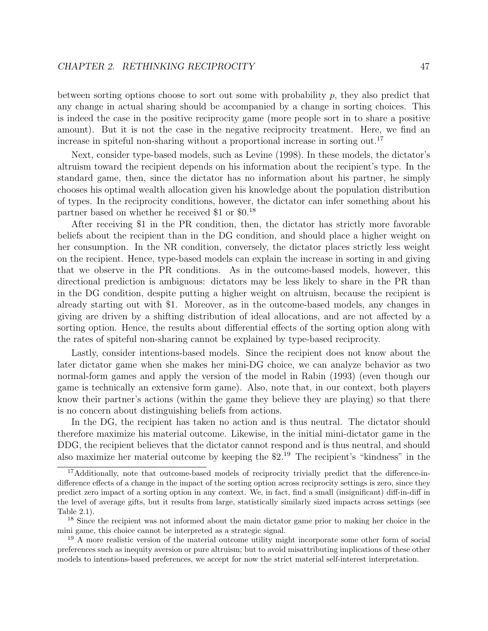between sorting options choose to sort out some with probability  $p$ , they also predict that any change in actual sharing should be accompanied by a change in sorting choices. This is indeed the case in the positive reciprocity game (more people sort in to share a positive amount). But it is not the case in the negative reciprocity treatment. Here, we find an increase in spiteful non-sharing without a proportional increase in sorting out.<sup>17</sup>

Next, consider type-based models, such as Levine (1998). In these models, the dictator's altruism toward the recipient depends on his information about the recipient's type. In the standard game, then, since the dictator has no information about his partner, he simply chooses his optimal wealth allocation given his knowledge about the population distribution of types. In the reciprocity conditions, however, the dictator can infer something about his partner based on whether he received \$1 or \$0.<sup>18</sup>

After receiving \$1 in the PR condition, then, the dictator has strictly more favorable beliefs about the recipient than in the DG condition, and should place a higher weight on her consumption. In the NR condition, conversely, the dictator places strictly less weight on the recipient. Hence, type-based models can explain the increase in sorting in and giving that we observe in the PR conditions. As in the outcome-based models, however, this directional prediction is ambiguous: dictators may be less likely to share in the PR than in the DG condition, despite putting a higher weight on altruism, because the recipient is already starting out with \$1. Moreover, as in the outcome-based models, any changes in giving are driven by a shifting distribution of ideal allocations, and are not affected by a sorting option. Hence, the results about differential effects of the sorting option along with the rates of spiteful non-sharing cannot be explained by type-based reciprocity.

Lastly, consider intentions-based models. Since the recipient does not know about the later dictator game when she makes her mini-DG choice, we can analyze behavior as two normal-form games and apply the version of the model in Rabin (1993) (even though our game is technically an extensive form game). Also, note that, in our context, both players know their partner's actions (within the game they believe they are playing) so that there is no concern about distinguishing beliefs from actions.

In the DG, the recipient has taken no action and is thus neutral. The dictator should therefore maximize his material outcome. Likewise, in the initial mini-dictator game in the DDG, the recipient believes that the dictator cannot respond and is thus neutral, and should also maximize her material outcome by keeping the \$2.<sup>19</sup> The recipient's "kindness" in the

<sup>17</sup>Additionally, note that outcome-based models of reciprocity trivially predict that the difference-indifference effects of a change in the impact of the sorting option across reciprocity settings is zero, since they predict zero impact of a sorting option in any context. We, in fact, find a small (insignificant) diff-in-diff in the level of average gifts, but it results from large, statistically similarly sized impacts across settings (see Table 2.1).

<sup>&</sup>lt;sup>18</sup> Since the recipient was not informed about the main dictator game prior to making her choice in the mini game, this choice cannot be interpreted as a strategic signal.

<sup>19</sup> A more realistic version of the material outcome utility might incorporate some other form of social preferences such as inequity aversion or pure altruism; but to avoid misattributing implications of these other models to intentions-based preferences, we accept for now the strict material self-interest interpretation.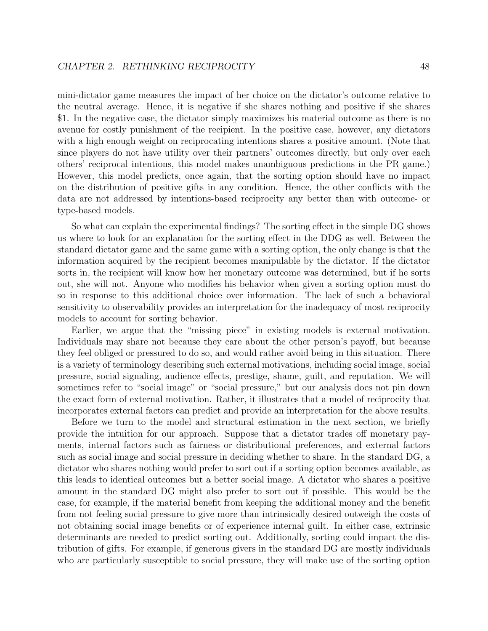mini-dictator game measures the impact of her choice on the dictator's outcome relative to the neutral average. Hence, it is negative if she shares nothing and positive if she shares \$1. In the negative case, the dictator simply maximizes his material outcome as there is no avenue for costly punishment of the recipient. In the positive case, however, any dictators with a high enough weight on reciprocating intentions shares a positive amount. (Note that since players do not have utility over their partners' outcomes directly, but only over each others' reciprocal intentions, this model makes unambiguous predictions in the PR game.) However, this model predicts, once again, that the sorting option should have no impact on the distribution of positive gifts in any condition. Hence, the other conflicts with the data are not addressed by intentions-based reciprocity any better than with outcome- or type-based models.

So what can explain the experimental findings? The sorting effect in the simple DG shows us where to look for an explanation for the sorting effect in the DDG as well. Between the standard dictator game and the same game with a sorting option, the only change is that the information acquired by the recipient becomes manipulable by the dictator. If the dictator sorts in, the recipient will know how her monetary outcome was determined, but if he sorts out, she will not. Anyone who modifies his behavior when given a sorting option must do so in response to this additional choice over information. The lack of such a behavioral sensitivity to observability provides an interpretation for the inadequacy of most reciprocity models to account for sorting behavior.

Earlier, we argue that the "missing piece" in existing models is external motivation. Individuals may share not because they care about the other person's payoff, but because they feel obliged or pressured to do so, and would rather avoid being in this situation. There is a variety of terminology describing such external motivations, including social image, social pressure, social signaling, audience effects, prestige, shame, guilt, and reputation. We will sometimes refer to "social image" or "social pressure," but our analysis does not pin down the exact form of external motivation. Rather, it illustrates that a model of reciprocity that incorporates external factors can predict and provide an interpretation for the above results.

Before we turn to the model and structural estimation in the next section, we briefly provide the intuition for our approach. Suppose that a dictator trades off monetary payments, internal factors such as fairness or distributional preferences, and external factors such as social image and social pressure in deciding whether to share. In the standard DG, a dictator who shares nothing would prefer to sort out if a sorting option becomes available, as this leads to identical outcomes but a better social image. A dictator who shares a positive amount in the standard DG might also prefer to sort out if possible. This would be the case, for example, if the material benefit from keeping the additional money and the benefit from not feeling social pressure to give more than intrinsically desired outweigh the costs of not obtaining social image benefits or of experience internal guilt. In either case, extrinsic determinants are needed to predict sorting out. Additionally, sorting could impact the distribution of gifts. For example, if generous givers in the standard DG are mostly individuals who are particularly susceptible to social pressure, they will make use of the sorting option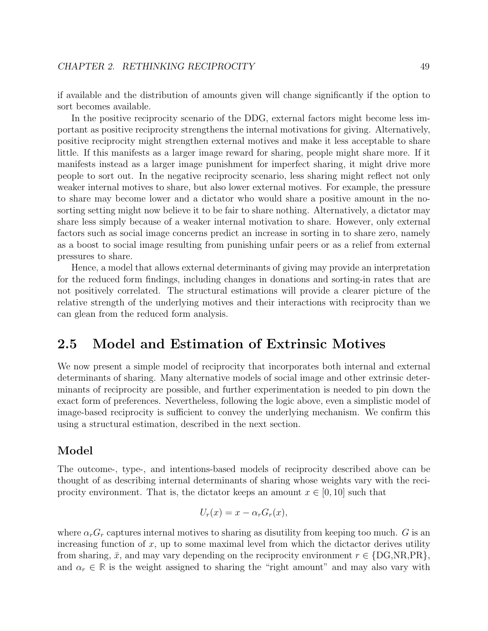if available and the distribution of amounts given will change significantly if the option to sort becomes available.

In the positive reciprocity scenario of the DDG, external factors might become less important as positive reciprocity strengthens the internal motivations for giving. Alternatively, positive reciprocity might strengthen external motives and make it less acceptable to share little. If this manifests as a larger image reward for sharing, people might share more. If it manifests instead as a larger image punishment for imperfect sharing, it might drive more people to sort out. In the negative reciprocity scenario, less sharing might reflect not only weaker internal motives to share, but also lower external motives. For example, the pressure to share may become lower and a dictator who would share a positive amount in the nosorting setting might now believe it to be fair to share nothing. Alternatively, a dictator may share less simply because of a weaker internal motivation to share. However, only external factors such as social image concerns predict an increase in sorting in to share zero, namely as a boost to social image resulting from punishing unfair peers or as a relief from external pressures to share.

Hence, a model that allows external determinants of giving may provide an interpretation for the reduced form findings, including changes in donations and sorting-in rates that are not positively correlated. The structural estimations will provide a clearer picture of the relative strength of the underlying motives and their interactions with reciprocity than we can glean from the reduced form analysis.

### 2.5 Model and Estimation of Extrinsic Motives

We now present a simple model of reciprocity that incorporates both internal and external determinants of sharing. Many alternative models of social image and other extrinsic determinants of reciprocity are possible, and further experimentation is needed to pin down the exact form of preferences. Nevertheless, following the logic above, even a simplistic model of image-based reciprocity is sufficient to convey the underlying mechanism. We confirm this using a structural estimation, described in the next section.

### Model

The outcome-, type-, and intentions-based models of reciprocity described above can be thought of as describing internal determinants of sharing whose weights vary with the reciprocity environment. That is, the dictator keeps an amount  $x \in [0, 10]$  such that

$$
U_r(x) = x - \alpha_r G_r(x),
$$

where  $\alpha_r G_r$  captures internal motives to sharing as disutility from keeping too much. G is an increasing function of  $x$ , up to some maximal level from which the dictactor derives utility from sharing,  $\bar{x}$ , and may vary depending on the reciprocity environment  $r \in \{DG, NR, PR\}$ , and  $\alpha_r \in \mathbb{R}$  is the weight assigned to sharing the "right amount" and may also vary with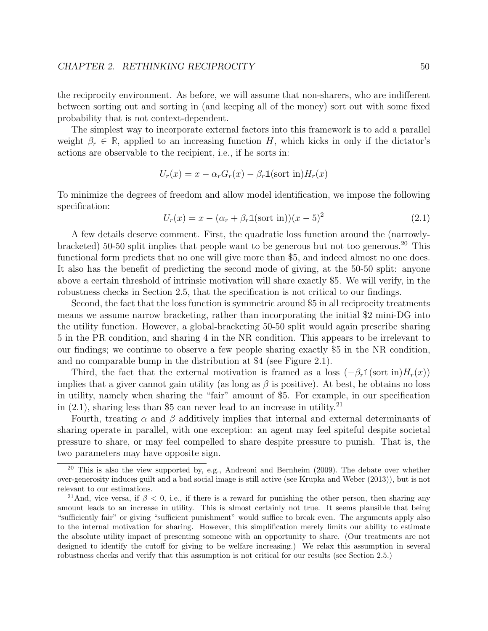the reciprocity environment. As before, we will assume that non-sharers, who are indifferent between sorting out and sorting in (and keeping all of the money) sort out with some fixed probability that is not context-dependent.

The simplest way to incorporate external factors into this framework is to add a parallel weight  $\beta_r \in \mathbb{R}$ , applied to an increasing function H, which kicks in only if the dictator's actions are observable to the recipient, i.e., if he sorts in:

$$
U_r(x) = x - \alpha_r G_r(x) - \beta_r \mathbb{1}(\text{sort in}) H_r(x)
$$

To minimize the degrees of freedom and allow model identification, we impose the following specification:

$$
U_r(x) = x - (\alpha_r + \beta_r \mathbb{1}(\text{sort in}))(x - 5)^2
$$
\n(2.1)

A few details deserve comment. First, the quadratic loss function around the (narrowlybracketed) 50-50 split implies that people want to be generous but not too generous.<sup>20</sup> This functional form predicts that no one will give more than \$5, and indeed almost no one does. It also has the benefit of predicting the second mode of giving, at the 50-50 split: anyone above a certain threshold of intrinsic motivation will share exactly \$5. We will verify, in the robustness checks in Section 2.5, that the specification is not critical to our findings.

Second, the fact that the loss function is symmetric around \$5 in all reciprocity treatments means we assume narrow bracketing, rather than incorporating the initial \$2 mini-DG into the utility function. However, a global-bracketing 50-50 split would again prescribe sharing 5 in the PR condition, and sharing 4 in the NR condition. This appears to be irrelevant to our findings; we continue to observe a few people sharing exactly \$5 in the NR condition, and no comparable bump in the distribution at \$4 (see Figure 2.1).

Third, the fact that the external motivation is framed as a loss  $(-\beta_r \mathbb{1}(\text{sort in})H_r(x))$ implies that a giver cannot gain utility (as long as  $\beta$  is positive). At best, he obtains no loss in utility, namely when sharing the "fair" amount of \$5. For example, in our specification in  $(2.1)$ , sharing less than \$5 can never lead to an increase in utility.<sup>21</sup>

Fourth, treating  $\alpha$  and  $\beta$  additively implies that internal and external determinants of sharing operate in parallel, with one exception: an agent may feel spiteful despite societal pressure to share, or may feel compelled to share despite pressure to punish. That is, the two parameters may have opposite sign.

 $20$  This is also the view supported by, e.g., Andreoni and Bernheim (2009). The debate over whether over-generosity induces guilt and a bad social image is still active (see Krupka and Weber (2013)), but is not relevant to our estimations.

<sup>&</sup>lt;sup>21</sup>And, vice versa, if  $\beta$  < 0, i.e., if there is a reward for punishing the other person, then sharing any amount leads to an increase in utility. This is almost certainly not true. It seems plausible that being "sufficiently fair" or giving "sufficient punishment" would suffice to break even. The arguments apply also to the internal motivation for sharing. However, this simplification merely limits our ability to estimate the absolute utility impact of presenting someone with an opportunity to share. (Our treatments are not designed to identify the cutoff for giving to be welfare increasing.) We relax this assumption in several robustness checks and verify that this assumption is not critical for our results (see Section 2.5.)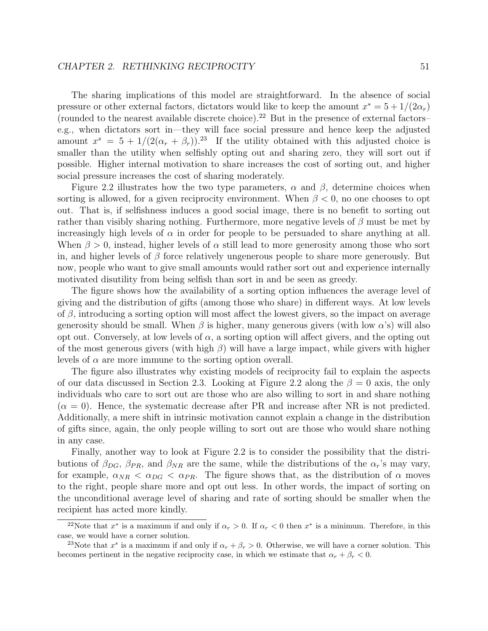#### CHAPTER 2. RETHINKING RECIPROCITY 51

The sharing implications of this model are straightforward. In the absence of social pressure or other external factors, dictators would like to keep the amount  $x^* = 5 + 1/(2\alpha_r)$ (rounded to the nearest available discrete choice).<sup>22</sup> But in the presence of external factors– e.g., when dictators sort in—they will face social pressure and hence keep the adjusted amount  $x^s = 5 + 1/(2(\alpha_r + \beta_r))$ .<sup>23</sup> If the utility obtained with this adjusted choice is smaller than the utility when selfishly opting out and sharing zero, they will sort out if possible. Higher internal motivation to share increases the cost of sorting out, and higher social pressure increases the cost of sharing moderately.

Figure 2.2 illustrates how the two type parameters,  $\alpha$  and  $\beta$ , determine choices when sorting is allowed, for a given reciprocity environment. When  $\beta < 0$ , no one chooses to opt out. That is, if selfishness induces a good social image, there is no benefit to sorting out rather than visibly sharing nothing. Furthermore, more negative levels of  $\beta$  must be met by increasingly high levels of  $\alpha$  in order for people to be persuaded to share anything at all. When  $\beta > 0$ , instead, higher levels of  $\alpha$  still lead to more generosity among those who sort in, and higher levels of  $\beta$  force relatively ungenerous people to share more generously. But now, people who want to give small amounts would rather sort out and experience internally motivated disutility from being selfish than sort in and be seen as greedy.

The figure shows how the availability of a sorting option influences the average level of giving and the distribution of gifts (among those who share) in different ways. At low levels of  $\beta$ , introducing a sorting option will most affect the lowest givers, so the impact on average generosity should be small. When  $\beta$  is higher, many generous givers (with low  $\alpha$ 's) will also opt out. Conversely, at low levels of  $\alpha$ , a sorting option will affect givers, and the opting out of the most generous givers (with high  $\beta$ ) will have a large impact, while givers with higher levels of  $\alpha$  are more immune to the sorting option overall.

The figure also illustrates why existing models of reciprocity fail to explain the aspects of our data discussed in Section 2.3. Looking at Figure 2.2 along the  $\beta = 0$  axis, the only individuals who care to sort out are those who are also willing to sort in and share nothing  $(\alpha = 0)$ . Hence, the systematic decrease after PR and increase after NR is not predicted. Additionally, a mere shift in intrinsic motivation cannot explain a change in the distribution of gifts since, again, the only people willing to sort out are those who would share nothing in any case.

Finally, another way to look at Figure 2.2 is to consider the possibility that the distributions of  $\beta_{DG}$ ,  $\beta_{PR}$ , and  $\beta_{NR}$  are the same, while the distributions of the  $\alpha_r$ 's may vary, for example,  $\alpha_{NR} < \alpha_{DG} < \alpha_{PR}$ . The figure shows that, as the distribution of  $\alpha$  moves to the right, people share more and opt out less. In other words, the impact of sorting on the unconditional average level of sharing and rate of sorting should be smaller when the recipient has acted more kindly.

<sup>&</sup>lt;sup>22</sup>Note that  $x^*$  is a maximum if and only if  $\alpha_r > 0$ . If  $\alpha_r < 0$  then  $x^*$  is a minimum. Therefore, in this case, we would have a corner solution.

<sup>&</sup>lt;sup>23</sup>Note that  $x^s$  is a maximum if and only if  $\alpha_r + \beta_r > 0$ . Otherwise, we will have a corner solution. This becomes pertinent in the negative reciprocity case, in which we estimate that  $\alpha_r + \beta_r < 0$ .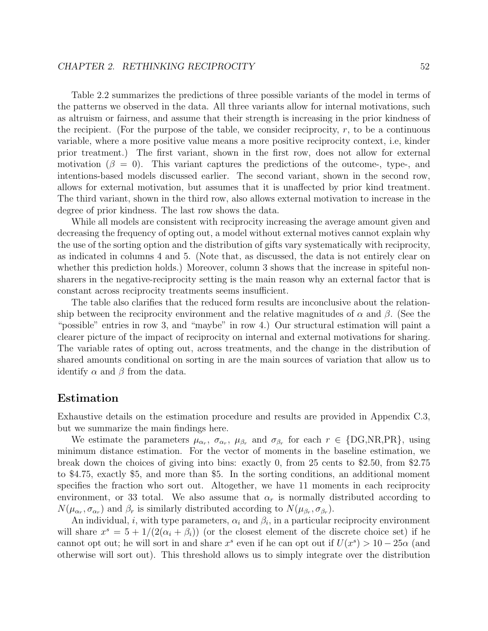Table 2.2 summarizes the predictions of three possible variants of the model in terms of the patterns we observed in the data. All three variants allow for internal motivations, such as altruism or fairness, and assume that their strength is increasing in the prior kindness of the recipient. (For the purpose of the table, we consider reciprocity,  $r$ , to be a continuous variable, where a more positive value means a more positive reciprocity context, i.e, kinder prior treatment.) The first variant, shown in the first row, does not allow for external motivation ( $\beta = 0$ ). This variant captures the predictions of the outcome-, type-, and intentions-based models discussed earlier. The second variant, shown in the second row, allows for external motivation, but assumes that it is unaffected by prior kind treatment. The third variant, shown in the third row, also allows external motivation to increase in the degree of prior kindness. The last row shows the data.

While all models are consistent with reciprocity increasing the average amount given and decreasing the frequency of opting out, a model without external motives cannot explain why the use of the sorting option and the distribution of gifts vary systematically with reciprocity, as indicated in columns 4 and 5. (Note that, as discussed, the data is not entirely clear on whether this prediction holds.) Moreover, column 3 shows that the increase in spiteful nonsharers in the negative-reciprocity setting is the main reason why an external factor that is constant across reciprocity treatments seems insufficient.

The table also clarifies that the reduced form results are inconclusive about the relationship between the reciprocity environment and the relative magnitudes of  $\alpha$  and  $\beta$ . (See the "possible" entries in row 3, and "maybe" in row 4.) Our structural estimation will paint a clearer picture of the impact of reciprocity on internal and external motivations for sharing. The variable rates of opting out, across treatments, and the change in the distribution of shared amounts conditional on sorting in are the main sources of variation that allow us to identify  $\alpha$  and  $\beta$  from the data.

#### Estimation

Exhaustive details on the estimation procedure and results are provided in Appendix C.3, but we summarize the main findings here.

We estimate the parameters  $\mu_{\alpha_r}$ ,  $\sigma_{\alpha_r}$ ,  $\mu_{\beta_r}$  and  $\sigma_{\beta_r}$  for each  $r \in \{\text{DG,NR,PR}\},\$  using minimum distance estimation. For the vector of moments in the baseline estimation, we break down the choices of giving into bins: exactly 0, from 25 cents to \$2.50, from \$2.75 to \$4.75, exactly \$5, and more than \$5. In the sorting conditions, an additional moment specifies the fraction who sort out. Altogether, we have 11 moments in each reciprocity environment, or 33 total. We also assume that  $\alpha_r$  is normally distributed according to  $N(\mu_{\alpha_r}, \sigma_{\alpha_r})$  and  $\beta_r$  is similarly distributed according to  $N(\mu_{\beta_r}, \sigma_{\beta_r})$ .

An individual, i, with type parameters,  $\alpha_i$  and  $\beta_i$ , in a particular reciprocity environment will share  $x^s = 5 + 1/(2(\alpha_i + \beta_i))$  (or the closest element of the discrete choice set) if he cannot opt out; he will sort in and share  $x^s$  even if he can opt out if  $U(x^s) > 10 - 25\alpha$  (and otherwise will sort out). This threshold allows us to simply integrate over the distribution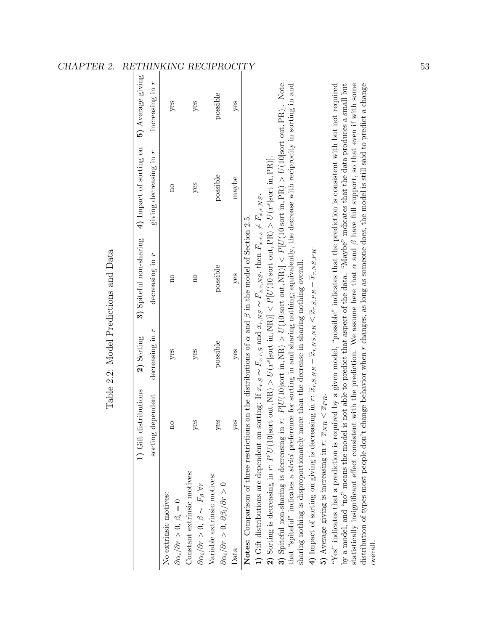|                                                                                                                                                                                                                                                                                                                                                                                                                                                                                                                                                                                                                                                                                                                                                                                                                                                                                                                                                                                                                                                                                                                                                                                                                                                                                                                                                                                                                                                                                                                                                                                                                                                 | 1) Gift distributions              | 2) Sorting      | 3) Spiteful non-sharing | 4) Impact of sorting on | 5) Average giving |
|-------------------------------------------------------------------------------------------------------------------------------------------------------------------------------------------------------------------------------------------------------------------------------------------------------------------------------------------------------------------------------------------------------------------------------------------------------------------------------------------------------------------------------------------------------------------------------------------------------------------------------------------------------------------------------------------------------------------------------------------------------------------------------------------------------------------------------------------------------------------------------------------------------------------------------------------------------------------------------------------------------------------------------------------------------------------------------------------------------------------------------------------------------------------------------------------------------------------------------------------------------------------------------------------------------------------------------------------------------------------------------------------------------------------------------------------------------------------------------------------------------------------------------------------------------------------------------------------------------------------------------------------------|------------------------------------|-----------------|-------------------------|-------------------------|-------------------|
|                                                                                                                                                                                                                                                                                                                                                                                                                                                                                                                                                                                                                                                                                                                                                                                                                                                                                                                                                                                                                                                                                                                                                                                                                                                                                                                                                                                                                                                                                                                                                                                                                                                 | dependent<br>$\rm sorting$ $\cdot$ | decreasing in r | decreasing in r         | giving decreasing in r  | increasing in r   |
| No extrinsic motives:<br>$\partial \alpha_i/\partial r > 0, \ \beta_i = 0$                                                                                                                                                                                                                                                                                                                                                                                                                                                                                                                                                                                                                                                                                                                                                                                                                                                                                                                                                                                                                                                                                                                                                                                                                                                                                                                                                                                                                                                                                                                                                                      | $\overline{\mathrm{n}}$            | yes             | $\overline{\Omega}$     | $\overline{\mathrm{n}}$ | yes               |
| Constant extrinsic motives:<br>$\partial \alpha_i / \partial r > 0, \ \beta \sim F_\beta \ \forall r$                                                                                                                                                                                                                                                                                                                                                                                                                                                                                                                                                                                                                                                                                                                                                                                                                                                                                                                                                                                                                                                                                                                                                                                                                                                                                                                                                                                                                                                                                                                                           | yes                                | yes             | $\beta$                 | yes                     | yes               |
| Variable extrinsic motives:<br>$\partial \alpha_i/\partial r > 0, \ \partial \beta_i/\partial r > 0$                                                                                                                                                                                                                                                                                                                                                                                                                                                                                                                                                                                                                                                                                                                                                                                                                                                                                                                                                                                                                                                                                                                                                                                                                                                                                                                                                                                                                                                                                                                                            | yes                                | possible        | possible                | possible                | possible          |
| Data                                                                                                                                                                                                                                                                                                                                                                                                                                                                                                                                                                                                                                                                                                                                                                                                                                                                                                                                                                                                                                                                                                                                                                                                                                                                                                                                                                                                                                                                                                                                                                                                                                            | $y$ es                             | yes             | yes                     | maybe                   | yes               |
| <b>3)</b> Spiteful non-sharing is decreasing in $r$ : $P[U(10 sort in, NR]) > U(10 sort out, NR)] < P[U(10 sort in, PR]) > U(10 sort out, PR)]$ . Note<br>statistically insignificant effect consistent with the prediction. We assume here that $\alpha$ and $\beta$ have full support, so that even if with some<br>distribution of types most people don't change behavior when r changes, as long as someone does, the model is still said to predict a change<br>by a model, and "no" means the model is not able to predict that aspect of the data. "Maybe" indicates that the data produces a small but<br>that "spiteful" indicates a <i>strict</i> preference for sorting in and sharing nothing; equivalently, the decrease with reciprocity in sorting in and<br>"Yes" indicates that a prediction is required by a given model, "possible" indicates that the prediction is consistent with but not required<br>2) Sorting is decreasing in $r: P[U(10 sort out, NR]) > U(xs sort in, NR)] < P[U(10 sort out, PR) > U(xs sort in, PR)].$<br>1) Gift distributions are dependent on sorting: If $x_{r,S} \sim F_{x,r,S}$ and $x_{r,NS} \sim F_{x,r,NS}$ , then $F_{x,r,s} \neq F_{x,r,NS}$ .<br><b>Notes:</b> Comparison of three restrictions on the distributions of $\alpha$ and $\beta$ in the model of Section 2.5.<br>4) Impact of sorting on giving is decreasing in $r: \bar{x}_r, s, NR - \bar{x}_r, NS, NR < \bar{x}_r, s, PR - \bar{x}_r, NS, PR$ .<br>sharing nothing is disproportionately more than the decrease in sharing nothing overall.<br>5) Average giving is increasing in $r: \bar{x}_{NR} < \bar{x}_{PR}$ . |                                    |                 |                         |                         |                   |
| over all.                                                                                                                                                                                                                                                                                                                                                                                                                                                                                                                                                                                                                                                                                                                                                                                                                                                                                                                                                                                                                                                                                                                                                                                                                                                                                                                                                                                                                                                                                                                                                                                                                                       |                                    |                 |                         |                         |                   |

| ļ<br>ĺ                              |
|-------------------------------------|
| くらく<br>۱                            |
| てくじょう<br>ı<br>י<br>י<br>ı<br>i<br>I |
| l<br>ו<br>ו                         |
| ہ<br>بہ                             |
| j<br>l                              |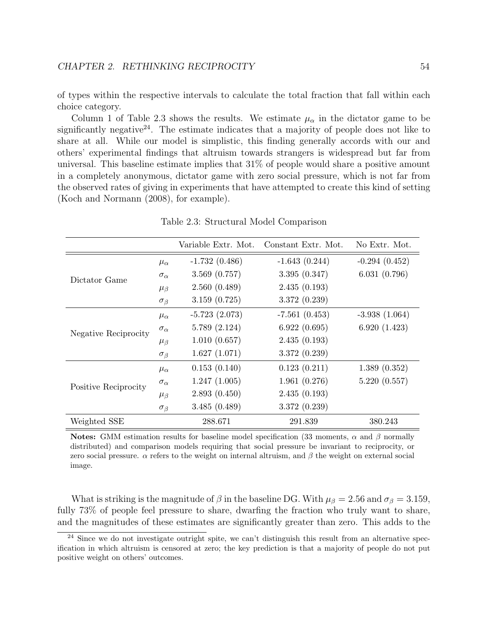of types within the respective intervals to calculate the total fraction that fall within each choice category.

Column 1 of Table 2.3 shows the results. We estimate  $\mu_{\alpha}$  in the dictator game to be significantly negative<sup>24</sup>. The estimate indicates that a majority of people does not like to share at all. While our model is simplistic, this finding generally accords with our and others' experimental findings that altruism towards strangers is widespread but far from universal. This baseline estimate implies that 31% of people would share a positive amount in a completely anonymous, dictator game with zero social pressure, which is not far from the observed rates of giving in experiments that have attempted to create this kind of setting (Koch and Normann (2008), for example).

|                      |                   | Variable Extr. Mot. | Constant Extr. Mot. | No Extr. Mot.   |
|----------------------|-------------------|---------------------|---------------------|-----------------|
| Dictator Game        | $\mu_{\alpha}$    | $-1.732(0.486)$     | $-1.643(0.244)$     | $-0.294(0.452)$ |
|                      | $\sigma_{\alpha}$ | 3.569(0.757)        | 3.395(0.347)        | 6.031(0.796)    |
|                      | $\mu_{\beta}$     | 2.560(0.489)        | 2.435(0.193)        |                 |
|                      | $\sigma_{\beta}$  | 3.159(0.725)        | 3.372(0.239)        |                 |
| Negative Reciprocity | $\mu_{\alpha}$    | $-5.723(2.073)$     | $-7.561(0.453)$     | $-3.938(1.064)$ |
|                      | $\sigma_{\alpha}$ | 5.789(2.124)        | 6.922(0.695)        | 6.920(1.423)    |
|                      | $\mu_{\beta}$     | 1.010(0.657)        | 2.435(0.193)        |                 |
|                      | $\sigma_{\beta}$  | 1.627(1.071)        | 3.372(0.239)        |                 |
| Positive Reciprocity | $\mu_{\alpha}$    | 0.153(0.140)        | 0.123(0.211)        | 1.389(0.352)    |
|                      | $\sigma_{\alpha}$ | 1.247(1.005)        | 1.961(0.276)        | 5.220(0.557)    |
|                      | $\mu_{\beta}$     | 2.893(0.450)        | 2.435(0.193)        |                 |
|                      | $\sigma_{\beta}$  | 3.485(0.489)        | 3.372(0.239)        |                 |
| Weighted SSE         |                   | 288.671             | 291.839             | 380.243         |

Table 2.3: Structural Model Comparison

Notes: GMM estimation results for baseline model specification (33 moments,  $\alpha$  and  $\beta$  normally distributed) and comparison models requiring that social pressure be invariant to reciprocity, or zero social pressure.  $\alpha$  refers to the weight on internal altruism, and  $\beta$  the weight on external social image.

What is striking is the magnitude of  $\beta$  in the baseline DG. With  $\mu_{\beta} = 2.56$  and  $\sigma_{\beta} = 3.159$ , fully 73% of people feel pressure to share, dwarfing the fraction who truly want to share, and the magnitudes of these estimates are significantly greater than zero. This adds to the

<sup>&</sup>lt;sup>24</sup> Since we do not investigate outright spite, we can't distinguish this result from an alternative specification in which altruism is censored at zero; the key prediction is that a majority of people do not put positive weight on others' outcomes.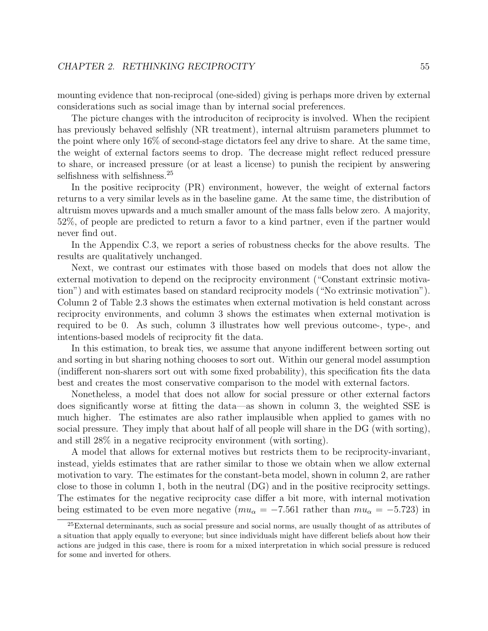mounting evidence that non-reciprocal (one-sided) giving is perhaps more driven by external considerations such as social image than by internal social preferences.

The picture changes with the introduciton of reciprocity is involved. When the recipient has previously behaved selfishly (NR treatment), internal altruism parameters plummet to the point where only 16% of second-stage dictators feel any drive to share. At the same time, the weight of external factors seems to drop. The decrease might reflect reduced pressure to share, or increased pressure (or at least a license) to punish the recipient by answering selfishness with selfishness.<sup>25</sup>

In the positive reciprocity (PR) environment, however, the weight of external factors returns to a very similar levels as in the baseline game. At the same time, the distribution of altruism moves upwards and a much smaller amount of the mass falls below zero. A majority, 52%, of people are predicted to return a favor to a kind partner, even if the partner would never find out.

In the Appendix C.3, we report a series of robustness checks for the above results. The results are qualitatively unchanged.

Next, we contrast our estimates with those based on models that does not allow the external motivation to depend on the reciprocity environment ("Constant extrinsic motivation") and with estimates based on standard reciprocity models ("No extrinsic motivation"). Column 2 of Table 2.3 shows the estimates when external motivation is held constant across reciprocity environments, and column 3 shows the estimates when external motivation is required to be 0. As such, column 3 illustrates how well previous outcome-, type-, and intentions-based models of reciprocity fit the data.

In this estimation, to break ties, we assume that anyone indifferent between sorting out and sorting in but sharing nothing chooses to sort out. Within our general model assumption (indifferent non-sharers sort out with some fixed probability), this specification fits the data best and creates the most conservative comparison to the model with external factors.

Nonetheless, a model that does not allow for social pressure or other external factors does significantly worse at fitting the data—as shown in column 3, the weighted SSE is much higher. The estimates are also rather implausible when applied to games with no social pressure. They imply that about half of all people will share in the DG (with sorting), and still 28% in a negative reciprocity environment (with sorting).

A model that allows for external motives but restricts them to be reciprocity-invariant, instead, yields estimates that are rather similar to those we obtain when we allow external motivation to vary. The estimates for the constant-beta model, shown in column 2, are rather close to those in column 1, both in the neutral (DG) and in the positive reciprocity settings. The estimates for the negative reciprocity case differ a bit more, with internal motivation being estimated to be even more negative ( $mu_{\alpha} = -7.561$  rather than  $mu_{\alpha} = -5.723$ ) in

<sup>25</sup>External determinants, such as social pressure and social norms, are usually thought of as attributes of a situation that apply equally to everyone; but since individuals might have different beliefs about how their actions are judged in this case, there is room for a mixed interpretation in which social pressure is reduced for some and inverted for others.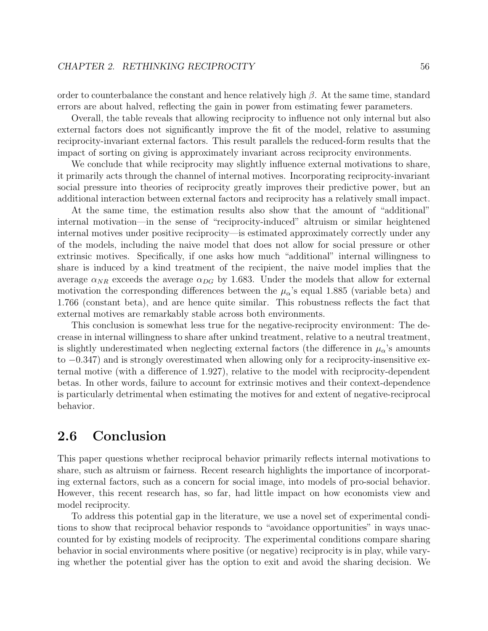order to counterbalance the constant and hence relatively high  $\beta$ . At the same time, standard errors are about halved, reflecting the gain in power from estimating fewer parameters.

Overall, the table reveals that allowing reciprocity to influence not only internal but also external factors does not significantly improve the fit of the model, relative to assuming reciprocity-invariant external factors. This result parallels the reduced-form results that the impact of sorting on giving is approximately invariant across reciprocity environments.

We conclude that while reciprocity may slightly influence external motivations to share, it primarily acts through the channel of internal motives. Incorporating reciprocity-invariant social pressure into theories of reciprocity greatly improves their predictive power, but an additional interaction between external factors and reciprocity has a relatively small impact.

At the same time, the estimation results also show that the amount of "additional" internal motivation—in the sense of "reciprocity-induced" altruism or similar heightened internal motives under positive reciprocity—is estimated approximately correctly under any of the models, including the naive model that does not allow for social pressure or other extrinsic motives. Specifically, if one asks how much "additional" internal willingness to share is induced by a kind treatment of the recipient, the naive model implies that the average  $\alpha_{NR}$  exceeds the average  $\alpha_{DG}$  by 1.683. Under the models that allow for external motivation the corresponding differences between the  $\mu_{\alpha}$ 's equal 1.885 (variable beta) and 1.766 (constant beta), and are hence quite similar. This robustness reflects the fact that external motives are remarkably stable across both environments.

This conclusion is somewhat less true for the negative-reciprocity environment: The decrease in internal willingness to share after unkind treatment, relative to a neutral treatment, is slightly underestimated when neglecting external factors (the difference in  $\mu_{\alpha}$ 's amounts to −0.347) and is strongly overestimated when allowing only for a reciprocity-insensitive external motive (with a difference of 1.927), relative to the model with reciprocity-dependent betas. In other words, failure to account for extrinsic motives and their context-dependence is particularly detrimental when estimating the motives for and extent of negative-reciprocal behavior.

## 2.6 Conclusion

This paper questions whether reciprocal behavior primarily reflects internal motivations to share, such as altruism or fairness. Recent research highlights the importance of incorporating external factors, such as a concern for social image, into models of pro-social behavior. However, this recent research has, so far, had little impact on how economists view and model reciprocity.

To address this potential gap in the literature, we use a novel set of experimental conditions to show that reciprocal behavior responds to "avoidance opportunities" in ways unaccounted for by existing models of reciprocity. The experimental conditions compare sharing behavior in social environments where positive (or negative) reciprocity is in play, while varying whether the potential giver has the option to exit and avoid the sharing decision. We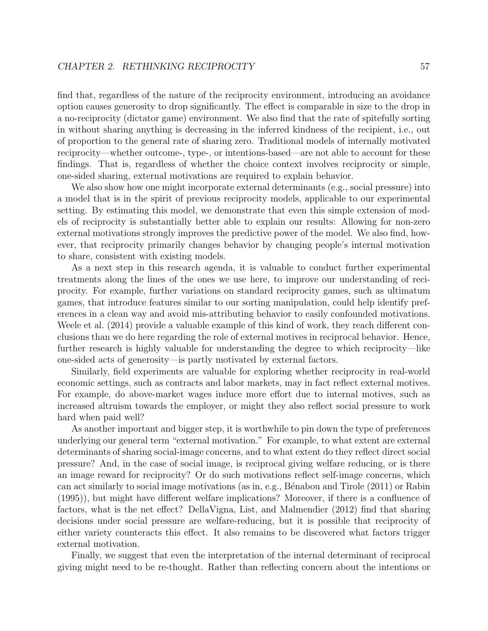find that, regardless of the nature of the reciprocity environment, introducing an avoidance option causes generosity to drop significantly. The effect is comparable in size to the drop in a no-reciprocity (dictator game) environment. We also find that the rate of spitefully sorting in without sharing anything is decreasing in the inferred kindness of the recipient, i.e., out of proportion to the general rate of sharing zero. Traditional models of internally motivated reciprocity—whether outcome-, type-, or intentions-based—are not able to account for these findings. That is, regardless of whether the choice context involves reciprocity or simple, one-sided sharing, external motivations are required to explain behavior.

We also show how one might incorporate external determinants (e.g., social pressure) into a model that is in the spirit of previous reciprocity models, applicable to our experimental setting. By estimating this model, we demonstrate that even this simple extension of models of reciprocity is substantially better able to explain our results: Allowing for non-zero external motivations strongly improves the predictive power of the model. We also find, however, that reciprocity primarily changes behavior by changing people's internal motivation to share, consistent with existing models.

As a next step in this research agenda, it is valuable to conduct further experimental treatments along the lines of the ones we use here, to improve our understanding of reciprocity. For example, further variations on standard reciprocity games, such as ultimatum games, that introduce features similar to our sorting manipulation, could help identify preferences in a clean way and avoid mis-attributing behavior to easily confounded motivations. Weele et al. (2014) provide a valuable example of this kind of work, they reach different conclusions than we do here regarding the role of external motives in reciprocal behavior. Hence, further research is highly valuable for understanding the degree to which reciprocity—like one-sided acts of generosity—is partly motivated by external factors.

Similarly, field experiments are valuable for exploring whether reciprocity in real-world economic settings, such as contracts and labor markets, may in fact reflect external motives. For example, do above-market wages induce more effort due to internal motives, such as increased altruism towards the employer, or might they also reflect social pressure to work hard when paid well?

As another important and bigger step, it is worthwhile to pin down the type of preferences underlying our general term "external motivation." For example, to what extent are external determinants of sharing social-image concerns, and to what extent do they reflect direct social pressure? And, in the case of social image, is reciprocal giving welfare reducing, or is there an image reward for reciprocity? Or do such motivations reflect self-image concerns, which can act similarly to social image motivations (as in, e.g., Bénabou and Tirole (2011) or Rabin (1995)), but might have different welfare implications? Moreover, if there is a confluence of factors, what is the net effect? DellaVigna, List, and Malmendier (2012) find that sharing decisions under social pressure are welfare-reducing, but it is possible that reciprocity of either variety counteracts this effect. It also remains to be discovered what factors trigger external motivation.

Finally, we suggest that even the interpretation of the internal determinant of reciprocal giving might need to be re-thought. Rather than reflecting concern about the intentions or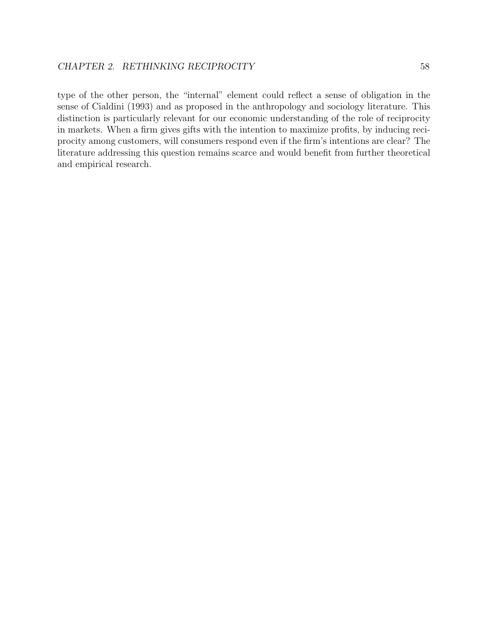type of the other person, the "internal" element could reflect a sense of obligation in the sense of Cialdini (1993) and as proposed in the anthropology and sociology literature. This distinction is particularly relevant for our economic understanding of the role of reciprocity in markets. When a firm gives gifts with the intention to maximize profits, by inducing reciprocity among customers, will consumers respond even if the firm's intentions are clear? The literature addressing this question remains scarce and would benefit from further theoretical and empirical research.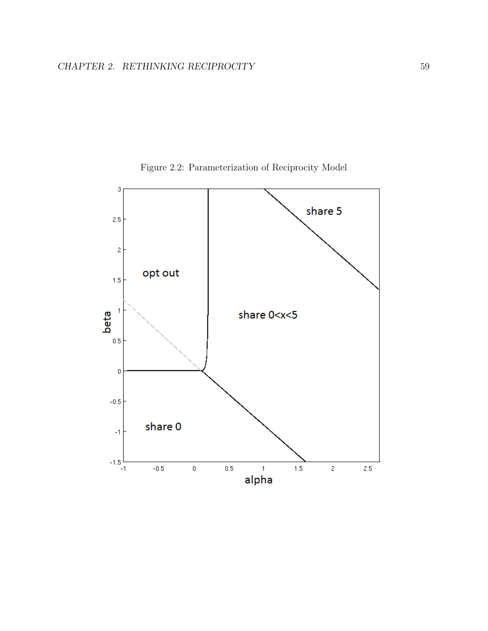

Figure 2.2: Parameterization of Reciprocity Model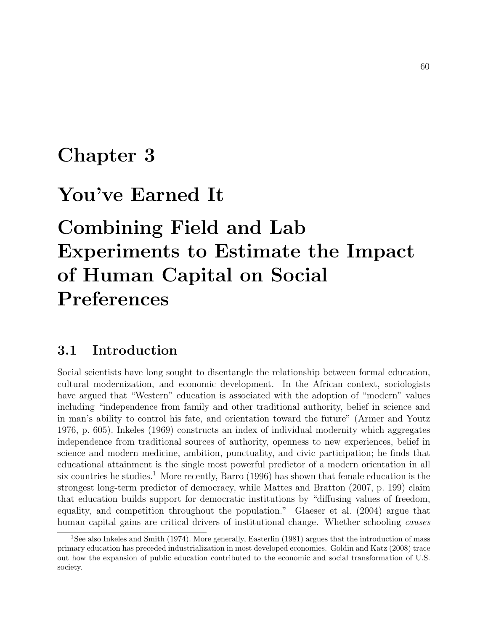## Chapter 3

## You've Earned It

# Combining Field and Lab Experiments to Estimate the Impact of Human Capital on Social Preferences

### 3.1 Introduction

Social scientists have long sought to disentangle the relationship between formal education, cultural modernization, and economic development. In the African context, sociologists have argued that "Western" education is associated with the adoption of "modern" values including "independence from family and other traditional authority, belief in science and in man's ability to control his fate, and orientation toward the future" (Armer and Youtz 1976, p. 605). Inkeles (1969) constructs an index of individual modernity which aggregates independence from traditional sources of authority, openness to new experiences, belief in science and modern medicine, ambition, punctuality, and civic participation; he finds that educational attainment is the single most powerful predictor of a modern orientation in all six countries he studies.<sup>1</sup> More recently, Barro (1996) has shown that female education is the strongest long-term predictor of democracy, while Mattes and Bratton (2007, p. 199) claim that education builds support for democratic institutions by "diffusing values of freedom, equality, and competition throughout the population." Glaeser et al. (2004) argue that human capital gains are critical drivers of institutional change. Whether schooling *causes* 

<sup>&</sup>lt;sup>1</sup>See also Inkeles and Smith (1974). More generally, Easterlin (1981) argues that the introduction of mass primary education has preceded industrialization in most developed economies. Goldin and Katz (2008) trace out how the expansion of public education contributed to the economic and social transformation of U.S. society.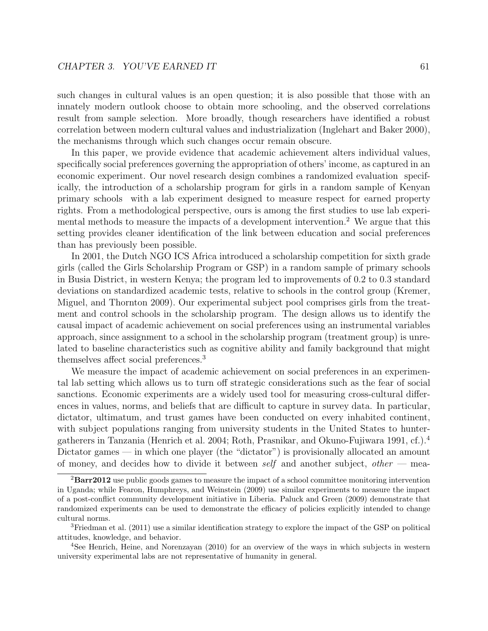such changes in cultural values is an open question; it is also possible that those with an innately modern outlook choose to obtain more schooling, and the observed correlations result from sample selection. More broadly, though researchers have identified a robust correlation between modern cultural values and industrialization (Inglehart and Baker 2000), the mechanisms through which such changes occur remain obscure.

In this paper, we provide evidence that academic achievement alters individual values, specifically social preferences governing the appropriation of others' income, as captured in an economic experiment. Our novel research design combines a randomized evaluation specifically, the introduction of a scholarship program for girls in a random sample of Kenyan primary schools with a lab experiment designed to measure respect for earned property rights. From a methodological perspective, ours is among the first studies to use lab experimental methods to measure the impacts of a development intervention.<sup>2</sup> We argue that this setting provides cleaner identification of the link between education and social preferences than has previously been possible.

In 2001, the Dutch NGO ICS Africa introduced a scholarship competition for sixth grade girls (called the Girls Scholarship Program or GSP) in a random sample of primary schools in Busia District, in western Kenya; the program led to improvements of 0.2 to 0.3 standard deviations on standardized academic tests, relative to schools in the control group (Kremer, Miguel, and Thornton 2009). Our experimental subject pool comprises girls from the treatment and control schools in the scholarship program. The design allows us to identify the causal impact of academic achievement on social preferences using an instrumental variables approach, since assignment to a school in the scholarship program (treatment group) is unrelated to baseline characteristics such as cognitive ability and family background that might themselves affect social preferences.<sup>3</sup>

We measure the impact of academic achievement on social preferences in an experimental lab setting which allows us to turn off strategic considerations such as the fear of social sanctions. Economic experiments are a widely used tool for measuring cross-cultural differences in values, norms, and beliefs that are difficult to capture in survey data. In particular, dictator, ultimatum, and trust games have been conducted on every inhabited continent, with subject populations ranging from university students in the United States to huntergatherers in Tanzania (Henrich et al. 2004; Roth, Prasnikar, and Okuno-Fujiwara 1991, cf.).<sup>4</sup> Dictator games — in which one player (the "dictator") is provisionally allocated an amount of money, and decides how to divide it between self and another subject, other – mea-

<sup>&</sup>lt;sup>2</sup>Barr2012 use public goods games to measure the impact of a school committee monitoring intervention in Uganda; while Fearon, Humphreys, and Weinstein (2009) use similar experiments to measure the impact of a post-conflict community development initiative in Liberia. Paluck and Green (2009) demonstrate that randomized experiments can be used to demonstrate the efficacy of policies explicitly intended to change cultural norms.

<sup>3</sup>Friedman et al. (2011) use a similar identification strategy to explore the impact of the GSP on political attitudes, knowledge, and behavior.

<sup>&</sup>lt;sup>4</sup>See Henrich, Heine, and Norenzayan (2010) for an overview of the ways in which subjects in western university experimental labs are not representative of humanity in general.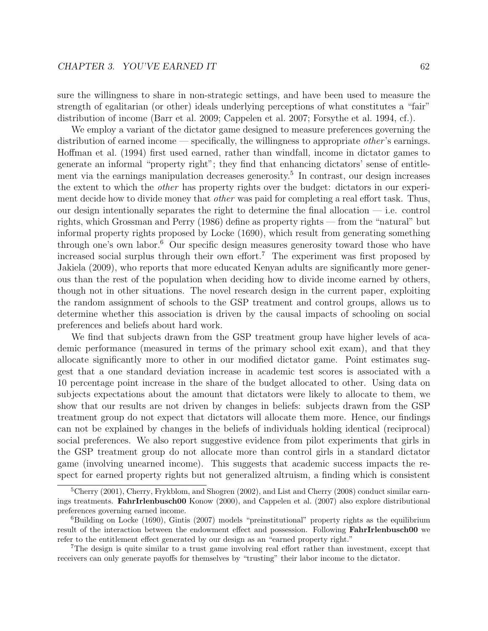sure the willingness to share in non-strategic settings, and have been used to measure the strength of egalitarian (or other) ideals underlying perceptions of what constitutes a "fair" distribution of income (Barr et al. 2009; Cappelen et al. 2007; Forsythe et al. 1994, cf.).

We employ a variant of the dictator game designed to measure preferences governing the distribution of earned income — specifically, the willingness to appropriate *other's* earnings. Hoffman et al. (1994) first used earned, rather than windfall, income in dictator games to generate an informal "property right"; they find that enhancing dictators' sense of entitlement via the earnings manipulation decreases generosity.<sup>5</sup> In contrast, our design increases the extent to which the other has property rights over the budget: dictators in our experiment decide how to divide money that *other* was paid for completing a real effort task. Thus, our design intentionally separates the right to determine the final allocation — i.e. control rights, which Grossman and Perry (1986) define as property rights — from the "natural" but informal property rights proposed by Locke (1690), which result from generating something through one's own labor.<sup>6</sup> Our specific design measures generosity toward those who have increased social surplus through their own effort.<sup>7</sup> The experiment was first proposed by Jakiela (2009), who reports that more educated Kenyan adults are significantly more generous than the rest of the population when deciding how to divide income earned by others, though not in other situations. The novel research design in the current paper, exploiting the random assignment of schools to the GSP treatment and control groups, allows us to determine whether this association is driven by the causal impacts of schooling on social preferences and beliefs about hard work.

We find that subjects drawn from the GSP treatment group have higher levels of academic performance (measured in terms of the primary school exit exam), and that they allocate significantly more to other in our modified dictator game. Point estimates suggest that a one standard deviation increase in academic test scores is associated with a 10 percentage point increase in the share of the budget allocated to other. Using data on subjects expectations about the amount that dictators were likely to allocate to them, we show that our results are not driven by changes in beliefs: subjects drawn from the GSP treatment group do not expect that dictators will allocate them more. Hence, our findings can not be explained by changes in the beliefs of individuals holding identical (reciprocal) social preferences. We also report suggestive evidence from pilot experiments that girls in the GSP treatment group do not allocate more than control girls in a standard dictator game (involving unearned income). This suggests that academic success impacts the respect for earned property rights but not generalized altruism, a finding which is consistent

<sup>&</sup>lt;sup>5</sup>Cherry (2001), Cherry, Frykblom, and Shogren (2002), and List and Cherry (2008) conduct similar earnings treatments. FahrIrlenbusch00 Konow (2000), and Cappelen et al. (2007) also explore distributional preferences governing earned income.

<sup>6</sup>Building on Locke (1690), Gintis (2007) models "preinstitutional" property rights as the equilibrium result of the interaction between the endowment effect and possession. Following FahrIrlenbusch00 we refer to the entitlement effect generated by our design as an "earned property right."

<sup>7</sup>The design is quite similar to a trust game involving real effort rather than investment, except that receivers can only generate payoffs for themselves by "trusting" their labor income to the dictator.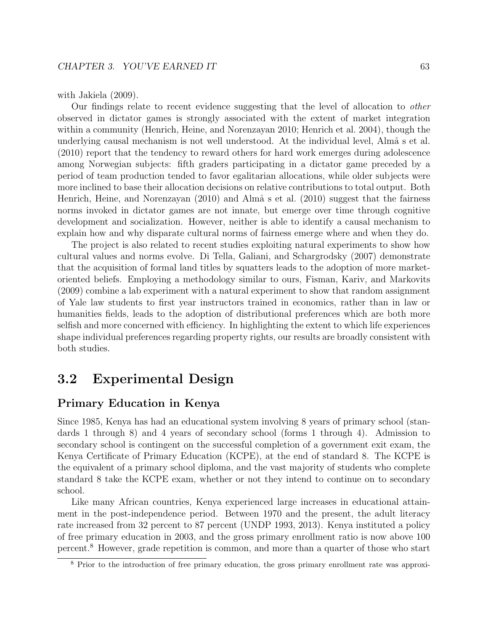with Jakiela (2009).

Our findings relate to recent evidence suggesting that the level of allocation to other observed in dictator games is strongly associated with the extent of market integration within a community (Henrich, Heine, and Norenzayan 2010; Henrich et al. 2004), though the underlying causal mechanism is not well understood. At the individual level, Alm  $\alpha$  s et al. (2010) report that the tendency to reward others for hard work emerges during adolescence among Norwegian subjects: fifth graders participating in a dictator game preceded by a period of team production tended to favor egalitarian allocations, while older subjects were more inclined to base their allocation decisions on relative contributions to total output. Both Henrich, Heine, and Norenzayan  $(2010)$  and Almå s et al.  $(2010)$  suggest that the fairness norms invoked in dictator games are not innate, but emerge over time through cognitive development and socialization. However, neither is able to identify a causal mechanism to explain how and why disparate cultural norms of fairness emerge where and when they do.

The project is also related to recent studies exploiting natural experiments to show how cultural values and norms evolve. Di Tella, Galiani, and Schargrodsky (2007) demonstrate that the acquisition of formal land titles by squatters leads to the adoption of more marketoriented beliefs. Employing a methodology similar to ours, Fisman, Kariv, and Markovits (2009) combine a lab experiment with a natural experiment to show that random assignment of Yale law students to first year instructors trained in economics, rather than in law or humanities fields, leads to the adoption of distributional preferences which are both more selfish and more concerned with efficiency. In highlighting the extent to which life experiences shape individual preferences regarding property rights, our results are broadly consistent with both studies.

## 3.2 Experimental Design

### Primary Education in Kenya

Since 1985, Kenya has had an educational system involving 8 years of primary school (standards 1 through 8) and 4 years of secondary school (forms 1 through 4). Admission to secondary school is contingent on the successful completion of a government exit exam, the Kenya Certificate of Primary Education (KCPE), at the end of standard 8. The KCPE is the equivalent of a primary school diploma, and the vast majority of students who complete standard 8 take the KCPE exam, whether or not they intend to continue on to secondary school.

Like many African countries, Kenya experienced large increases in educational attainment in the post-independence period. Between 1970 and the present, the adult literacy rate increased from 32 percent to 87 percent (UNDP 1993, 2013). Kenya instituted a policy of free primary education in 2003, and the gross primary enrollment ratio is now above 100 percent.<sup>8</sup> However, grade repetition is common, and more than a quarter of those who start

<sup>&</sup>lt;sup>8</sup> Prior to the introduction of free primary education, the gross primary enrollment rate was approxi-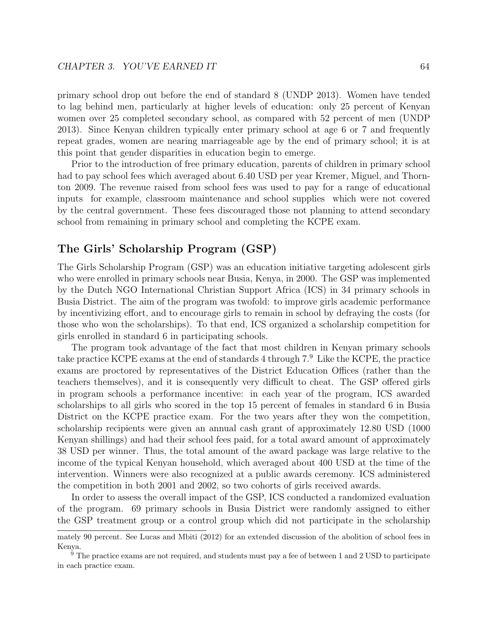primary school drop out before the end of standard 8 (UNDP 2013). Women have tended to lag behind men, particularly at higher levels of education: only 25 percent of Kenyan women over 25 completed secondary school, as compared with 52 percent of men (UNDP 2013). Since Kenyan children typically enter primary school at age 6 or 7 and frequently repeat grades, women are nearing marriageable age by the end of primary school; it is at this point that gender disparities in education begin to emerge.

Prior to the introduction of free primary education, parents of children in primary school had to pay school fees which averaged about 6.40 USD per year Kremer, Miguel, and Thornton 2009. The revenue raised from school fees was used to pay for a range of educational inputs for example, classroom maintenance and school supplies which were not covered by the central government. These fees discouraged those not planning to attend secondary school from remaining in primary school and completing the KCPE exam.

## The Girls' Scholarship Program (GSP)

The Girls Scholarship Program (GSP) was an education initiative targeting adolescent girls who were enrolled in primary schools near Busia, Kenya, in 2000. The GSP was implemented by the Dutch NGO International Christian Support Africa (ICS) in 34 primary schools in Busia District. The aim of the program was twofold: to improve girls academic performance by incentivizing effort, and to encourage girls to remain in school by defraying the costs (for those who won the scholarships). To that end, ICS organized a scholarship competition for girls enrolled in standard 6 in participating schools.

The program took advantage of the fact that most children in Kenyan primary schools take practice KCPE exams at the end of standards 4 through 7.<sup>9</sup> Like the KCPE, the practice exams are proctored by representatives of the District Education Offices (rather than the teachers themselves), and it is consequently very difficult to cheat. The GSP offered girls in program schools a performance incentive: in each year of the program, ICS awarded scholarships to all girls who scored in the top 15 percent of females in standard 6 in Busia District on the KCPE practice exam. For the two years after they won the competition, scholarship recipients were given an annual cash grant of approximately 12.80 USD (1000 Kenyan shillings) and had their school fees paid, for a total award amount of approximately 38 USD per winner. Thus, the total amount of the award package was large relative to the income of the typical Kenyan household, which averaged about 400 USD at the time of the intervention. Winners were also recognized at a public awards ceremony. ICS administered the competition in both 2001 and 2002, so two cohorts of girls received awards.

In order to assess the overall impact of the GSP, ICS conducted a randomized evaluation of the program. 69 primary schools in Busia District were randomly assigned to either the GSP treatment group or a control group which did not participate in the scholarship

mately 90 percent. See Lucas and Mbiti (2012) for an extended discussion of the abolition of school fees in Kenya.

<sup>9</sup> The practice exams are not required, and students must pay a fee of between 1 and 2 USD to participate in each practice exam.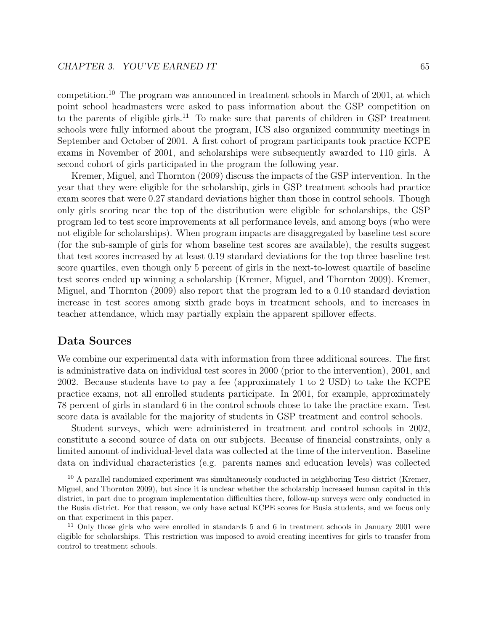competition.<sup>10</sup> The program was announced in treatment schools in March of 2001, at which point school headmasters were asked to pass information about the GSP competition on to the parents of eligible girls.<sup>11</sup> To make sure that parents of children in GSP treatment schools were fully informed about the program, ICS also organized community meetings in September and October of 2001. A first cohort of program participants took practice KCPE exams in November of 2001, and scholarships were subsequently awarded to 110 girls. A second cohort of girls participated in the program the following year.

Kremer, Miguel, and Thornton (2009) discuss the impacts of the GSP intervention. In the year that they were eligible for the scholarship, girls in GSP treatment schools had practice exam scores that were 0.27 standard deviations higher than those in control schools. Though only girls scoring near the top of the distribution were eligible for scholarships, the GSP program led to test score improvements at all performance levels, and among boys (who were not eligible for scholarships). When program impacts are disaggregated by baseline test score (for the sub-sample of girls for whom baseline test scores are available), the results suggest that test scores increased by at least 0.19 standard deviations for the top three baseline test score quartiles, even though only 5 percent of girls in the next-to-lowest quartile of baseline test scores ended up winning a scholarship (Kremer, Miguel, and Thornton 2009). Kremer, Miguel, and Thornton (2009) also report that the program led to a 0.10 standard deviation increase in test scores among sixth grade boys in treatment schools, and to increases in teacher attendance, which may partially explain the apparent spillover effects.

### Data Sources

We combine our experimental data with information from three additional sources. The first is administrative data on individual test scores in 2000 (prior to the intervention), 2001, and 2002. Because students have to pay a fee (approximately 1 to 2 USD) to take the KCPE practice exams, not all enrolled students participate. In 2001, for example, approximately 78 percent of girls in standard 6 in the control schools chose to take the practice exam. Test score data is available for the majority of students in GSP treatment and control schools.

Student surveys, which were administered in treatment and control schools in 2002, constitute a second source of data on our subjects. Because of financial constraints, only a limited amount of individual-level data was collected at the time of the intervention. Baseline data on individual characteristics (e.g. parents names and education levels) was collected

<sup>&</sup>lt;sup>10</sup> A parallel randomized experiment was simultaneously conducted in neighboring Teso district (Kremer, Miguel, and Thornton 2009), but since it is unclear whether the scholarship increased human capital in this district, in part due to program implementation difficulties there, follow-up surveys were only conducted in the Busia district. For that reason, we only have actual KCPE scores for Busia students, and we focus only on that experiment in this paper.

<sup>11</sup> Only those girls who were enrolled in standards 5 and 6 in treatment schools in January 2001 were eligible for scholarships. This restriction was imposed to avoid creating incentives for girls to transfer from control to treatment schools.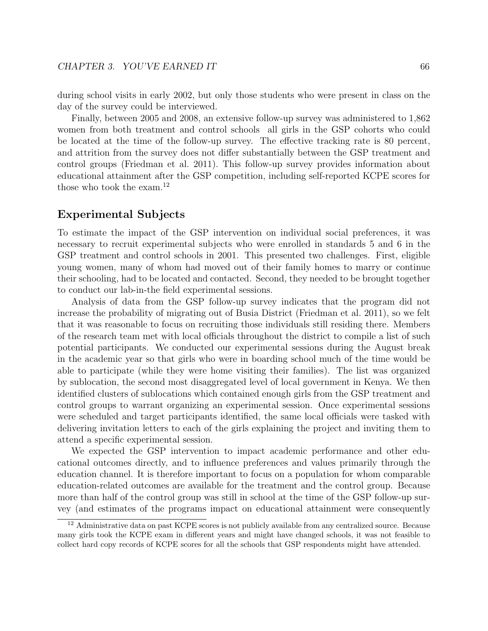during school visits in early 2002, but only those students who were present in class on the day of the survey could be interviewed.

Finally, between 2005 and 2008, an extensive follow-up survey was administered to 1,862 women from both treatment and control schools all girls in the GSP cohorts who could be located at the time of the follow-up survey. The effective tracking rate is 80 percent, and attrition from the survey does not differ substantially between the GSP treatment and control groups (Friedman et al. 2011). This follow-up survey provides information about educational attainment after the GSP competition, including self-reported KCPE scores for those who took the exam.<sup>12</sup>

## Experimental Subjects

To estimate the impact of the GSP intervention on individual social preferences, it was necessary to recruit experimental subjects who were enrolled in standards 5 and 6 in the GSP treatment and control schools in 2001. This presented two challenges. First, eligible young women, many of whom had moved out of their family homes to marry or continue their schooling, had to be located and contacted. Second, they needed to be brought together to conduct our lab-in-the field experimental sessions.

Analysis of data from the GSP follow-up survey indicates that the program did not increase the probability of migrating out of Busia District (Friedman et al. 2011), so we felt that it was reasonable to focus on recruiting those individuals still residing there. Members of the research team met with local officials throughout the district to compile a list of such potential participants. We conducted our experimental sessions during the August break in the academic year so that girls who were in boarding school much of the time would be able to participate (while they were home visiting their families). The list was organized by sublocation, the second most disaggregated level of local government in Kenya. We then identified clusters of sublocations which contained enough girls from the GSP treatment and control groups to warrant organizing an experimental session. Once experimental sessions were scheduled and target participants identified, the same local officials were tasked with delivering invitation letters to each of the girls explaining the project and inviting them to attend a specific experimental session.

We expected the GSP intervention to impact academic performance and other educational outcomes directly, and to influence preferences and values primarily through the education channel. It is therefore important to focus on a population for whom comparable education-related outcomes are available for the treatment and the control group. Because more than half of the control group was still in school at the time of the GSP follow-up survey (and estimates of the programs impact on educational attainment were consequently

<sup>&</sup>lt;sup>12</sup> Administrative data on past KCPE scores is not publicly available from any centralized source. Because many girls took the KCPE exam in different years and might have changed schools, it was not feasible to collect hard copy records of KCPE scores for all the schools that GSP respondents might have attended.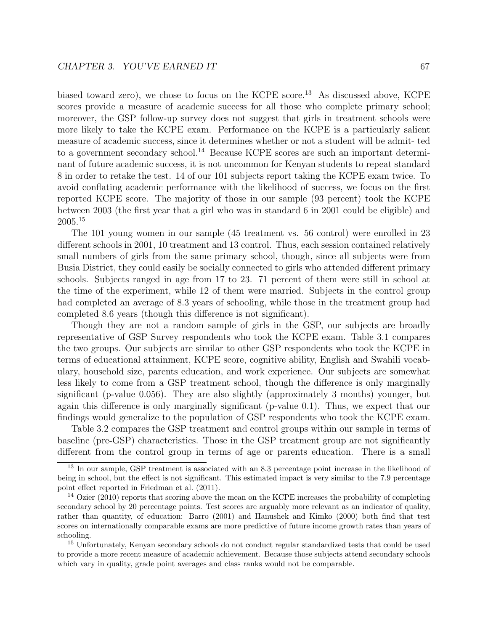biased toward zero), we chose to focus on the KCPE score.<sup>13</sup> As discussed above, KCPE scores provide a measure of academic success for all those who complete primary school; moreover, the GSP follow-up survey does not suggest that girls in treatment schools were more likely to take the KCPE exam. Performance on the KCPE is a particularly salient measure of academic success, since it determines whether or not a student will be admit- ted to a government secondary school.<sup>14</sup> Because KCPE scores are such an important determinant of future academic success, it is not uncommon for Kenyan students to repeat standard 8 in order to retake the test. 14 of our 101 subjects report taking the KCPE exam twice. To avoid conflating academic performance with the likelihood of success, we focus on the first reported KCPE score. The majority of those in our sample (93 percent) took the KCPE between 2003 (the first year that a girl who was in standard 6 in 2001 could be eligible) and 2005.<sup>15</sup>

The 101 young women in our sample (45 treatment vs. 56 control) were enrolled in 23 different schools in 2001, 10 treatment and 13 control. Thus, each session contained relatively small numbers of girls from the same primary school, though, since all subjects were from Busia District, they could easily be socially connected to girls who attended different primary schools. Subjects ranged in age from 17 to 23. 71 percent of them were still in school at the time of the experiment, while 12 of them were married. Subjects in the control group had completed an average of 8.3 years of schooling, while those in the treatment group had completed 8.6 years (though this difference is not significant).

Though they are not a random sample of girls in the GSP, our subjects are broadly representative of GSP Survey respondents who took the KCPE exam. Table 3.1 compares the two groups. Our subjects are similar to other GSP respondents who took the KCPE in terms of educational attainment, KCPE score, cognitive ability, English and Swahili vocabulary, household size, parents education, and work experience. Our subjects are somewhat less likely to come from a GSP treatment school, though the difference is only marginally significant (p-value 0.056). They are also slightly (approximately 3 months) younger, but again this difference is only marginally significant (p-value 0.1). Thus, we expect that our findings would generalize to the population of GSP respondents who took the KCPE exam.

Table 3.2 compares the GSP treatment and control groups within our sample in terms of baseline (pre-GSP) characteristics. Those in the GSP treatment group are not significantly different from the control group in terms of age or parents education. There is a small

<sup>15</sup> Unfortunately, Kenyan secondary schools do not conduct regular standardized tests that could be used to provide a more recent measure of academic achievement. Because those subjects attend secondary schools which vary in quality, grade point averages and class ranks would not be comparable.

<sup>&</sup>lt;sup>13</sup> In our sample, GSP treatment is associated with an 8.3 percentage point increase in the likelihood of being in school, but the effect is not significant. This estimated impact is very similar to the 7.9 percentage point effect reported in Friedman et al. (2011).

<sup>&</sup>lt;sup>14</sup> Ozier (2010) reports that scoring above the mean on the KCPE increases the probability of completing secondary school by 20 percentage points. Test scores are arguably more relevant as an indicator of quality, rather than quantity, of education: Barro (2001) and Hanushek and Kimko (2000) both find that test scores on internationally comparable exams are more predictive of future income growth rates than years of schooling.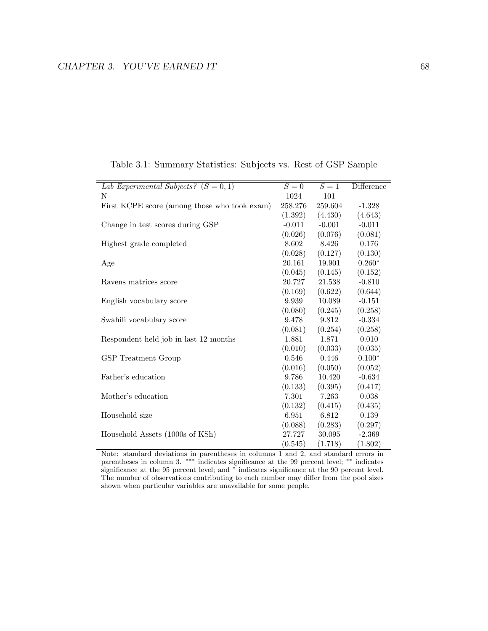| Lab Experimental Subjects? $(S = 0, 1)$      | $S=0$    | $S=1$    | Difference |
|----------------------------------------------|----------|----------|------------|
| N                                            | 1024     | 101      |            |
| First KCPE score (among those who took exam) | 258.276  | 259.604  | $-1.328$   |
|                                              | (1.392)  | (4.430)  | (4.643)    |
| Change in test scores during GSP             | $-0.011$ | $-0.001$ | $-0.011$   |
|                                              | (0.026)  | (0.076)  | (0.081)    |
| Highest grade completed                      | 8.602    | 8.426    | 0.176      |
|                                              | (0.028)  | (0.127)  | (0.130)    |
| Age                                          | 20.161   | 19.901   | $0.260*$   |
|                                              | (0.045)  | (0.145)  | (0.152)    |
| Ravens matrices score                        | 20.727   | 21.538   | $-0.810$   |
|                                              | (0.169)  | (0.622)  | (0.644)    |
| English vocabulary score                     | 9.939    | 10.089   | $-0.151$   |
|                                              | (0.080)  | (0.245)  | (0.258)    |
| Swahili vocabulary score                     | 9.478    | 9.812    | $-0.334$   |
|                                              | (0.081)  | (0.254)  | (0.258)    |
| Respondent held job in last 12 months        | 1.881    | 1.871    | 0.010      |
|                                              | (0.010)  | (0.033)  | (0.035)    |
| GSP Treatment Group                          | 0.546    | 0.446    | $0.100*$   |
|                                              | (0.016)  | (0.050)  | (0.052)    |
| Father's education                           | 9.786    | 10.420   | $-0.634$   |
|                                              | (0.133)  | (0.395)  | (0.417)    |
| Mother's education                           | 7.301    | 7.263    | 0.038      |
|                                              | (0.132)  | (0.415)  | (0.435)    |
| Household size                               | 6.951    | 6.812    | 0.139      |
|                                              | (0.088)  | (0.283)  | (0.297)    |
| Household Assets (1000s of KSh)              | 27.727   | 30.095   | $-2.369$   |
|                                              | (0.545)  | (1.718)  | (1.802)    |

Table 3.1: Summary Statistics: Subjects vs. Rest of GSP Sample

Note: standard deviations in parentheses in columns 1 and 2, and standard errors in parentheses in column 3. <sup>\*\*\*</sup> indicates significance at the 99 percent level; <sup>\*\*</sup> indicates significance at the 95 percent level; and <sup>\*</sup> indicates significance at the 90 percent level. The number of observations contributing to each number may differ from the pool sizes shown when particular variables are unavailable for some people.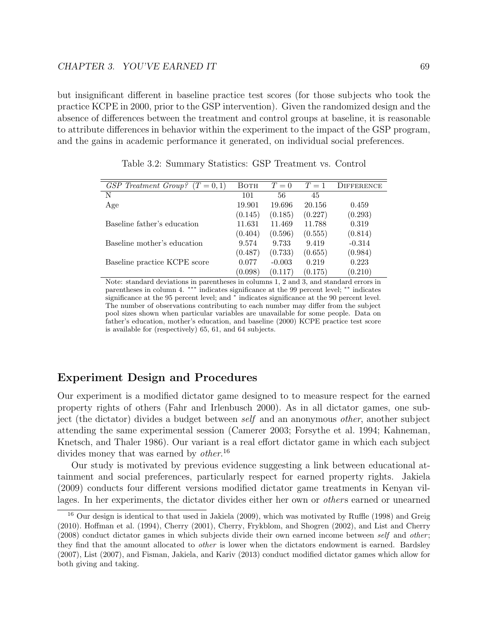but insignificant different in baseline practice test scores (for those subjects who took the practice KCPE in 2000, prior to the GSP intervention). Given the randomized design and the absence of differences between the treatment and control groups at baseline, it is reasonable to attribute differences in behavior within the experiment to the impact of the GSP program, and the gains in academic performance it generated, on individual social preferences.

| GSP Treatment Group?<br>$(T = 0, 1)$ | BOTH    | $T=0$    | $T=1$   | <b>DIFFERENCE</b> |
|--------------------------------------|---------|----------|---------|-------------------|
| N                                    | 101     | 56       | 45      |                   |
| Age                                  | 19.901  | 19.696   | 20.156  | 0.459             |
|                                      | (0.145) | (0.185)  | (0.227) | (0.293)           |
| Baseline father's education          | 11.631  | 11.469   | 11.788  | 0.319             |
|                                      | (0.404) | (0.596)  | (0.555) | (0.814)           |
| Baseline mother's education          | 9.574   | 9.733    | 9.419   | $-0.314$          |
|                                      | (0.487) | (0.733)  | (0.655) | (0.984)           |
| Baseline practice KCPE score         | 0.077   | $-0.003$ | 0.219   | 0.223             |
|                                      | (0.098) | (0.117)  | (0.175) | (0.210)           |

Table 3.2: Summary Statistics: GSP Treatment vs. Control

Note: standard deviations in parentheses in columns 1, 2 and 3, and standard errors in parentheses in column 4. <sup>\*\*\*</sup> indicates significance at the 99 percent level; <sup>\*\*</sup> indicates significance at the 95 percent level; and <sup>\*</sup> indicates significance at the 90 percent level. The number of observations contributing to each number may differ from the subject pool sizes shown when particular variables are unavailable for some people. Data on father's education, mother's education, and baseline (2000) KCPE practice test score is available for (respectively) 65, 61, and 64 subjects.

## Experiment Design and Procedures

Our experiment is a modified dictator game designed to to measure respect for the earned property rights of others (Fahr and Irlenbusch 2000). As in all dictator games, one subject (the dictator) divides a budget between self and an anonymous other, another subject attending the same experimental session (Camerer 2003; Forsythe et al. 1994; Kahneman, Knetsch, and Thaler 1986). Our variant is a real effort dictator game in which each subject divides money that was earned by *other*.<sup>16</sup>

Our study is motivated by previous evidence suggesting a link between educational attainment and social preferences, particularly respect for earned property rights. Jakiela (2009) conducts four different versions modified dictator game treatments in Kenyan villages. In her experiments, the dictator divides either her own or *others* earned or unearned

<sup>&</sup>lt;sup>16</sup> Our design is identical to that used in Jakiela (2009), which was motivated by Ruffle (1998) and Greig (2010). Hoffman et al. (1994), Cherry (2001), Cherry, Frykblom, and Shogren (2002), and List and Cherry  $(2008)$  conduct dictator games in which subjects divide their own earned income between self and other; they find that the amount allocated to other is lower when the dictators endowment is earned. Bardsley (2007), List (2007), and Fisman, Jakiela, and Kariv (2013) conduct modified dictator games which allow for both giving and taking.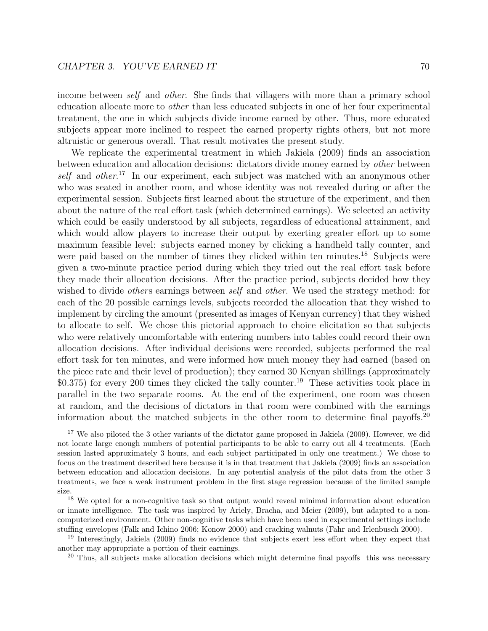income between self and other. She finds that villagers with more than a primary school education allocate more to other than less educated subjects in one of her four experimental treatment, the one in which subjects divide income earned by other. Thus, more educated subjects appear more inclined to respect the earned property rights others, but not more altruistic or generous overall. That result motivates the present study.

We replicate the experimental treatment in which Jakiela (2009) finds an association between education and allocation decisions: dictators divide money earned by other between self and other.<sup>17</sup> In our experiment, each subject was matched with an anonymous other who was seated in another room, and whose identity was not revealed during or after the experimental session. Subjects first learned about the structure of the experiment, and then about the nature of the real effort task (which determined earnings). We selected an activity which could be easily understood by all subjects, regardless of educational attainment, and which would allow players to increase their output by exerting greater effort up to some maximum feasible level: subjects earned money by clicking a handheld tally counter, and were paid based on the number of times they clicked within ten minutes.<sup>18</sup> Subjects were given a two-minute practice period during which they tried out the real effort task before they made their allocation decisions. After the practice period, subjects decided how they wished to divide *others* earnings between *self* and *other*. We used the strategy method: for each of the 20 possible earnings levels, subjects recorded the allocation that they wished to implement by circling the amount (presented as images of Kenyan currency) that they wished to allocate to self. We chose this pictorial approach to choice elicitation so that subjects who were relatively uncomfortable with entering numbers into tables could record their own allocation decisions. After individual decisions were recorded, subjects performed the real effort task for ten minutes, and were informed how much money they had earned (based on the piece rate and their level of production); they earned 30 Kenyan shillings (approximately \$0.375) for every 200 times they clicked the tally counter.<sup>19</sup> These activities took place in parallel in the two separate rooms. At the end of the experiment, one room was chosen at random, and the decisions of dictators in that room were combined with the earnings information about the matched subjects in the other room to determine final payoffs.<sup>20</sup>

<sup>&</sup>lt;sup>17</sup> We also piloted the 3 other variants of the dictator game proposed in Jakiela (2009). However, we did not locate large enough numbers of potential participants to be able to carry out all 4 treatments. (Each session lasted approximately 3 hours, and each subject participated in only one treatment.) We chose to focus on the treatment described here because it is in that treatment that Jakiela (2009) finds an association between education and allocation decisions. In any potential analysis of the pilot data from the other 3 treatments, we face a weak instrument problem in the first stage regression because of the limited sample size.

<sup>&</sup>lt;sup>18</sup> We opted for a non-cognitive task so that output would reveal minimal information about education or innate intelligence. The task was inspired by Ariely, Bracha, and Meier (2009), but adapted to a noncomputerized environment. Other non-cognitive tasks which have been used in experimental settings include stuffing envelopes (Falk and Ichino 2006; Konow 2000) and cracking walnuts (Fahr and Irlenbusch 2000).

<sup>19</sup> Interestingly, Jakiela (2009) finds no evidence that subjects exert less effort when they expect that another may appropriate a portion of their earnings.

<sup>&</sup>lt;sup>20</sup> Thus, all subjects make allocation decisions which might determine final payoffs this was necessary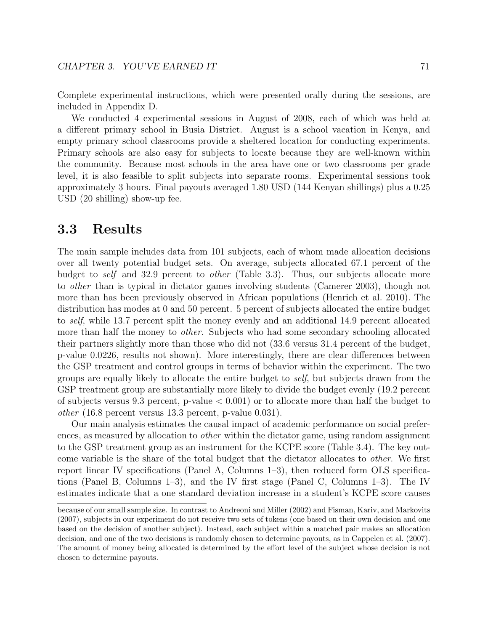Complete experimental instructions, which were presented orally during the sessions, are included in Appendix D.

We conducted 4 experimental sessions in August of 2008, each of which was held at a different primary school in Busia District. August is a school vacation in Kenya, and empty primary school classrooms provide a sheltered location for conducting experiments. Primary schools are also easy for subjects to locate because they are well-known within the community. Because most schools in the area have one or two classrooms per grade level, it is also feasible to split subjects into separate rooms. Experimental sessions took approximately 3 hours. Final payouts averaged 1.80 USD (144 Kenyan shillings) plus a 0.25 USD (20 shilling) show-up fee.

## 3.3 Results

The main sample includes data from 101 subjects, each of whom made allocation decisions over all twenty potential budget sets. On average, subjects allocated 67.1 percent of the budget to *self* and 32.9 percent to *other* (Table 3.3). Thus, our subjects allocate more to other than is typical in dictator games involving students (Camerer 2003), though not more than has been previously observed in African populations (Henrich et al. 2010). The distribution has modes at 0 and 50 percent. 5 percent of subjects allocated the entire budget to self, while 13.7 percent split the money evenly and an additional 14.9 percent allocated more than half the money to *other*. Subjects who had some secondary schooling allocated their partners slightly more than those who did not (33.6 versus 31.4 percent of the budget, p-value 0.0226, results not shown). More interestingly, there are clear differences between the GSP treatment and control groups in terms of behavior within the experiment. The two groups are equally likely to allocate the entire budget to self, but subjects drawn from the GSP treatment group are substantially more likely to divide the budget evenly (19.2 percent of subjects versus 9.3 percent, p-value  $< 0.001$  or to allocate more than half the budget to other (16.8 percent versus 13.3 percent, p-value 0.031).

Our main analysis estimates the causal impact of academic performance on social preferences, as measured by allocation to other within the dictator game, using random assignment to the GSP treatment group as an instrument for the KCPE score (Table 3.4). The key outcome variable is the share of the total budget that the dictator allocates to other. We first report linear IV specifications (Panel A, Columns 1–3), then reduced form OLS specifications (Panel B, Columns 1–3), and the IV first stage (Panel C, Columns 1–3). The IV estimates indicate that a one standard deviation increase in a student's KCPE score causes

because of our small sample size. In contrast to Andreoni and Miller (2002) and Fisman, Kariv, and Markovits (2007), subjects in our experiment do not receive two sets of tokens (one based on their own decision and one based on the decision of another subject). Instead, each subject within a matched pair makes an allocation decision, and one of the two decisions is randomly chosen to determine payouts, as in Cappelen et al. (2007). The amount of money being allocated is determined by the effort level of the subject whose decision is not chosen to determine payouts.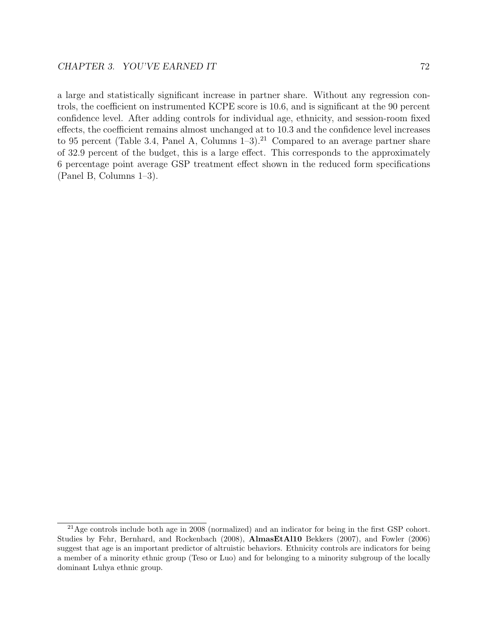a large and statistically significant increase in partner share. Without any regression controls, the coefficient on instrumented KCPE score is 10.6, and is significant at the 90 percent confidence level. After adding controls for individual age, ethnicity, and session-room fixed effects, the coefficient remains almost unchanged at to 10.3 and the confidence level increases to 95 percent (Table 3.4, Panel A, Columns  $1-3$ ).<sup>21</sup> Compared to an average partner share of 32.9 percent of the budget, this is a large effect. This corresponds to the approximately 6 percentage point average GSP treatment effect shown in the reduced form specifications (Panel B, Columns 1–3).

 $^{21}$ Age controls include both age in 2008 (normalized) and an indicator for being in the first GSP cohort. Studies by Fehr, Bernhard, and Rockenbach (2008), AlmasEtAl10 Bekkers (2007), and Fowler (2006) suggest that age is an important predictor of altruistic behaviors. Ethnicity controls are indicators for being a member of a minority ethnic group (Teso or Luo) and for belonging to a minority subgroup of the locally dominant Luhya ethnic group.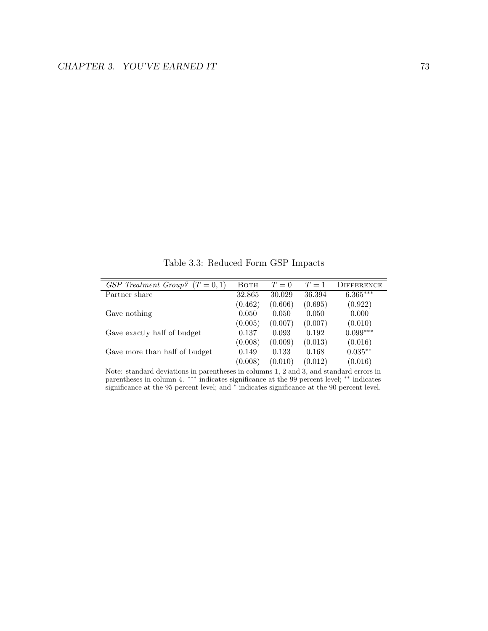Table 3.3: Reduced Form GSP Impacts

| GSP Treatment Group?<br>$(T = 0, 1)$ | BOTH    | $T=0$   | $T=1$   | DIFFERENCE |
|--------------------------------------|---------|---------|---------|------------|
| Partner share                        | 32.865  | 30.029  | 36.394  | $6.365***$ |
|                                      | (0.462) | (0.606) | (0.695) | (0.922)    |
| Gave nothing                         | 0.050   | 0.050   | 0.050   | 0.000      |
|                                      | (0.005) | (0.007) | (0.007) | (0.010)    |
| Gave exactly half of budget          | 0.137   | 0.093   | 0.192   | $0.099***$ |
|                                      | (0.008) | (0.009) | (0.013) | (0.016)    |
| Gave more than half of budget        | 0.149   | 0.133   | 0.168   | $0.035**$  |
|                                      | (0.008) | (0.010) | (0.012) | (0.016)    |

Note: standard deviations in parentheses in columns 1, 2 and 3, and standard errors in parentheses in column 4. <sup>\*\*\*</sup> indicates significance at the 99 percent level; <sup>\*\*</sup> indicates significance at the 95 percent level; and <sup>\*</sup> indicates significance at the 90 percent level.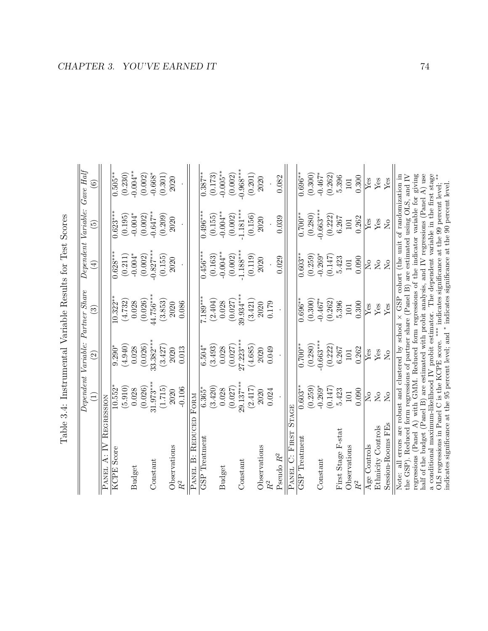|                                                                                                                                                                                                                                                                                                                                                                     |                          |                                   | Table 3.4: Instrumental Variable Results for Test Scores |                                                                                        |                     |                        |
|---------------------------------------------------------------------------------------------------------------------------------------------------------------------------------------------------------------------------------------------------------------------------------------------------------------------------------------------------------------------|--------------------------|-----------------------------------|----------------------------------------------------------|----------------------------------------------------------------------------------------|---------------------|------------------------|
|                                                                                                                                                                                                                                                                                                                                                                     |                          | Dependent Variable: Partner Share |                                                          |                                                                                        | Dependent Variable: | $Gave\;Half$           |
|                                                                                                                                                                                                                                                                                                                                                                     | Ξ                        | $\widehat{\Omega}$                | ව                                                        | $\bigoplus$                                                                            | $\widetilde{\Xi}$   | $\widehat{\mathbf{e}}$ |
| PANEL A: IV                                                                                                                                                                                                                                                                                                                                                         | REGRESSION               |                                   |                                                          |                                                                                        |                     |                        |
| <b>KCPE</b> Score                                                                                                                                                                                                                                                                                                                                                   | $10.552*$                | $9.290*$                          | $10.322**$                                               | $0.628***$                                                                             | $0.623***$          | $0.505**$              |
|                                                                                                                                                                                                                                                                                                                                                                     | (5.910)                  | (4.940)                           | (4.732)                                                  | (0.211)                                                                                | (0.195)             | (0.230)                |
| <b>Budget</b>                                                                                                                                                                                                                                                                                                                                                       | 0.028                    | 0.028                             | 0.028                                                    | $-0.004*$                                                                              | $-0.004*$           | $-0.004***$            |
|                                                                                                                                                                                                                                                                                                                                                                     | (0.026)                  | (0.026)                           | (0.026)                                                  | (0.002)                                                                                | (0.002)             | (0.002)                |
| Constant                                                                                                                                                                                                                                                                                                                                                            | $31.973***$              | $33.382***$                       | 44.756***                                                | $-0.827***$                                                                            | $-0.647***$         | $-0.668*$              |
|                                                                                                                                                                                                                                                                                                                                                                     | (1.715)                  | (3.427)                           | (3.853)                                                  | (0.155)                                                                                | (0.209)             | (0.301)                |
| Observations                                                                                                                                                                                                                                                                                                                                                        | 2020                     | 2020                              | 2020                                                     | 2020                                                                                   | 2020                | 2020                   |
| $\mathbb{R}^2$                                                                                                                                                                                                                                                                                                                                                      | $-0.106$                 | 0.013                             | 0.086                                                    |                                                                                        |                     |                        |
| REDUCEL<br>$\dot{\Xi}$<br>PANEL                                                                                                                                                                                                                                                                                                                                     | FORM                     |                                   |                                                          |                                                                                        |                     |                        |
| GSP Treatment                                                                                                                                                                                                                                                                                                                                                       | $6.365*$                 | $6.504*$                          | $7.189***$                                               | $0.456***$                                                                             | $0.496***$          | $0.387**$              |
|                                                                                                                                                                                                                                                                                                                                                                     | (3.420)                  | (3.493)                           | (2.404)                                                  | (0.163)                                                                                | (0.155)             | (0.173)                |
| <b>Budget</b>                                                                                                                                                                                                                                                                                                                                                       | 0.028                    | 0.028                             | 0.028                                                    | $-0.004***$                                                                            | $-0.004***$         | $-0.005**$             |
|                                                                                                                                                                                                                                                                                                                                                                     | (0.027)                  | (0.027)                           | (0.027)                                                  | (0.002)                                                                                | (0.002)             | (0.002)                |
| Constant                                                                                                                                                                                                                                                                                                                                                            | $29.137***$              | $27.223***$                       | $39.934***$                                              | $-1.188***$                                                                            | $-1.181***$         | $-0.968***$            |
|                                                                                                                                                                                                                                                                                                                                                                     | (2.417)                  | (4.685)                           | (3.421)                                                  | (0.119)                                                                                | (0.156)             | (0.201)                |
| Observations                                                                                                                                                                                                                                                                                                                                                        | 2020                     | 2020                              | 2020                                                     | 2020                                                                                   | 2020                | 2020                   |
| $R^2$                                                                                                                                                                                                                                                                                                                                                               | 0.024                    | 0.049                             | 0.179                                                    |                                                                                        |                     |                        |
| Pseudo $R^2$                                                                                                                                                                                                                                                                                                                                                        |                          |                                   |                                                          | 0.029                                                                                  | 0.039               | 0.082                  |
| PANEL C: FIRST                                                                                                                                                                                                                                                                                                                                                      | <b>STAGE</b>             |                                   |                                                          |                                                                                        |                     |                        |
| GSP Treatment                                                                                                                                                                                                                                                                                                                                                       | $0.603**$                | $0.700**$                         | $0.696**$                                                | $0.603**$                                                                              | $0.700**$           | $0.696**$              |
|                                                                                                                                                                                                                                                                                                                                                                     | (0.259)                  | (0.280)                           | (0.300)                                                  | (0.259)                                                                                | (0.280)             | (0.300)                |
| Constant                                                                                                                                                                                                                                                                                                                                                            | $-0.269*$                | $-0.663***$                       | $-0.467*$                                                | $-0.269*$                                                                              | $-0.663***$         | $-0.467*$              |
|                                                                                                                                                                                                                                                                                                                                                                     | (0.147)                  | (0.222)                           | (0.262)                                                  | (0.147)                                                                                | (0.222)             | (0.262)                |
| First Stage F-stat                                                                                                                                                                                                                                                                                                                                                  | 5.423                    | 6.267                             | 5.396                                                    | 5.423                                                                                  | 6.267               | 5.396                  |
| Observations                                                                                                                                                                                                                                                                                                                                                        | 101                      | 101                               | 101                                                      | 101                                                                                    | $101\,$             | $101\,$                |
| R <sup>2</sup>                                                                                                                                                                                                                                                                                                                                                      | 0.090                    | 0.262                             | 0.300                                                    | 0.090                                                                                  | 0.262               | 0.300                  |
| Age Controls                                                                                                                                                                                                                                                                                                                                                        | $\tilde{\Sigma}^{\circ}$ | $Y$ es                            | Yes                                                      | $\tilde{\Sigma}^{\circ}$                                                               | Yes                 | Yes                    |
| Ethnicity Controls                                                                                                                                                                                                                                                                                                                                                  | $\overline{N}$           | $\mathbf{Yes}$                    | $Y$ es                                                   | $\rm \stackrel{\circ}{X}$                                                              | $Y$ es              | Yes                    |
| Session-Rooms FEs                                                                                                                                                                                                                                                                                                                                                   | $\overline{M}$           | $\overline{N}$                    | Yes                                                      | $\overline{N}$                                                                         | $\overline{N}$      | ${\rm Yes}$            |
| half of the budget (Panel B) are estimated with probit analysis, and IV regressions (Panel A) use<br>regressions (Panel A) with GMM. Reduced form regressions of the indicator variable for giving<br>the GSP). Reduced form regressions of partner share (Panel B) are estimated using OLS, and IV<br>Note: all errors are robust and clustered by school $\times$ |                          |                                   |                                                          | GSP cohort (the unit of randomization in                                               |                     |                        |
| OLS regressions in Panel C is the KCPE score. *** indicates significance at the 99 percent level;<br>indicates significance at the 95 percent level; and * indicates significance at the 90 percent level<br>a conditional maximum-likelihood IV probit estimator.                                                                                                  |                          |                                   |                                                          | The dependent variable in the first stage<br>The dependent variable in the first stage |                     |                        |
|                                                                                                                                                                                                                                                                                                                                                                     |                          |                                   |                                                          |                                                                                        |                     |                        |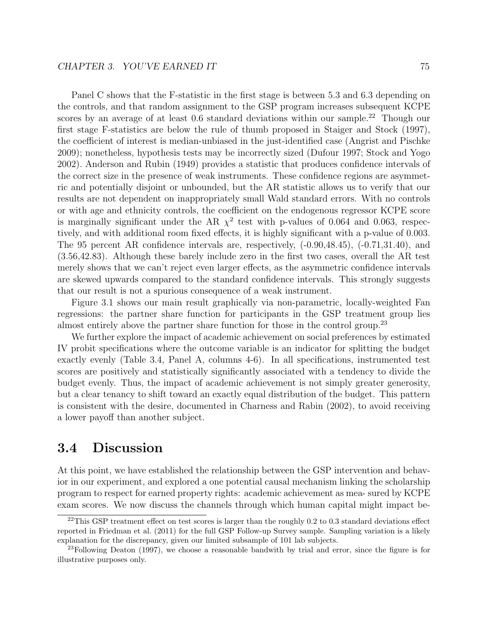Panel C shows that the F-statistic in the first stage is between 5.3 and 6.3 depending on the controls, and that random assignment to the GSP program increases subsequent KCPE scores by an average of at least  $0.6$  standard deviations within our sample.<sup>22</sup> Though our first stage F-statistics are below the rule of thumb proposed in Staiger and Stock (1997), the coefficient of interest is median-unbiased in the just-identified case (Angrist and Pischke 2009); nonetheless, hypothesis tests may be incorrectly sized (Dufour 1997; Stock and Yogo 2002). Anderson and Rubin (1949) provides a statistic that produces confidence intervals of the correct size in the presence of weak instruments. These confidence regions are asymmetric and potentially disjoint or unbounded, but the AR statistic allows us to verify that our results are not dependent on inappropriately small Wald standard errors. With no controls or with age and ethnicity controls, the coefficient on the endogenous regressor KCPE score is marginally significant under the AR  $\chi^2$  test with p-values of 0.064 and 0.063, respectively, and with additional room fixed effects, it is highly significant with a p-value of 0.003. The 95 percent AR confidence intervals are, respectively, (-0.90,48.45), (-0.71,31.40), and (3.56,42.83). Although these barely include zero in the first two cases, overall the AR test merely shows that we can't reject even larger effects, as the asymmetric confidence intervals are skewed upwards compared to the standard confidence intervals. This strongly suggests that our result is not a spurious consequence of a weak instrument.

Figure 3.1 shows our main result graphically via non-parametric, locally-weighted Fan regressions: the partner share function for participants in the GSP treatment group lies almost entirely above the partner share function for those in the control group.<sup>23</sup>

We further explore the impact of academic achievement on social preferences by estimated IV probit specifications where the outcome variable is an indicator for splitting the budget exactly evenly (Table 3.4, Panel A, columns 4-6). In all specifications, instrumented test scores are positively and statistically significantly associated with a tendency to divide the budget evenly. Thus, the impact of academic achievement is not simply greater generosity, but a clear tenancy to shift toward an exactly equal distribution of the budget. This pattern is consistent with the desire, documented in Charness and Rabin (2002), to avoid receiving a lower payoff than another subject.

## 3.4 Discussion

At this point, we have established the relationship between the GSP intervention and behavior in our experiment, and explored a one potential causal mechanism linking the scholarship program to respect for earned property rights: academic achievement as mea- sured by KCPE exam scores. We now discuss the channels through which human capital might impact be-

 $^{22}$ This GSP treatment effect on test scores is larger than the roughly 0.2 to 0.3 standard deviations effect reported in Friedman et al. (2011) for the full GSP Follow-up Survey sample. Sampling variation is a likely explanation for the discrepancy, given our limited subsample of 101 lab subjects.

 $^{23}$ Following Deaton (1997), we choose a reasonable bandwith by trial and error, since the figure is for illustrative purposes only.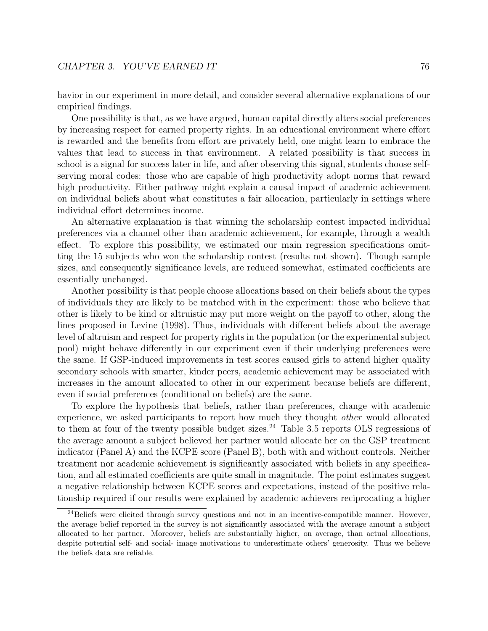havior in our experiment in more detail, and consider several alternative explanations of our empirical findings.

One possibility is that, as we have argued, human capital directly alters social preferences by increasing respect for earned property rights. In an educational environment where effort is rewarded and the benefits from effort are privately held, one might learn to embrace the values that lead to success in that environment. A related possibility is that success in school is a signal for success later in life, and after observing this signal, students choose selfserving moral codes: those who are capable of high productivity adopt norms that reward high productivity. Either pathway might explain a causal impact of academic achievement on individual beliefs about what constitutes a fair allocation, particularly in settings where individual effort determines income.

An alternative explanation is that winning the scholarship contest impacted individual preferences via a channel other than academic achievement, for example, through a wealth effect. To explore this possibility, we estimated our main regression specifications omitting the 15 subjects who won the scholarship contest (results not shown). Though sample sizes, and consequently significance levels, are reduced somewhat, estimated coefficients are essentially unchanged.

Another possibility is that people choose allocations based on their beliefs about the types of individuals they are likely to be matched with in the experiment: those who believe that other is likely to be kind or altruistic may put more weight on the payoff to other, along the lines proposed in Levine (1998). Thus, individuals with different beliefs about the average level of altruism and respect for property rights in the population (or the experimental subject pool) might behave differently in our experiment even if their underlying preferences were the same. If GSP-induced improvements in test scores caused girls to attend higher quality secondary schools with smarter, kinder peers, academic achievement may be associated with increases in the amount allocated to other in our experiment because beliefs are different, even if social preferences (conditional on beliefs) are the same.

To explore the hypothesis that beliefs, rather than preferences, change with academic experience, we asked participants to report how much they thought other would allocated to them at four of the twenty possible budget sizes.<sup>24</sup> Table 3.5 reports OLS regressions of the average amount a subject believed her partner would allocate her on the GSP treatment indicator (Panel A) and the KCPE score (Panel B), both with and without controls. Neither treatment nor academic achievement is significantly associated with beliefs in any specification, and all estimated coefficients are quite small in magnitude. The point estimates suggest a negative relationship between KCPE scores and expectations, instead of the positive relationship required if our results were explained by academic achievers reciprocating a higher

<sup>&</sup>lt;sup>24</sup>Beliefs were elicited through survey questions and not in an incentive-compatible manner. However, the average belief reported in the survey is not significantly associated with the average amount a subject allocated to her partner. Moreover, beliefs are substantially higher, on average, than actual allocations, despite potential self- and social- image motivations to underestimate others' generosity. Thus we believe the beliefs data are reliable.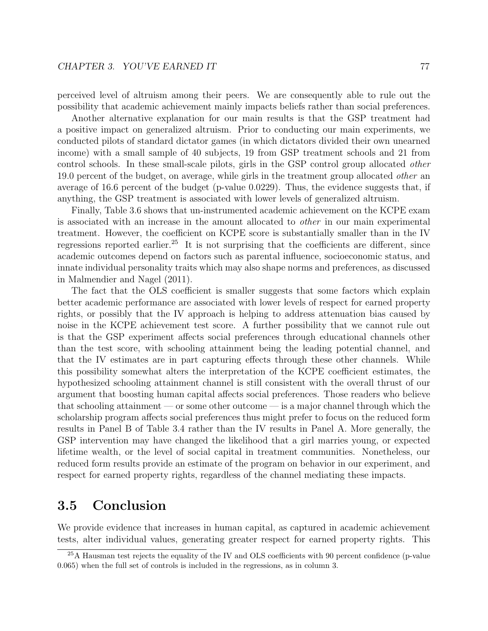perceived level of altruism among their peers. We are consequently able to rule out the possibility that academic achievement mainly impacts beliefs rather than social preferences.

Another alternative explanation for our main results is that the GSP treatment had a positive impact on generalized altruism. Prior to conducting our main experiments, we conducted pilots of standard dictator games (in which dictators divided their own unearned income) with a small sample of 40 subjects, 19 from GSP treatment schools and 21 from control schools. In these small-scale pilots, girls in the GSP control group allocated other 19.0 percent of the budget, on average, while girls in the treatment group allocated *other* an average of 16.6 percent of the budget (p-value 0.0229). Thus, the evidence suggests that, if anything, the GSP treatment is associated with lower levels of generalized altruism.

Finally, Table 3.6 shows that un-instrumented academic achievement on the KCPE exam is associated with an increase in the amount allocated to other in our main experimental treatment. However, the coefficient on KCPE score is substantially smaller than in the IV regressions reported earlier.<sup>25</sup> It is not surprising that the coefficients are different, since academic outcomes depend on factors such as parental influence, socioeconomic status, and innate individual personality traits which may also shape norms and preferences, as discussed in Malmendier and Nagel (2011).

The fact that the OLS coefficient is smaller suggests that some factors which explain better academic performance are associated with lower levels of respect for earned property rights, or possibly that the IV approach is helping to address attenuation bias caused by noise in the KCPE achievement test score. A further possibility that we cannot rule out is that the GSP experiment affects social preferences through educational channels other than the test score, with schooling attainment being the leading potential channel, and that the IV estimates are in part capturing effects through these other channels. While this possibility somewhat alters the interpretation of the KCPE coefficient estimates, the hypothesized schooling attainment channel is still consistent with the overall thrust of our argument that boosting human capital affects social preferences. Those readers who believe that schooling attainment — or some other outcome — is a major channel through which the scholarship program affects social preferences thus might prefer to focus on the reduced form results in Panel B of Table 3.4 rather than the IV results in Panel A. More generally, the GSP intervention may have changed the likelihood that a girl marries young, or expected lifetime wealth, or the level of social capital in treatment communities. Nonetheless, our reduced form results provide an estimate of the program on behavior in our experiment, and respect for earned property rights, regardless of the channel mediating these impacts.

## 3.5 Conclusion

We provide evidence that increases in human capital, as captured in academic achievement tests, alter individual values, generating greater respect for earned property rights. This

<sup>25</sup>A Hausman test rejects the equality of the IV and OLS coefficients with 90 percent confidence (p-value 0.065) when the full set of controls is included in the regressions, as in column 3.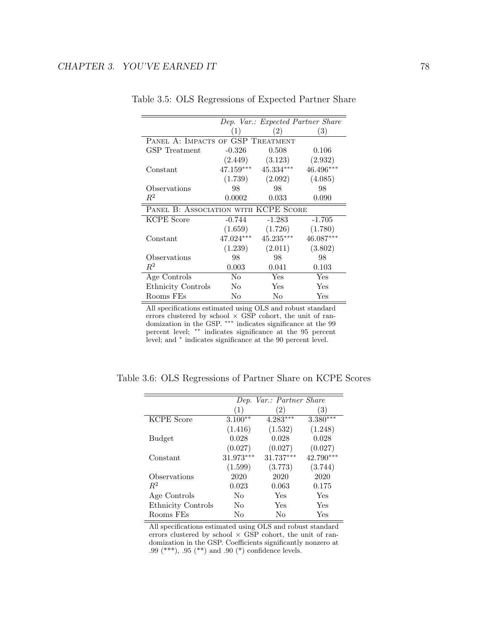|                                      |                | Dep. Var.: Expected Partner Share |             |  |  |  |
|--------------------------------------|----------------|-----------------------------------|-------------|--|--|--|
|                                      | (1)            | (2)                               | (3)         |  |  |  |
| PANEL A: IMPACTS OF GSP TREATMENT    |                |                                   |             |  |  |  |
| GSP Treatment                        | $-0.326$       | 0.508                             | 0.106       |  |  |  |
|                                      | (2.449)        | (3.123)                           | (2.932)     |  |  |  |
| Constant                             | $47.159***$    | $45.334***$                       | $46.496***$ |  |  |  |
|                                      | (1.739)        | (2.092)                           | (4.085)     |  |  |  |
| Observations                         | 98             | 98                                | 98          |  |  |  |
| $R^2$                                | 0.0002         | 0.033                             | 0.090       |  |  |  |
| PANEL B: ASSOCIATION WITH KCPE SCORE |                |                                   |             |  |  |  |
| <b>KCPE</b> Score                    | $-0.744$       | $-1.283$                          | $-1.705$    |  |  |  |
|                                      | (1.659)        | (1.726)                           | (1.780)     |  |  |  |
| Constant                             | 47.024***      | $45.235***$                       | 46.087***   |  |  |  |
|                                      | (1.239)        | (2.011)                           | (3.802)     |  |  |  |
| Observations                         | 98             | 98                                | 98          |  |  |  |
| $R^2$                                | 0.003          | 0.041                             | 0.103       |  |  |  |
| Age Controls                         | No             | Yes                               | Yes         |  |  |  |
| Ethnicity Controls                   | N <sub>0</sub> | Yes                               | Yes         |  |  |  |
| Rooms FEs                            | No             | No                                | Yes         |  |  |  |

Table 3.5: OLS Regressions of Expected Partner Share

All specifications estimated using OLS and robust standard errors clustered by school  $\times$  GSP cohort, the unit of randomization in the GSP. ∗∗∗ indicates significance at the 99 percent level; ∗∗ indicates significance at the 95 percent level; and <sup>∗</sup> indicates significance at the 90 percent level.

|                           |             | Dep. Var.: Partner Share |            |
|---------------------------|-------------|--------------------------|------------|
|                           | (1)         | $\left( 2\right)$        | (3)        |
| <b>KCPE</b> Score         | $3.100**$   | $4.283***$               | $3.380***$ |
|                           | (1.416)     | (1.532)                  | (1.248)    |
| <b>Budget</b>             | 0.028       | 0.028                    | 0.028      |
|                           | (0.027)     | (0.027)                  | (0.027)    |
| Constant                  | $31.973***$ | 31.737***                | 42.790***  |
|                           | (1.599)     | (3.773)                  | (3.744)    |
| Observations              | 2020        | 2020                     | 2020       |
| $R^2$                     | 0.023       | 0.063                    | 0.175      |
| Age Controls              | No          | Yes                      | Yes        |
| <b>Ethnicity Controls</b> | No          | Yes                      | Yes        |
| Rooms FEs                 | Nο          | Nο                       | Yes        |

Table 3.6: OLS Regressions of Partner Share on KCPE Scores

All specifications estimated using OLS and robust standard errors clustered by school  $\times$  GSP cohort, the unit of randomization in the GSP. Coefficients significantly nonzero at .99 (\*\*\*), .95 (\*\*) and .90 (\*) confidence levels.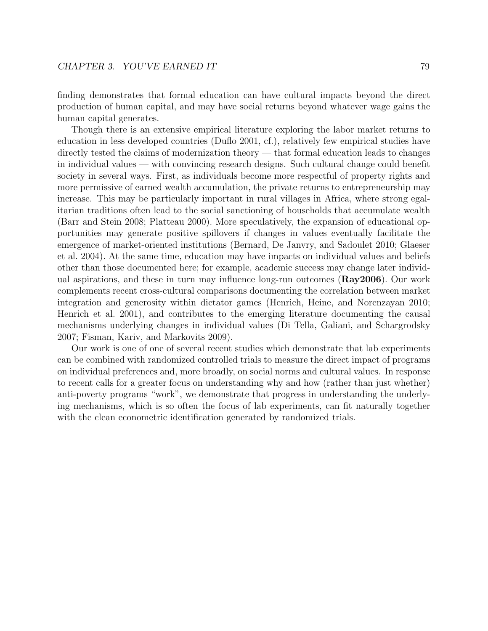finding demonstrates that formal education can have cultural impacts beyond the direct production of human capital, and may have social returns beyond whatever wage gains the human capital generates.

Though there is an extensive empirical literature exploring the labor market returns to education in less developed countries (Duflo 2001, cf.), relatively few empirical studies have directly tested the claims of modernization theory — that formal education leads to changes in individual values — with convincing research designs. Such cultural change could benefit society in several ways. First, as individuals become more respectful of property rights and more permissive of earned wealth accumulation, the private returns to entrepreneurship may increase. This may be particularly important in rural villages in Africa, where strong egalitarian traditions often lead to the social sanctioning of households that accumulate wealth (Barr and Stein 2008; Platteau 2000). More speculatively, the expansion of educational opportunities may generate positive spillovers if changes in values eventually facilitate the emergence of market-oriented institutions (Bernard, De Janvry, and Sadoulet 2010; Glaeser et al. 2004). At the same time, education may have impacts on individual values and beliefs other than those documented here; for example, academic success may change later individual aspirations, and these in turn may influence long-run outcomes (Ray2006). Our work complements recent cross-cultural comparisons documenting the correlation between market integration and generosity within dictator games (Henrich, Heine, and Norenzayan 2010; Henrich et al. 2001), and contributes to the emerging literature documenting the causal mechanisms underlying changes in individual values (Di Tella, Galiani, and Schargrodsky 2007; Fisman, Kariv, and Markovits 2009).

Our work is one of one of several recent studies which demonstrate that lab experiments can be combined with randomized controlled trials to measure the direct impact of programs on individual preferences and, more broadly, on social norms and cultural values. In response to recent calls for a greater focus on understanding why and how (rather than just whether) anti-poverty programs "work", we demonstrate that progress in understanding the underlying mechanisms, which is so often the focus of lab experiments, can fit naturally together with the clean econometric identification generated by randomized trials.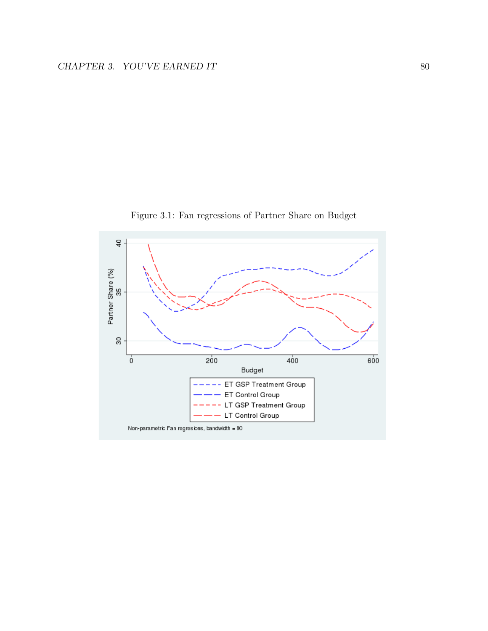

Figure 3.1: Fan regressions of Partner Share on Budget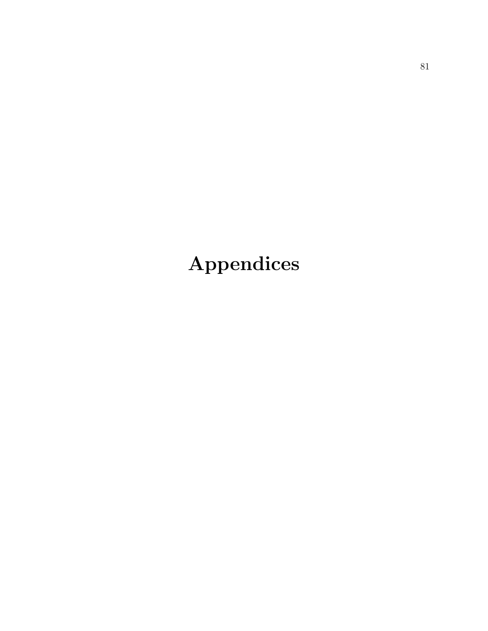# Appendices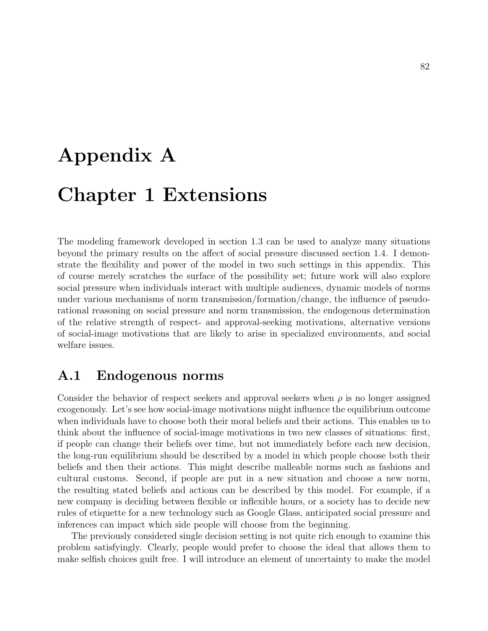# Appendix A Chapter 1 Extensions

The modeling framework developed in section 1.3 can be used to analyze many situations beyond the primary results on the affect of social pressure discussed section 1.4. I demonstrate the flexibility and power of the model in two such settings in this appendix. This of course merely scratches the surface of the possibility set; future work will also explore social pressure when individuals interact with multiple audiences, dynamic models of norms under various mechanisms of norm transmission/formation/change, the influence of pseudorational reasoning on social pressure and norm transmission, the endogenous determination of the relative strength of respect- and approval-seeking motivations, alternative versions of social-image motivations that are likely to arise in specialized environments, and social welfare issues.

## A.1 Endogenous norms

Consider the behavior of respect seekers and approval seekers when  $\rho$  is no longer assigned exogenously. Let's see how social-image motivations might influence the equilibrium outcome when individuals have to choose both their moral beliefs and their actions. This enables us to think about the influence of social-image motivations in two new classes of situations: first, if people can change their beliefs over time, but not immediately before each new decision, the long-run equilibrium should be described by a model in which people choose both their beliefs and then their actions. This might describe malleable norms such as fashions and cultural customs. Second, if people are put in a new situation and choose a new norm, the resulting stated beliefs and actions can be described by this model. For example, if a new company is deciding between flexible or inflexible hours, or a society has to decide new rules of etiquette for a new technology such as Google Glass, anticipated social pressure and inferences can impact which side people will choose from the beginning.

The previously considered single decision setting is not quite rich enough to examine this problem satisfyingly. Clearly, people would prefer to choose the ideal that allows them to make selfish choices guilt free. I will introduce an element of uncertainty to make the model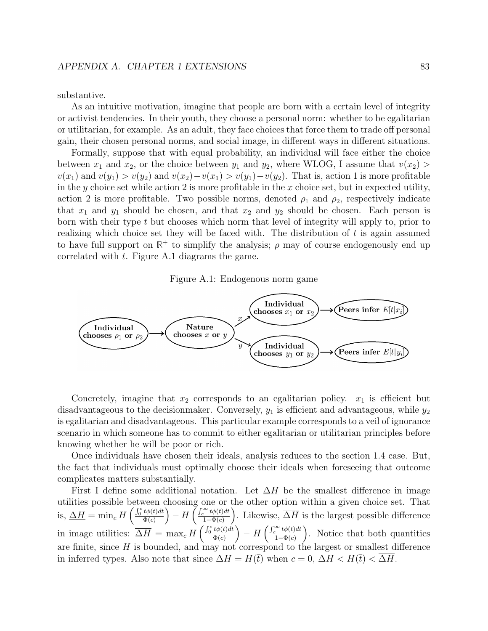substantive.

As an intuitive motivation, imagine that people are born with a certain level of integrity or activist tendencies. In their youth, they choose a personal norm: whether to be egalitarian or utilitarian, for example. As an adult, they face choices that force them to trade off personal gain, their chosen personal norms, and social image, in different ways in different situations.

Formally, suppose that with equal probability, an individual will face either the choice between  $x_1$  and  $x_2$ , or the choice between  $y_1$  and  $y_2$ , where WLOG, I assume that  $v(x_2)$  $v(x_1)$  and  $v(y_1) > v(y_2)$  and  $v(x_2) - v(x_1) > v(y_1) - v(y_2)$ . That is, action 1 is more profitable in the y choice set while action 2 is more profitable in the x choice set, but in expected utility, action 2 is more profitable. Two possible norms, denoted  $\rho_1$  and  $\rho_2$ , respectively indicate that  $x_1$  and  $y_1$  should be chosen, and that  $x_2$  and  $y_2$  should be chosen. Each person is born with their type t but chooses which norm that level of integrity will apply to, prior to realizing which choice set they will be faced with. The distribution of  $t$  is again assumed to have full support on  $\mathbb{R}^+$  to simplify the analysis;  $\rho$  may of course endogenously end up correlated with  $t$ . Figure A.1 diagrams the game.

Figure A.1: Endogenous norm game



Concretely, imagine that  $x_2$  corresponds to an egalitarian policy.  $x_1$  is efficient but disadvantageous to the decision maker. Conversely,  $y_1$  is efficient and advantageous, while  $y_2$ is egalitarian and disadvantageous. This particular example corresponds to a veil of ignorance scenario in which someone has to commit to either egalitarian or utilitarian principles before knowing whether he will be poor or rich.

Once individuals have chosen their ideals, analysis reduces to the section 1.4 case. But, the fact that individuals must optimally choose their ideals when foreseeing that outcome complicates matters substantially.

First I define some additional notation. Let  $\Delta H$  be the smallest difference in image utilities possible between choosing one or the other option within a given choice set. That is,  $\Delta H = \min_c H \left( \frac{\int_0^c t \phi(t) dt}{\Phi(c)} \right)$  $\left(\frac{t\phi(t)dt}{\Phi(c)}\right) - H\left(\frac{\int_{c}^{\infty} t\phi(t)dt}{1-\Phi(c)}\right)$  $\frac{\sum_{i=1}^{n} t \phi(t) dt}{1-\Phi(c)}$ . Likewise,  $\overline{\Delta H}$  is the largest possible difference in image utilities:  $\overline{\Delta H} = \max_c H \left( \frac{\int_0^c t \phi(t) dt}{\Phi(c)} \right)$  $\frac{t\phi(t)dt}{\Phi(c)}$   $-$  H  $\left(\frac{\int_c^{\infty} t\phi(t)dt}{1-\Phi(c)}\right)$  $\frac{\sum_{i=1}^{n} t \phi(t) dt}{1-\Phi(c)}$ . Notice that both quantities are finite, since  $H$  is bounded, and may not correspond to the largest or smallest difference in inferred types. Also note that since  $\Delta H = H(\bar{t})$  when  $c = 0$ ,  $\Delta H < H(\bar{t}) < \Delta H$ .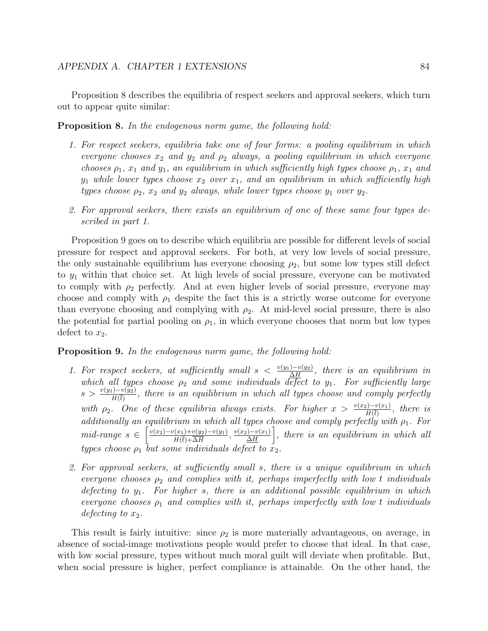Proposition 8 describes the equilibria of respect seekers and approval seekers, which turn out to appear quite similar:

Proposition 8. In the endogenous norm game, the following hold:

- 1. For respect seekers, equilibria take one of four forms: a pooling equilibrium in which everyone chooses  $x_2$  and  $y_2$  and  $\rho_2$  always, a pooling equilibrium in which everyone chooses  $\rho_1$ ,  $x_1$  and  $y_1$ , an equilibrium in which sufficiently high types choose  $\rho_1$ ,  $x_1$  and  $y_1$  while lower types choose  $x_2$  over  $x_1$ , and an equilibrium in which sufficiently high types choose  $\rho_2$ ,  $x_2$  and  $y_2$  always, while lower types choose  $y_1$  over  $y_2$ .
- 2. For approval seekers, there exists an equilibrium of one of these same four types described in part 1.

Proposition 9 goes on to describe which equilibria are possible for different levels of social pressure for respect and approval seekers. For both, at very low levels of social pressure, the only sustainable equilibrium has everyone choosing  $\rho_2$ , but some low types still defect to  $y_1$  within that choice set. At high levels of social pressure, everyone can be motivated to comply with  $\rho_2$  perfectly. And at even higher levels of social pressure, everyone may choose and comply with  $\rho_1$  despite the fact this is a strictly worse outcome for everyone than everyone choosing and complying with  $\rho_2$ . At mid-level social pressure, there is also the potential for partial pooling on  $\rho_1$ , in which everyone chooses that norm but low types defect to  $x_2$ .

#### Proposition 9. In the endogenous norm game, the following hold:

- 1. For respect seekers, at sufficiently small  $s < \frac{v(y_1) v(y_2)}{\Delta H}$ , there is an equilibrium in which all types choose  $\rho_2$  and some individuals defect to  $y_1$ . For sufficiently large  $s > \frac{v(y_1) - v(y_2)}{H(\bar{t})}$ , there is an equilibrium in which all types choose and comply perfectly with  $\rho_2$ . One of these equilibria always exists. For higher  $x > \frac{v(x_2)-v(x_1)}{H(\overline{t})}$ , there is additionally an equilibrium in which all types choose and comply perfectly with  $\rho_1$ . For mid-range  $s \in \left[\frac{v(x_2) - v(x_1) + v(y_2) - v(y_1)}{u(x_1) - \overline{\Delta u}}\right]$  $\frac{v(x_1)+v(y_2)-v(y_1)}{H(\bar{t})+\overline{\Delta H}}$ ,  $\frac{v(x_2)-v(x_1)}{\underline{\Delta H}}$  $\frac{D-v(x_1)}{\Delta H}$ , there is an equilibrium in which all types choose  $\rho_1$  but some individuals defect to  $x_2$ .
- 2. For approval seekers, at sufficiently small s, there is a unique equilibrium in which everyone chooses  $\rho_2$  and complies with it, perhaps imperfectly with low t individuals defecting to  $y_1$ . For higher s, there is an additional possible equilibrium in which everyone chooses  $\rho_1$  and complies with it, perhaps imperfectly with low t individuals defecting to  $x_2$ .

This result is fairly intuitive: since  $\rho_2$  is more materially advantageous, on average, in absence of social-image motivations people would prefer to choose that ideal. In that case, with low social pressure, types without much moral guilt will deviate when profitable. But, when social pressure is higher, perfect compliance is attainable. On the other hand, the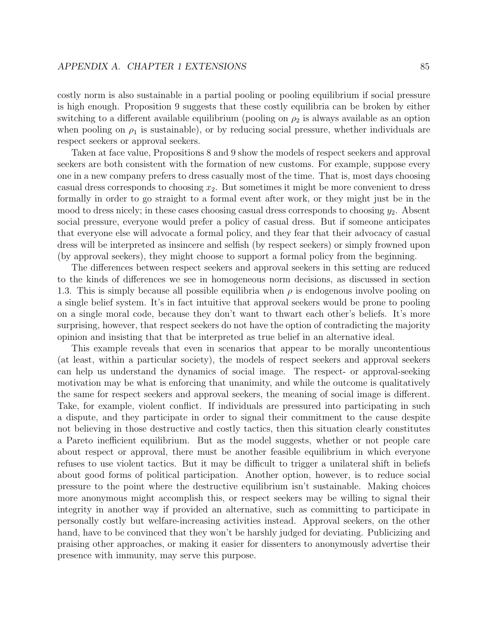costly norm is also sustainable in a partial pooling or pooling equilibrium if social pressure is high enough. Proposition 9 suggests that these costly equilibria can be broken by either switching to a different available equilibrium (pooling on  $\rho_2$  is always available as an option when pooling on  $\rho_1$  is sustainable), or by reducing social pressure, whether individuals are respect seekers or approval seekers.

Taken at face value, Propositions 8 and 9 show the models of respect seekers and approval seekers are both consistent with the formation of new customs. For example, suppose every one in a new company prefers to dress casually most of the time. That is, most days choosing casual dress corresponds to choosing  $x_2$ . But sometimes it might be more convenient to dress formally in order to go straight to a formal event after work, or they might just be in the mood to dress nicely; in these cases choosing casual dress corresponds to choosing  $y_2$ . Absent social pressure, everyone would prefer a policy of casual dress. But if someone anticipates that everyone else will advocate a formal policy, and they fear that their advocacy of casual dress will be interpreted as insincere and selfish (by respect seekers) or simply frowned upon (by approval seekers), they might choose to support a formal policy from the beginning.

The differences between respect seekers and approval seekers in this setting are reduced to the kinds of differences we see in homogeneous norm decisions, as discussed in section 1.3. This is simply because all possible equilibria when  $\rho$  is endogenous involve pooling on a single belief system. It's in fact intuitive that approval seekers would be prone to pooling on a single moral code, because they don't want to thwart each other's beliefs. It's more surprising, however, that respect seekers do not have the option of contradicting the majority opinion and insisting that that be interpreted as true belief in an alternative ideal.

This example reveals that even in scenarios that appear to be morally uncontentious (at least, within a particular society), the models of respect seekers and approval seekers can help us understand the dynamics of social image. The respect- or approval-seeking motivation may be what is enforcing that unanimity, and while the outcome is qualitatively the same for respect seekers and approval seekers, the meaning of social image is different. Take, for example, violent conflict. If individuals are pressured into participating in such a dispute, and they participate in order to signal their commitment to the cause despite not believing in those destructive and costly tactics, then this situation clearly constitutes a Pareto inefficient equilibrium. But as the model suggests, whether or not people care about respect or approval, there must be another feasible equilibrium in which everyone refuses to use violent tactics. But it may be difficult to trigger a unilateral shift in beliefs about good forms of political participation. Another option, however, is to reduce social pressure to the point where the destructive equilibrium isn't sustainable. Making choices more anonymous might accomplish this, or respect seekers may be willing to signal their integrity in another way if provided an alternative, such as committing to participate in personally costly but welfare-increasing activities instead. Approval seekers, on the other hand, have to be convinced that they won't be harshly judged for deviating. Publicizing and praising other approaches, or making it easier for dissenters to anonymously advertise their presence with immunity, may serve this purpose.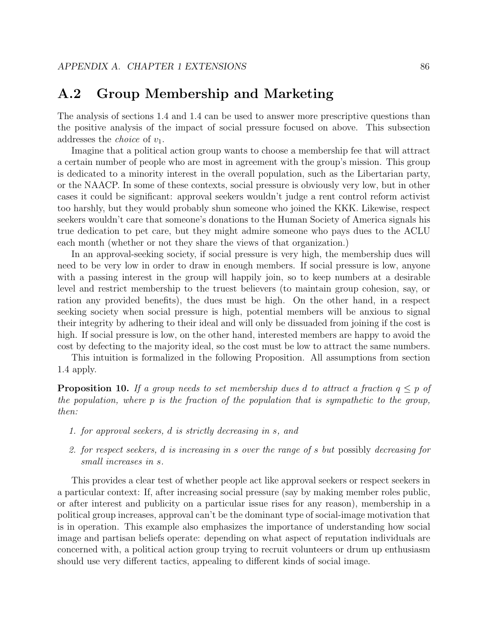## A.2 Group Membership and Marketing

The analysis of sections 1.4 and 1.4 can be used to answer more prescriptive questions than the positive analysis of the impact of social pressure focused on above. This subsection addresses the *choice* of  $v_1$ .

Imagine that a political action group wants to choose a membership fee that will attract a certain number of people who are most in agreement with the group's mission. This group is dedicated to a minority interest in the overall population, such as the Libertarian party, or the NAACP. In some of these contexts, social pressure is obviously very low, but in other cases it could be significant: approval seekers wouldn't judge a rent control reform activist too harshly, but they would probably shun someone who joined the KKK. Likewise, respect seekers wouldn't care that someone's donations to the Human Society of America signals his true dedication to pet care, but they might admire someone who pays dues to the ACLU each month (whether or not they share the views of that organization.)

In an approval-seeking society, if social pressure is very high, the membership dues will need to be very low in order to draw in enough members. If social pressure is low, anyone with a passing interest in the group will happily join, so to keep numbers at a desirable level and restrict membership to the truest believers (to maintain group cohesion, say, or ration any provided benefits), the dues must be high. On the other hand, in a respect seeking society when social pressure is high, potential members will be anxious to signal their integrity by adhering to their ideal and will only be dissuaded from joining if the cost is high. If social pressure is low, on the other hand, interested members are happy to avoid the cost by defecting to the majority ideal, so the cost must be low to attract the same numbers.

This intuition is formalized in the following Proposition. All assumptions from section 1.4 apply.

**Proposition 10.** If a group needs to set membership dues d to attract a fraction  $q \leq p$  of the population, where p is the fraction of the population that is sympathetic to the group, then:

- 1. for approval seekers, d is strictly decreasing in s, and
- 2. for respect seekers, d is increasing in s over the range of s but possibly decreasing for small increases in s.

This provides a clear test of whether people act like approval seekers or respect seekers in a particular context: If, after increasing social pressure (say by making member roles public, or after interest and publicity on a particular issue rises for any reason), membership in a political group increases, approval can't be the dominant type of social-image motivation that is in operation. This example also emphasizes the importance of understanding how social image and partisan beliefs operate: depending on what aspect of reputation individuals are concerned with, a political action group trying to recruit volunteers or drum up enthusiasm should use very different tactics, appealing to different kinds of social image.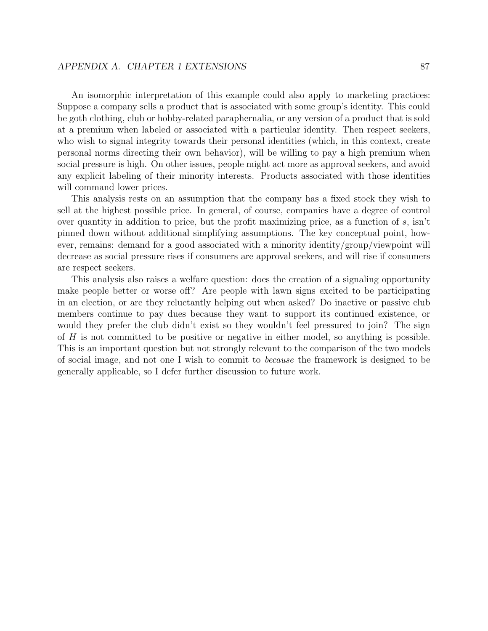### APPENDIX A. CHAPTER 1 EXTENSIONS 87

An isomorphic interpretation of this example could also apply to marketing practices: Suppose a company sells a product that is associated with some group's identity. This could be goth clothing, club or hobby-related paraphernalia, or any version of a product that is sold at a premium when labeled or associated with a particular identity. Then respect seekers, who wish to signal integrity towards their personal identities (which, in this context, create personal norms directing their own behavior), will be willing to pay a high premium when social pressure is high. On other issues, people might act more as approval seekers, and avoid any explicit labeling of their minority interests. Products associated with those identities will command lower prices.

This analysis rests on an assumption that the company has a fixed stock they wish to sell at the highest possible price. In general, of course, companies have a degree of control over quantity in addition to price, but the profit maximizing price, as a function of  $s$ , isn't pinned down without additional simplifying assumptions. The key conceptual point, however, remains: demand for a good associated with a minority identity/group/viewpoint will decrease as social pressure rises if consumers are approval seekers, and will rise if consumers are respect seekers.

This analysis also raises a welfare question: does the creation of a signaling opportunity make people better or worse off? Are people with lawn signs excited to be participating in an election, or are they reluctantly helping out when asked? Do inactive or passive club members continue to pay dues because they want to support its continued existence, or would they prefer the club didn't exist so they wouldn't feel pressured to join? The sign of  $H$  is not committed to be positive or negative in either model, so anything is possible. This is an important question but not strongly relevant to the comparison of the two models of social image, and not one I wish to commit to because the framework is designed to be generally applicable, so I defer further discussion to future work.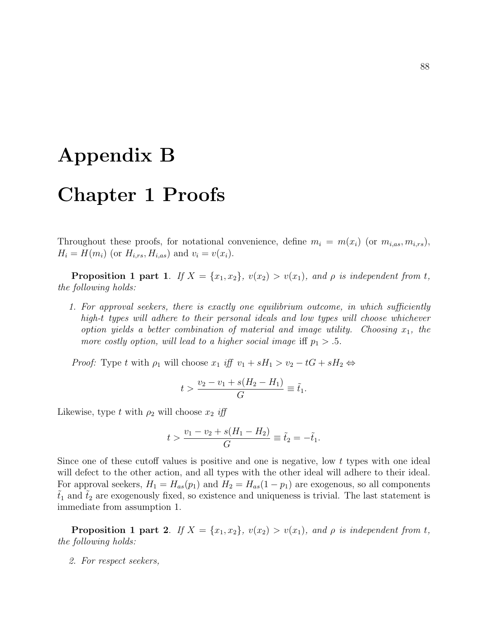## Appendix B

## Chapter 1 Proofs

Throughout these proofs, for notational convenience, define  $m_i = m(x_i)$  (or  $m_{i,as}, m_{i,rs}$ ),  $H_i = H(m_i)$  (or  $H_{i,rs}, H_{i,as}$ ) and  $v_i = v(x_i)$ .

**Proposition 1 part 1.** If  $X = \{x_1, x_2\}$ ,  $v(x_2) > v(x_1)$ , and  $\rho$  is independent from t, the following holds:

1. For approval seekers, there is exactly one equilibrium outcome, in which sufficiently high-t types will adhere to their personal ideals and low types will choose whichever option yields a better combination of material and image utility. Choosing  $x_1$ , the more costly option, will lead to a higher social image iff  $p_1 > .5$ .

*Proof:* Type t with  $\rho_1$  will choose  $x_1$  iff  $v_1 + sH_1 > v_2 - tG + sH_2 \Leftrightarrow$ 

$$
t > \frac{v_2 - v_1 + s(H_2 - H_1)}{G} \equiv \tilde{t}_1.
$$

Likewise, type t with  $\rho_2$  will choose  $x_2$  iff

$$
t > \frac{v_1 - v_2 + s(H_1 - H_2)}{G} \equiv \tilde{t}_2 = -\tilde{t}_1.
$$

Since one of these cutoff values is positive and one is negative, low t types with one ideal will defect to the other action, and all types with the other ideal will adhere to their ideal. For approval seekers,  $H_1 = H_{as}(p_1)$  and  $H_2 = H_{as}(1 - p_1)$  are exogenous, so all components  $t_1$  and  $t_2$  are exogenously fixed, so existence and uniqueness is trivial. The last statement is immediate from assumption 1.

**Proposition 1 part 2.** If  $X = \{x_1, x_2\}$ ,  $v(x_2) > v(x_1)$ , and  $\rho$  is independent from t, the following holds:

2. For respect seekers,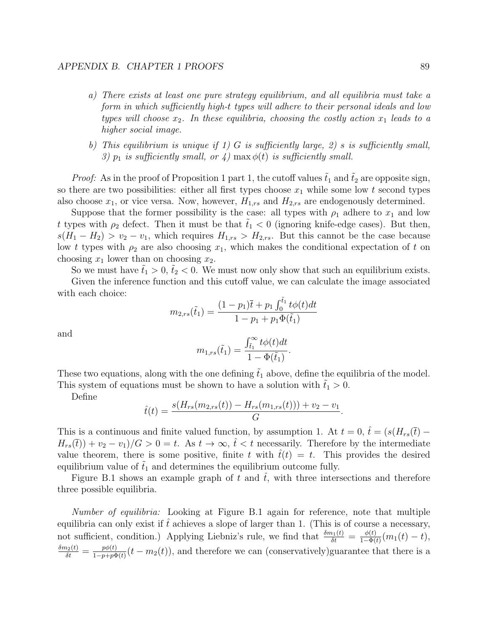- a) There exists at least one pure strategy equilibrium, and all equilibria must take a form in which sufficiently high-t types will adhere to their personal ideals and low types will choose  $x_2$ . In these equilibria, choosing the costly action  $x_1$  leads to a higher social image.
- b) This equilibrium is unique if 1) G is sufficiently large, 2) s is sufficiently small, 3)  $p_1$  is sufficiently small, or 4) max  $\phi(t)$  is sufficiently small.

*Proof:* As in the proof of Proposition 1 part 1, the cutoff values  $\tilde{t}_1$  and  $\tilde{t}_2$  are opposite sign, so there are two possibilities: either all first types choose  $x_1$  while some low t second types also choose  $x_1$ , or vice versa. Now, however,  $H_{1,rs}$  and  $H_{2,rs}$  are endogenously determined.

Suppose that the former possibility is the case: all types with  $\rho_1$  adhere to  $x_1$  and low t types with  $\rho_2$  defect. Then it must be that  $t_1 < 0$  (ignoring knife-edge cases). But then,  $s(H_1 - H_2) > v_2 - v_1$ , which requires  $H_{1,rs} > H_{2,rs}$ . But this cannot be the case because low t types with  $\rho_2$  are also choosing  $x_1$ , which makes the conditional expectation of t on choosing  $x_1$  lower than on choosing  $x_2$ .

So we must have  $\tilde{t}_1 > 0$ ,  $\tilde{t}_2 < 0$ . We must now only show that such an equilibrium exists.

Given the inference function and this cutoff value, we can calculate the image associated with each choice:

$$
m_{2,rs}(\tilde{t}_1) = \frac{(1-p_1)\bar{t} + p_1 \int_0^{\tilde{t}_1} t\phi(t)dt}{1 - p_1 + p_1 \Phi(\tilde{t}_1)}
$$

and

$$
m_{1,rs}(\tilde{t}_1) = \frac{\int_{\tilde{t}_1}^{\infty} t \phi(t) dt}{1 - \Phi(\tilde{t}_1)}.
$$

These two equations, along with the one defining  $\tilde{t}_1$  above, define the equilibria of the model. This system of equations must be shown to have a solution with  $t_1 > 0$ .

Define

$$
\hat{t}(t) = \frac{s(H_{rs}(m_{2,rs}(t)) - H_{rs}(m_{1,rs}(t))) + v_2 - v_1}{G}.
$$

This is a continuous and finite valued function, by assumption 1. At  $t = 0$ ,  $\hat{t} = (s(H_{rs}(\bar{t}) H_{rs}(\bar{t}) + v_2 - v_1/G > 0 = t$ . As  $t \to \infty$ ,  $\hat{t} < t$  necessarily. Therefore by the intermediate value theorem, there is some positive, finite t with  $\hat{t}(t) = t$ . This provides the desired equilibrium value of  $\tilde{t}_1$  and determines the equilibrium outcome fully.

Figure B.1 shows an example graph of t and  $\hat{t}$ , with three intersections and therefore three possible equilibria.

Number of equilibria: Looking at Figure B.1 again for reference, note that multiple equilibria can only exist if t achieves a slope of larger than 1. (This is of course a necessary, not sufficient, condition.) Applying Liebniz's rule, we find that  $\frac{\delta m_1(t)}{\delta t} = \frac{\phi(t)}{1-\Phi(t)}$  $\frac{\phi(t)}{1-\Phi(t)}(m_1(t)-t),$  $\frac{\delta m_2(t)}{\delta t} = \frac{p\phi(t)}{1-p+p\Phi}$  $\frac{p\phi(t)}{1-p+p\Phi(t)}(t-m_2(t))$ , and therefore we can (conservatively)guarantee that there is a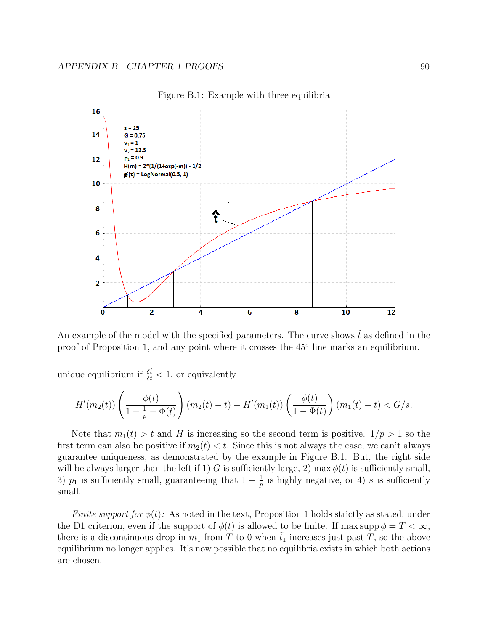

Figure B.1: Example with three equilibria

An example of the model with the specified parameters. The curve shows  $\hat{t}$  as defined in the proof of Proposition 1, and any point where it crosses the 45° line marks an equilibrium.

unique equilibrium if  $\frac{\delta \hat{t}}{\delta t} < 1$ , or equivalently

$$
H'(m_2(t))\left(\frac{\phi(t)}{1-\frac{1}{p}-\Phi(t)}\right)(m_2(t)-t)-H'(m_1(t))\left(\frac{\phi(t)}{1-\Phi(t)}\right)(m_1(t)-t)
$$

Note that  $m_1(t) > t$  and H is increasing so the second term is positive.  $1/p > 1$  so the first term can also be positive if  $m_2(t) < t$ . Since this is not always the case, we can't always guarantee uniqueness, as demonstrated by the example in Figure B.1. But, the right side will be always larger than the left if 1) G is sufficiently large, 2) max  $\phi(t)$  is sufficiently small, 3)  $p_1$  is sufficiently small, guaranteeing that  $1-\frac{1}{p}$  $\frac{1}{p}$  is highly negative, or 4) s is sufficiently small.

Finite support for  $\phi(t)$ : As noted in the text, Proposition 1 holds strictly as stated, under the D1 criterion, even if the support of  $\phi(t)$  is allowed to be finite. If max supp  $\phi = T < \infty$ , there is a discontinuous drop in  $m_1$  from T to 0 when  $\tilde{t}_1$  increases just past T, so the above equilibrium no longer applies. It's now possible that no equilibria exists in which both actions are chosen.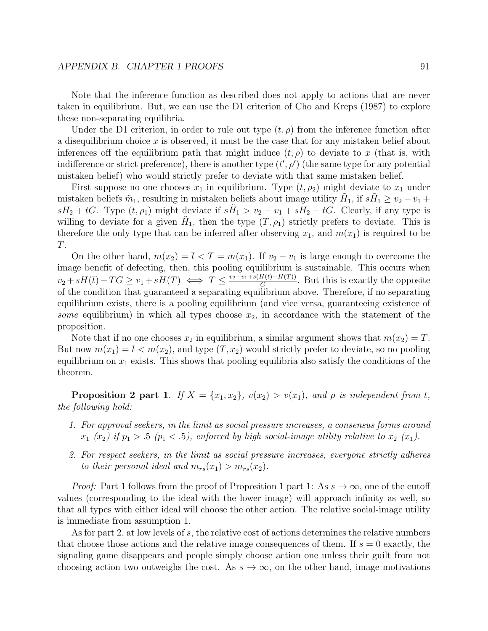Note that the inference function as described does not apply to actions that are never taken in equilibrium. But, we can use the D1 criterion of Cho and Kreps (1987) to explore these non-separating equilibria.

Under the D1 criterion, in order to rule out type  $(t, \rho)$  from the inference function after a disequilibrium choice  $x$  is observed, it must be the case that for any mistaken belief about inferences off the equilibrium path that might induce  $(t, \rho)$  to deviate to x (that is, with indifference or strict preference), there is another type  $(t', \rho')$  (the same type for any potential mistaken belief) who would strictly prefer to deviate with that same mistaken belief.

First suppose no one chooses  $x_1$  in equilibrium. Type  $(t, \rho_2)$  might deviate to  $x_1$  under mistaken beliefs  $\tilde{m}_1$ , resulting in mistaken beliefs about image utility  $H_1$ , if  $s\tilde{H}_1 \geq v_2 - v_1 +$  $sH_2 + tG$ . Type  $(t, \rho_1)$  might deviate if  $s\tilde{H}_1 > v_2 - v_1 + sH_2 - tG$ . Clearly, if any type is willing to deviate for a given  $\tilde{H}_1$ , then the type  $(T, \rho_1)$  strictly prefers to deviate. This is therefore the only type that can be inferred after observing  $x_1$ , and  $m(x_1)$  is required to be T.

On the other hand,  $m(x_2) = \overline{t} < T = m(x_1)$ . If  $v_2 - v_1$  is large enough to overcome the image benefit of defecting, then, this pooling equilibrium is sustainable. This occurs when  $v_2 + sH(\overline{t}) - TG \ge v_1 + sH(T) \iff T \le \frac{v_2 - v_1 + s(H(\overline{t}) - H(T))}{G}$  $\frac{H(t)-H(T)}{G}$ . But this is exactly the opposite of the condition that guaranteed a separating equilibrium above. Therefore, if no separating equilibrium exists, there is a pooling equilibrium (and vice versa, guaranteeing existence of some equilibrium) in which all types choose  $x_2$ , in accordance with the statement of the proposition.

Note that if no one chooses  $x_2$  in equilibrium, a similar argument shows that  $m(x_2) = T$ . But now  $m(x_1) = \overline{t} < m(x_2)$ , and type  $(T, x_2)$  would strictly prefer to deviate, so no pooling equilibrium on  $x_1$  exists. This shows that pooling equilibria also satisfy the conditions of the theorem.

**Proposition 2 part 1.** If  $X = \{x_1, x_2\}$ ,  $v(x_2) > v(x_1)$ , and  $\rho$  is independent from t, the following hold:

- 1. For approval seekers, in the limit as social pressure increases, a consensus forms around  $x_1$  ( $x_2$ ) if  $p_1 > .5$  ( $p_1 < .5$ ), enforced by high social-image utility relative to  $x_2$  ( $x_1$ ).
- 2. For respect seekers, in the limit as social pressure increases, everyone strictly adheres to their personal ideal and  $m_{rs}(x_1) > m_{rs}(x_2)$ .

*Proof:* Part 1 follows from the proof of Proposition 1 part 1: As  $s \to \infty$ , one of the cutoff values (corresponding to the ideal with the lower image) will approach infinity as well, so that all types with either ideal will choose the other action. The relative social-image utility is immediate from assumption 1.

As for part 2, at low levels of s, the relative cost of actions determines the relative numbers that choose those actions and the relative image consequences of them. If  $s = 0$  exactly, the signaling game disappears and people simply choose action one unless their guilt from not choosing action two outweighs the cost. As  $s \to \infty$ , on the other hand, image motivations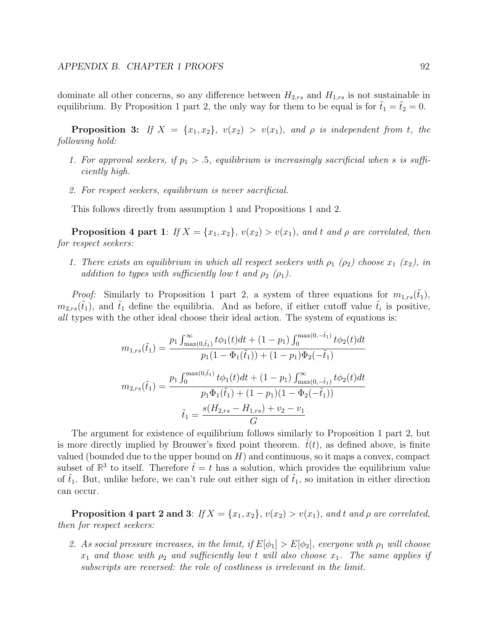dominate all other concerns, so any difference between  $H_{2,rs}$  and  $H_{1,rs}$  is not sustainable in equilibrium. By Proposition 1 part 2, the only way for them to be equal is for  $t_1 = t_2 = 0$ .

**Proposition 3:** If  $X = \{x_1, x_2\}$ ,  $v(x_2) > v(x_1)$ , and  $\rho$  is independent from t, the following hold:

- 1. For approval seekers, if  $p_1 > .5$ , equilibrium is increasingly sacrificial when s is sufficiently high.
- 2. For respect seekers, equilibrium is never sacrificial.

This follows directly from assumption 1 and Propositions 1 and 2.

**Proposition 4 part 1:** If  $X = \{x_1, x_2\}$ ,  $v(x_2) > v(x_1)$ , and t and  $\rho$  are correlated, then for respect seekers:

1. There exists an equilibrium in which all respect seekers with  $\rho_1$  ( $\rho_2$ ) choose  $x_1$  ( $x_2$ ), in addition to types with sufficiently low t and  $\rho_2$  ( $\rho_1$ ).

*Proof:* Similarly to Proposition 1 part 2, a system of three equations for  $m_{1,rs}(\tilde{t}_1)$ ,  $m_{2,rs}(\tilde{t}_1)$ , and  $\tilde{t}_1$  define the equilibria. And as before, if either cutoff value  $\tilde{t}_i$  is positive, all types with the other ideal choose their ideal action. The system of equations is:

$$
m_{1,rs}(\tilde{t}_1) = \frac{p_1 \int_{\max(0,\tilde{t}_1)}^{\infty} t \phi_1(t)dt + (1 - p_1) \int_0^{\max(0, -\tilde{t}_1)} t \phi_2(t)dt}{p_1(1 - \Phi_1(\tilde{t}_1)) + (1 - p_1)\Phi_2(-\tilde{t}_1)}
$$

$$
m_{2,rs}(\tilde{t}_1) = \frac{p_1 \int_0^{\max(0,\tilde{t}_1)} t \phi_1(t)dt + (1 - p_1) \int_{\max(0, -\tilde{t}_1)}^{\infty} t \phi_2(t)dt}{p_1 \Phi_1(\tilde{t}_1) + (1 - p_1)(1 - \Phi_2(-\tilde{t}_1))}
$$

$$
\tilde{t}_1 = \frac{s(H_{2,rs} - H_{1,rs}) + v_2 - v_1}{G}
$$

The argument for existence of equilibrium follows similarly to Proposition 1 part 2, but is more directly implied by Brouwer's fixed point theorem.  $\hat{t}(t)$ , as defined above, is finite valued (bounded due to the upper bound on  $H$ ) and continuous, so it maps a convex, compact subset of  $\mathbb{R}^3$  to itself. Therefore  $\hat{t} = t$  has a solution, which provides the equilibrium value of  $\tilde{t}_1$ . But, unlike before, we can't rule out either sign of  $\tilde{t}_1$ , so imitation in either direction can occur.

**Proposition 4 part 2 and 3:** If  $X = \{x_1, x_2\}$ ,  $v(x_2) > v(x_1)$ , and t and  $\rho$  are correlated, then for respect seekers:

2. As social pressure increases, in the limit, if  $E[\phi_1] > E[\phi_2]$ , everyone with  $\rho_1$  will choose  $x_1$  and those with  $\rho_2$  and sufficiently low t will also choose  $x_1$ . The same applies if subscripts are reversed: the role of costliness is irrelevant in the limit.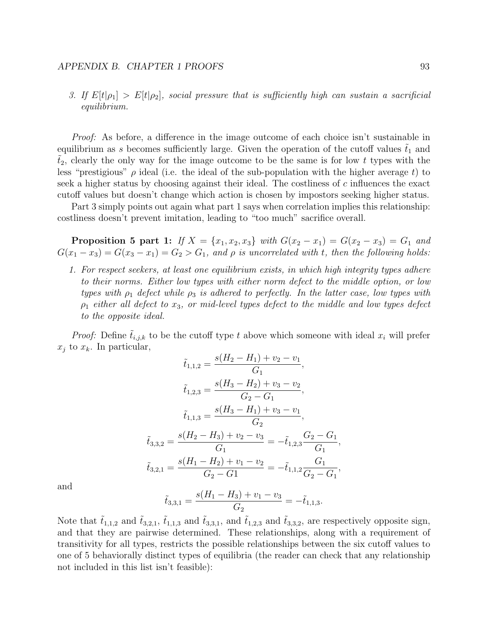### APPENDIX B. CHAPTER 1 PROOFS 93

3. If  $E[t|\rho_1] > E[t|\rho_2]$ , social pressure that is sufficiently high can sustain a sacrificial equilibrium.

*Proof:* As before, a difference in the image outcome of each choice isn't sustainable in equilibrium as s becomes sufficiently large. Given the operation of the cutoff values  $t_1$  and  $t_2$ , clearly the only way for the image outcome to be the same is for low t types with the less "prestigious"  $\rho$  ideal (i.e. the ideal of the sub-population with the higher average t) to seek a higher status by choosing against their ideal. The costliness of c influences the exact cutoff values but doesn't change which action is chosen by impostors seeking higher status.

Part 3 simply points out again what part 1 says when correlation implies this relationship: costliness doesn't prevent imitation, leading to "too much" sacrifice overall.

**Proposition 5 part 1:** If  $X = \{x_1, x_2, x_3\}$  with  $G(x_2 - x_1) = G(x_2 - x_3) = G_1$  and  $G(x_1 - x_3) = G(x_3 - x_1) = G_2 > G_1$ , and  $\rho$  is uncorrelated with t, then the following holds:

1. For respect seekers, at least one equilibrium exists, in which high integrity types adhere to their norms. Either low types with either norm defect to the middle option, or low types with  $\rho_1$  defect while  $\rho_3$  is adhered to perfectly. In the latter case, low types with  $\rho_1$  either all defect to  $x_3$ , or mid-level types defect to the middle and low types defect to the opposite ideal.

*Proof:* Define  $\tilde{t}_{i,j,k}$  to be the cutoff type t above which someone with ideal  $x_i$  will prefer  $x_i$  to  $x_k$ . In particular,

$$
\tilde{t}_{1,1,2} = \frac{s(H_2 - H_1) + v_2 - v_1}{G_1},
$$
\n
$$
\tilde{t}_{1,2,3} = \frac{s(H_3 - H_2) + v_3 - v_2}{G_2 - G_1},
$$
\n
$$
\tilde{t}_{1,1,3} = \frac{s(H_3 - H_1) + v_3 - v_1}{G_2},
$$
\n
$$
\tilde{t}_{3,3,2} = \frac{s(H_2 - H_3) + v_2 - v_3}{G_1} = -\tilde{t}_{1,2,3} \frac{G_2 - G_1}{G_1},
$$
\n
$$
\tilde{t}_{3,2,1} = \frac{s(H_1 - H_2) + v_1 - v_2}{G_2 - G_1} = -\tilde{t}_{1,1,2} \frac{G_1}{G_2 - G_1},
$$

and

$$
\tilde{t}_{3,3,1} = \frac{s(H_1 - H_3) + v_1 - v_3}{G_2} = -\tilde{t}_{1,1,3}.
$$

Note that  $\tilde{t}_{1,1,2}$  and  $\tilde{t}_{3,2,1}$ ,  $\tilde{t}_{1,1,3}$  and  $\tilde{t}_{3,3,1}$ , and  $\tilde{t}_{1,2,3}$  and  $\tilde{t}_{3,3,2}$ , are respectively opposite sign, and that they are pairwise determined. These relationships, along with a requirement of transitivity for all types, restricts the possible relationships between the six cutoff values to one of 5 behaviorally distinct types of equilibria (the reader can check that any relationship not included in this list isn't feasible):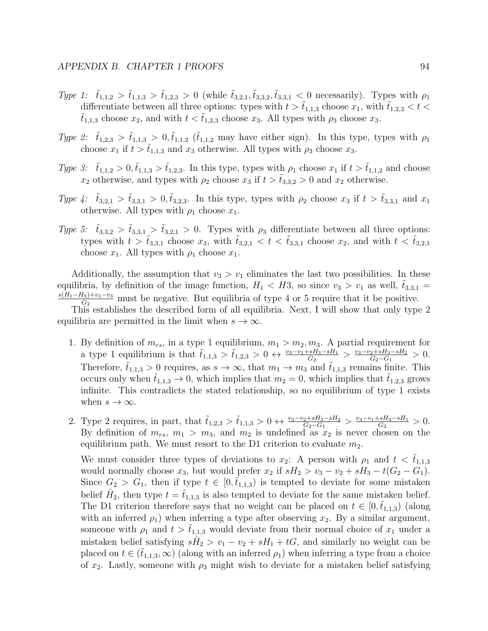- Type 1:  $\tilde{t}_{1,1,2} > \tilde{t}_{1,1,3} > \tilde{t}_{1,2,3} > 0$  (while  $\tilde{t}_{3,2,1}, \tilde{t}_{3,3,2}, \tilde{t}_{3,3,1} < 0$  necessarily). Types with  $\rho_1$ differentiate between all three options: types with  $t > t_{1,1,3}$  choose  $x_1$ , with  $t_{1,2,3} < t <$  $t_{1,1,3}$  choose  $x_2$ , and with  $t < \tilde{t}_{1,2,3}$  choose  $x_3$ . All types with  $\rho_3$  choose  $x_3$ .
- Type 2:  $\tilde{t}_{1,2,3} > \tilde{t}_{1,1,3} > 0, \tilde{t}_{1,1,2}$  ( $\tilde{t}_{1,1,2}$  may have either sign). In this type, types with  $\rho_1$ choose  $x_1$  if  $t > \tilde{t}_{1,1,3}$  and  $x_3$  otherwise. All types with  $\rho_3$  choose  $x_3$ .
- Type 3:  $\tilde{t}_{1,1,2} > 0$ ,  $\tilde{t}_{1,1,3} > \tilde{t}_{1,2,3}$ . In this type, types with  $\rho_1$  choose  $x_1$  if  $t > \tilde{t}_{1,1,2}$  and choose  $x_2$  otherwise, and types with  $\rho_2$  choose  $x_3$  if  $t > \tilde{t}_{3,3,2} > 0$  and  $x_2$  otherwise.
- Type 4:  $\tilde{t}_{3,2,1} > \tilde{t}_{3,3,1} > 0, \tilde{t}_{3,2,3}$ . In this type, types with  $\rho_2$  choose  $x_3$  if  $t > \tilde{t}_{3,3,1}$  and  $x_1$ otherwise. All types with  $\rho_1$  choose  $x_1$ .
- Type 5:  $\tilde{t}_{3,3,2} > \tilde{t}_{3,3,1} > \tilde{t}_{3,2,1} > 0$ . Types with  $\rho_3$  differentiate between all three options: types with  $t > \tilde{t}_{3,3,1}$  choose  $x_3$ , with  $\tilde{t}_{3,2,1} < t < \tilde{t}_{3,3,1}$  choose  $x_2$ , and with  $t < \tilde{t}_{3,2,1}$ choose  $x_1$ . All types with  $\rho_1$  choose  $x_1$ .

Additionally, the assumption that  $v_3 > v_1$  eliminates the last two possibilities. In these equilibria, by definition of the image function,  $H_1 < H_3$ , so since  $v_3 > v_1$  as well,  $t_{3,3,1} =$  $s(H_1-H_3)+v_1-v_3$  $\frac{d_3+v_1-v_3}{G_2}$  must be negative. But equilibria of type 4 or 5 require that it be positive.

This establishes the described form of all equilibria. Next, I will show that only type 2 equilibria are permitted in the limit when  $s \to \infty$ .

- 1. By definition of  $m_{rs}$ , in a type 1 equilibrium,  $m_1 > m_2, m_3$ . A partial requirement for a type 1 equilibrium is that  $\tilde{t}_{1,1,3} > \tilde{t}_{1,2,3} > 0 \leftrightarrow \frac{v_3 - v_1 + sH_3 - sH_1}{G_2} > \frac{v_3 - v_2 + sH_3 - sH_2}{G_2 - G_1}$  $\frac{2+ sH_3 - sH_2}{G_2 - G_1} > 0.$ Therefore,  $\tilde{t}_{1,1,3} > 0$  requires, as  $s \to \infty$ , that  $m_1 \to m_3$  and  $\tilde{t}_{1,1,3}$  remains finite. This occurs only when  $t_{1,1,3} \rightarrow 0$ , which implies that  $m_2 = 0$ , which implies that  $t_{1,2,3}$  grows infinite. This contradicts the stated relationship, so no equilibrium of type 1 exists when  $s \to \infty$ .
- 2. Type 2 requires, in part, that  $\tilde{t}_{1,2,3} > \tilde{t}_{1,1,3} > 0 \leftrightarrow \frac{v_3 v_2 + sH_3 sH_2}{G_2 G_1} > \frac{v_3 v_1 + sH_3 sH_1}{G_2}$  $\frac{-sH_3 - sH_1}{G_2} > 0.$ By definition of  $m_{rs}$ ,  $m_1 > m_3$ , and  $m_2$  is undefined as  $x_2$  is never chosen on the equilibrium path. We must resort to the D1 criterion to evaluate  $m_2$ .

We must consider three types of deviations to  $x_2$ : A person with  $\rho_1$  and  $t < \tilde{t}_{1,1,3}$ would normally choose  $x_3$ , but would prefer  $x_2$  if  $sH_2 > v_3 - v_2 + sH_3 - t(G_2 - G_1)$ . Since  $G_2 > G_1$ , then if type  $t \in [0, \tilde{t}_{1,1,3})$  is tempted to deviate for some mistaken belief  $\hat{H}_2$ , then type  $t = \tilde{t}_{1,1,3}$  is also tempted to deviate for the same mistaken belief. The D1 criterion therefore says that no weight can be placed on  $t \in [0, t_{1,1,3})$  (along with an inferred  $\rho_1$ ) when inferring a type after observing  $x_2$ . By a similar argument, someone with  $\rho_1$  and  $t > t_{1,1,3}$  would deviate from their normal choice of  $x_1$  under a mistaken belief satisfying  $s\hat{H}_2 > v_1 - v_2 + sH_1 + tG$ , and similarly no weight can be placed on  $t \in (t_{1,1,3}, \infty)$  (along with an inferred  $\rho_1$ ) when inferring a type from a choice of  $x_2$ . Lastly, someone with  $\rho_3$  might wish to deviate for a mistaken belief satisfying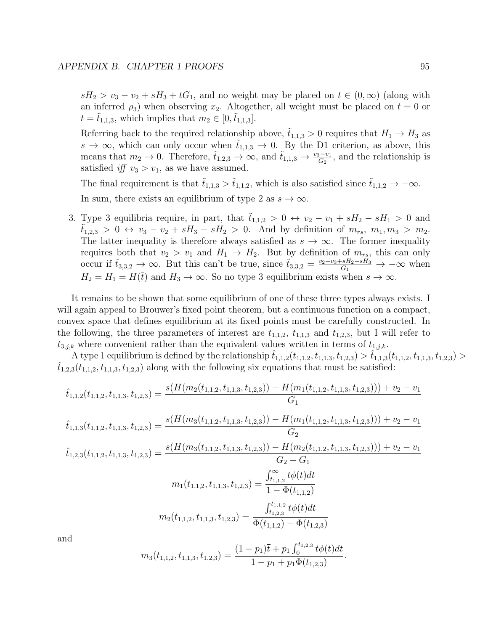$sH_2 > v_3 - v_2 + sH_3 + tG_1$ , and no weight may be placed on  $t \in (0, \infty)$  (along with an inferred  $\rho_3$ ) when observing  $x_2$ . Altogether, all weight must be placed on  $t = 0$  or  $t = \tilde{t}_{1,1,3}$ , which implies that  $m_2 \in [0,\tilde{t}_{1,1,3}]$ .

Referring back to the required relationship above,  $t_{1,1,3} > 0$  requires that  $H_1 \rightarrow H_3$  as  $s \to \infty$ , which can only occur when  $t_{1,1,3} \to 0$ . By the D1 criterion, as above, this means that  $m_2 \to 0$ . Therefore,  $\tilde{t}_{1,2,3} \to \infty$ , and  $\tilde{t}_{1,1,3} \to \frac{v_3-v_1}{G_2}$ , and the relationship is satisfied if  $v_3 > v_1$ , as we have assumed.

The final requirement is that  $\tilde{t}_{1,1,3} > \tilde{t}_{1,1,2}$ , which is also satisfied since  $\tilde{t}_{1,1,2} \to -\infty$ . In sum, there exists an equilibrium of type 2 as  $s \to \infty$ .

3. Type 3 equilibria require, in part, that  $t_{1,1,2} > 0 \leftrightarrow v_2 - v_1 + sH_2 - sH_1 > 0$  and  $\tilde{t}_{1,2,3} > 0 \leftrightarrow v_3 - v_2 + sH_3 - sH_2 > 0$ . And by definition of  $m_{rs}, m_1, m_3 > m_2$ . The latter inequality is therefore always satisfied as  $s \to \infty$ . The former inequality requires both that  $v_2 > v_1$  and  $H_1 \rightarrow H_2$ . But by definition of  $m_{rs}$ , this can only occur if  $\tilde{t}_{3,3,2} \to \infty$ . But this can't be true, since  $\tilde{t}_{3,3,2} = \frac{v_2 - v_3 + sH_2 - sH_3}{G_1} \to -\infty$  when  $H_2 = H_1 = H(\bar{t})$  and  $H_3 \to \infty$ . So no type 3 equilibrium exists when  $s \to \infty$ .

It remains to be shown that some equilibrium of one of these three types always exists. I will again appeal to Brouwer's fixed point theorem, but a continuous function on a compact, convex space that defines equilibrium at its fixed points must be carefully constructed. In the following, the three parameters of interest are  $t_{1,1,2}$ ,  $t_{1,1,3}$  and  $t_{1,2,3}$ , but I will refer to  $t_{3,j,k}$  where convenient rather than the equivalent values written in terms of  $t_{1,j,k}$ .

A type 1 equilibrium is defined by the relationship  $t_{1,1,2}(t_{1,1,2}, t_{1,1,3}, t_{1,2,3}) > t_{1,1,3}(t_{1,1,2}, t_{1,1,3}, t_{1,2,3}) >$  $t_{1,2,3}(t_{1,1,2}, t_{1,1,3}, t_{1,2,3})$  along with the following six equations that must be satisfied:

$$
\hat{t}_{1,1,2}(t_{1,1,2}, t_{1,1,3}, t_{1,2,3}) = \frac{s(H(m_2(t_{1,1,2}, t_{1,1,3}, t_{1,2,3})) - H(m_1(t_{1,1,2}, t_{1,1,3}, t_{1,2,3}))) + v_2 - v_1}{G_1}
$$
\n
$$
\hat{t}_{1,1,3}(t_{1,1,2}, t_{1,1,3}, t_{1,2,3}) = \frac{s(H(m_3(t_{1,1,2}, t_{1,1,3}, t_{1,2,3})) - H(m_1(t_{1,1,2}, t_{1,1,3}, t_{1,2,3}))) + v_2 - v_1}{G_2}
$$
\n
$$
\hat{t}_{1,2,3}(t_{1,1,2}, t_{1,1,3}, t_{1,2,3}) = \frac{s(H(m_3(t_{1,1,2}, t_{1,1,3}, t_{1,2,3})) - H(m_2(t_{1,1,2}, t_{1,1,3}, t_{1,2,3}))) + v_2 - v_1}{G_2 - G_1}
$$
\n
$$
m_1(t_{1,1,2}, t_{1,1,3}, t_{1,2,3}) = \frac{\int_{t_{1,1,2}}^{\infty} t\phi(t)dt}{1 - \Phi(t_{1,1,2})}
$$
\n
$$
m_2(t_{1,1,2}, t_{1,1,3}, t_{1,2,3}) = \frac{\int_{t_{1,1,2}}^{t_{1,1,2}} t\phi(t)dt}{\Phi(t_{1,1,2}) - \Phi(t_{1,2,3})}
$$

and

$$
m_3(t_{1,1,2}, t_{1,1,3}, t_{1,2,3}) = \frac{(1-p_1)\overline{t} + p_1 \int_0^{t_{1,2,3}} t\phi(t)dt}{1 - p_1 + p_1 \Phi(t_{1,2,3})}.
$$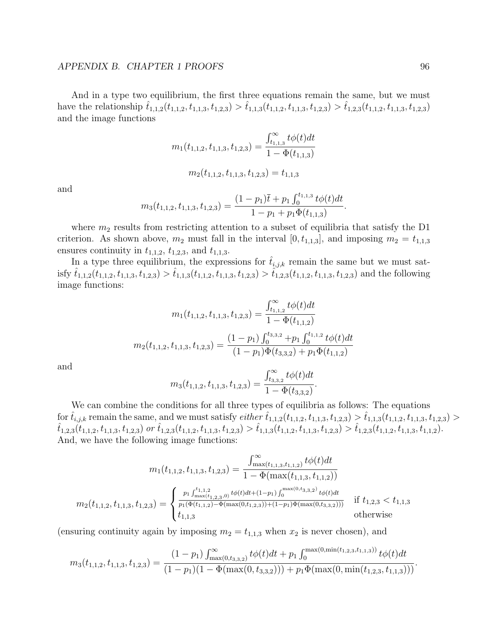#### APPENDIX B. CHAPTER 1 PROOFS 96

And in a type two equilibrium, the first three equations remain the same, but we must have the relationship  $\hat{t}_{1,1,2}(t_{1,1,2}, t_{1,1,3}, t_{1,2,3}) > \hat{t}_{1,1,3}(t_{1,1,2}, t_{1,1,3}, t_{1,2,3}) > \hat{t}_{1,2,3}(t_{1,1,2}, t_{1,1,3}, t_{1,2,3})$ and the image functions

$$
m_1(t_{1,1,2}, t_{1,1,3}, t_{1,2,3}) = \frac{\int_{t_{1,1,3}}^{\infty} t \phi(t) dt}{1 - \Phi(t_{1,1,3})}
$$

$$
m_2(t_{1,1,2}, t_{1,1,3}, t_{1,2,3}) = t_{1,1,3}
$$

and

$$
m_3(t_{1,1,2}, t_{1,1,3}, t_{1,2,3}) = \frac{(1-p_1)\overline{t} + p_1 \int_0^{t_{1,1,3}} t\phi(t)dt}{1 - p_1 + p_1 \Phi(t_{1,1,3})}.
$$

where  $m_2$  results from restricting attention to a subset of equilibria that satisfy the D1 criterion. As shown above,  $m_2$  must fall in the interval  $[0, t_{1,1,3}]$ , and imposing  $m_2 = t_{1,1,3}$ ensures continuity in  $t_{1,1,2}$ ,  $t_{1,2,3}$ , and  $t_{1,1,3}$ .

In a type three equilibrium, the expressions for  $\hat{t}_{i,j,k}$  remain the same but we must satisfy  $\hat{t}_{1,1,2}(t_{1,1,2}, t_{1,1,3}, t_{1,2,3}) > \hat{t}_{1,1,3}(t_{1,1,2}, t_{1,1,3}, t_{1,2,3}) > \hat{t}_{1,2,3}(t_{1,1,2}, t_{1,1,3}, t_{1,2,3})$  and the following image functions:

$$
m_1(t_{1,1,2}, t_{1,1,3}, t_{1,2,3}) = \frac{\int_{t_{1,1,2}}^{\infty} t\phi(t)dt}{1 - \Phi(t_{1,1,2})}
$$

$$
m_2(t_{1,1,2}, t_{1,1,3}, t_{1,2,3}) = \frac{(1 - p_1) \int_0^{t_{3,3,2}} + p_1 \int_0^{t_{1,1,2}} t\phi(t)dt}{(1 - p_1)\Phi(t_{3,3,2}) + p_1\Phi(t_{1,1,2})}
$$

and

$$
m_3(t_{1,1,2}, t_{1,1,3}, t_{1,2,3}) = \frac{\int_{t_{3,3,2}}^{\infty} t\phi(t)dt}{1 - \Phi(t_{3,3,2})}.
$$

We can combine the conditions for all three types of equilibria as follows: The equations for  $\hat{t}_{i,j,k}$  remain the same, and we must satisfy *either*  $\hat{t}_{1,1,2}(t_{1,1,2}, t_{1,1,3}, t_{1,2,3}) > \hat{t}_{1,1,3}(t_{1,1,2}, t_{1,1,3}, t_{1,2,3}) >$  $\hat{t}_{1,2,3}(t_{1,1,2}, t_{1,1,3}, t_{1,2,3})$  or  $\hat{t}_{1,2,3}(t_{1,1,2}, t_{1,1,3}, t_{1,2,3}) > \hat{t}_{1,1,3}(t_{1,1,2}, t_{1,1,3}, t_{1,2,3}) > \hat{t}_{1,2,3}(t_{1,1,2}, t_{1,1,3}, t_{1,1,2}).$ And, we have the following image functions:

$$
m_1(t_{1,1,2}, t_{1,1,3}, t_{1,2,3}) = \frac{\int_{\max(t_{1,1,3}, t_{1,1,2})}^{\infty} t\phi(t)dt}{1 - \Phi(\max(t_{1,1,3}, t_{1,1,2}))}
$$

$$
m_2(t_{1,1,2}, t_{1,1,3}, t_{1,2,3}) = \begin{cases} \frac{p_1 \int_{\max(t_{1,2,3}, 0)}^{t_{1,1,2}} t\phi(t)dt + (1 - p_1) \int_0^{\max(0, t_{3,3,2})} t\phi(t)dt}{p_1(\Phi(t_{1,1,2}) - \Phi(\max(0, t_{1,2,3})) + (1 - p_1)\Phi(\max(0, t_{3,3,2})))} & \text{if } t_{1,2,3} < t_{1,1,3} \\ t_{1,1,3} & \text{otherwise} \end{cases}
$$

(ensuring continuity again by imposing  $m_2 = t_{1,1,3}$  when  $x_2$  is never chosen), and

$$
m_3(t_{1,1,2}, t_{1,1,3}, t_{1,2,3}) = \frac{(1-p_1) \int_{\max(0,t_{3,3,2})}^{\infty} t \phi(t) dt + p_1 \int_0^{\max(0,\min(t_{1,2,3}, t_{1,1,3}))} t \phi(t) dt}{(1-p_1)(1-\Phi(\max(0,t_{3,3,2}))) + p_1 \Phi(\max(0,\min(t_{1,2,3}, t_{1,1,3})))}.
$$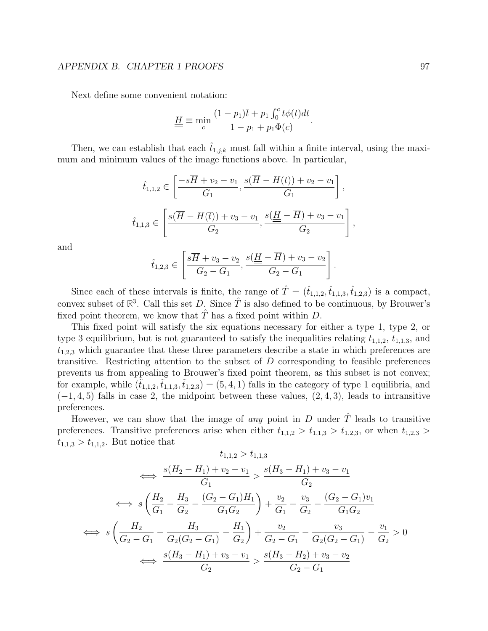### APPENDIX B. CHAPTER 1 PROOFS 97

Next define some convenient notation:

$$
\underline{H} \equiv \min_c \frac{(1 - p_1)\overline{t} + p_1 \int_0^c t \phi(t) dt}{1 - p_1 + p_1 \Phi(c)}.
$$

Then, we can establish that each  $t_{1,j,k}$  must fall within a finite interval, using the maximum and minimum values of the image functions above. In particular,

$$
\hat{t}_{1,1,2} \in \left[\frac{-s\overline{H} + v_2 - v_1}{G_1}, \frac{s(\overline{H} - H(\overline{t})) + v_2 - v_1}{G_1}\right],
$$
  

$$
\hat{t}_{1,1,3} \in \left[\frac{s(\overline{H} - H(\overline{t})) + v_3 - v_1}{G_2}, \frac{s(\underline{H} - \overline{H}) + v_3 - v_1}{G_2}\right],
$$

and

$$
\hat{t}_{1,2,3} \in \left[\frac{s\overline{H} + v_3 - v_2}{G_2 - G_1}, \frac{s(\underline{H} - \overline{H}) + v_3 - v_2}{G_2 - G_1}\right]
$$

.

Since each of these intervals is finite, the range of  $\hat{T} = (\hat{t}_{1,1,2}, \hat{t}_{1,1,3}, \hat{t}_{1,2,3})$  is a compact, convex subset of  $\mathbb{R}^3$ . Call this set D. Since  $\hat{T}$  is also defined to be continuous, by Brouwer's fixed point theorem, we know that  $\hat{T}$  has a fixed point within  $D$ .

This fixed point will satisfy the six equations necessary for either a type 1, type 2, or type 3 equilibrium, but is not guaranteed to satisfy the inequalities relating  $t_{1,1,2}$ ,  $t_{1,1,3}$ , and  $t_{1,2,3}$  which guarantee that these three parameters describe a state in which preferences are transitive. Restricting attention to the subset of  $D$  corresponding to feasible preferences prevents us from appealing to Brouwer's fixed point theorem, as this subset is not convex; for example, while  $(t_{1,1,2},t_{1,1,3},t_{1,2,3}) = (5,4,1)$  falls in the category of type 1 equilibria, and  $(-1, 4, 5)$  falls in case 2, the midpoint between these values,  $(2, 4, 3)$ , leads to intransitive preferences.

However, we can show that the image of any point in D under  $\hat{T}$  leads to transitive preferences. Transitive preferences arise when either  $t_{1,1,2} > t_{1,1,3} > t_{1,2,3}$ , or when  $t_{1,2,3} >$  $t_{1,1,3} > t_{1,1,2}$ . But notice that

$$
t_{1,1,2} > t_{1,1,3}
$$
\n
$$
\iff \frac{s(H_2 - H_1) + v_2 - v_1}{G_1} > \frac{s(H_3 - H_1) + v_3 - v_1}{G_2}
$$
\n
$$
\iff s\left(\frac{H_2}{G_1} - \frac{H_3}{G_2} - \frac{(G_2 - G_1)H_1}{G_1G_2}\right) + \frac{v_2}{G_1} - \frac{v_3}{G_2} - \frac{(G_2 - G_1)v_1}{G_1G_2}
$$
\n
$$
\iff s\left(\frac{H_2}{G_2 - G_1} - \frac{H_3}{G_2(G_2 - G_1)} - \frac{H_1}{G_2}\right) + \frac{v_2}{G_2 - G_1} - \frac{v_3}{G_2(G_2 - G_1)} - \frac{v_1}{G_2} > 0
$$
\n
$$
\iff \frac{s(H_3 - H_1) + v_3 - v_1}{G_2} > \frac{s(H_3 - H_2) + v_3 - v_2}{G_2 - G_1}
$$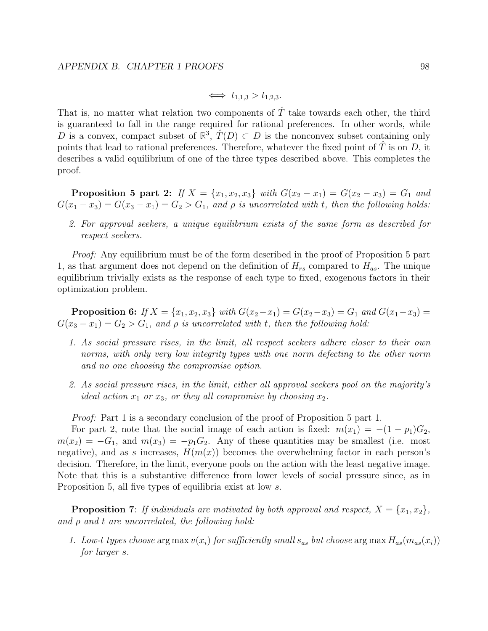$$
\iff t_{1,1,3} > t_{1,2,3}.
$$

That is, no matter what relation two components of  $\hat{T}$  take towards each other, the third is guaranteed to fall in the range required for rational preferences. In other words, while D is a convex, compact subset of  $\mathbb{R}^3$ ,  $\hat{T}(D) \subset D$  is the nonconvex subset containing only points that lead to rational preferences. Therefore, whatever the fixed point of  $T$  is on  $D$ , it describes a valid equilibrium of one of the three types described above. This completes the proof.

**Proposition 5 part 2:** If  $X = \{x_1, x_2, x_3\}$  with  $G(x_2 - x_1) = G(x_2 - x_3) = G_1$  and  $G(x_1 - x_3) = G(x_3 - x_1) = G_2 > G_1$ , and  $\rho$  is uncorrelated with t, then the following holds:

2. For approval seekers, a unique equilibrium exists of the same form as described for respect seekers.

*Proof:* Any equilibrium must be of the form described in the proof of Proposition 5 part 1, as that argument does not depend on the definition of  $H_{rs}$  compared to  $H_{as}$ . The unique equilibrium trivially exists as the response of each type to fixed, exogenous factors in their optimization problem.

**Proposition 6:** If  $X = \{x_1, x_2, x_3\}$  with  $G(x_2-x_1) = G(x_2-x_3) = G_1$  and  $G(x_1-x_3) = G_2$  $G(x_3 - x_1) = G_2 > G_1$ , and  $\rho$  is uncorrelated with t, then the following hold:

- 1. As social pressure rises, in the limit, all respect seekers adhere closer to their own norms, with only very low integrity types with one norm defecting to the other norm and no one choosing the compromise option.
- 2. As social pressure rises, in the limit, either all approval seekers pool on the majority's ideal action  $x_1$  or  $x_3$ , or they all compromise by choosing  $x_2$ .

Proof: Part 1 is a secondary conclusion of the proof of Proposition 5 part 1.

For part 2, note that the social image of each action is fixed:  $m(x_1) = -(1 - p_1)G_2$ ,  $m(x_2) = -G_1$ , and  $m(x_3) = -p_1G_2$ . Any of these quantities may be smallest (i.e. most negative), and as s increases,  $H(m(x))$  becomes the overwhelming factor in each person's decision. Therefore, in the limit, everyone pools on the action with the least negative image. Note that this is a substantive difference from lower levels of social pressure since, as in Proposition 5, all five types of equilibria exist at low s.

**Proposition 7**: If individuals are motivated by both approval and respect,  $X = \{x_1, x_2\}$ , and  $\rho$  and  $t$  are uncorrelated, the following hold:

1. Low-t types choose arg max  $v(x_i)$  for sufficiently small  $s_{as}$  but choose arg max  $H_{as}(m_{as}(x_i))$ for larger s.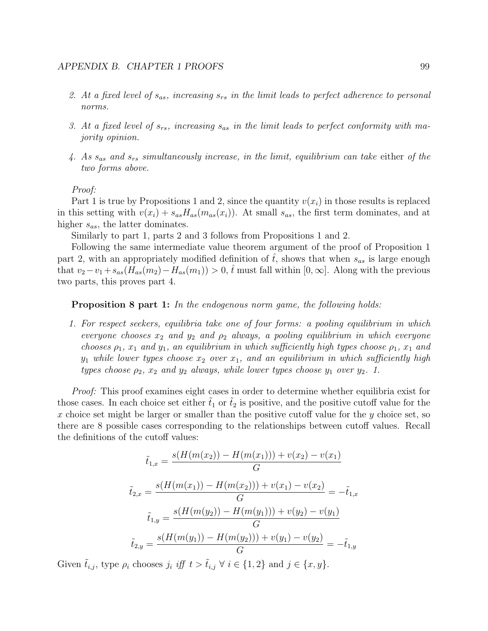- 2. At a fixed level of  $s_{as}$ , increasing  $s_{rs}$  in the limit leads to perfect adherence to personal norms.
- 3. At a fixed level of  $s_{rs}$ , increasing  $s_{as}$  in the limit leads to perfect conformity with majority opinion.
- 4. As  $s_{as}$  and  $s_{rs}$  simultaneously increase, in the limit, equilibrium can take either of the two forms above.

#### Proof:

Part 1 is true by Propositions 1 and 2, since the quantity  $v(x_i)$  in those results is replaced in this setting with  $v(x_i) + s_{as}H_{as}(m_{as}(x_i))$ . At small  $s_{as}$ , the first term dominates, and at higher  $s_{as}$ , the latter dominates.

Similarly to part 1, parts 2 and 3 follows from Propositions 1 and 2.

Following the same intermediate value theorem argument of the proof of Proposition 1 part 2, with an appropriately modified definition of  $\hat{t}$ , shows that when  $s_{as}$  is large enough that  $v_2-v_1+s_{as}(H_{as}(m_2)-H_{as}(m_1))>0$ ,  $\hat{t}$  must fall within  $[0,\infty]$ . Along with the previous two parts, this proves part 4.

**Proposition 8 part 1:** In the endogenous norm game, the following holds:

1. For respect seekers, equilibria take one of four forms: a pooling equilibrium in which everyone chooses  $x_2$  and  $y_2$  and  $\rho_2$  always, a pooling equilibrium in which everyone chooses  $\rho_1$ ,  $x_1$  and  $y_1$ , an equilibrium in which sufficiently high types choose  $\rho_1$ ,  $x_1$  and  $y_1$  while lower types choose  $x_2$  over  $x_1$ , and an equilibrium in which sufficiently high types choose  $\rho_2$ ,  $x_2$  and  $y_2$  always, while lower types choose  $y_1$  over  $y_2$ . 1.

Proof: This proof examines eight cases in order to determine whether equilibria exist for those cases. In each choice set either  $\tilde{t}_1$  or  $\tilde{t}_2$  is positive, and the positive cutoff value for the x choice set might be larger or smaller than the positive cutoff value for the y choice set, so there are 8 possible cases corresponding to the relationships between cutoff values. Recall the definitions of the cutoff values:

$$
\tilde{t}_{1,x} = \frac{s(H(m(x_2)) - H(m(x_1))) + v(x_2) - v(x_1)}{G}
$$
\n
$$
\tilde{t}_{2,x} = \frac{s(H(m(x_1)) - H(m(x_2))) + v(x_1) - v(x_2)}{G} = -\tilde{t}_{1,x}
$$
\n
$$
\tilde{t}_{1,y} = \frac{s(H(m(y_2)) - H(m(y_1))) + v(y_2) - v(y_1)}{G}
$$
\n
$$
\tilde{t}_{2,y} = \frac{s(H(m(y_1)) - H(m(y_2))) + v(y_1) - v(y_2)}{G} = -\tilde{t}_{1,y}
$$

Given  $\tilde{t}_{i,j}$ , type  $\rho_i$  chooses  $j_i$  iff  $t > \tilde{t}_{i,j} \ \forall \ i \in \{1,2\}$  and  $j \in \{x,y\}$ .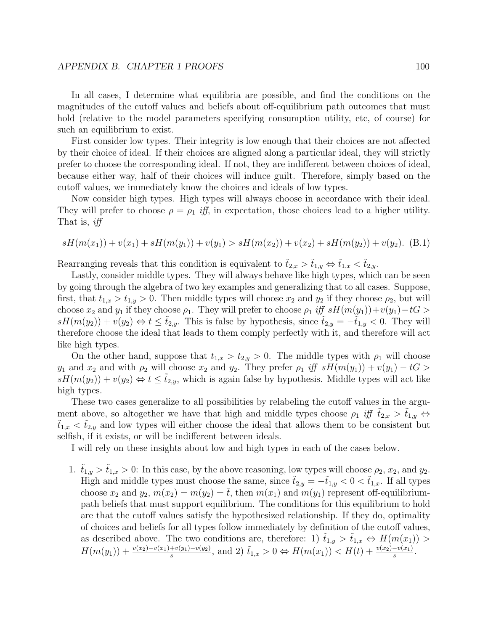In all cases, I determine what equilibria are possible, and find the conditions on the magnitudes of the cutoff values and beliefs about off-equilibrium path outcomes that must hold (relative to the model parameters specifying consumption utility, etc, of course) for such an equilibrium to exist.

First consider low types. Their integrity is low enough that their choices are not affected by their choice of ideal. If their choices are aligned along a particular ideal, they will strictly prefer to choose the corresponding ideal. If not, they are indifferent between choices of ideal, because either way, half of their choices will induce guilt. Therefore, simply based on the cutoff values, we immediately know the choices and ideals of low types.

Now consider high types. High types will always choose in accordance with their ideal. They will prefer to choose  $\rho = \rho_1$  iff, in expectation, those choices lead to a higher utility. That is, *iff* 

$$
sH(m(x_1)) + v(x_1) + sH(m(y_1)) + v(y_1) > sH(m(x_2)) + v(x_2) + sH(m(y_2)) + v(y_2).
$$
 (B.1)

Rearranging reveals that this condition is equivalent to  $\tilde{t}_{2,x} > \tilde{t}_{1,y} \Leftrightarrow \tilde{t}_{1,x} < \tilde{t}_{2,y}$ .

Lastly, consider middle types. They will always behave like high types, which can be seen by going through the algebra of two key examples and generalizing that to all cases. Suppose, first, that  $t_{1,x} > t_{1,y} > 0$ . Then middle types will choose  $x_2$  and  $y_2$  if they choose  $\rho_2$ , but will choose  $x_2$  and  $y_1$  if they choose  $\rho_1$ . They will prefer to choose  $\rho_1$  iff  $sH(m(y_1))+v(y_1)-tG >$  $sH(m(y_2)) + v(y_2) \Leftrightarrow t \leq t_{2,y}$ . This is false by hypothesis, since  $t_{2,y} = -t_{1,y} < 0$ . They will therefore choose the ideal that leads to them comply perfectly with it, and therefore will act like high types.

On the other hand, suppose that  $t_{1,x} > t_{2,y} > 0$ . The middle types with  $\rho_1$  will choose  $y_1$  and  $x_2$  and with  $\rho_2$  will choose  $x_2$  and  $y_2$ . They prefer  $\rho_1$  iff  $sH(m(y_1)) + v(y_1) - tG >$  $sH(m(y_2)) + v(y_2) \Leftrightarrow t \leq \tilde{t}_{2,y}$ , which is again false by hypothesis. Middle types will act like high types.

These two cases generalize to all possibilities by relabeling the cutoff values in the argument above, so altogether we have that high and middle types choose  $\rho_1$  iff  $\tilde{t}_{2,x} > \tilde{t}_{1,y} \Leftrightarrow$  $t_{1,x} < t_{2,y}$  and low types will either choose the ideal that allows them to be consistent but selfish, if it exists, or will be indifferent between ideals.

I will rely on these insights about low and high types in each of the cases below.

1.  $t_{1,y} > t_{1,x} > 0$ : In this case, by the above reasoning, low types will choose  $\rho_2$ ,  $x_2$ , and  $y_2$ . High and middle types must choose the same, since  $\tilde{t}_{2,y} = -\tilde{t}_{1,y} < 0 < \tilde{t}_{1,x}$ . If all types choose  $x_2$  and  $y_2$ ,  $m(x_2) = m(y_2) = \overline{t}$ , then  $m(x_1)$  and  $m(y_1)$  represent off-equilibriumpath beliefs that must support equilibrium. The conditions for this equilibrium to hold are that the cutoff values satisfy the hypothesized relationship. If they do, optimality of choices and beliefs for all types follow immediately by definition of the cutoff values, as described above. The two conditions are, therefore: 1)  $\tilde{t}_{1,y} > \tilde{t}_{1,x} \Leftrightarrow H(m(x_1)) >$  $H(m(y_1)) + \frac{v(x_2) - v(x_1) + v(y_1) - v(y_2)}{s}$ , and 2)  $\tilde{t}_{1,x} > 0 \Leftrightarrow H(m(x_1)) < H(\bar{t}) + \frac{v(x_2) - v(x_1)}{s}$ .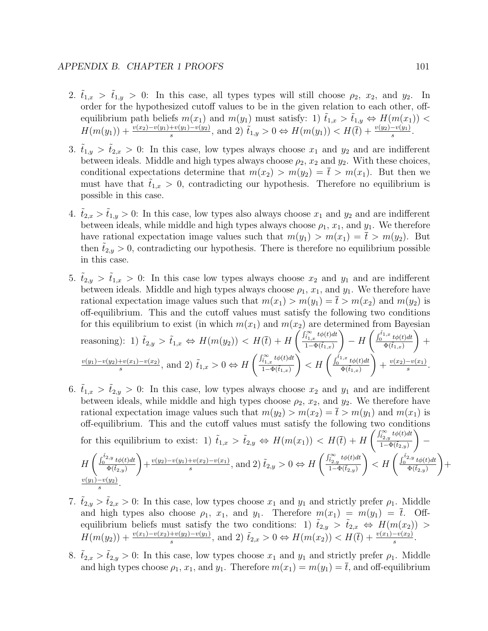- 2.  $t_{1,x} > t_{1,y} > 0$ : In this case, all types types will still choose  $\rho_2$ ,  $x_2$ , and  $y_2$ . In order for the hypothesized cutoff values to be in the given relation to each other, offequilibrium path beliefs  $m(x_1)$  and  $m(y_1)$  must satisfy: 1)  $\tilde{t}_{1,x} > \tilde{t}_{1,y} \Leftrightarrow H(m(x_1))$  $H(m(y_1)) + \frac{v(x_2) - v(y_1) + v(y_1) - v(y_2)}{s}$ , and 2)  $\tilde{t}_{1,y} > 0 \Leftrightarrow H(m(y_1)) < H(\bar{t}) + \frac{v(y_2) - v(y_1)}{s}$ .
- 3.  $\tilde{t}_{1,y} > \tilde{t}_{2,x} > 0$ : In this case, low types always choose  $x_1$  and  $y_2$  and are indifferent between ideals. Middle and high types always choose  $\rho_2$ ,  $x_2$  and  $y_2$ . With these choices, conditional expectations determine that  $m(x_2) > m(y_2) = \overline{t} > m(x_1)$ . But then we must have that  $t_{1,x} > 0$ , contradicting our hypothesis. Therefore no equilibrium is possible in this case.
- 4.  $t_{2,x} > t_{1,y} > 0$ : In this case, low types also always choose  $x_1$  and  $y_2$  and are indifferent between ideals, while middle and high types always choose  $\rho_1$ ,  $x_1$ , and  $y_1$ . We therefore have rational expectation image values such that  $m(y_1) > m(x_1) = \overline{t} > m(y_2)$ . But then  $t_{2,y} > 0$ , contradicting our hypothesis. There is therefore no equilibrium possible in this case.
- 5.  $t_{2,y} > t_{1,x} > 0$ : In this case low types always choose  $x_2$  and  $y_1$  and are indifferent between ideals. Middle and high types always choose  $\rho_1$ ,  $x_1$ , and  $y_1$ . We therefore have rational expectation image values such that  $m(x_1) > m(y_1) = \overline{t} > m(x_2)$  and  $m(y_2)$  is off-equilibrium. This and the cutoff values must satisfy the following two conditions for this equilibrium to exist (in which  $m(x_1)$  and  $m(x_2)$  are determined from Bayesian reasoning): 1)  $\tilde{t}_{2,y} > \tilde{t}_{1,x} \Leftrightarrow H(m(y_2)) < H(\bar{t}) + H\left(\frac{\int_{\tilde{t}_{1,x}}^{\infty} t\phi(t)dt}{1-\Phi(\tilde{t}_{1,x})}\right)$  $1-\Phi(\tilde{t}_{1,x})$  $\setminus$  $- H\left(\frac{\int_0^{\tilde{t}_{1,x}} t\phi(t)dt}{\delta(\tilde{t}_{1,x})}\right)$  $\overline{\Phi(\tilde{t}_{1,x})}$  $\setminus$  $+$  $v(y_1)-v(y_2)+v(x_1)-v(x_2)$  $\frac{f_v(x_1)-v(x_2)}{s}$ , and 2)  $\tilde{t}_{1,x} > 0 \Leftrightarrow H\left(\frac{\int_{\tilde{t}_{1,x}}^{\infty} t\phi(t)dt}{1-\Phi(\tilde{t}_{1,x})}\right)$  $1-\Phi(\tilde{t}_{1,x})$  $\left\langle H \left( \frac{\int_0^{\tilde{t}_{1,x}} t \phi(t) dt}{\Phi(\tilde{t}_{1,x})} \right) \right\rangle$  $\overline{\Phi(\tilde{t}_{1,x})}$  $\setminus$  $+\frac{v(x_2)-v(x_1)}{s}$  $\frac{-v(x_1)}{s}$ .
- 6.  $\tilde{t}_{1,x} > \tilde{t}_{2,y} > 0$ : In this case, low types always choose  $x_2$  and  $y_1$  and are indifferent between ideals, while middle and high types choose  $\rho_2$ ,  $x_2$ , and  $y_2$ . We therefore have rational expectation image values such that  $m(y_2) > m(x_2) = \overline{t} > m(y_1)$  and  $m(x_1)$  is off-equilibrium. This and the cutoff values must satisfy the following two conditions for this equilibrium to exist: 1)  $\tilde{t}_{1,x} > \tilde{t}_{2,y} \Leftrightarrow H(m(x_1)) < H(\bar{t}) + H\left(\frac{\int_{\tilde{t}_{2,y}}^{\infty} t\phi(t)dt}{1-\Phi(\tilde{t}_{2,y})}\right)$  $1-\Phi(\tilde{t}_{2,y})$  $\setminus$ −  $H\left(\frac{\int_0^{\tilde{t}_{2,y}}t\phi(t)dt}{\Phi(\tilde{t}_{2,y})}\right)$  $\overline{\Phi(\tilde{t}_{2,y})}$  $\setminus$  $+\frac{v(y_2)-v(y_1)+v(x_2)-v(x_1)}{s}$  $\frac{f_v(x_2) - v(x_1)}{s}$ , and 2)  $\tilde{t}_{2,y} > 0 \Leftrightarrow H\left(\frac{\int_{\tilde{t}_{2,y}}^{\infty} t \phi(t) dt}{1 - \Phi(\tilde{t}_{2,y})}\right)$  $1-\Phi(\tilde{t}_{2,y})$  $\left\langle H \left( \frac{\int_0^{\tilde{t}_{2,y}} t \phi(t) dt}{\Phi(\tilde{t}_{2,y})} \right) \right\rangle$  $\overline{\Phi(\tilde t_{2,y})}$  $\setminus$  $+$  $v(y_1)-v(y_2)$ s .
- 7.  $\tilde{t}_{2,y} > \tilde{t}_{2,x} > 0$ : In this case, low types choose  $x_1$  and  $y_1$  and strictly prefer  $\rho_1$ . Middle and high types also choose  $\rho_1$ ,  $x_1$ , and  $y_1$ . Therefore  $m(x_1) = m(y_1) = \overline{t}$ . Offequilibrium beliefs must satisfy the two conditions: 1)  $\tilde{t}_{2,y} > \tilde{t}_{2,x} \Leftrightarrow H(m(x_2)) >$  $H(m(y_2)) + \frac{v(x_1) - v(x_2) + v(y_2) - v(y_1)}{s}$ , and 2)  $\tilde{t}_{2,x} > 0 \Leftrightarrow H(m(x_2)) < H(\bar{t}) + \frac{v(x_1) - v(x_2)}{s}$ .
- 8.  $\tilde{t}_{2,x} > \tilde{t}_{2,y} > 0$ : In this case, low types choose  $x_1$  and  $y_1$  and strictly prefer  $\rho_1$ . Middle and high types choose  $\rho_1$ ,  $x_1$ , and  $y_1$ . Therefore  $m(x_1) = m(y_1) = \overline{t}$ , and off-equilibrium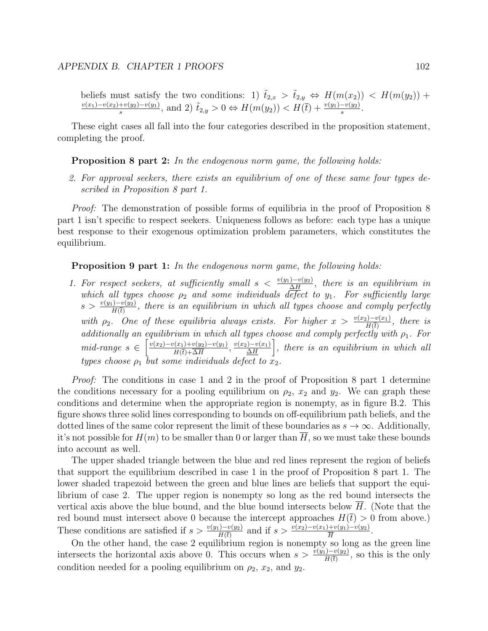beliefs must satisfy the two conditions: 1)  $\tilde{t}_{2,x} > \tilde{t}_{2,y} \Leftrightarrow H(m(x_2)) < H(m(y_2))$  +  $v(x_1)-v(x_2)+v(y_2)-v(y_1)$  $\frac{f^{(1)}(y_1)-v(y_1)}{s}$ , and 2)  $\tilde{t}_{2,y} > 0 \Leftrightarrow H(m(y_2)) < H(\bar{t}) + \frac{v(y_1)-v(y_2)}{s}$ .

These eight cases all fall into the four categories described in the proposition statement, completing the proof.

#### **Proposition 8 part 2:** In the endogenous norm game, the following holds:

2. For approval seekers, there exists an equilibrium of one of these same four types described in Proposition 8 part 1.

*Proof:* The demonstration of possible forms of equilibria in the proof of Proposition 8 part 1 isn't specific to respect seekers. Uniqueness follows as before: each type has a unique best response to their exogenous optimization problem parameters, which constitutes the equilibrium.

**Proposition 9 part 1:** In the endogenous norm game, the following holds:

1. For respect seekers, at sufficiently small  $s < \frac{v(y_1) - v(y_2)}{\Delta H}$ , there is an equilibrium in which all types choose  $\rho_2$  and some individuals defect to  $y_1$ . For sufficiently large  $s > \frac{v(y_1) - v(y_2)}{H(\bar{t})}$ , there is an equilibrium in which all types choose and comply perfectly with  $\rho_2$ . One of these equilibria always exists. For higher  $x > \frac{v(x_2)-v(x_1)}{H(\bar{t})}$ , there is additionally an equilibrium in which all types choose and comply perfectly with  $\rho_1$ . For mid-range  $s \in \left[\frac{v(x_2) - v(x_1) + v(y_2) - v(y_1)}{u(x_1) - \overline{\Delta u}}\right]$  $\frac{v(x_1)+v(y_2)-v(y_1)}{H(\bar{t})+\overline{\Delta H}}$ ,  $\frac{v(x_2)-v(x_1)}{\underline{\Delta H}}$  $\frac{D-v(x_1)}{\Delta H}$ , there is an equilibrium in which all types choose  $\rho_1$  but some individuals defect to  $\bar{x}_2$ .

Proof: The conditions in case 1 and 2 in the proof of Proposition 8 part 1 determine the conditions necessary for a pooling equilibrium on  $\rho_2$ ,  $x_2$  and  $y_2$ . We can graph these conditions and determine when the appropriate region is nonempty, as in figure B.2. This figure shows three solid lines corresponding to bounds on off-equilibrium path beliefs, and the dotted lines of the same color represent the limit of these boundaries as  $s \to \infty$ . Additionally, it's not possible for  $H(m)$  to be smaller than 0 or larger than  $\overline{H}$ , so we must take these bounds into account as well.

The upper shaded triangle between the blue and red lines represent the region of beliefs that support the equilibrium described in case 1 in the proof of Proposition 8 part 1. The lower shaded trapezoid between the green and blue lines are beliefs that support the equilibrium of case 2. The upper region is nonempty so long as the red bound intersects the vertical axis above the blue bound, and the blue bound intersects below  $H$ . (Note that the red bound must intersect above 0 because the intercept approaches  $H(\bar{t}) > 0$  from above.) These conditions are satisfied if  $s > \frac{v(y_1) - v(y_2)}{H(\bar{t})}$  and if  $s > \frac{v(x_2) - v(x_1) + v(y_1) - v(y_2)}{\bar{H}}$ .

On the other hand, the case 2 equilibrium region is nonempty so long as the green line intersects the horizontal axis above 0. This occurs when  $s > \frac{\overline{v(y_1)} - v(y_2)}{H(\overline{t})}$ , so this is the only condition needed for a pooling equilibrium on  $\rho_2$ ,  $x_2$ , and  $y_2$ .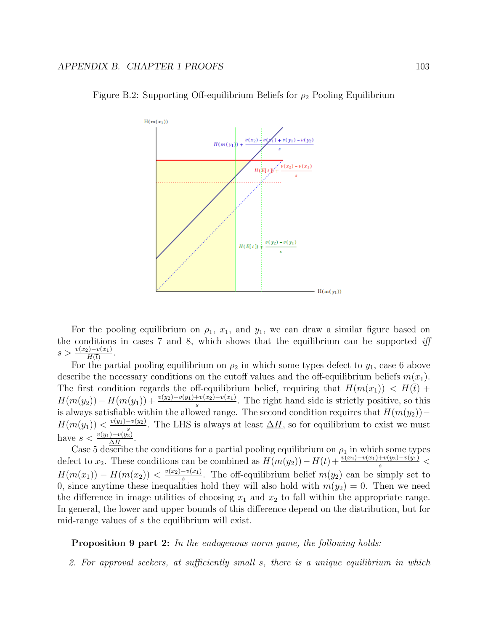

Figure B.2: Supporting Off-equilibrium Beliefs for  $\rho_2$  Pooling Equilibrium

For the pooling equilibrium on  $\rho_1$ ,  $x_1$ , and  $y_1$ , we can draw a similar figure based on the conditions in cases  $7$  and  $8$ , which shows that the equilibrium can be supported iff  $s > \frac{v(x_2) - v(x_1)}{H(\bar{t})}.$ 

For the partial pooling equilibrium on  $\rho_2$  in which some types defect to  $y_1$ , case 6 above describe the necessary conditions on the cutoff values and the off-equilibrium beliefs  $m(x_1)$ . The first condition regards the off-equilibrium belief, requiring that  $H(m(x_1)) < H(\bar{t}) +$  $H(m(y_2)) - H(m(y_1)) + \frac{v(y_2) - v(y_1) + v(x_2) - v(x_1)}{s}$ . The right hand side is strictly positive, so this is always satisfiable within the allowed range. The second condition requires that  $H(m(y_2))$ −  $H(m(y_1)) < \frac{v(y_1)-v(y_2)}{s}$  $\frac{-v(y_2)}{s}$ . The LHS is always at least  $\Delta H$ , so for equilibrium to exist we must have  $s < \frac{v(y_1) - v(y_2)}{\Delta H}$ .

Case 5 describe the conditions for a partial pooling equilibrium on  $\rho_1$  in which some types defect to  $x_2$ . These conditions can be combined as  $H(m(y_2)) - H(\bar{t}) + \frac{v(x_2) - v(x_1) + v(y_2) - v(y_1)}{s}$  $H(m(x_1)) - H(m(x_2)) < \frac{v(x_2) - v(x_1)}{s}$  $\frac{-v(x_1)}{s}$ . The off-equilibrium belief  $m(y_2)$  can be simply set to 0, since anytime these inequalities hold they will also hold with  $m(y_2) = 0$ . Then we need the difference in image utilities of choosing  $x_1$  and  $x_2$  to fall within the appropriate range. In general, the lower and upper bounds of this difference depend on the distribution, but for mid-range values of s the equilibrium will exist.

Proposition 9 part 2: In the endogenous norm game, the following holds:

2. For approval seekers, at sufficiently small s, there is a unique equilibrium in which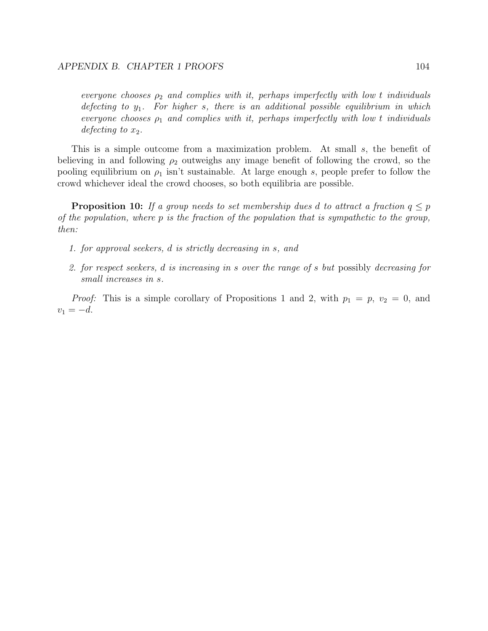everyone chooses  $\rho_2$  and complies with it, perhaps imperfectly with low t individuals defecting to  $y_1$ . For higher s, there is an additional possible equilibrium in which everyone chooses  $\rho_1$  and complies with it, perhaps imperfectly with low t individuals defecting to  $x_2$ .

This is a simple outcome from a maximization problem. At small s, the benefit of believing in and following  $\rho_2$  outweighs any image benefit of following the crowd, so the pooling equilibrium on  $\rho_1$  isn't sustainable. At large enough s, people prefer to follow the crowd whichever ideal the crowd chooses, so both equilibria are possible.

**Proposition 10:** If a group needs to set membership dues d to attract a fraction  $q \leq p$ of the population, where  $p$  is the fraction of the population that is sympathetic to the group, then:

- 1. for approval seekers, d is strictly decreasing in s, and
- 2. for respect seekers, d is increasing in s over the range of s but possibly decreasing for small increases in s.

*Proof:* This is a simple corollary of Propositions 1 and 2, with  $p_1 = p$ ,  $v_2 = 0$ , and  $v_1 = -d.$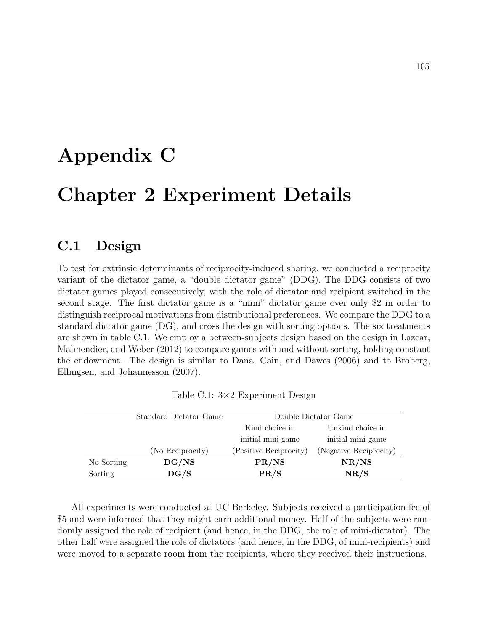## Appendix C

## Chapter 2 Experiment Details

### C.1 Design

To test for extrinsic determinants of reciprocity-induced sharing, we conducted a reciprocity variant of the dictator game, a "double dictator game" (DDG). The DDG consists of two dictator games played consecutively, with the role of dictator and recipient switched in the second stage. The first dictator game is a "mini" dictator game over only \$2 in order to distinguish reciprocal motivations from distributional preferences. We compare the DDG to a standard dictator game (DG), and cross the design with sorting options. The six treatments are shown in table C.1. We employ a between-subjects design based on the design in Lazear, Malmendier, and Weber (2012) to compare games with and without sorting, holding constant the endowment. The design is similar to Dana, Cain, and Dawes (2006) and to Broberg, Ellingsen, and Johannesson (2007).

|            | Standard Dictator Game |                        | Double Dictator Game   |
|------------|------------------------|------------------------|------------------------|
|            |                        | Kind choice in         | Unkind choice in       |
|            |                        | initial mini-game      | initial mini-game      |
|            | (No Reciprocity)       | (Positive Reciprocity) | (Negative Reciprocity) |
| No Sorting | DG/NS                  | PR/NS                  | NR/NS                  |
| Sorting    | DG/S                   | PR/S                   | NR/S                   |

Table C.1: 3×2 Experiment Design

All experiments were conducted at UC Berkeley. Subjects received a participation fee of \$5 and were informed that they might earn additional money. Half of the subjects were randomly assigned the role of recipient (and hence, in the DDG, the role of mini-dictator). The other half were assigned the role of dictators (and hence, in the DDG, of mini-recipients) and were moved to a separate room from the recipients, where they received their instructions.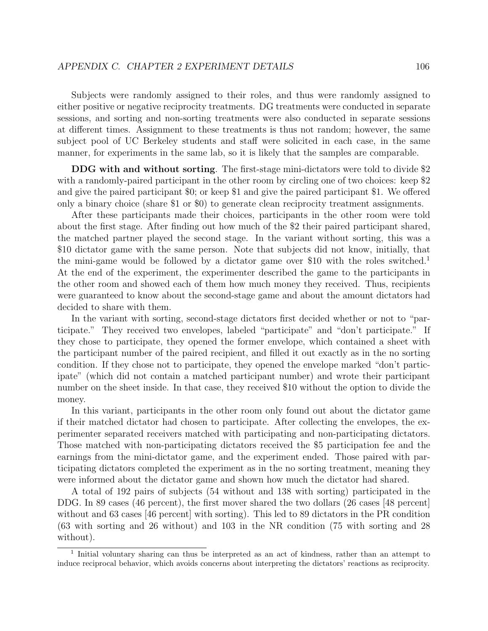Subjects were randomly assigned to their roles, and thus were randomly assigned to either positive or negative reciprocity treatments. DG treatments were conducted in separate sessions, and sorting and non-sorting treatments were also conducted in separate sessions at different times. Assignment to these treatments is thus not random; however, the same subject pool of UC Berkeley students and staff were solicited in each case, in the same manner, for experiments in the same lab, so it is likely that the samples are comparable.

DDG with and without sorting. The first-stage mini-dictators were told to divide \$2 with a randomly-paired participant in the other room by circling one of two choices: keep \$2 and give the paired participant \$0; or keep \$1 and give the paired participant \$1. We offered only a binary choice (share \$1 or \$0) to generate clean reciprocity treatment assignments.

After these participants made their choices, participants in the other room were told about the first stage. After finding out how much of the \$2 their paired participant shared, the matched partner played the second stage. In the variant without sorting, this was a \$10 dictator game with the same person. Note that subjects did not know, initially, that the mini-game would be followed by a dictator game over \$10 with the roles switched.<sup>1</sup> At the end of the experiment, the experimenter described the game to the participants in the other room and showed each of them how much money they received. Thus, recipients were guaranteed to know about the second-stage game and about the amount dictators had decided to share with them.

In the variant with sorting, second-stage dictators first decided whether or not to "participate." They received two envelopes, labeled "participate" and "don't participate." If they chose to participate, they opened the former envelope, which contained a sheet with the participant number of the paired recipient, and filled it out exactly as in the no sorting condition. If they chose not to participate, they opened the envelope marked "don't participate" (which did not contain a matched participant number) and wrote their participant number on the sheet inside. In that case, they received \$10 without the option to divide the money.

In this variant, participants in the other room only found out about the dictator game if their matched dictator had chosen to participate. After collecting the envelopes, the experimenter separated receivers matched with participating and non-participating dictators. Those matched with non-participating dictators received the \$5 participation fee and the earnings from the mini-dictator game, and the experiment ended. Those paired with participating dictators completed the experiment as in the no sorting treatment, meaning they were informed about the dictator game and shown how much the dictator had shared.

A total of 192 pairs of subjects (54 without and 138 with sorting) participated in the DDG. In 89 cases (46 percent), the first mover shared the two dollars (26 cases [48 percent] without and 63 cases [46 percent] with sorting). This led to 89 dictators in the PR condition (63 with sorting and 26 without) and 103 in the NR condition (75 with sorting and 28 without).

<sup>&</sup>lt;sup>1</sup> Initial voluntary sharing can thus be interpreted as an act of kindness, rather than an attempt to induce reciprocal behavior, which avoids concerns about interpreting the dictators' reactions as reciprocity.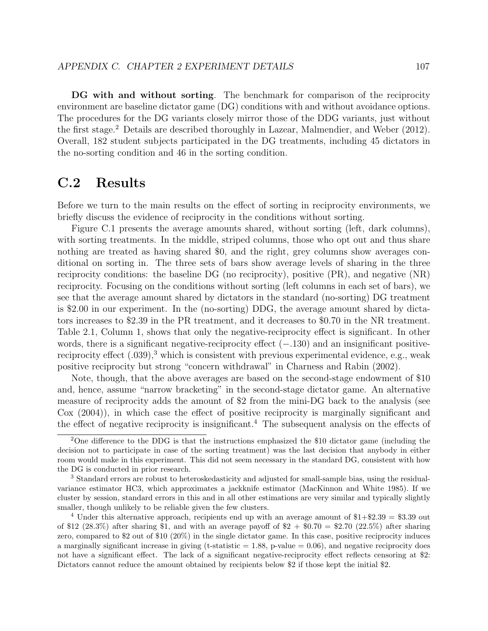DG with and without sorting. The benchmark for comparison of the reciprocity environment are baseline dictator game (DG) conditions with and without avoidance options. The procedures for the DG variants closely mirror those of the DDG variants, just without the first stage.<sup>2</sup> Details are described thoroughly in Lazear, Malmendier, and Weber (2012). Overall, 182 student subjects participated in the DG treatments, including 45 dictators in the no-sorting condition and 46 in the sorting condition.

### C.2 Results

Before we turn to the main results on the effect of sorting in reciprocity environments, we briefly discuss the evidence of reciprocity in the conditions without sorting.

Figure C.1 presents the average amounts shared, without sorting (left, dark columns), with sorting treatments. In the middle, striped columns, those who opt out and thus share nothing are treated as having shared \$0, and the right, grey columns show averages conditional on sorting in. The three sets of bars show average levels of sharing in the three reciprocity conditions: the baseline DG (no reciprocity), positive (PR), and negative (NR) reciprocity. Focusing on the conditions without sorting (left columns in each set of bars), we see that the average amount shared by dictators in the standard (no-sorting) DG treatment is \$2.00 in our experiment. In the (no-sorting) DDG, the average amount shared by dictators increases to \$2.39 in the PR treatment, and it decreases to \$0.70 in the NR treatment. Table 2.1, Column 1, shows that only the negative-reciprocity effect is significant. In other words, there is a significant negative-reciprocity effect  $(-.130)$  and an insignificant positivereciprocity effect  $(.039),<sup>3</sup>$  which is consistent with previous experimental evidence, e.g., weak positive reciprocity but strong "concern withdrawal" in Charness and Rabin (2002).

Note, though, that the above averages are based on the second-stage endowment of \$10 and, hence, assume "narrow bracketing" in the second-stage dictator game. An alternative measure of reciprocity adds the amount of \$2 from the mini-DG back to the analysis (see Cox (2004)), in which case the effect of positive reciprocity is marginally significant and the effect of negative reciprocity is insignificant.<sup>4</sup> The subsequent analysis on the effects of

<sup>&</sup>lt;sup>2</sup>One difference to the DDG is that the instructions emphasized the \$10 dictator game (including the decision not to participate in case of the sorting treatment) was the last decision that anybody in either room would make in this experiment. This did not seem necessary in the standard DG, consistent with how the DG is conducted in prior research.

<sup>3</sup> Standard errors are robust to heteroskedasticity and adjusted for small-sample bias, using the residualvariance estimator HC3, which approximates a jackknife estimator (MacKinnon and White 1985). If we cluster by session, standard errors in this and in all other estimations are very similar and typically slightly smaller, though unlikely to be reliable given the few clusters.

<sup>&</sup>lt;sup>4</sup> Under this alternative approach, recipients end up with an average amount of  $$1+$2.39 = $3.39$  out of \$12 (28.3%) after sharing \$1, and with an average payoff of  $$2 + $0.70 = $2.70$  (22.5%) after sharing zero, compared to \$2 out of \$10 (20%) in the single dictator game. In this case, positive reciprocity induces a marginally significant increase in giving (t-statistic  $= 1.88$ , p-value  $= 0.06$ ), and negative reciprocity does not have a significant effect. The lack of a significant negative-reciprocity effect reflects censoring at \$2: Dictators cannot reduce the amount obtained by recipients below \$2 if those kept the initial \$2.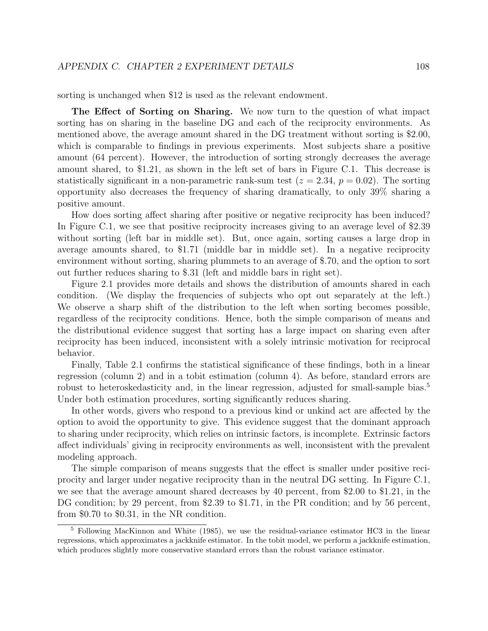sorting is unchanged when \$12 is used as the relevant endowment.

The Effect of Sorting on Sharing. We now turn to the question of what impact sorting has on sharing in the baseline DG and each of the reciprocity environments. As mentioned above, the average amount shared in the DG treatment without sorting is \$2.00, which is comparable to findings in previous experiments. Most subjects share a positive amount (64 percent). However, the introduction of sorting strongly decreases the average amount shared, to \$1.21, as shown in the left set of bars in Figure C.1. This decrease is statistically significant in a non-parametric rank-sum test  $(z = 2.34, p = 0.02)$ . The sorting opportunity also decreases the frequency of sharing dramatically, to only 39% sharing a positive amount.

How does sorting affect sharing after positive or negative reciprocity has been induced? In Figure C.1, we see that positive reciprocity increases giving to an average level of \$2.39 without sorting (left bar in middle set). But, once again, sorting causes a large drop in average amounts shared, to \$1.71 (middle bar in middle set). In a negative reciprocity environment without sorting, sharing plummets to an average of \$.70, and the option to sort out further reduces sharing to \$.31 (left and middle bars in right set).

Figure 2.1 provides more details and shows the distribution of amounts shared in each condition. (We display the frequencies of subjects who opt out separately at the left.) We observe a sharp shift of the distribution to the left when sorting becomes possible, regardless of the reciprocity conditions. Hence, both the simple comparison of means and the distributional evidence suggest that sorting has a large impact on sharing even after reciprocity has been induced, inconsistent with a solely intrinsic motivation for reciprocal behavior.

Finally, Table 2.1 confirms the statistical significance of these findings, both in a linear regression (column 2) and in a tobit estimation (column 4). As before, standard errors are robust to heteroskedasticity and, in the linear regression, adjusted for small-sample bias.<sup>5</sup> Under both estimation procedures, sorting significantly reduces sharing.

In other words, givers who respond to a previous kind or unkind act are affected by the option to avoid the opportunity to give. This evidence suggest that the dominant approach to sharing under reciprocity, which relies on intrinsic factors, is incomplete. Extrinsic factors affect individuals' giving in reciprocity environments as well, inconsistent with the prevalent modeling approach.

The simple comparison of means suggests that the effect is smaller under positive reciprocity and larger under negative reciprocity than in the neutral DG setting. In Figure C.1, we see that the average amount shared decreases by 40 percent, from \$2.00 to \$1.21, in the DG condition; by 29 percent, from \$2.39 to \$1.71, in the PR condition; and by 56 percent, from \$0.70 to \$0.31, in the NR condition.

<sup>5</sup> Following MacKinnon and White (1985), we use the residual-variance estimator HC3 in the linear regressions, which approximates a jackknife estimator. In the tobit model, we perform a jackknife estimation, which produces slightly more conservative standard errors than the robust variance estimator.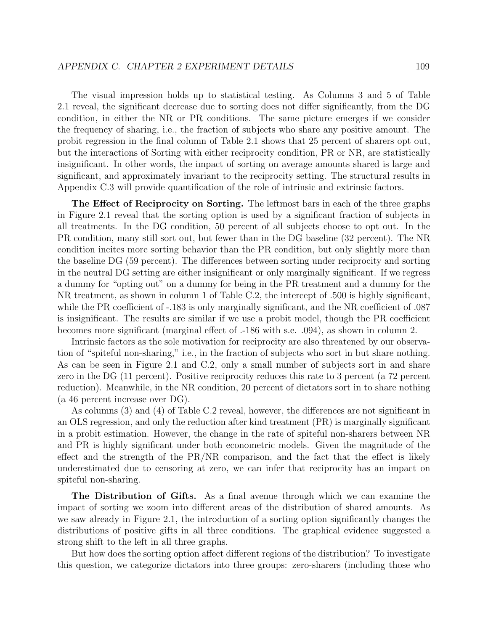The visual impression holds up to statistical testing. As Columns 3 and 5 of Table 2.1 reveal, the significant decrease due to sorting does not differ significantly, from the DG condition, in either the NR or PR conditions. The same picture emerges if we consider the frequency of sharing, i.e., the fraction of subjects who share any positive amount. The probit regression in the final column of Table 2.1 shows that 25 percent of sharers opt out, but the interactions of Sorting with either reciprocity condition, PR or NR, are statistically insignificant. In other words, the impact of sorting on average amounts shared is large and significant, and approximately invariant to the reciprocity setting. The structural results in Appendix C.3 will provide quantification of the role of intrinsic and extrinsic factors.

The Effect of Reciprocity on Sorting. The leftmost bars in each of the three graphs in Figure 2.1 reveal that the sorting option is used by a significant fraction of subjects in all treatments. In the DG condition, 50 percent of all subjects choose to opt out. In the PR condition, many still sort out, but fewer than in the DG baseline (32 percent). The NR condition incites more sorting behavior than the PR condition, but only slightly more than the baseline DG (59 percent). The differences between sorting under reciprocity and sorting in the neutral DG setting are either insignificant or only marginally significant. If we regress a dummy for "opting out" on a dummy for being in the PR treatment and a dummy for the NR treatment, as shown in column 1 of Table C.2, the intercept of .500 is highly significant, while the PR coefficient of -.183 is only marginally significant, and the NR coefficient of .087 is insignificant. The results are similar if we use a probit model, though the PR coefficient becomes more significant (marginal effect of .-186 with s.e. .094), as shown in column 2.

Intrinsic factors as the sole motivation for reciprocity are also threatened by our observation of "spiteful non-sharing," i.e., in the fraction of subjects who sort in but share nothing. As can be seen in Figure 2.1 and C.2, only a small number of subjects sort in and share zero in the DG (11 percent). Positive reciprocity reduces this rate to 3 percent (a 72 percent reduction). Meanwhile, in the NR condition, 20 percent of dictators sort in to share nothing (a 46 percent increase over DG).

As columns (3) and (4) of Table C.2 reveal, however, the differences are not significant in an OLS regression, and only the reduction after kind treatment (PR) is marginally significant in a probit estimation. However, the change in the rate of spiteful non-sharers between NR and PR is highly significant under both econometric models. Given the magnitude of the effect and the strength of the PR/NR comparison, and the fact that the effect is likely underestimated due to censoring at zero, we can infer that reciprocity has an impact on spiteful non-sharing.

The Distribution of Gifts. As a final avenue through which we can examine the impact of sorting we zoom into different areas of the distribution of shared amounts. As we saw already in Figure 2.1, the introduction of a sorting option significantly changes the distributions of positive gifts in all three conditions. The graphical evidence suggested a strong shift to the left in all three graphs.

But how does the sorting option affect different regions of the distribution? To investigate this question, we categorize dictators into three groups: zero-sharers (including those who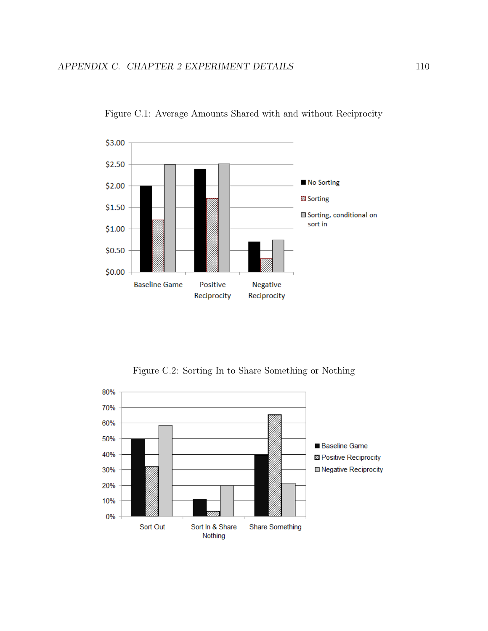

Figure C.1: Average Amounts Shared with and without Reciprocity

Figure C.2: Sorting In to Share Something or Nothing

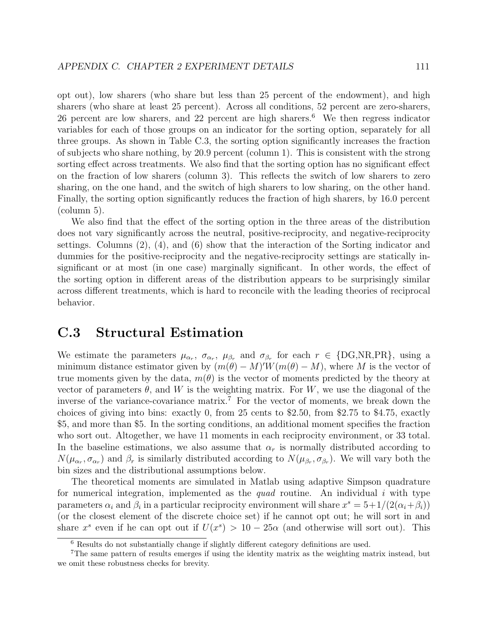opt out), low sharers (who share but less than 25 percent of the endowment), and high sharers (who share at least 25 percent). Across all conditions, 52 percent are zero-sharers, 26 percent are low sharers, and 22 percent are high sharers.<sup>6</sup> We then regress indicator variables for each of those groups on an indicator for the sorting option, separately for all three groups. As shown in Table C.3, the sorting option significantly increases the fraction of subjects who share nothing, by 20.9 percent (column 1). This is consistent with the strong sorting effect across treatments. We also find that the sorting option has no significant effect on the fraction of low sharers (column 3). This reflects the switch of low sharers to zero sharing, on the one hand, and the switch of high sharers to low sharing, on the other hand. Finally, the sorting option significantly reduces the fraction of high sharers, by 16.0 percent (column 5).

We also find that the effect of the sorting option in the three areas of the distribution does not vary significantly across the neutral, positive-reciprocity, and negative-reciprocity settings. Columns (2), (4), and (6) show that the interaction of the Sorting indicator and dummies for the positive-reciprocity and the negative-reciprocity settings are statically insignificant or at most (in one case) marginally significant. In other words, the effect of the sorting option in different areas of the distribution appears to be surprisingly similar across different treatments, which is hard to reconcile with the leading theories of reciprocal behavior.

### C.3 Structural Estimation

We estimate the parameters  $\mu_{\alpha_r}$ ,  $\sigma_{\alpha_r}$ ,  $\mu_{\beta_r}$  and  $\sigma_{\beta_r}$  for each  $r \in \{\text{DG,NR,PR}\},\$  using a minimum distance estimator given by  $(m(\theta) - M)'W(m(\theta) - M)$ , where M is the vector of true moments given by the data,  $m(\theta)$  is the vector of moments predicted by the theory at vector of parameters  $\theta$ , and W is the weighting matrix. For W, we use the diagonal of the inverse of the variance-covariance matrix.<sup>7</sup> For the vector of moments, we break down the choices of giving into bins: exactly 0, from 25 cents to \$2.50, from \$2.75 to \$4.75, exactly \$5, and more than \$5. In the sorting conditions, an additional moment specifies the fraction who sort out. Altogether, we have 11 moments in each reciprocity environment, or 33 total. In the baseline estimations, we also assume that  $\alpha_r$  is normally distributed according to  $N(\mu_{\alpha_r}, \sigma_{\alpha_r})$  and  $\beta_r$  is similarly distributed according to  $N(\mu_{\beta_r}, \sigma_{\beta_r})$ . We will vary both the bin sizes and the distributional assumptions below.

The theoretical moments are simulated in Matlab using adaptive Simpson quadrature for numerical integration, implemented as the quad routine. An individual i with type parameters  $\alpha_i$  and  $\beta_i$  in a particular reciprocity environment will share  $x^s = 5+1/(2(\alpha_i+\beta_i))$ (or the closest element of the discrete choice set) if he cannot opt out; he will sort in and share  $x^s$  even if he can opt out if  $U(x^s) > 10 - 25\alpha$  (and otherwise will sort out). This

<sup>6</sup> Results do not substantially change if slightly different category definitions are used.

<sup>7</sup>The same pattern of results emerges if using the identity matrix as the weighting matrix instead, but we omit these robustness checks for brevity.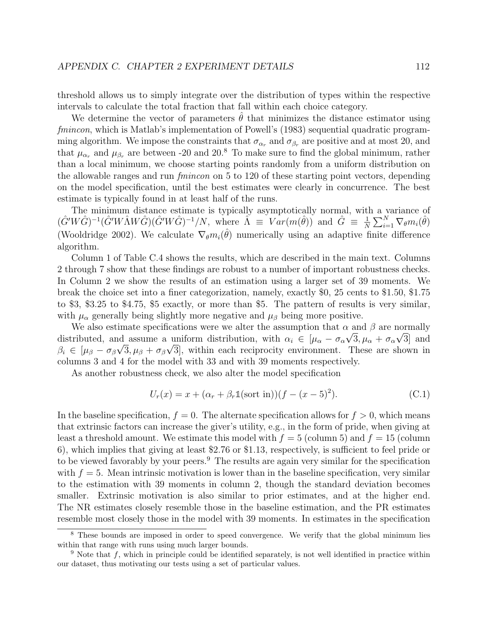threshold allows us to simply integrate over the distribution of types within the respective intervals to calculate the total fraction that fall within each choice category.

We determine the vector of parameters  $\theta$  that minimizes the distance estimator using fmincon, which is Matlab's implementation of Powell's (1983) sequential quadratic programming algorithm. We impose the constraints that  $\sigma_{\alpha_r}$  and  $\sigma_{\beta_r}$  are positive and at most 20, and that  $\mu_{\alpha_r}$  and  $\mu_{\beta_r}$  are between -20 and 20.<sup>8</sup> To make sure to find the global minimum, rather than a local minimum, we choose starting points randomly from a uniform distribution on the allowable ranges and run fmincon on 5 to 120 of these starting point vectors, depending on the model specification, until the best estimates were clearly in concurrence. The best estimate is typically found in at least half of the runs.

The minimum distance estimate is typically asymptotically normal, with a variance of  $(\hat{G'}W\hat{G})^{-1}(\hat{G'}W\hat{\Lambda}W\hat{G})(\hat{G'}W\hat{G})^{-1}/N$ , where  $\hat{\Lambda} \equiv Var(m(\hat{\theta}))$  and  $\hat{G} \equiv \frac{1}{N}$  $\frac{1}{N}\sum_{i=1}^N \nabla_\theta m_i(\hat{\theta})$ (Wooldridge 2002). We calculate  $\nabla_{\theta} m_i(\hat{\theta})$  numerically using an adaptive finite difference algorithm.

Column 1 of Table C.4 shows the results, which are described in the main text. Columns 2 through 7 show that these findings are robust to a number of important robustness checks. In Column 2 we show the results of an estimation using a larger set of 39 moments. We break the choice set into a finer categorization, namely, exactly \$0, 25 cents to \$1.50, \$1.75 to \$3, \$3.25 to \$4.75, \$5 exactly, or more than \$5. The pattern of results is very similar, with  $\mu_{\alpha}$  generally being slightly more negative and  $\mu_{\beta}$  being more positive.

We also estimate specifications were we alter the assumption that  $\alpha$  and  $\beta$  are normally distributed, and assume a uniform distribution, with  $\alpha_i \in [\mu_\alpha - \sigma_\alpha \sqrt{3}, \mu_\alpha + \sigma_\alpha \sqrt{3}]$  and  $\beta_i \in [\mu_\beta - \sigma_\beta \sqrt{3}, \mu_\beta + \sigma_\beta \sqrt{3}]$ , within each reciprocity environment. These are shown in columns 3 and 4 for the model with 33 and with 39 moments respectively.

As another robustness check, we also alter the model specification

$$
U_r(x) = x + (\alpha_r + \beta_r \mathbb{1}(\text{sort in}))(f - (x - 5)^2).
$$
 (C.1)

In the baseline specification,  $f = 0$ . The alternate specification allows for  $f > 0$ , which means that extrinsic factors can increase the giver's utility, e.g., in the form of pride, when giving at least a threshold amount. We estimate this model with  $f = 5$  (column 5) and  $f = 15$  (column 6), which implies that giving at least \$2.76 or \$1.13, respectively, is sufficient to feel pride or to be viewed favorably by your peers.<sup>9</sup> The results are again very similar for the specification with  $f = 5$ . Mean intrinsic motivation is lower than in the baseline specification, very similar to the estimation with 39 moments in column 2, though the standard deviation becomes smaller. Extrinsic motivation is also similar to prior estimates, and at the higher end. The NR estimates closely resemble those in the baseline estimation, and the PR estimates resemble most closely those in the model with 39 moments. In estimates in the specification

<sup>&</sup>lt;sup>8</sup> These bounds are imposed in order to speed convergence. We verify that the global minimum lies within that range with runs using much larger bounds.

 $9$  Note that f, which in principle could be identified separately, is not well identified in practice within our dataset, thus motivating our tests using a set of particular values.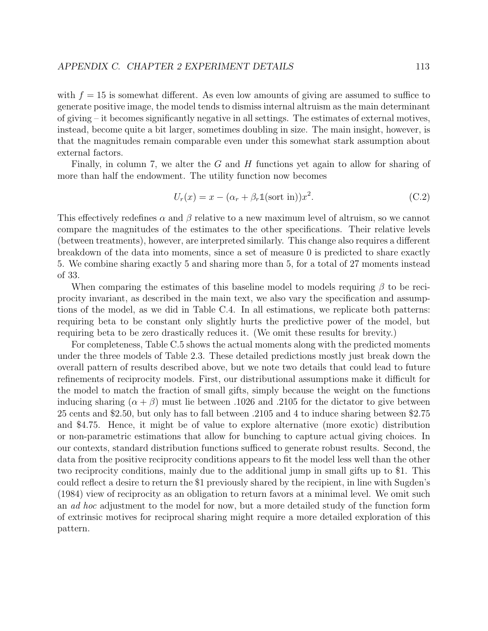with  $f = 15$  is somewhat different. As even low amounts of giving are assumed to suffice to generate positive image, the model tends to dismiss internal altruism as the main determinant of giving – it becomes significantly negative in all settings. The estimates of external motives, instead, become quite a bit larger, sometimes doubling in size. The main insight, however, is that the magnitudes remain comparable even under this somewhat stark assumption about external factors.

Finally, in column 7, we alter the G and H functions yet again to allow for sharing of more than half the endowment. The utility function now becomes

$$
U_r(x) = x - (\alpha_r + \beta_r \mathbb{1}(\text{sort in}))x^2.
$$
 (C.2)

This effectively redefines  $\alpha$  and  $\beta$  relative to a new maximum level of altruism, so we cannot compare the magnitudes of the estimates to the other specifications. Their relative levels (between treatments), however, are interpreted similarly. This change also requires a different breakdown of the data into moments, since a set of measure 0 is predicted to share exactly 5. We combine sharing exactly 5 and sharing more than 5, for a total of 27 moments instead of 33.

When comparing the estimates of this baseline model to models requiring  $\beta$  to be reciprocity invariant, as described in the main text, we also vary the specification and assumptions of the model, as we did in Table C.4. In all estimations, we replicate both patterns: requiring beta to be constant only slightly hurts the predictive power of the model, but requiring beta to be zero drastically reduces it. (We omit these results for brevity.)

For completeness, Table C.5 shows the actual moments along with the predicted moments under the three models of Table 2.3. These detailed predictions mostly just break down the overall pattern of results described above, but we note two details that could lead to future refinements of reciprocity models. First, our distributional assumptions make it difficult for the model to match the fraction of small gifts, simply because the weight on the functions inducing sharing  $(\alpha + \beta)$  must lie between .1026 and .2105 for the dictator to give between 25 cents and \$2.50, but only has to fall between .2105 and 4 to induce sharing between \$2.75 and \$4.75. Hence, it might be of value to explore alternative (more exotic) distribution or non-parametric estimations that allow for bunching to capture actual giving choices. In our contexts, standard distribution functions sufficed to generate robust results. Second, the data from the positive reciprocity conditions appears to fit the model less well than the other two reciprocity conditions, mainly due to the additional jump in small gifts up to \$1. This could reflect a desire to return the \$1 previously shared by the recipient, in line with Sugden's (1984) view of reciprocity as an obligation to return favors at a minimal level. We omit such an ad hoc adjustment to the model for now, but a more detailed study of the function form of extrinsic motives for reciprocal sharing might require a more detailed exploration of this pattern.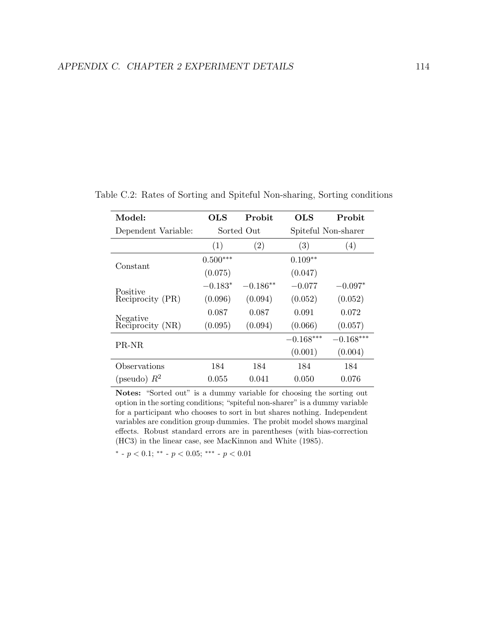| Model:              | OLS        | Probit     | OLS         | Probit              |
|---------------------|------------|------------|-------------|---------------------|
| Dependent Variable: |            | Sorted Out |             | Spiteful Non-sharer |
|                     | (1)        | (2)        | (3)         | (4)                 |
| Constant            | $0.500***$ |            | $0.109**$   |                     |
|                     | (0.075)    |            | (0.047)     |                     |
| Positive            | $-0.183*$  | $-0.186**$ | $-0.077$    | $-0.097*$           |
| Reciprocity (PR)    | (0.096)    | (0.094)    | (0.052)     | (0.052)             |
| Negative            | 0.087      | 0.087      | 0.091       | 0.072               |
| Reciprocity (NR)    | (0.095)    | (0.094)    | (0.066)     | (0.057)             |
| PR-NR               |            |            | $-0.168***$ | $-0.168***$         |
|                     |            |            | (0.001)     | (0.004)             |
| Observations        | 184        | 184        | 184         | 184                 |
| (pseudo) $R^2$      | 0.055      | 0.041      | 0.050       | 0.076               |

Table C.2: Rates of Sorting and Spiteful Non-sharing, Sorting conditions

Notes: "Sorted out" is a dummy variable for choosing the sorting out option in the sorting conditions; "spiteful non-sharer" is a dummy variable for a participant who chooses to sort in but shares nothing. Independent variables are condition group dummies. The probit model shows marginal effects. Robust standard errors are in parentheses (with bias-correction (HC3) in the linear case, see MacKinnon and White (1985).

\* -  $p < 0.1$ ; \*\* -  $p < 0.05$ ; \*\*\* -  $p < 0.01$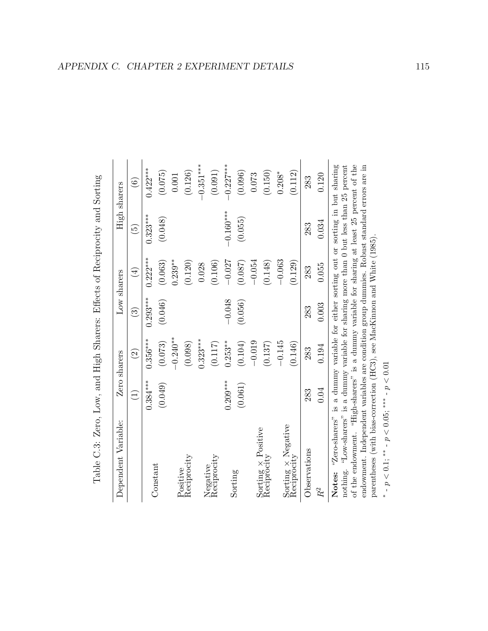| Table C.3: Zero, Low, and High Sharers: Effects of Reciprocity and Sorting                                                                                                                   |                            |               |               |             |               |               |
|----------------------------------------------------------------------------------------------------------------------------------------------------------------------------------------------|----------------------------|---------------|---------------|-------------|---------------|---------------|
| Dependent Variable:                                                                                                                                                                          |                            | Zero sharers  |               | Low sharers | High sharers  |               |
|                                                                                                                                                                                              | $\left(\frac{1}{2}\right)$ | $\widehat{c}$ | $\widehat{S}$ | $(\pm)$     | $\widehat{5}$ | $\widehat{6}$ |
|                                                                                                                                                                                              | $0.384***$                 | $0.356***$    | $0.293***$    | $0.222***$  | $0.323***$    | $0.422***$    |
| Constant                                                                                                                                                                                     | (0.049)                    | (0.073)       | (0.046)       | (0.063)     | (0.048)       | (0.075)       |
|                                                                                                                                                                                              |                            | $-0.240**$    |               | $0.239***$  |               | 0.001         |
| Positive<br>Reciprocity                                                                                                                                                                      |                            | (0.098)       |               | (0.120)     |               | (0.126)       |
|                                                                                                                                                                                              |                            | $0.323***$    |               | 0.028       |               | $-0.351***$   |
| Negative<br>Reciprocity                                                                                                                                                                      |                            | (0.117)       |               | (0.106)     |               | (0.091)       |
|                                                                                                                                                                                              | $0.209***$                 | $0.253***$    | $-0.048$      | $-0.027$    | $-0.160***$   | $-0.227***$   |
| Sorting                                                                                                                                                                                      | (0.061)                    | (0.104)       | (0.056)       | (0.087)     | (0.055)       | (0.096)       |
|                                                                                                                                                                                              |                            | $-0.019$      |               | $-0.054$    |               | 0.073         |
| $Sorting \times Positive$<br>Reciprocity                                                                                                                                                     |                            | (0.137)       |               | (0.148)     |               | (0.150)       |
|                                                                                                                                                                                              |                            | $-0.145$      |               | $-0.063$    |               | $0.208*$      |
| $\begin{array}{lcl} \text{Sorting} \times \text {Negative} \\ \text {Review} \end{array}$                                                                                                    |                            | (0.146)       |               | (0.129)     |               | (0.112)       |
| Observations                                                                                                                                                                                 | 283                        | 283           | 283           | 283         | 283           | 283           |
| $R^2$                                                                                                                                                                                        | 0.04                       | 0.194         | 0.003         | 0.055       | 0.034         | 0.120         |
| "Zero-sharers" is a dummy variable for either sorting out or sorting in but sharing<br>nothing. "Low-sharers" is a dummy variable for sharing more than 0 but less than 25 percent<br>Notes: |                            |               |               |             |               |               |
| of the endowment. "High-sharers" is a dummy variable for sharing at least 25 percent of the                                                                                                  |                            |               |               |             |               |               |
| endowment. Independent variables are condition group dummies. Robust standard errors are in<br>parentheses (with bias-correction (HC3), see MacKinnon and White (1985).                      |                            |               |               |             |               |               |

| ١                                                                                                                                                                                                                                        |
|------------------------------------------------------------------------------------------------------------------------------------------------------------------------------------------------------------------------------------------|
| $\frac{1}{2}$                                                                                                                                                                                                                            |
|                                                                                                                                                                                                                                          |
| j                                                                                                                                                                                                                                        |
|                                                                                                                                                                                                                                          |
| りっしゅ                                                                                                                                                                                                                                     |
| research of the second of the second of the second of the second of the second of the second of the second of the second of the second of the second of the second of the second of the second of the second of the second of<br>$-22.5$ |
| )<br> <br> <br> <br> <br>)                                                                                                                                                                                                               |
| j                                                                                                                                                                                                                                        |
| $\vdots$                                                                                                                                                                                                                                 |
| $\sim$<br>.<br>נול<br>Ŋ                                                                                                                                                                                                                  |
| こうこう<br>)<br>)                                                                                                                                                                                                                           |
| ֧֦֧֦֦֧֧֧֧֧֧֧֧֧֧֧֧֧֧֧֧֧֧֧֧֧֧֧֧֧֧֧֦֧֧֧֧֛֚֝֝֝֝֝֝֝֝֬֝֝֬֝֬֝֓֝֬֝֓֝֬֝֟֝֬֝֟֝֬֝֓֝֬֝֟֓֝֬֝֬֝֬֝֬֜֝֬֝֬֝֬֜<br>֧֧֧֧֪֦֧֪֧֛֛֛֪֚֜֜֝֝֜֜֜֝                                                                                                                   |

∗  $-p < 0.1$ ; \*\* -  $p < 0.05$ ; \*\*\* -  $p < 0.01$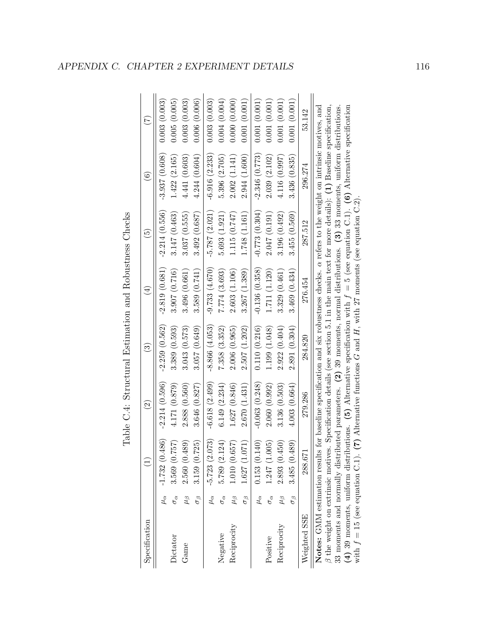| Specification                            |                     | $\begin{array}{c}\n\begin{array}{c}\n\end{array}\n\end{array}$                                                                                                                                                                                                                                                                                                                                                                                                                                                                | $\widehat{\mathfrak{O}}$ | ි               | $(\pm)$                                                                                                  | $\widetilde{5}$ | $\widehat{\mathfrak{s}}$ | E            |
|------------------------------------------|---------------------|-------------------------------------------------------------------------------------------------------------------------------------------------------------------------------------------------------------------------------------------------------------------------------------------------------------------------------------------------------------------------------------------------------------------------------------------------------------------------------------------------------------------------------|--------------------------|-----------------|----------------------------------------------------------------------------------------------------------|-----------------|--------------------------|--------------|
|                                          | $\mu_{\alpha}$      | $-1.732(0.486)$                                                                                                                                                                                                                                                                                                                                                                                                                                                                                                               | $-2.214(0.596)$          | $-2.259(0.562)$ | .2.819(0.681)                                                                                            | $-2.214(0.556)$ | $-3.937(0.608)$          | 0.003(0.003) |
| Dictator                                 | $\sigma_{\alpha}$   | 3.569(0.757)                                                                                                                                                                                                                                                                                                                                                                                                                                                                                                                  | 4.171 (0.879)            | 3.389(0.593)    | 3.907(0.716)                                                                                             | 3.147 (0.463)   | 1.422(2.165)             | 0.005(0.005) |
| Game                                     | $\mu_{\beta}$       | 2.560(0.489)                                                                                                                                                                                                                                                                                                                                                                                                                                                                                                                  | 2.888(0.560)             | 3.043(0.573)    | 3.496(0.661)                                                                                             | 3.037(0.555)    | 4.441(0.603)             | 0.003(0.003) |
|                                          | $\sigma_{\beta}$    | 3.159(0.725)                                                                                                                                                                                                                                                                                                                                                                                                                                                                                                                  | 3.646 (0.827)            | 3.057(0.649)    | 3.589(0.741)                                                                                             | 3.492(0.687)    | 4.244(0.604)             | 0.006(0.006) |
|                                          | $\mu_{\alpha}$      | $-5.723(2.073)$                                                                                                                                                                                                                                                                                                                                                                                                                                                                                                               | $-6.618(2.499)$          | $-8.866(4.053)$ | $-9.733(4.670)$                                                                                          | $-5.787(2.021)$ | $-6.916(2.233)$          | 0.003(0.003) |
| Negative                                 | $\sigma_{\alpha}$   | 5.789 (2.124)                                                                                                                                                                                                                                                                                                                                                                                                                                                                                                                 | 6.149(2.234)             | 7.358 (3.352)   | 7.774(3.693)                                                                                             | 5.693(1.921)    | 5.396 (2.705)            | 0.004(0.004) |
| Reciprocity                              | $\mu_{\beta}$       | 1.010(0.657)                                                                                                                                                                                                                                                                                                                                                                                                                                                                                                                  | 1.627(0.846)             | 2.006 (0.965)   | 2.603(1.106)                                                                                             | 1.115(0.747)    | 2.002(1.141)             | 0.000(0.000) |
|                                          | $\sigma_{\beta}$    | 1.627(1.071)                                                                                                                                                                                                                                                                                                                                                                                                                                                                                                                  | 2.670(1.431)             | 2.507 (1.202)   | 3.267(1.389)                                                                                             | 1.748 (1.161)   | 2.944(1.600)             | 0.001(0.001) |
|                                          | $\mu_{\alpha}$      | 0.153(0.140)                                                                                                                                                                                                                                                                                                                                                                                                                                                                                                                  | $-0.063(0.248)$          | 0.110(0.216)    | $-0.136(0.358)$                                                                                          | $-0.773(0.304)$ | $-2.346(0.773)$          | 0.001(0.001) |
| Positive                                 | $\sigma_{\alpha}$   | 1.247 (1.005)                                                                                                                                                                                                                                                                                                                                                                                                                                                                                                                 | 2.060(0.992)             | 1.199 (1.048)   | 1.711 (1.120)                                                                                            | 2.047(0.191)    | 2.039(2.102)             | 0.001(0.001) |
| Reciprocity                              | $\epsilon_{\prime}$ | 2.893(0.450)                                                                                                                                                                                                                                                                                                                                                                                                                                                                                                                  | 3.136(0.503)             | 2.922(0.404)    | 3.329(0.461)                                                                                             | 3.196(0.492)    | 4.116(0.997)             | 0.001(0.001) |
|                                          | $\sigma_{\beta}$    | 3.485 (0.489)                                                                                                                                                                                                                                                                                                                                                                                                                                                                                                                 | 4.003(0.664)             | 2.891(0.304)    | 3.469(0.434)                                                                                             | 3.455(0.569)    | 3.436 (0.835)            | 0.001(0.001) |
| Weighted SSE                             |                     | 288.671                                                                                                                                                                                                                                                                                                                                                                                                                                                                                                                       | 279.286                  | 284.820         | 276.454                                                                                                  | 287.512         | 296.274                  | 53.142       |
| $\beta$ the weight on extrinsic motives. |                     | (4) 39 moments, uniform distributions. (5) Alternative specification with $f = 5$ (see equation C.1). (6) Alternative specification<br>Notes: GMM estimation results for baseline specification and six robustness checks. $\alpha$ refers to the weight on intrinsic motives, and<br>33 moments and normally distributed parameters. (2) 39 moments, normal distributions. (3) 33 moments, uniform distributions.<br>with $f = 15$ (see equation C.1). (7) Alternative functions G and H, with 27 moments (see equation C.2) |                          |                 | Specification details (see section 5.1 in the main text for more details): $(1)$ Baseline specification, |                 |                          |              |

Table C.4: Structural Estimation and Robustness Checks Table C.4: Structural Estimation and Robustness Checks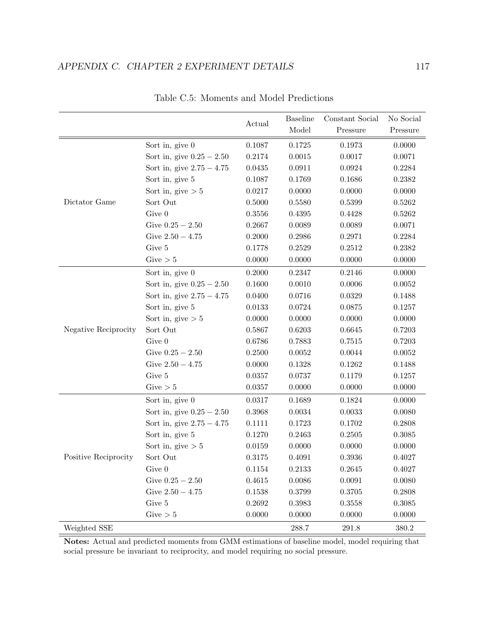|                      |                             |        | <b>Baseline</b> | Constant Social | No Social |
|----------------------|-----------------------------|--------|-----------------|-----------------|-----------|
|                      |                             | Actual | Model           | Pressure        | Pressure  |
|                      | Sort in, give $0$           | 0.1087 | 0.1725          | 0.1973          | 0.0000    |
|                      | Sort in, give $0.25 - 2.50$ | 0.2174 | 0.0015          | 0.0017          | 0.0071    |
|                      | Sort in, give $2.75 - 4.75$ | 0.0435 | 0.0911          | 0.0924          | 0.2284    |
|                      | Sort in, give 5             | 0.1087 | 0.1769          | 0.1686          | 0.2382    |
|                      | Sort in, give $> 5$         | 0.0217 | 0.0000          | 0.0000          | 0.0000    |
| Dictator Game        | Sort Out                    | 0.5000 | 0.5580          | 0.5399          | 0.5262    |
|                      | Give 0                      | 0.3556 | 0.4395          | 0.4428          | 0.5262    |
|                      | Give $0.25 - 2.50$          | 0.2667 | 0.0089          | 0.0089          | 0.0071    |
|                      | Give $2.50 - 4.75$          | 0.2000 | 0.2986          | 0.2971          | 0.2284    |
|                      | Give 5                      | 0.1778 | 0.2529          | 0.2512          | 0.2382    |
|                      | Give $> 5$                  | 0.0000 | 0.0000          | 0.0000          | 0.0000    |
|                      | Sort in, give $0$           | 0.2000 | 0.2347          | 0.2146          | 0.0000    |
|                      | Sort in, give $0.25 - 2.50$ | 0.1600 | 0.0010          | 0.0006          | 0.0052    |
|                      | Sort in, give $2.75 - 4.75$ | 0.0400 | 0.0716          | 0.0329          | 0.1488    |
|                      | Sort in, give 5             | 0.0133 | 0.0724          | 0.0875          | 0.1257    |
|                      | Sort in, give $> 5$         | 0.0000 | 0.0000          | 0.0000          | 0.0000    |
| Negative Reciprocity | Sort Out                    | 0.5867 | 0.6203          | 0.6645          | 0.7203    |
|                      | Give 0                      | 0.6786 | 0.7883          | 0.7515          | 0.7203    |
|                      | Give $0.25 - 2.50$          | 0.2500 | 0.0052          | 0.0044          | 0.0052    |
|                      | Give $2.50 - 4.75$          | 0.0000 | 0.1328          | 0.1262          | 0.1488    |
|                      | Give 5                      | 0.0357 | 0.0737          | 0.1179          | 0.1257    |
|                      | Give $> 5$                  | 0.0357 | 0.0000          | 0.0000          | 0.0000    |
|                      | Sort in, give $0$           | 0.0317 | 0.1689          | 0.1824          | 0.0000    |
|                      | Sort in, give $0.25 - 2.50$ | 0.3968 | 0.0034          | 0.0033          | 0.0080    |
| Positive Reciprocity | Sort in, give $2.75 - 4.75$ | 0.1111 | 0.1723          | 0.1702          | 0.2808    |
|                      | Sort in, give 5             | 0.1270 | 0.2463          | 0.2505          | 0.3085    |
|                      | Sort in, give $> 5$         | 0.0159 | 0.0000          | 0.0000          | 0.0000    |
|                      | Sort Out                    | 0.3175 | 0.4091          | 0.3936          | 0.4027    |
|                      | Give $0$                    | 0.1154 | 0.2133          | 0.2645          | 0.4027    |
|                      | Give $0.25 - 2.50$          | 0.4615 | 0.0086          | 0.0091          | 0.0080    |
|                      | Give $2.50 - 4.75$          | 0.1538 | 0.3799          | 0.3705          | 0.2808    |
|                      | Give 5                      | 0.2692 | 0.3983          | 0.3558          | 0.3085    |
|                      | Give $> 5$                  | 0.0000 | 0.0000          | 0.0000          | 0.0000    |
| Weighted SSE         |                             |        | 288.7           | 291.8           | 380.2     |

Table C.5: Moments and Model Predictions

Notes: Actual and predicted moments from GMM estimations of baseline model, model requiring that social pressure be invariant to reciprocity, and model requiring no social pressure.

 $=$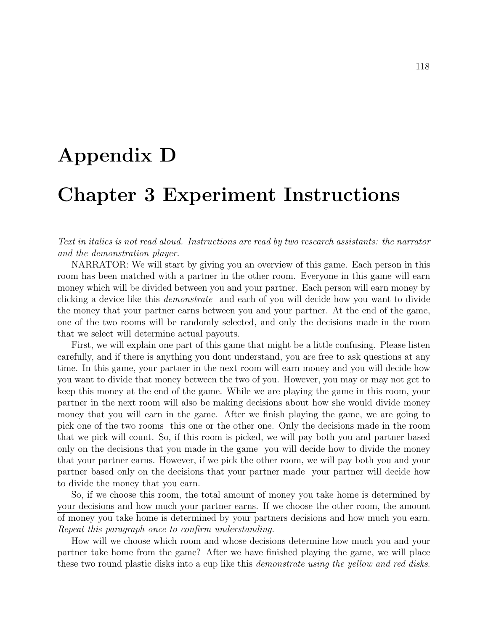## Appendix D

## Chapter 3 Experiment Instructions

Text in italics is not read aloud. Instructions are read by two research assistants: the narrator and the demonstration player.

NARRATOR: We will start by giving you an overview of this game. Each person in this room has been matched with a partner in the other room. Everyone in this game will earn money which will be divided between you and your partner. Each person will earn money by clicking a device like this demonstrate and each of you will decide how you want to divide the money that your partner earns between you and your partner. At the end of the game, one of the two rooms will be randomly selected, and only the decisions made in the room that we select will determine actual payouts.

First, we will explain one part of this game that might be a little confusing. Please listen carefully, and if there is anything you dont understand, you are free to ask questions at any time. In this game, your partner in the next room will earn money and you will decide how you want to divide that money between the two of you. However, you may or may not get to keep this money at the end of the game. While we are playing the game in this room, your partner in the next room will also be making decisions about how she would divide money money that you will earn in the game. After we finish playing the game, we are going to pick one of the two rooms this one or the other one. Only the decisions made in the room that we pick will count. So, if this room is picked, we will pay both you and partner based only on the decisions that you made in the game you will decide how to divide the money that your partner earns. However, if we pick the other room, we will pay both you and your partner based only on the decisions that your partner made your partner will decide how to divide the money that you earn.

So, if we choose this room, the total amount of money you take home is determined by your decisions and how much your partner earns. If we choose the other room, the amount of money you take home is determined by your partners decisions and how much you earn. Repeat this paragraph once to confirm understanding.

How will we choose which room and whose decisions determine how much you and your partner take home from the game? After we have finished playing the game, we will place these two round plastic disks into a cup like this *demonstrate using the yellow and red disks*.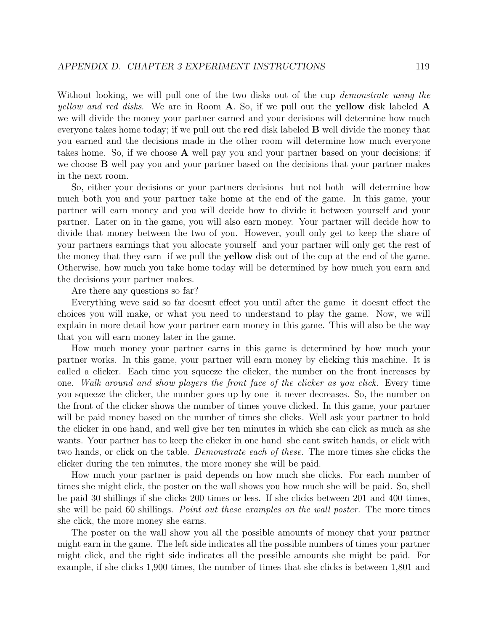Without looking, we will pull one of the two disks out of the cup *demonstrate using the yellow and red disks.* We are in Room  $\bf{A}$ . So, if we pull out the **yellow** disk labeled  $\bf{A}$ we will divide the money your partner earned and your decisions will determine how much everyone takes home today; if we pull out the red disk labeled B well divide the money that you earned and the decisions made in the other room will determine how much everyone takes home. So, if we choose  $A$  well pay you and your partner based on your decisions; if we choose **B** well pay you and your partner based on the decisions that your partner makes in the next room.

So, either your decisions or your partners decisions but not both will determine how much both you and your partner take home at the end of the game. In this game, your partner will earn money and you will decide how to divide it between yourself and your partner. Later on in the game, you will also earn money. Your partner will decide how to divide that money between the two of you. However, youll only get to keep the share of your partners earnings that you allocate yourself and your partner will only get the rest of the money that they earn if we pull the yellow disk out of the cup at the end of the game. Otherwise, how much you take home today will be determined by how much you earn and the decisions your partner makes.

Are there any questions so far?

Everything weve said so far doesnt effect you until after the game it doesnt effect the choices you will make, or what you need to understand to play the game. Now, we will explain in more detail how your partner earn money in this game. This will also be the way that you will earn money later in the game.

How much money your partner earns in this game is determined by how much your partner works. In this game, your partner will earn money by clicking this machine. It is called a clicker. Each time you squeeze the clicker, the number on the front increases by one. Walk around and show players the front face of the clicker as you click. Every time you squeeze the clicker, the number goes up by one it never decreases. So, the number on the front of the clicker shows the number of times youve clicked. In this game, your partner will be paid money based on the number of times she clicks. Well ask your partner to hold the clicker in one hand, and well give her ten minutes in which she can click as much as she wants. Your partner has to keep the clicker in one hand she cant switch hands, or click with two hands, or click on the table. Demonstrate each of these. The more times she clicks the clicker during the ten minutes, the more money she will be paid.

How much your partner is paid depends on how much she clicks. For each number of times she might click, the poster on the wall shows you how much she will be paid. So, shell be paid 30 shillings if she clicks 200 times or less. If she clicks between 201 and 400 times, she will be paid 60 shillings. Point out these examples on the wall poster. The more times she click, the more money she earns.

The poster on the wall show you all the possible amounts of money that your partner might earn in the game. The left side indicates all the possible numbers of times your partner might click, and the right side indicates all the possible amounts she might be paid. For example, if she clicks 1,900 times, the number of times that she clicks is between 1,801 and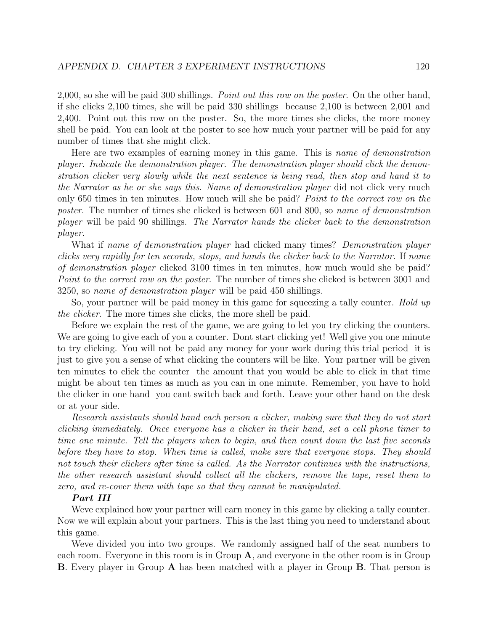2,000, so she will be paid 300 shillings. *Point out this row on the poster*. On the other hand, if she clicks 2,100 times, she will be paid 330 shillings because 2,100 is between 2,001 and 2,400. Point out this row on the poster. So, the more times she clicks, the more money shell be paid. You can look at the poster to see how much your partner will be paid for any number of times that she might click.

Here are two examples of earning money in this game. This is *name of demonstration* player. Indicate the demonstration player. The demonstration player should click the demonstration clicker very slowly while the next sentence is being read, then stop and hand it to the Narrator as he or she says this. Name of demonstration player did not click very much only 650 times in ten minutes. How much will she be paid? Point to the correct row on the poster. The number of times she clicked is between 601 and 800, so name of demonstration player will be paid 90 shillings. The Narrator hands the clicker back to the demonstration player.

What if name of demonstration player had clicked many times? Demonstration player clicks very rapidly for ten seconds, stops, and hands the clicker back to the Narrator. If name of demonstration player clicked 3100 times in ten minutes, how much would she be paid? Point to the correct row on the poster. The number of times she clicked is between 3001 and 3250, so name of demonstration player will be paid 450 shillings.

So, your partner will be paid money in this game for squeezing a tally counter. *Hold up* the clicker. The more times she clicks, the more shell be paid.

Before we explain the rest of the game, we are going to let you try clicking the counters. We are going to give each of you a counter. Dont start clicking yet! Well give you one minute to try clicking. You will not be paid any money for your work during this trial period it is just to give you a sense of what clicking the counters will be like. Your partner will be given ten minutes to click the counter the amount that you would be able to click in that time might be about ten times as much as you can in one minute. Remember, you have to hold the clicker in one hand you cant switch back and forth. Leave your other hand on the desk or at your side.

Research assistants should hand each person a clicker, making sure that they do not start clicking immediately. Once everyone has a clicker in their hand, set a cell phone timer to time one minute. Tell the players when to begin, and then count down the last five seconds before they have to stop. When time is called, make sure that everyone stops. They should not touch their clickers after time is called. As the Narrator continues with the instructions, the other research assistant should collect all the clickers, remove the tape, reset them to zero, and re-cover them with tape so that they cannot be manipulated.

### Part III

Weve explained how your partner will earn money in this game by clicking a tally counter. Now we will explain about your partners. This is the last thing you need to understand about this game.

Weve divided you into two groups. We randomly assigned half of the seat numbers to each room. Everyone in this room is in Group A, and everyone in the other room is in Group B. Every player in Group A has been matched with a player in Group B. That person is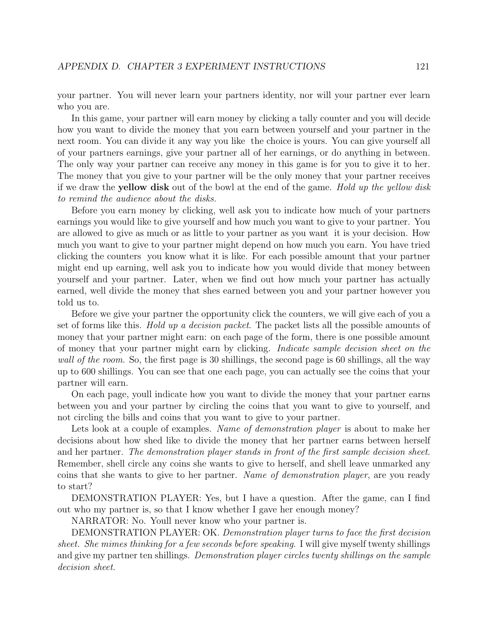your partner. You will never learn your partners identity, nor will your partner ever learn who you are.

In this game, your partner will earn money by clicking a tally counter and you will decide how you want to divide the money that you earn between yourself and your partner in the next room. You can divide it any way you like the choice is yours. You can give yourself all of your partners earnings, give your partner all of her earnings, or do anything in between. The only way your partner can receive any money in this game is for you to give it to her. The money that you give to your partner will be the only money that your partner receives if we draw the yellow disk out of the bowl at the end of the game. Hold up the yellow disk to remind the audience about the disks.

Before you earn money by clicking, well ask you to indicate how much of your partners earnings you would like to give yourself and how much you want to give to your partner. You are allowed to give as much or as little to your partner as you want it is your decision. How much you want to give to your partner might depend on how much you earn. You have tried clicking the counters you know what it is like. For each possible amount that your partner might end up earning, well ask you to indicate how you would divide that money between yourself and your partner. Later, when we find out how much your partner has actually earned, well divide the money that shes earned between you and your partner however you told us to.

Before we give your partner the opportunity click the counters, we will give each of you a set of forms like this. Hold up a decision packet. The packet lists all the possible amounts of money that your partner might earn: on each page of the form, there is one possible amount of money that your partner might earn by clicking. Indicate sample decision sheet on the wall of the room. So, the first page is 30 shillings, the second page is 60 shillings, all the way up to 600 shillings. You can see that one each page, you can actually see the coins that your partner will earn.

On each page, youll indicate how you want to divide the money that your partner earns between you and your partner by circling the coins that you want to give to yourself, and not circling the bills and coins that you want to give to your partner.

Lets look at a couple of examples. Name of demonstration player is about to make her decisions about how shed like to divide the money that her partner earns between herself and her partner. The demonstration player stands in front of the first sample decision sheet. Remember, shell circle any coins she wants to give to herself, and shell leave unmarked any coins that she wants to give to her partner. Name of demonstration player, are you ready to start?

DEMONSTRATION PLAYER: Yes, but I have a question. After the game, can I find out who my partner is, so that I know whether I gave her enough money?

NARRATOR: No. Youll never know who your partner is.

DEMONSTRATION PLAYER: OK. Demonstration player turns to face the first decision sheet. She mimes thinking for a few seconds before speaking. I will give myself twenty shillings and give my partner ten shillings. Demonstration player circles twenty shillings on the sample decision sheet.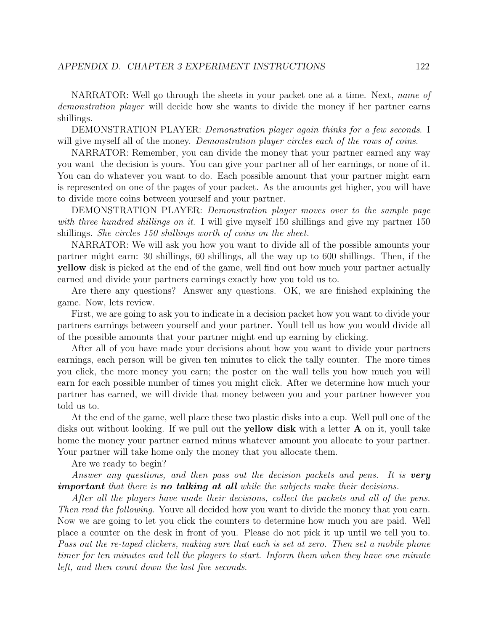NARRATOR: Well go through the sheets in your packet one at a time. Next, *name of* demonstration player will decide how she wants to divide the money if her partner earns shillings.

DEMONSTRATION PLAYER: Demonstration player again thinks for a few seconds. I will give myself all of the money. Demonstration player circles each of the rows of coins.

NARRATOR: Remember, you can divide the money that your partner earned any way you want the decision is yours. You can give your partner all of her earnings, or none of it. You can do whatever you want to do. Each possible amount that your partner might earn is represented on one of the pages of your packet. As the amounts get higher, you will have to divide more coins between yourself and your partner.

DEMONSTRATION PLAYER: Demonstration player moves over to the sample page with three hundred shillings on it. I will give myself 150 shillings and give my partner 150 shillings. She circles 150 shillings worth of coins on the sheet.

NARRATOR: We will ask you how you want to divide all of the possible amounts your partner might earn: 30 shillings, 60 shillings, all the way up to 600 shillings. Then, if the yellow disk is picked at the end of the game, well find out how much your partner actually earned and divide your partners earnings exactly how you told us to.

Are there any questions? Answer any questions. OK, we are finished explaining the game. Now, lets review.

First, we are going to ask you to indicate in a decision packet how you want to divide your partners earnings between yourself and your partner. Youll tell us how you would divide all of the possible amounts that your partner might end up earning by clicking.

After all of you have made your decisions about how you want to divide your partners earnings, each person will be given ten minutes to click the tally counter. The more times you click, the more money you earn; the poster on the wall tells you how much you will earn for each possible number of times you might click. After we determine how much your partner has earned, we will divide that money between you and your partner however you told us to.

At the end of the game, well place these two plastic disks into a cup. Well pull one of the disks out without looking. If we pull out the **yellow disk** with a letter  $\bf{A}$  on it, youll take home the money your partner earned minus whatever amount you allocate to your partner. Your partner will take home only the money that you allocate them.

Are we ready to begin?

Answer any questions, and then pass out the decision packets and pens. It is **very** important that there is no talking at all while the subjects make their decisions.

After all the players have made their decisions, collect the packets and all of the pens. Then read the following. Youve all decided how you want to divide the money that you earn. Now we are going to let you click the counters to determine how much you are paid. Well place a counter on the desk in front of you. Please do not pick it up until we tell you to. Pass out the re-taped clickers, making sure that each is set at zero. Then set a mobile phone timer for ten minutes and tell the players to start. Inform them when they have one minute left, and then count down the last five seconds.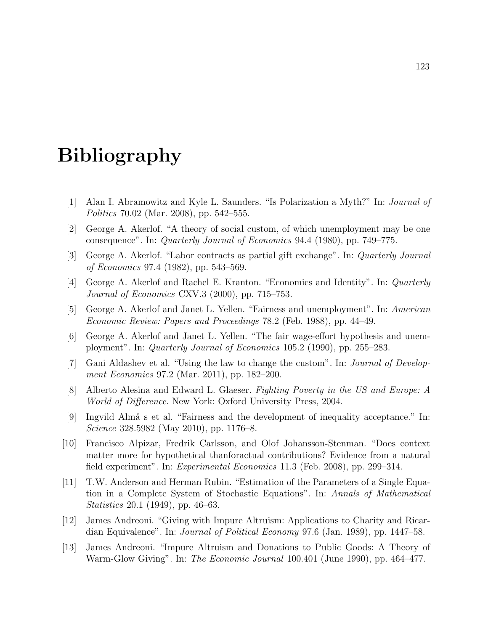# Bibliography

- [1] Alan I. Abramowitz and Kyle L. Saunders. "Is Polarization a Myth?" In: Journal of Politics 70.02 (Mar. 2008), pp. 542–555.
- [2] George A. Akerlof. "A theory of social custom, of which unemployment may be one consequence". In: Quarterly Journal of Economics 94.4 (1980), pp. 749–775.
- [3] George A. Akerlof. "Labor contracts as partial gift exchange". In: Quarterly Journal of Economics 97.4 (1982), pp. 543–569.
- [4] George A. Akerlof and Rachel E. Kranton. "Economics and Identity". In: Quarterly Journal of Economics CXV.3 (2000), pp. 715–753.
- [5] George A. Akerlof and Janet L. Yellen. "Fairness and unemployment". In: American Economic Review: Papers and Proceedings 78.2 (Feb. 1988), pp. 44–49.
- [6] George A. Akerlof and Janet L. Yellen. "The fair wage-effort hypothesis and unemployment". In: Quarterly Journal of Economics 105.2 (1990), pp. 255–283.
- [7] Gani Aldashev et al. "Using the law to change the custom". In: Journal of Development Economics 97.2 (Mar. 2011), pp. 182–200.
- [8] Alberto Alesina and Edward L. Glaeser. Fighting Poverty in the US and Europe: A World of Difference. New York: Oxford University Press, 2004.
- [9] Ingvild Almå s et al. "Fairness and the development of inequality acceptance." In: Science 328.5982 (May 2010), pp. 1176–8.
- [10] Francisco Alpizar, Fredrik Carlsson, and Olof Johansson-Stenman. "Does context matter more for hypothetical thanforactual contributions? Evidence from a natural field experiment". In: Experimental Economics 11.3 (Feb. 2008), pp. 299–314.
- [11] T.W. Anderson and Herman Rubin. "Estimation of the Parameters of a Single Equation in a Complete System of Stochastic Equations". In: Annals of Mathematical Statistics 20.1 (1949), pp. 46–63.
- [12] James Andreoni. "Giving with Impure Altruism: Applications to Charity and Ricardian Equivalence". In: *Journal of Political Economy* 97.6 (Jan. 1989), pp. 1447–58.
- [13] James Andreoni. "Impure Altruism and Donations to Public Goods: A Theory of Warm-Glow Giving". In: *The Economic Journal* 100.401 (June 1990), pp. 464–477.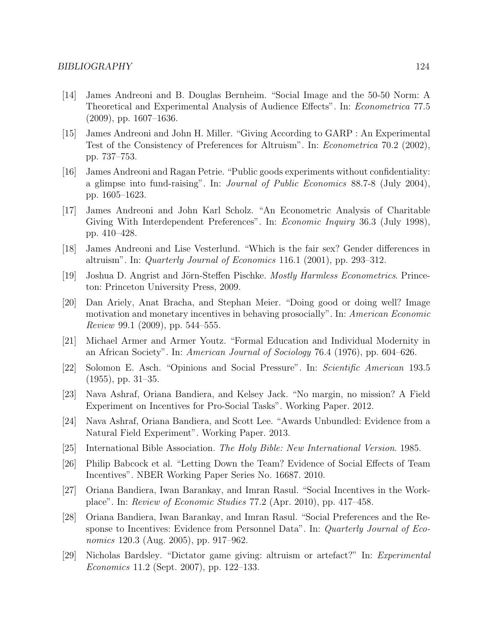- [14] James Andreoni and B. Douglas Bernheim. "Social Image and the 50-50 Norm: A Theoretical and Experimental Analysis of Audience Effects". In: Econometrica 77.5 (2009), pp. 1607–1636.
- [15] James Andreoni and John H. Miller. "Giving According to GARP : An Experimental Test of the Consistency of Preferences for Altruism". In: Econometrica 70.2 (2002), pp. 737–753.
- [16] James Andreoni and Ragan Petrie. "Public goods experiments without confidentiality: a glimpse into fund-raising". In: Journal of Public Economics 88.7-8 (July 2004), pp. 1605–1623.
- [17] James Andreoni and John Karl Scholz. "An Econometric Analysis of Charitable Giving With Interdependent Preferences". In: *Economic Inquiry* 36.3 (July 1998), pp. 410–428.
- [18] James Andreoni and Lise Vesterlund. "Which is the fair sex? Gender differences in altruism". In: Quarterly Journal of Economics 116.1 (2001), pp. 293–312.
- [19] Joshua D. Angrist and Jörn-Steffen Pischke. *Mostly Harmless Econometrics*. Princeton: Princeton University Press, 2009.
- [20] Dan Ariely, Anat Bracha, and Stephan Meier. "Doing good or doing well? Image motivation and monetary incentives in behaving prosocially". In: American Economic Review 99.1 (2009), pp. 544–555.
- [21] Michael Armer and Armer Youtz. "Formal Education and Individual Modernity in an African Society". In: American Journal of Sociology 76.4 (1976), pp. 604–626.
- [22] Solomon E. Asch. "Opinions and Social Pressure". In: Scientific American 193.5  $(1955)$ , pp.  $31-35$ .
- [23] Nava Ashraf, Oriana Bandiera, and Kelsey Jack. "No margin, no mission? A Field Experiment on Incentives for Pro-Social Tasks". Working Paper. 2012.
- [24] Nava Ashraf, Oriana Bandiera, and Scott Lee. "Awards Unbundled: Evidence from a Natural Field Experiment". Working Paper. 2013.
- [25] International Bible Association. The Holy Bible: New International Version. 1985.
- [26] Philip Babcock et al. "Letting Down the Team? Evidence of Social Effects of Team Incentives". NBER Working Paper Series No. 16687. 2010.
- [27] Oriana Bandiera, Iwan Barankay, and Imran Rasul. "Social Incentives in the Workplace". In: Review of Economic Studies 77.2 (Apr. 2010), pp. 417–458.
- [28] Oriana Bandiera, Iwan Barankay, and Imran Rasul. "Social Preferences and the Response to Incentives: Evidence from Personnel Data". In: Quarterly Journal of Economics 120.3 (Aug. 2005), pp. 917–962.
- [29] Nicholas Bardsley. "Dictator game giving: altruism or artefact?" In: Experimental Economics 11.2 (Sept. 2007), pp. 122–133.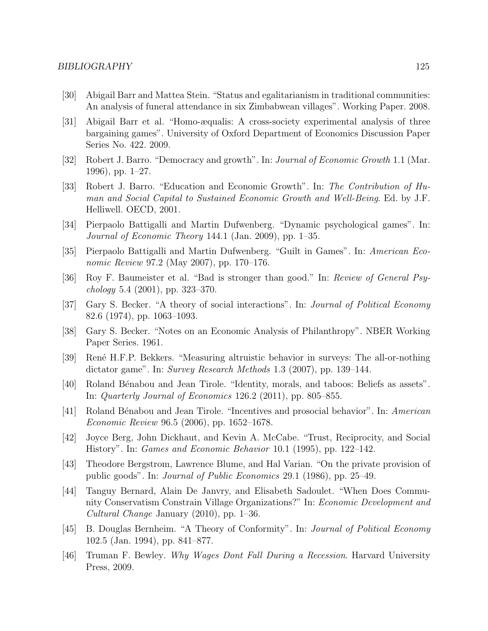- [30] Abigail Barr and Mattea Stein. "Status and egalitarianism in traditional communities: An analysis of funeral attendance in six Zimbabwean villages". Working Paper. 2008.
- [31] Abigail Barr et al. "Homo-æqualis: A cross-society experimental analysis of three bargaining games". University of Oxford Department of Economics Discussion Paper Series No. 422. 2009.
- [32] Robert J. Barro. "Democracy and growth". In: *Journal of Economic Growth* 1.1 (Mar. 1996), pp. 1–27.
- [33] Robert J. Barro. "Education and Economic Growth". In: The Contribution of Human and Social Capital to Sustained Economic Growth and Well-Being. Ed. by J.F. Helliwell. OECD, 2001.
- [34] Pierpaolo Battigalli and Martin Dufwenberg. "Dynamic psychological games". In: Journal of Economic Theory 144.1 (Jan. 2009), pp. 1–35.
- [35] Pierpaolo Battigalli and Martin Dufwenberg. "Guilt in Games". In: American Economic Review 97.2 (May 2007), pp. 170–176.
- [36] Roy F. Baumeister et al. "Bad is stronger than good." In: Review of General Psy $chology 5.4 (2001), pp. 323-370.$
- [37] Gary S. Becker. "A theory of social interactions". In: Journal of Political Economy 82.6 (1974), pp. 1063–1093.
- [38] Gary S. Becker. "Notes on an Economic Analysis of Philanthropy". NBER Working Paper Series. 1961.
- [39] Ren´e H.F.P. Bekkers. "Measuring altruistic behavior in surveys: The all-or-nothing dictator game". In: Survey Research Methods 1.3 (2007), pp. 139–144.
- [40] Roland Bénabou and Jean Tirole. "Identity, morals, and taboos: Beliefs as assets". In: Quarterly Journal of Economics 126.2 (2011), pp. 805–855.
- [41] Roland Bénabou and Jean Tirole. "Incentives and prosocial behavior". In: American Economic Review 96.5 (2006), pp. 1652–1678.
- [42] Joyce Berg, John Dickhaut, and Kevin A. McCabe. "Trust, Reciprocity, and Social History". In: Games and Economic Behavior 10.1 (1995), pp. 122–142.
- [43] Theodore Bergstrom, Lawrence Blume, and Hal Varian. "On the private provision of public goods". In: Journal of Public Economics 29.1 (1986), pp. 25–49.
- [44] Tanguy Bernard, Alain De Janvry, and Elisabeth Sadoulet. "When Does Community Conservatism Constrain Village Organizations?" In: Economic Development and Cultural Change January (2010), pp. 1–36.
- [45] B. Douglas Bernheim. "A Theory of Conformity". In: Journal of Political Economy 102.5 (Jan. 1994), pp. 841–877.
- [46] Truman F. Bewley. Why Wages Dont Fall During a Recession. Harvard University Press, 2009.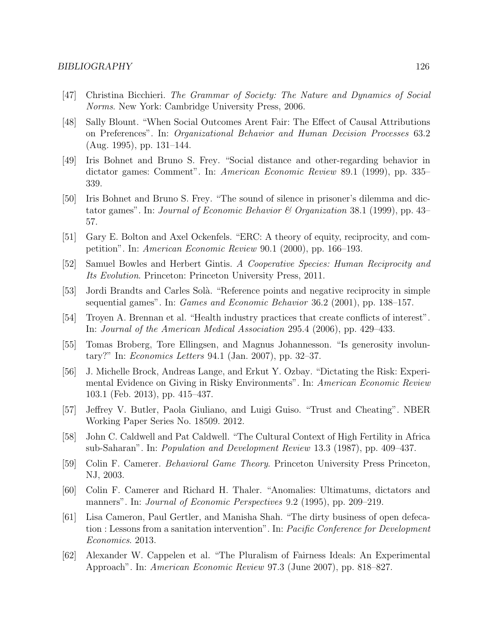- [47] Christina Bicchieri. The Grammar of Society: The Nature and Dynamics of Social Norms. New York: Cambridge University Press, 2006.
- [48] Sally Blount. "When Social Outcomes Arent Fair: The Effect of Causal Attributions on Preferences". In: Organizational Behavior and Human Decision Processes 63.2 (Aug. 1995), pp. 131–144.
- [49] Iris Bohnet and Bruno S. Frey. "Social distance and other-regarding behavior in dictator games: Comment". In: American Economic Review 89.1 (1999), pp. 335– 339.
- [50] Iris Bohnet and Bruno S. Frey. "The sound of silence in prisoner's dilemma and dictator games". In: *Journal of Economic Behavior & Organization* 38.1 (1999), pp. 43– 57.
- [51] Gary E. Bolton and Axel Ockenfels. "ERC: A theory of equity, reciprocity, and competition". In: American Economic Review 90.1 (2000), pp. 166–193.
- [52] Samuel Bowles and Herbert Gintis. A Cooperative Species: Human Reciprocity and Its Evolution. Princeton: Princeton University Press, 2011.
- [53] Jordi Brandts and Carles Solà. "Reference points and negative reciprocity in simple sequential games". In: Games and Economic Behavior 36.2 (2001), pp. 138–157.
- [54] Troyen A. Brennan et al. "Health industry practices that create conflicts of interest". In: Journal of the American Medical Association 295.4 (2006), pp. 429–433.
- [55] Tomas Broberg, Tore Ellingsen, and Magnus Johannesson. "Is generosity involuntary?" In: Economics Letters 94.1 (Jan. 2007), pp. 32–37.
- [56] J. Michelle Brock, Andreas Lange, and Erkut Y. Ozbay. "Dictating the Risk: Experimental Evidence on Giving in Risky Environments". In: American Economic Review 103.1 (Feb. 2013), pp. 415–437.
- [57] Jeffrey V. Butler, Paola Giuliano, and Luigi Guiso. "Trust and Cheating". NBER Working Paper Series No. 18509. 2012.
- [58] John C. Caldwell and Pat Caldwell. "The Cultural Context of High Fertility in Africa sub-Saharan". In: Population and Development Review 13.3 (1987), pp. 409–437.
- [59] Colin F. Camerer. Behavioral Game Theory. Princeton University Press Princeton, NJ, 2003.
- [60] Colin F. Camerer and Richard H. Thaler. "Anomalies: Ultimatums, dictators and manners". In: Journal of Economic Perspectives 9.2 (1995), pp. 209–219.
- [61] Lisa Cameron, Paul Gertler, and Manisha Shah. "The dirty business of open defecation : Lessons from a sanitation intervention". In: Pacific Conference for Development Economics. 2013.
- [62] Alexander W. Cappelen et al. "The Pluralism of Fairness Ideals: An Experimental Approach". In: American Economic Review 97.3 (June 2007), pp. 818–827.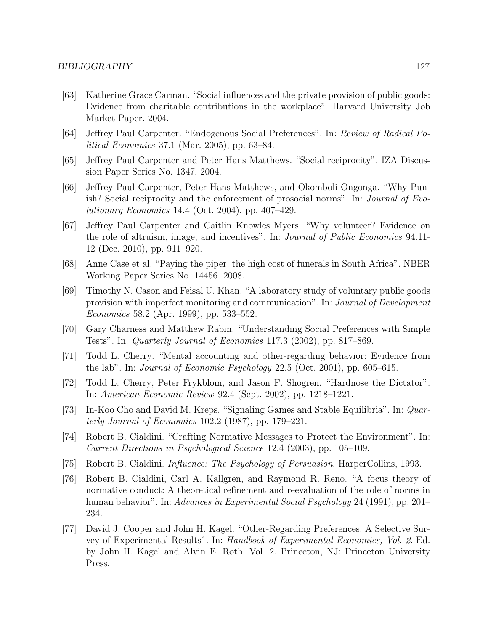- [63] Katherine Grace Carman. "Social influences and the private provision of public goods: Evidence from charitable contributions in the workplace". Harvard University Job Market Paper. 2004.
- [64] Jeffrey Paul Carpenter. "Endogenous Social Preferences". In: Review of Radical Political Economics 37.1 (Mar. 2005), pp. 63–84.
- [65] Jeffrey Paul Carpenter and Peter Hans Matthews. "Social reciprocity". IZA Discussion Paper Series No. 1347. 2004.
- [66] Jeffrey Paul Carpenter, Peter Hans Matthews, and Okomboli Ongonga. "Why Punish? Social reciprocity and the enforcement of prosocial norms". In: Journal of Evolutionary Economics 14.4 (Oct. 2004), pp. 407–429.
- [67] Jeffrey Paul Carpenter and Caitlin Knowles Myers. "Why volunteer? Evidence on the role of altruism, image, and incentives". In: *Journal of Public Economics* 94.11-12 (Dec. 2010), pp. 911–920.
- [68] Anne Case et al. "Paying the piper: the high cost of funerals in South Africa". NBER Working Paper Series No. 14456. 2008.
- [69] Timothy N. Cason and Feisal U. Khan. "A laboratory study of voluntary public goods provision with imperfect monitoring and communication". In: Journal of Development Economics 58.2 (Apr. 1999), pp. 533–552.
- [70] Gary Charness and Matthew Rabin. "Understanding Social Preferences with Simple Tests". In: Quarterly Journal of Economics 117.3 (2002), pp. 817–869.
- [71] Todd L. Cherry. "Mental accounting and other-regarding behavior: Evidence from the lab". In: Journal of Economic Psychology 22.5 (Oct. 2001), pp. 605–615.
- [72] Todd L. Cherry, Peter Frykblom, and Jason F. Shogren. "Hardnose the Dictator". In: American Economic Review 92.4 (Sept. 2002), pp. 1218–1221.
- [73] In-Koo Cho and David M. Kreps. "Signaling Games and Stable Equilibria". In: Quarterly Journal of Economics 102.2 (1987), pp. 179–221.
- [74] Robert B. Cialdini. "Crafting Normative Messages to Protect the Environment". In: Current Directions in Psychological Science 12.4 (2003), pp. 105–109.
- [75] Robert B. Cialdini. Influence: The Psychology of Persuasion. HarperCollins, 1993.
- [76] Robert B. Cialdini, Carl A. Kallgren, and Raymond R. Reno. "A focus theory of normative conduct: A theoretical refinement and reevaluation of the role of norms in human behavior". In: Advances in Experimental Social Psychology 24 (1991), pp. 201– 234.
- [77] David J. Cooper and John H. Kagel. "Other-Regarding Preferences: A Selective Survey of Experimental Results". In: Handbook of Experimental Economics, Vol. 2. Ed. by John H. Kagel and Alvin E. Roth. Vol. 2. Princeton, NJ: Princeton University Press.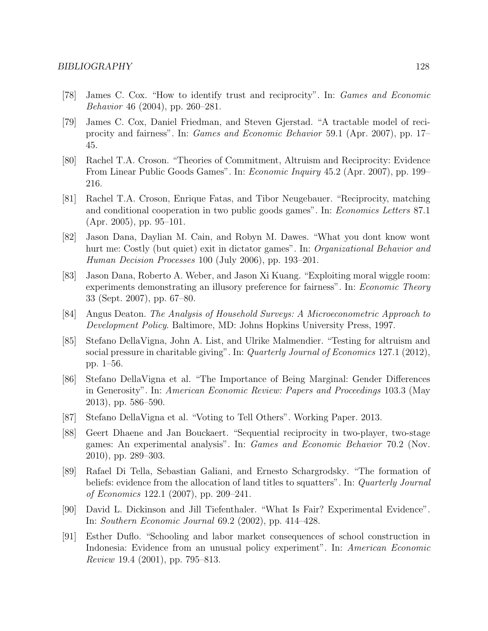- [78] James C. Cox. "How to identify trust and reciprocity". In: Games and Economic Behavior 46 (2004), pp. 260–281.
- [79] James C. Cox, Daniel Friedman, and Steven Gjerstad. "A tractable model of reciprocity and fairness". In: Games and Economic Behavior 59.1 (Apr. 2007), pp. 17– 45.
- [80] Rachel T.A. Croson. "Theories of Commitment, Altruism and Reciprocity: Evidence From Linear Public Goods Games". In: Economic Inquiry 45.2 (Apr. 2007), pp. 199– 216.
- [81] Rachel T.A. Croson, Enrique Fatas, and Tibor Neugebauer. "Reciprocity, matching and conditional cooperation in two public goods games". In: Economics Letters 87.1 (Apr. 2005), pp. 95–101.
- [82] Jason Dana, Daylian M. Cain, and Robyn M. Dawes. "What you dont know wont hurt me: Costly (but quiet) exit in dictator games". In: *Organizational Behavior and* Human Decision Processes 100 (July 2006), pp. 193–201.
- [83] Jason Dana, Roberto A. Weber, and Jason Xi Kuang. "Exploiting moral wiggle room: experiments demonstrating an illusory preference for fairness". In: *Economic Theory* 33 (Sept. 2007), pp. 67–80.
- [84] Angus Deaton. The Analysis of Household Surveys: A Microeconometric Approach to Development Policy. Baltimore, MD: Johns Hopkins University Press, 1997.
- [85] Stefano DellaVigna, John A. List, and Ulrike Malmendier. "Testing for altruism and social pressure in charitable giving". In: *Quarterly Journal of Economics* 127.1 (2012), pp. 1–56.
- [86] Stefano DellaVigna et al. "The Importance of Being Marginal: Gender Differences in Generosity". In: American Economic Review: Papers and Proceedings 103.3 (May 2013), pp. 586–590.
- [87] Stefano DellaVigna et al. "Voting to Tell Others". Working Paper. 2013.
- [88] Geert Dhaene and Jan Bouckaert. "Sequential reciprocity in two-player, two-stage games: An experimental analysis". In: Games and Economic Behavior 70.2 (Nov. 2010), pp. 289–303.
- [89] Rafael Di Tella, Sebastian Galiani, and Ernesto Schargrodsky. "The formation of beliefs: evidence from the allocation of land titles to squatters". In: *Quarterly Journal* of Economics 122.1 (2007), pp. 209–241.
- [90] David L. Dickinson and Jill Tiefenthaler. "What Is Fair? Experimental Evidence". In: Southern Economic Journal 69.2 (2002), pp. 414–428.
- [91] Esther Duflo. "Schooling and labor market consequences of school construction in Indonesia: Evidence from an unusual policy experiment". In: American Economic Review 19.4 (2001), pp. 795–813.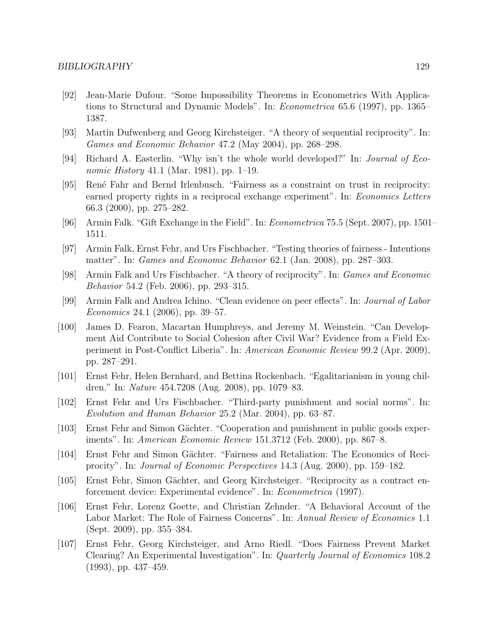- [92] Jean-Marie Dufour. "Some Impossibility Theorems in Econometrics With Applications to Structural and Dynamic Models". In: *Econometrica* 65.6 (1997), pp. 1365– 1387.
- [93] Martin Dufwenberg and Georg Kirchsteiger. "A theory of sequential reciprocity". In: Games and Economic Behavior 47.2 (May 2004), pp. 268–298.
- [94] Richard A. Easterlin. "Why isn't the whole world developed?" In: Journal of Economic History 41.1 (Mar. 1981), pp. 1–19.
- [95] Ren´e Fahr and Bernd Irlenbusch. "Fairness as a constraint on trust in reciprocity: earned property rights in a reciprocal exchange experiment". In: *Economics Letters* 66.3 (2000), pp. 275–282.
- [96] Armin Falk. "Gift Exchange in the Field". In: Econometrica 75.5 (Sept. 2007), pp. 1501– 1511.
- [97] Armin Falk, Ernst Fehr, and Urs Fischbacher. "Testing theories of fairness Intentions matter". In: Games and Economic Behavior 62.1 (Jan. 2008), pp. 287–303.
- [98] Armin Falk and Urs Fischbacher. "A theory of reciprocity". In: Games and Economic Behavior 54.2 (Feb. 2006), pp. 293–315.
- [99] Armin Falk and Andrea Ichino. "Clean evidence on peer effects". In: Journal of Labor Economics 24.1 (2006), pp. 39–57.
- [100] James D. Fearon, Macartan Humphreys, and Jeremy M. Weinstein. "Can Development Aid Contribute to Social Cohesion after Civil War? Evidence from a Field Experiment in Post-Conflict Liberia". In: American Economic Review 99.2 (Apr. 2009), pp. 287–291.
- [101] Ernst Fehr, Helen Bernhard, and Bettina Rockenbach. "Egalitarianism in young children." In: Nature 454.7208 (Aug. 2008), pp. 1079–83.
- [102] Ernst Fehr and Urs Fischbacher. "Third-party punishment and social norms". In: Evolution and Human Behavior 25.2 (Mar. 2004), pp. 63–87.
- [103] Ernst Fehr and Simon Gächter. "Cooperation and punishment in public goods experiments". In: American Economic Review 151.3712 (Feb. 2000), pp. 867–8.
- [104] Ernst Fehr and Simon Gächter. "Fairness and Retaliation: The Economics of Reciprocity". In: Journal of Economic Perspectives 14.3 (Aug. 2000), pp. 159–182.
- [105] Ernst Fehr, Simon Gächter, and Georg Kirchsteiger. "Reciprocity as a contract enforcement device: Experimental evidence". In: Econometrica (1997).
- [106] Ernst Fehr, Lorenz Goette, and Christian Zehnder. "A Behavioral Account of the Labor Market: The Role of Fairness Concerns". In: Annual Review of Economics 1.1 (Sept. 2009), pp. 355–384.
- [107] Ernst Fehr, Georg Kirchsteiger, and Arno Riedl. "Does Fairness Prevent Market Clearing? An Experimental Investigation". In: Quarterly Journal of Economics 108.2 (1993), pp. 437–459.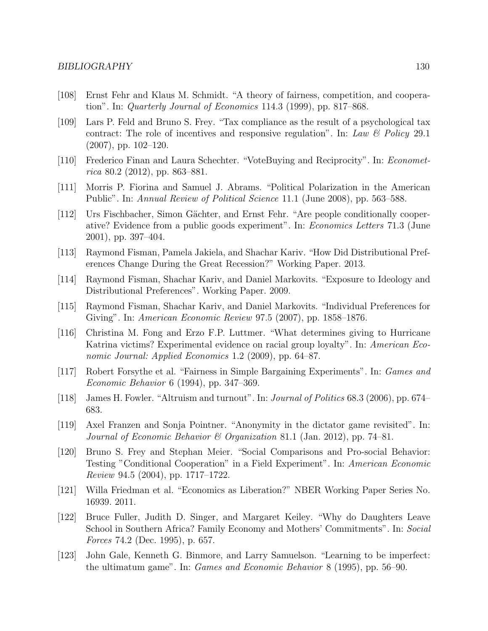- [108] Ernst Fehr and Klaus M. Schmidt. "A theory of fairness, competition, and cooperation". In: Quarterly Journal of Economics 114.3 (1999), pp. 817–868.
- [109] Lars P. Feld and Bruno S. Frey. "Tax compliance as the result of a psychological tax contract: The role of incentives and responsive regulation". In: Law & Policy 29.1 (2007), pp. 102–120.
- [110] Frederico Finan and Laura Schechter. "VoteBuying and Reciprocity". In: Econometrica 80.2 (2012), pp. 863–881.
- [111] Morris P. Fiorina and Samuel J. Abrams. "Political Polarization in the American Public". In: Annual Review of Political Science 11.1 (June 2008), pp. 563–588.
- [112] Urs Fischbacher, Simon Gächter, and Ernst Fehr. "Are people conditionally cooperative? Evidence from a public goods experiment". In: Economics Letters 71.3 (June 2001), pp. 397–404.
- [113] Raymond Fisman, Pamela Jakiela, and Shachar Kariv. "How Did Distributional Preferences Change During the Great Recession?" Working Paper. 2013.
- [114] Raymond Fisman, Shachar Kariv, and Daniel Markovits. "Exposure to Ideology and Distributional Preferences". Working Paper. 2009.
- [115] Raymond Fisman, Shachar Kariv, and Daniel Markovits. "Individual Preferences for Giving". In: American Economic Review 97.5 (2007), pp. 1858–1876.
- [116] Christina M. Fong and Erzo F.P. Luttmer. "What determines giving to Hurricane Katrina victims? Experimental evidence on racial group loyalty". In: American Economic Journal: Applied Economics 1.2 (2009), pp. 64–87.
- [117] Robert Forsythe et al. "Fairness in Simple Bargaining Experiments". In: Games and Economic Behavior 6 (1994), pp. 347–369.
- [118] James H. Fowler. "Altruism and turnout". In: Journal of Politics 68.3 (2006), pp. 674– 683.
- [119] Axel Franzen and Sonja Pointner. "Anonymity in the dictator game revisited". In: Journal of Economic Behavior & Organization 81.1 (Jan. 2012), pp. 74–81.
- [120] Bruno S. Frey and Stephan Meier. "Social Comparisons and Pro-social Behavior: Testing "Conditional Cooperation" in a Field Experiment". In: American Economic Review 94.5 (2004), pp. 1717–1722.
- [121] Willa Friedman et al. "Economics as Liberation?" NBER Working Paper Series No. 16939. 2011.
- [122] Bruce Fuller, Judith D. Singer, and Margaret Keiley. "Why do Daughters Leave School in Southern Africa? Family Economy and Mothers' Commitments". In: Social Forces 74.2 (Dec. 1995), p. 657.
- [123] John Gale, Kenneth G. Binmore, and Larry Samuelson. "Learning to be imperfect: the ultimatum game". In: Games and Economic Behavior 8 (1995), pp. 56–90.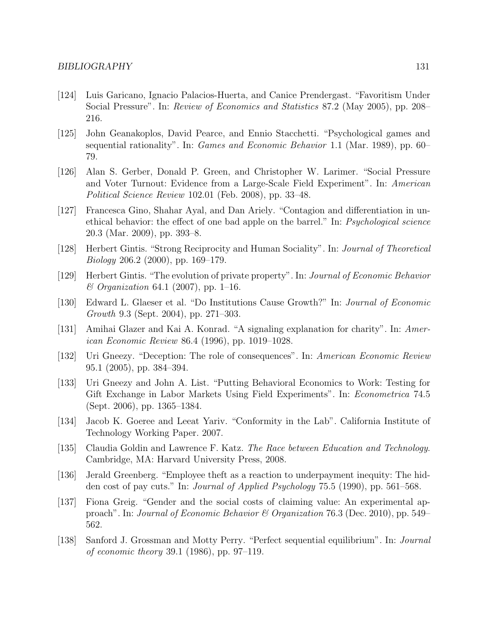- [124] Luis Garicano, Ignacio Palacios-Huerta, and Canice Prendergast. "Favoritism Under Social Pressure". In: Review of Economics and Statistics 87.2 (May 2005), pp. 208– 216.
- [125] John Geanakoplos, David Pearce, and Ennio Stacchetti. "Psychological games and sequential rationality". In: Games and Economic Behavior 1.1 (Mar. 1989), pp. 60– 79.
- [126] Alan S. Gerber, Donald P. Green, and Christopher W. Larimer. "Social Pressure and Voter Turnout: Evidence from a Large-Scale Field Experiment". In: American Political Science Review 102.01 (Feb. 2008), pp. 33–48.
- [127] Francesca Gino, Shahar Ayal, and Dan Ariely. "Contagion and differentiation in unethical behavior: the effect of one bad apple on the barrel." In: Psychological science 20.3 (Mar. 2009), pp. 393–8.
- [128] Herbert Gintis. "Strong Reciprocity and Human Sociality". In: Journal of Theoretical Biology 206.2 (2000), pp. 169–179.
- [129] Herbert Gintis. "The evolution of private property". In: Journal of Economic Behavior  $& Organization 64.1 (2007), pp. 1–16.$
- [130] Edward L. Glaeser et al. "Do Institutions Cause Growth?" In: Journal of Economic Growth 9.3 (Sept. 2004), pp. 271–303.
- [131] Amihai Glazer and Kai A. Konrad. "A signaling explanation for charity". In: American Economic Review 86.4 (1996), pp. 1019–1028.
- [132] Uri Gneezy. "Deception: The role of consequences". In: American Economic Review 95.1 (2005), pp. 384–394.
- [133] Uri Gneezy and John A. List. "Putting Behavioral Economics to Work: Testing for Gift Exchange in Labor Markets Using Field Experiments". In: Econometrica 74.5 (Sept. 2006), pp. 1365–1384.
- [134] Jacob K. Goeree and Leeat Yariv. "Conformity in the Lab". California Institute of Technology Working Paper. 2007.
- [135] Claudia Goldin and Lawrence F. Katz. The Race between Education and Technology. Cambridge, MA: Harvard University Press, 2008.
- [136] Jerald Greenberg. "Employee theft as a reaction to underpayment inequity: The hidden cost of pay cuts." In: Journal of Applied Psychology 75.5 (1990), pp. 561–568.
- [137] Fiona Greig. "Gender and the social costs of claiming value: An experimental approach". In: Journal of Economic Behavior & Organization 76.3 (Dec. 2010), pp. 549– 562.
- [138] Sanford J. Grossman and Motty Perry. "Perfect sequential equilibrium". In: Journal of economic theory 39.1 (1986), pp. 97–119.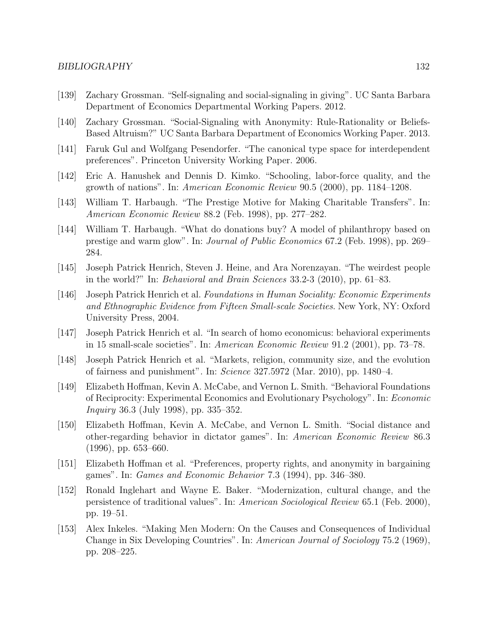- [139] Zachary Grossman. "Self-signaling and social-signaling in giving". UC Santa Barbara Department of Economics Departmental Working Papers. 2012.
- [140] Zachary Grossman. "Social-Signaling with Anonymity: Rule-Rationality or Beliefs-Based Altruism?" UC Santa Barbara Department of Economics Working Paper. 2013.
- [141] Faruk Gul and Wolfgang Pesendorfer. "The canonical type space for interdependent preferences". Princeton University Working Paper. 2006.
- [142] Eric A. Hanushek and Dennis D. Kimko. "Schooling, labor-force quality, and the growth of nations". In: American Economic Review 90.5 (2000), pp. 1184–1208.
- [143] William T. Harbaugh. "The Prestige Motive for Making Charitable Transfers". In: American Economic Review 88.2 (Feb. 1998), pp. 277–282.
- [144] William T. Harbaugh. "What do donations buy? A model of philanthropy based on prestige and warm glow". In: Journal of Public Economics 67.2 (Feb. 1998), pp. 269– 284.
- [145] Joseph Patrick Henrich, Steven J. Heine, and Ara Norenzayan. "The weirdest people in the world?" In: Behavioral and Brain Sciences 33.2-3 (2010), pp. 61–83.
- [146] Joseph Patrick Henrich et al. Foundations in Human Sociality: Economic Experiments and Ethnographic Evidence from Fifteen Small-scale Societies. New York, NY: Oxford University Press, 2004.
- [147] Joseph Patrick Henrich et al. "In search of homo economicus: behavioral experiments in 15 small-scale societies". In: American Economic Review 91.2 (2001), pp. 73–78.
- [148] Joseph Patrick Henrich et al. "Markets, religion, community size, and the evolution of fairness and punishment". In: Science 327.5972 (Mar. 2010), pp. 1480–4.
- [149] Elizabeth Hoffman, Kevin A. McCabe, and Vernon L. Smith. "Behavioral Foundations of Reciprocity: Experimental Economics and Evolutionary Psychology". In: Economic Inquiry 36.3 (July 1998), pp. 335–352.
- [150] Elizabeth Hoffman, Kevin A. McCabe, and Vernon L. Smith. "Social distance and other-regarding behavior in dictator games". In: American Economic Review 86.3 (1996), pp. 653–660.
- [151] Elizabeth Hoffman et al. "Preferences, property rights, and anonymity in bargaining games". In: Games and Economic Behavior 7.3 (1994), pp. 346–380.
- [152] Ronald Inglehart and Wayne E. Baker. "Modernization, cultural change, and the persistence of traditional values". In: American Sociological Review 65.1 (Feb. 2000), pp. 19–51.
- [153] Alex Inkeles. "Making Men Modern: On the Causes and Consequences of Individual Change in Six Developing Countries". In: American Journal of Sociology 75.2 (1969), pp. 208–225.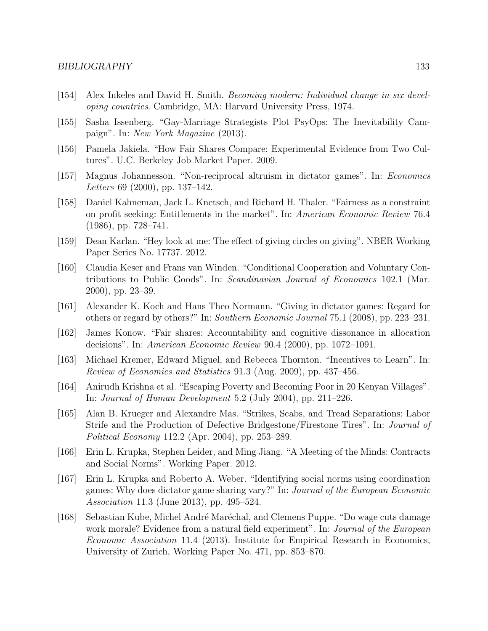- [154] Alex Inkeles and David H. Smith. Becoming modern: Individual change in six developing countries. Cambridge, MA: Harvard University Press, 1974.
- [155] Sasha Issenberg. "Gay-Marriage Strategists Plot PsyOps: The Inevitability Campaign". In: New York Magazine (2013).
- [156] Pamela Jakiela. "How Fair Shares Compare: Experimental Evidence from Two Cultures". U.C. Berkeley Job Market Paper. 2009.
- [157] Magnus Johannesson. "Non-reciprocal altruism in dictator games". In: Economics Letters 69 (2000), pp. 137–142.
- [158] Daniel Kahneman, Jack L. Knetsch, and Richard H. Thaler. "Fairness as a constraint on profit seeking: Entitlements in the market". In: American Economic Review 76.4 (1986), pp. 728–741.
- [159] Dean Karlan. "Hey look at me: The effect of giving circles on giving". NBER Working Paper Series No. 17737. 2012.
- [160] Claudia Keser and Frans van Winden. "Conditional Cooperation and Voluntary Contributions to Public Goods". In: Scandinavian Journal of Economics 102.1 (Mar. 2000), pp. 23–39.
- [161] Alexander K. Koch and Hans Theo Normann. "Giving in dictator games: Regard for others or regard by others?" In: Southern Economic Journal 75.1 (2008), pp. 223–231.
- [162] James Konow. "Fair shares: Accountability and cognitive dissonance in allocation decisions". In: American Economic Review 90.4 (2000), pp. 1072–1091.
- [163] Michael Kremer, Edward Miguel, and Rebecca Thornton. "Incentives to Learn". In: Review of Economics and Statistics 91.3 (Aug. 2009), pp. 437–456.
- [164] Anirudh Krishna et al. "Escaping Poverty and Becoming Poor in 20 Kenyan Villages". In: Journal of Human Development 5.2 (July 2004), pp. 211–226.
- [165] Alan B. Krueger and Alexandre Mas. "Strikes, Scabs, and Tread Separations: Labor Strife and the Production of Defective Bridgestone/Firestone Tires". In: Journal of Political Economy 112.2 (Apr. 2004), pp. 253–289.
- [166] Erin L. Krupka, Stephen Leider, and Ming Jiang. "A Meeting of the Minds: Contracts and Social Norms". Working Paper. 2012.
- [167] Erin L. Krupka and Roberto A. Weber. "Identifying social norms using coordination games: Why does dictator game sharing vary?" In: Journal of the European Economic Association 11.3 (June 2013), pp. 495–524.
- [168] Sebastian Kube, Michel André Maréchal, and Clemens Puppe. "Do wage cuts damage work morale? Evidence from a natural field experiment". In: *Journal of the European* Economic Association 11.4 (2013). Institute for Empirical Research in Economics, University of Zurich, Working Paper No. 471, pp. 853–870.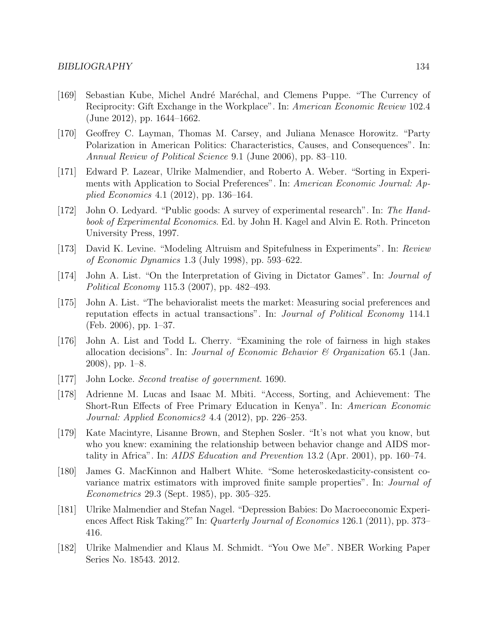- [169] Sebastian Kube, Michel André Maréchal, and Clemens Puppe. "The Currency of Reciprocity: Gift Exchange in the Workplace". In: American Economic Review 102.4 (June 2012), pp. 1644–1662.
- [170] Geoffrey C. Layman, Thomas M. Carsey, and Juliana Menasce Horowitz. "Party Polarization in American Politics: Characteristics, Causes, and Consequences". In: Annual Review of Political Science 9.1 (June 2006), pp. 83–110.
- [171] Edward P. Lazear, Ulrike Malmendier, and Roberto A. Weber. "Sorting in Experiments with Application to Social Preferences". In: American Economic Journal: Applied Economics 4.1 (2012), pp. 136–164.
- [172] John O. Ledyard. "Public goods: A survey of experimental research". In: The Handbook of Experimental Economics. Ed. by John H. Kagel and Alvin E. Roth. Princeton University Press, 1997.
- [173] David K. Levine. "Modeling Altruism and Spitefulness in Experiments". In: Review of Economic Dynamics 1.3 (July 1998), pp. 593–622.
- [174] John A. List. "On the Interpretation of Giving in Dictator Games". In: Journal of Political Economy 115.3 (2007), pp. 482–493.
- [175] John A. List. "The behavioralist meets the market: Measuring social preferences and reputation effects in actual transactions". In: Journal of Political Economy 114.1 (Feb. 2006), pp. 1–37.
- [176] John A. List and Todd L. Cherry. "Examining the role of fairness in high stakes allocation decisions". In: *Journal of Economic Behavior*  $\mathcal C$  *Organization* 65.1 (Jan. 2008), pp. 1–8.
- [177] John Locke. Second treatise of government. 1690.
- [178] Adrienne M. Lucas and Isaac M. Mbiti. "Access, Sorting, and Achievement: The Short-Run Effects of Free Primary Education in Kenya". In: American Economic Journal: Applied Economics2 4.4 (2012), pp. 226–253.
- [179] Kate Macintyre, Lisanne Brown, and Stephen Sosler. "It's not what you know, but who you knew: examining the relationship between behavior change and AIDS mortality in Africa". In: AIDS Education and Prevention 13.2 (Apr. 2001), pp. 160–74.
- [180] James G. MacKinnon and Halbert White. "Some heteroskedasticity-consistent covariance matrix estimators with improved finite sample properties". In: Journal of Econometrics 29.3 (Sept. 1985), pp. 305–325.
- [181] Ulrike Malmendier and Stefan Nagel. "Depression Babies: Do Macroeconomic Experiences Affect Risk Taking?" In: Quarterly Journal of Economics 126.1 (2011), pp. 373– 416.
- [182] Ulrike Malmendier and Klaus M. Schmidt. "You Owe Me". NBER Working Paper Series No. 18543. 2012.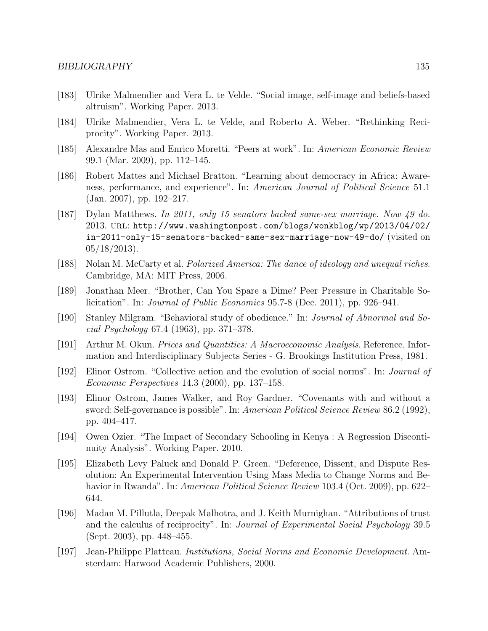- [183] Ulrike Malmendier and Vera L. te Velde. "Social image, self-image and beliefs-based altruism". Working Paper. 2013.
- [184] Ulrike Malmendier, Vera L. te Velde, and Roberto A. Weber. "Rethinking Reciprocity". Working Paper. 2013.
- [185] Alexandre Mas and Enrico Moretti. "Peers at work". In: American Economic Review 99.1 (Mar. 2009), pp. 112–145.
- [186] Robert Mattes and Michael Bratton. "Learning about democracy in Africa: Awareness, performance, and experience". In: American Journal of Political Science 51.1 (Jan. 2007), pp. 192–217.
- [187] Dylan Matthews. In 2011, only 15 senators backed same-sex marriage. Now 49 do. 2013. url: http://www.washingtonpost.com/blogs/wonkblog/wp/2013/04/02/ in-2011-only-15-senators-backed-same-sex-marriage-now-49-do/ (visited on 05/18/2013).
- [188] Nolan M. McCarty et al. Polarized America: The dance of ideology and unequal riches. Cambridge, MA: MIT Press, 2006.
- [189] Jonathan Meer. "Brother, Can You Spare a Dime? Peer Pressure in Charitable Solicitation". In: Journal of Public Economics 95.7-8 (Dec. 2011), pp. 926–941.
- [190] Stanley Milgram. "Behavioral study of obedience." In: Journal of Abnormal and Social Psychology 67.4 (1963), pp. 371–378.
- [191] Arthur M. Okun. Prices and Quantities: A Macroeconomic Analysis. Reference, Information and Interdisciplinary Subjects Series - G. Brookings Institution Press, 1981.
- [192] Elinor Ostrom. "Collective action and the evolution of social norms". In: Journal of Economic Perspectives 14.3 (2000), pp. 137–158.
- [193] Elinor Ostrom, James Walker, and Roy Gardner. "Covenants with and without a sword: Self-governance is possible". In: American Political Science Review 86.2 (1992), pp. 404–417.
- [194] Owen Ozier. "The Impact of Secondary Schooling in Kenya : A Regression Discontinuity Analysis". Working Paper. 2010.
- [195] Elizabeth Levy Paluck and Donald P. Green. "Deference, Dissent, and Dispute Resolution: An Experimental Intervention Using Mass Media to Change Norms and Behavior in Rwanda". In: *American Political Science Review* 103.4 (Oct. 2009), pp. 622– 644.
- [196] Madan M. Pillutla, Deepak Malhotra, and J. Keith Murnighan. "Attributions of trust and the calculus of reciprocity". In: Journal of Experimental Social Psychology 39.5 (Sept. 2003), pp. 448–455.
- [197] Jean-Philippe Platteau. Institutions, Social Norms and Economic Development. Amsterdam: Harwood Academic Publishers, 2000.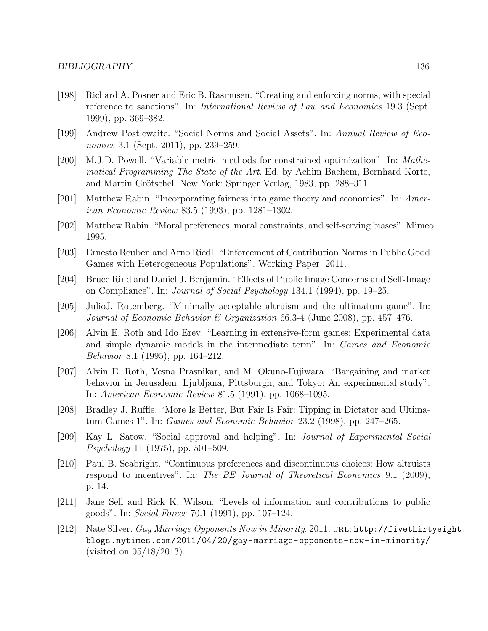- [198] Richard A. Posner and Eric B. Rasmusen. "Creating and enforcing norms, with special reference to sanctions". In: International Review of Law and Economics 19.3 (Sept. 1999), pp. 369–382.
- [199] Andrew Postlewaite. "Social Norms and Social Assets". In: Annual Review of Economics 3.1 (Sept. 2011), pp. 239–259.
- [200] M.J.D. Powell. "Variable metric methods for constrained optimization". In: Mathematical Programming The State of the Art. Ed. by Achim Bachem, Bernhard Korte, and Martin Grötschel. New York: Springer Verlag, 1983, pp. 288–311.
- [201] Matthew Rabin. "Incorporating fairness into game theory and economics". In: American Economic Review 83.5 (1993), pp. 1281–1302.
- [202] Matthew Rabin. "Moral preferences, moral constraints, and self-serving biases". Mimeo. 1995.
- [203] Ernesto Reuben and Arno Riedl. "Enforcement of Contribution Norms in Public Good Games with Heterogeneous Populations". Working Paper. 2011.
- [204] Bruce Rind and Daniel J. Benjamin. "Effects of Public Image Concerns and Self-Image on Compliance". In: Journal of Social Psychology 134.1 (1994), pp. 19–25.
- [205] JulioJ. Rotemberg. "Minimally acceptable altruism and the ultimatum game". In: Journal of Economic Behavior & Organization 66.3-4 (June 2008), pp. 457–476.
- [206] Alvin E. Roth and Ido Erev. "Learning in extensive-form games: Experimental data and simple dynamic models in the intermediate term". In: Games and Economic Behavior 8.1 (1995), pp. 164–212.
- [207] Alvin E. Roth, Vesna Prasnikar, and M. Okuno-Fujiwara. "Bargaining and market behavior in Jerusalem, Ljubljana, Pittsburgh, and Tokyo: An experimental study". In: American Economic Review 81.5 (1991), pp. 1068–1095.
- [208] Bradley J. Ruffle. "More Is Better, But Fair Is Fair: Tipping in Dictator and Ultimatum Games 1". In: Games and Economic Behavior 23.2 (1998), pp. 247–265.
- [209] Kay L. Satow. "Social approval and helping". In: Journal of Experimental Social Psychology 11 (1975), pp. 501–509.
- [210] Paul B. Seabright. "Continuous preferences and discontinuous choices: How altruists respond to incentives". In: The BE Journal of Theoretical Economics 9.1 (2009), p. 14.
- [211] Jane Sell and Rick K. Wilson. "Levels of information and contributions to public goods". In: Social Forces 70.1 (1991), pp. 107–124.
- [212] Nate Silver. Gay Marriage Opponents Now in Minority. 2011. URL: http://fivethirtyeight. blogs.nytimes.com/2011/04/20/gay-marriage-opponents-now-in-minority/ (visited on 05/18/2013).